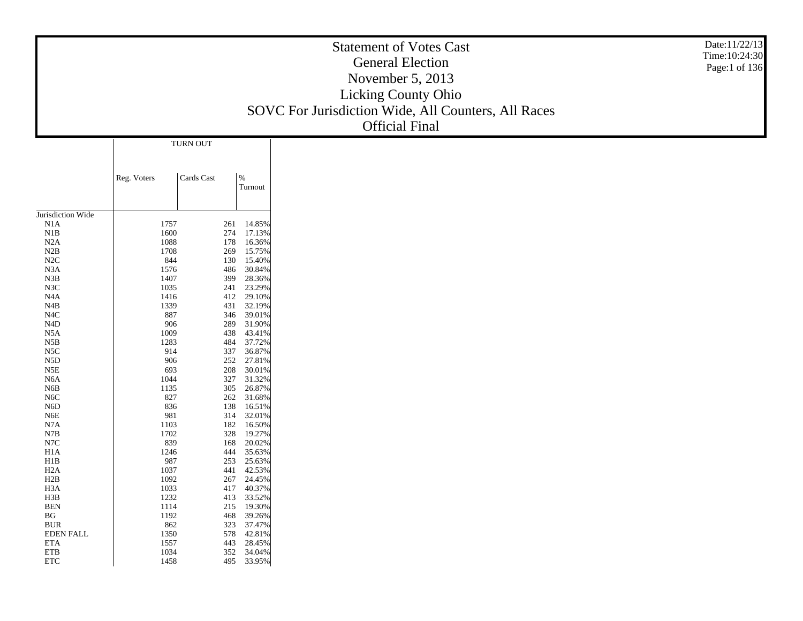|                                      |              |            |                                | <b>Statement of Votes Cast</b><br><b>General Election</b> | Date:11/22/13<br>Time: 10:24:30<br>Page:1 of 136 |
|--------------------------------------|--------------|------------|--------------------------------|-----------------------------------------------------------|--------------------------------------------------|
|                                      |              |            |                                | November 5, 2013                                          |                                                  |
|                                      |              |            |                                | Licking County Ohio                                       |                                                  |
|                                      |              |            |                                | SOVC For Jurisdiction Wide, All Counters, All Races       |                                                  |
|                                      |              |            |                                |                                                           |                                                  |
|                                      |              |            |                                | <b>Official Final</b>                                     |                                                  |
|                                      |              | TURN OUT   |                                |                                                           |                                                  |
|                                      |              |            |                                |                                                           |                                                  |
|                                      | Reg. Voters  | Cards Cast | $\%$<br>Turnout                |                                                           |                                                  |
|                                      |              |            |                                |                                                           |                                                  |
| Jurisdiction Wide                    |              |            |                                |                                                           |                                                  |
| N1A                                  | 1757         |            | 14.85%<br>261                  |                                                           |                                                  |
| N1B                                  | 1600         |            | 274<br>17.13%                  |                                                           |                                                  |
| N2A                                  | 1088         |            | 178<br>16.36%                  |                                                           |                                                  |
| N2B<br>N2C                           | 1708<br>844  |            | 15.75%<br>269<br>130<br>15.40% |                                                           |                                                  |
| N3A                                  | 1576         |            | 486<br>30.84%                  |                                                           |                                                  |
| N3B                                  | 1407         |            | 28.36%<br>399                  |                                                           |                                                  |
| N3C                                  | 1035         |            | 23.29%<br>241                  |                                                           |                                                  |
| N <sub>4</sub> A                     | 1416         |            | 29.10%<br>412                  |                                                           |                                                  |
| N4B                                  | 1339         |            | 32.19%<br>431                  |                                                           |                                                  |
| N <sub>4</sub> C<br>$\rm N4D$        | 887          |            | 39.01%<br>346<br>31.90%        |                                                           |                                                  |
| N5A                                  | 1009         | 906        | 289<br>438<br>43.41%           |                                                           |                                                  |
| N5B                                  | 1283         |            | 37.72%<br>484                  |                                                           |                                                  |
| N <sub>5</sub> C                     |              | 914        | 36.87%<br>337                  |                                                           |                                                  |
| N5D                                  |              | 906        | 27.81%<br>252                  |                                                           |                                                  |
| N5E                                  | 693          |            | 208<br>30.01%                  |                                                           |                                                  |
| N <sub>6</sub> A<br>N <sub>6</sub> B | 1044<br>1135 |            | 327<br>31.32%<br>26.87%<br>305 |                                                           |                                                  |
| N <sub>6</sub> C                     | 827          |            | 262<br>31.68%                  |                                                           |                                                  |
| N <sub>6</sub> D                     |              | 836        | 138<br>16.51%                  |                                                           |                                                  |
| N6E                                  | 981          |            | 32.01%<br>314                  |                                                           |                                                  |
| N7A                                  | 1103         |            | 182<br>16.50%                  |                                                           |                                                  |
| N7B                                  | 1702         |            | 328<br>19.27%                  |                                                           |                                                  |
| N7C<br>H1A                           | 839<br>1246  |            | 20.02%<br>168<br>444<br>35.63% |                                                           |                                                  |
| H1B                                  | 987          |            | 253<br>25.63%                  |                                                           |                                                  |
| H <sub>2</sub> A                     | 1037         |            | 42.53%<br>441                  |                                                           |                                                  |
| H2B                                  | 1092         |            | 24.45%<br>267                  |                                                           |                                                  |
| H3A                                  | 1033         |            | 40.37%<br>417                  |                                                           |                                                  |
| H3B<br>$\operatorname{BEN}$          | 1232         |            | 413 33.52%                     |                                                           |                                                  |
| $\mathbf{B}\mathbf{G}$               | 1114<br>1192 |            | 215 19.30%<br>468<br>39.26%    |                                                           |                                                  |
| <b>BUR</b>                           | 862          |            | 323<br>37.47%                  |                                                           |                                                  |
| <b>EDEN FALL</b>                     | 1350         |            | 578<br>42.81%                  |                                                           |                                                  |
| <b>ETA</b>                           | 1557         |            | 443<br>28.45%                  |                                                           |                                                  |
| ${\rm ETB}$                          | 1034         |            | 352 34.04%                     |                                                           |                                                  |
| $\ensuremath{\text{ETC}}$            | 1458         |            | 495 33.95%                     |                                                           |                                                  |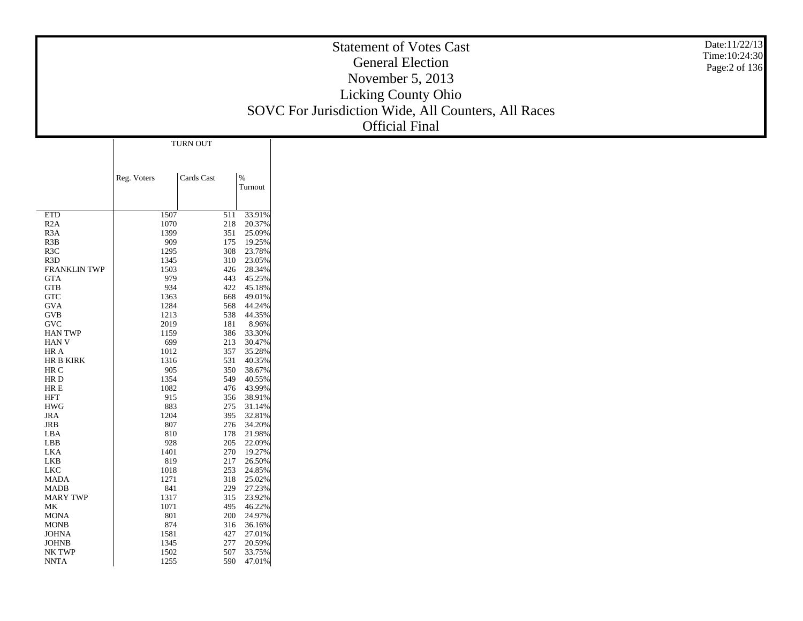|                                   |              |            |                          | Date:11/22/13<br><b>Statement of Votes Cast</b><br>Time: 10:24:30<br><b>General Election</b><br>Page: 2 of 136<br>November 5, 2013<br>Licking County Ohio<br>SOVC For Jurisdiction Wide, All Counters, All Races<br><b>Official Final</b> |
|-----------------------------------|--------------|------------|--------------------------|-------------------------------------------------------------------------------------------------------------------------------------------------------------------------------------------------------------------------------------------|
|                                   |              | TURN OUT   |                          |                                                                                                                                                                                                                                           |
|                                   |              |            |                          |                                                                                                                                                                                                                                           |
|                                   | Reg. Voters  | Cards Cast | $\%$<br>Turnout          |                                                                                                                                                                                                                                           |
| <b>ETD</b>                        | 1507         |            | 511 33.91%               |                                                                                                                                                                                                                                           |
| R2A                               | 1070         | 218        | 20.37%                   |                                                                                                                                                                                                                                           |
| R <sub>3</sub> A                  | 1399         | 351<br>175 | 25.09%                   |                                                                                                                                                                                                                                           |
| R3B<br>R3C                        | 909<br>1295  | 308        | 19.25%<br>23.78%         |                                                                                                                                                                                                                                           |
| R <sub>3</sub> D                  | 1345         | 310        | 23.05%                   |                                                                                                                                                                                                                                           |
| <b>FRANKLIN TWP</b><br><b>GTA</b> | 1503<br>979  | 426<br>443 | 28.34%                   |                                                                                                                                                                                                                                           |
| GTB                               | 934          | 422        | 45.25%<br>45.18%         |                                                                                                                                                                                                                                           |
| GTC                               | 1363         | 668        | 49.01%                   |                                                                                                                                                                                                                                           |
| <b>GVA</b>                        | 1284         | 568        | 44.24%                   |                                                                                                                                                                                                                                           |
| GVB<br>$\operatorname{GVC}$       | 1213<br>2019 | 538<br>181 | 44.35%<br>8.96%          |                                                                                                                                                                                                                                           |
| <b>HAN TWP</b>                    | 1159         | 386        | 33.30%                   |                                                                                                                                                                                                                                           |
| <b>HAN V</b>                      | 699          | 213        | 30.47%                   |                                                                                                                                                                                                                                           |
| HR A<br>HR B KIRK                 | 1012<br>1316 | 357<br>531 | 35.28%<br>40.35%         |                                                                                                                                                                                                                                           |
| HR C                              | 905          | 350        | 38.67%                   |                                                                                                                                                                                                                                           |
| $\rm HR$ D                        | 1354         | 549        | 40.55%                   |                                                                                                                                                                                                                                           |
| HR E<br><b>HFT</b>                | 1082<br>915  | 476<br>356 | 43.99%<br>38.91%         |                                                                                                                                                                                                                                           |
| $\rm HWG$                         | 883          | 275        | 31.14%                   |                                                                                                                                                                                                                                           |
| JRA                               | 1204         | 395        | 32.81%                   |                                                                                                                                                                                                                                           |
| JRB<br>LBA                        | 807<br>810   | 276<br>178 | 34.20%<br>21.98%         |                                                                                                                                                                                                                                           |
| LBB                               | 928          | 205        | 22.09%                   |                                                                                                                                                                                                                                           |
| LKA                               | 1401         | 270        | 19.27%                   |                                                                                                                                                                                                                                           |
| LKB<br>LKC                        | 819<br>1018  | 217<br>253 | 26.50%<br>24.85%         |                                                                                                                                                                                                                                           |
| <b>MADA</b>                       | 1271         | 318        | 25.02%                   |                                                                                                                                                                                                                                           |
| MADB                              | 841          |            | 229 27.23%               |                                                                                                                                                                                                                                           |
| <b>MARY TWP</b><br>МK             | 1317<br>1071 |            | 315 23.92%<br>495 46.22% |                                                                                                                                                                                                                                           |
| <b>MONA</b>                       | 801          | 200        | 24.97%                   |                                                                                                                                                                                                                                           |
| $\rm{MONB}$                       | 874          |            | 316 36.16%               |                                                                                                                                                                                                                                           |
| <b>JOHNA</b><br>$_{\rm JOHNB}$    | 1581<br>1345 | 427<br>277 | 27.01%<br>20.59%         |                                                                                                                                                                                                                                           |
| $\rm NK$ $\rm TWP$                | 1502         | 507        | 33.75%                   |                                                                                                                                                                                                                                           |
| NNTA                              | 1255         |            | 590 47.01%               |                                                                                                                                                                                                                                           |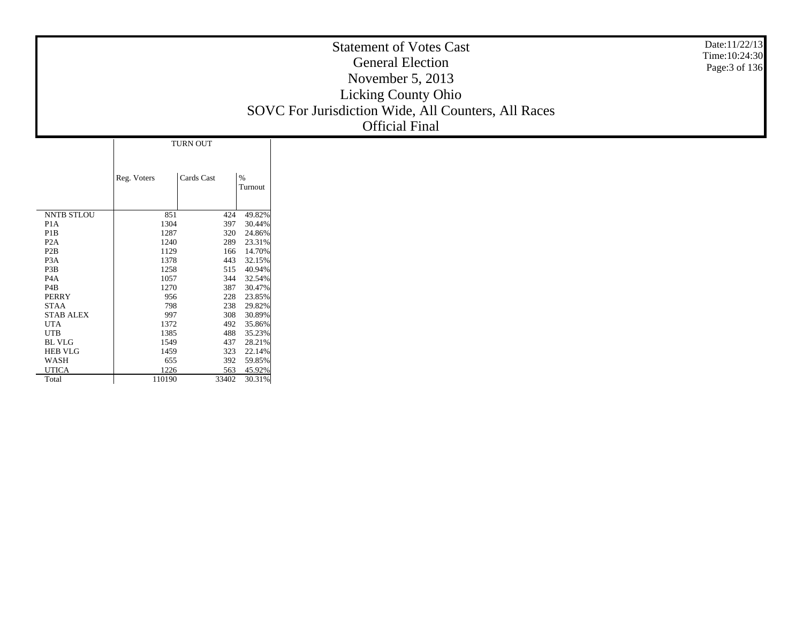|                       |                |                 |                  | Date:11/22/13<br><b>Statement of Votes Cast</b><br>Time: 10:24:30<br><b>General Election</b><br>Page: 3 of 136<br>November 5, 2013<br><b>Licking County Ohio</b><br>SOVC For Jurisdiction Wide, All Counters, All Races<br><b>Official Final</b> |
|-----------------------|----------------|-----------------|------------------|--------------------------------------------------------------------------------------------------------------------------------------------------------------------------------------------------------------------------------------------------|
|                       |                | <b>TURN OUT</b> |                  |                                                                                                                                                                                                                                                  |
|                       |                |                 |                  |                                                                                                                                                                                                                                                  |
|                       |                |                 |                  |                                                                                                                                                                                                                                                  |
|                       | Reg. Voters    | Cards Cast      | $\%$             |                                                                                                                                                                                                                                                  |
|                       |                |                 | Turnout          |                                                                                                                                                                                                                                                  |
|                       |                |                 |                  |                                                                                                                                                                                                                                                  |
| <b>NNTB STLOU</b>     | 851            | 424             | 49.82%           |                                                                                                                                                                                                                                                  |
| P <sub>1</sub> A      | 1304           | 397             | 30.44%           |                                                                                                                                                                                                                                                  |
| P <sub>1</sub> B      | 1287           | 320             | 24.86%           |                                                                                                                                                                                                                                                  |
| P <sub>2</sub> A      | 1240           | 289             | 23.31%           |                                                                                                                                                                                                                                                  |
| P <sub>2</sub> B      | 1129           | 166             | 14.70%           |                                                                                                                                                                                                                                                  |
| P <sub>3</sub> A      | 1378           | 443             | 32.15%           |                                                                                                                                                                                                                                                  |
| P3B                   | 1258           | 515             | 40.94%           |                                                                                                                                                                                                                                                  |
| P <sub>4</sub> A      | 1057           | 344             | 32.54%           |                                                                                                                                                                                                                                                  |
| P <sub>4</sub> B      | 1270           | 387             | 30.47%           |                                                                                                                                                                                                                                                  |
| <b>PERRY</b>          | 956            | 228             | 23.85%           |                                                                                                                                                                                                                                                  |
| <b>STAA</b>           | 798            | 238             | 29.82%           |                                                                                                                                                                                                                                                  |
| <b>STAB ALEX</b>      | 997            | 308             | 30.89%           |                                                                                                                                                                                                                                                  |
| <b>UTA</b>            | 1372           | 492             | 35.86%           |                                                                                                                                                                                                                                                  |
| <b>UTB</b>            | 1385           | 488             | 35.23%           |                                                                                                                                                                                                                                                  |
| BL VLG                | 1549           | 437             | 28.21%           |                                                                                                                                                                                                                                                  |
| <b>HEB VLG</b>        | 1459           | 323             | 22.14%           |                                                                                                                                                                                                                                                  |
| <b>WASH</b>           | 655            | 392             | 59.85%           |                                                                                                                                                                                                                                                  |
| <b>UTICA</b><br>Total | 1226<br>110190 | 563<br>33402    | 45.92%<br>30.31% |                                                                                                                                                                                                                                                  |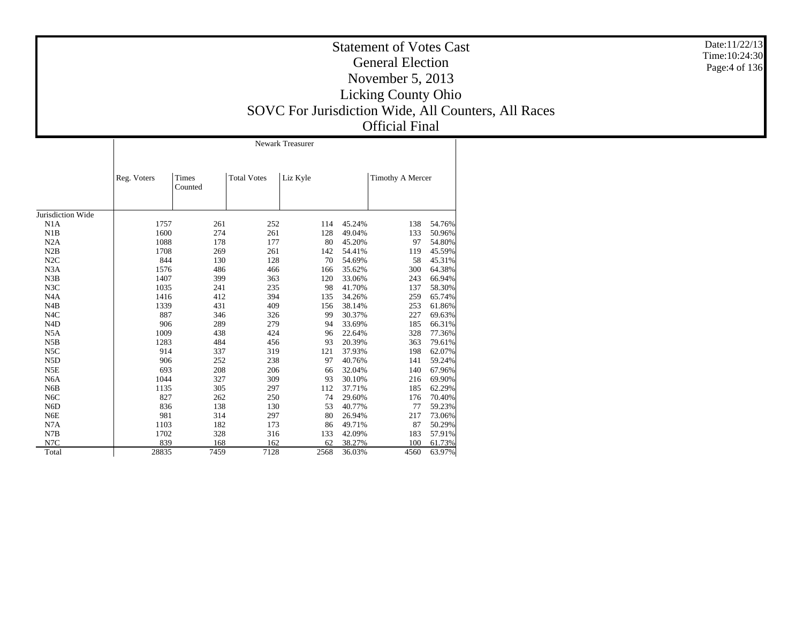|                   |             | <b>Newark Treasurer</b> |                    |          |        |                         |        |  |  |  |
|-------------------|-------------|-------------------------|--------------------|----------|--------|-------------------------|--------|--|--|--|
|                   | Reg. Voters | Times<br>Counted        | <b>Total Votes</b> | Liz Kyle |        | <b>Timothy A Mercer</b> |        |  |  |  |
| Jurisdiction Wide |             |                         |                    |          |        |                         |        |  |  |  |
| N <sub>1</sub> A  | 1757        | 261                     | 252                | 114      | 45.24% | 138                     | 54.76% |  |  |  |
| N1B               | 1600        | 274                     | 261                | 128      | 49.04% | 133                     | 50.96% |  |  |  |
| N2A               | 1088        | 178                     | 177                | 80       | 45.20% | 97                      | 54.80% |  |  |  |
| N2B               | 1708        | 269                     | 261                | 142      | 54.41% | 119                     | 45.59% |  |  |  |
| N2C               | 844         | 130                     | 128                | 70       | 54.69% | 58                      | 45.31% |  |  |  |
| N <sub>3</sub> A  | 1576        | 486                     | 466                | 166      | 35.62% | 300                     | 64.38% |  |  |  |
| N3B               | 1407        | 399                     | 363                | 120      | 33.06% | 243                     | 66.94% |  |  |  |
| N3C               | 1035        | 241                     | 235                | 98       | 41.70% | 137                     | 58.30% |  |  |  |
| N <sub>4</sub> A  | 1416        | 412                     | 394                | 135      | 34.26% | 259                     | 65.74% |  |  |  |
| N4B               | 1339        | 431                     | 409                | 156      | 38.14% | 253                     | 61.86% |  |  |  |
| N <sub>4</sub> C  | 887         | 346                     | 326                | 99       | 30.37% | 227                     | 69.63% |  |  |  |
| N <sub>4</sub> D  | 906         | 289                     | 279                | 94       | 33.69% | 185                     | 66.31% |  |  |  |
| N <sub>5</sub> A  | 1009        | 438                     | 424                | 96       | 22.64% | 328                     | 77.36% |  |  |  |
| N5B               | 1283        | 484                     | 456                | 93       | 20.39% | 363                     | 79.61% |  |  |  |
| N <sub>5</sub> C  | 914         | 337                     | 319                | 121      | 37.93% | 198                     | 62.07% |  |  |  |
| N <sub>5</sub> D  | 906         | 252                     | 238                | 97       | 40.76% | 141                     | 59.24% |  |  |  |
| N5E               | 693         | 208                     | 206                | 66       | 32.04% | 140                     | 67.96% |  |  |  |
| N <sub>6</sub> A  | 1044        | 327                     | 309                | 93       | 30.10% | 216                     | 69.90% |  |  |  |
| N <sub>6</sub> B  | 1135        | 305                     | 297                | 112      | 37.71% | 185                     | 62.29% |  |  |  |
| N <sub>6</sub> C  | 827         | 262                     | 250                | 74       | 29.60% | 176                     | 70.40% |  |  |  |
| N <sub>6</sub> D  | 836         | 138                     | 130                | 53       | 40.77% | 77                      | 59.23% |  |  |  |
| N <sub>6</sub> E  | 981         | 314                     | 297                | 80       | 26.94% | 217                     | 73.06% |  |  |  |
| N7A               | 1103        | 182                     | 173                | 86       | 49.71% | 87                      | 50.29% |  |  |  |
| N7B               | 1702        | 328                     | 316                | 133      | 42.09% | 183                     | 57.91% |  |  |  |
| N7C               | 839         | 168                     | 162                | 62       | 38.27% | 100                     | 61.73% |  |  |  |
| Total             | 28835       | 7459                    | 7128               | 2568     | 36.03% | 4560                    | 63.97% |  |  |  |

Date:11/22/13 Time:10:24:30Page:4 of 136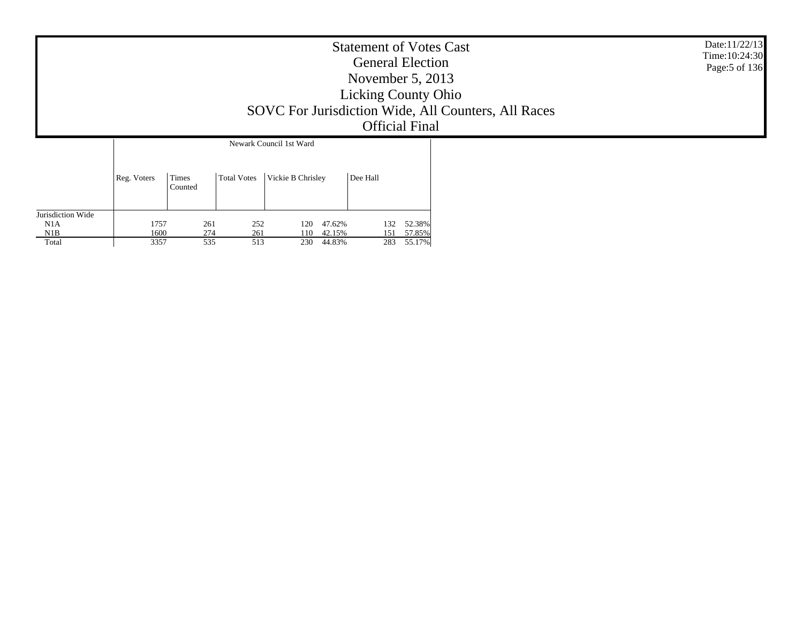|                                          | <b>Statement of Votes Cast</b><br><b>General Election</b><br>November $5, 2013$<br><b>Licking County Ohio</b><br>SOVC For Jurisdiction Wide, All Counters, All Races<br><b>Official Final</b><br>Newark Council 1st Ward |                   |                    |                   |                                |                   |                            |  | Date:11/22/13<br>Time: 10:24:30<br>Page: 5 of 136 |
|------------------------------------------|--------------------------------------------------------------------------------------------------------------------------------------------------------------------------------------------------------------------------|-------------------|--------------------|-------------------|--------------------------------|-------------------|----------------------------|--|---------------------------------------------------|
|                                          | Reg. Voters                                                                                                                                                                                                              | Times<br>Counted  | <b>Total Votes</b> | Vickie B Chrisley |                                | Dee Hall          |                            |  |                                                   |
| Jurisdiction Wide<br>N1A<br>N1B<br>Total | 1757<br>1600<br>3357                                                                                                                                                                                                     | 261<br>274<br>535 | 252<br>261<br>513  | 120<br>110        | 47.62%<br>42.15%<br>230 44.83% | 132<br>151<br>283 | 52.38%<br>57.85%<br>55.17% |  |                                                   |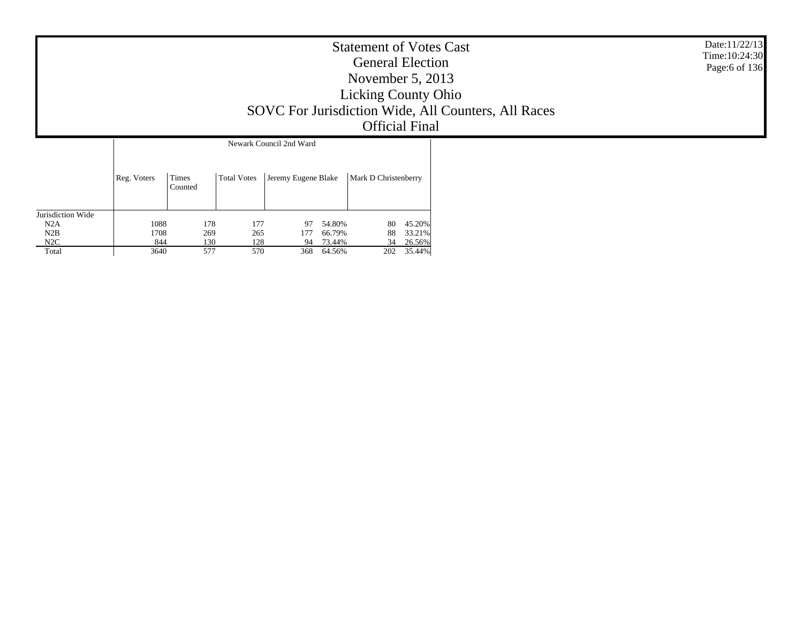|                   | <b>Statement of Votes Cast</b><br><b>General Election</b><br>November $5, 2013$<br><b>Licking County Ohio</b><br>SOVC For Jurisdiction Wide, All Counters, All Races<br><b>Official Final</b> |            |            |                         |                  |          |                  | Date:11/22/13<br>Time: 10:24:30<br>Page:6 of 136 |
|-------------------|-----------------------------------------------------------------------------------------------------------------------------------------------------------------------------------------------|------------|------------|-------------------------|------------------|----------|------------------|--------------------------------------------------|
|                   |                                                                                                                                                                                               |            |            | Newark Council 2nd Ward |                  |          |                  |                                                  |
|                   | Reg. Voters<br>Times<br>Jeremy Eugene Blake<br>Mark D Christenberry<br><b>Total Votes</b><br>Counted                                                                                          |            |            |                         |                  |          |                  |                                                  |
| Jurisdiction Wide |                                                                                                                                                                                               |            |            |                         |                  |          |                  |                                                  |
| N2A<br>N2B        | 1088<br>1708                                                                                                                                                                                  | 178<br>269 | 177<br>265 | 97<br>177               | 54.80%<br>66.79% | 80<br>88 | 45.20%<br>33.21% |                                                  |
| N2C               | 844                                                                                                                                                                                           | 130        | 128        |                         | 94 73.44%        | 34       | 26.56%           |                                                  |

202 35.44%

 N2B N2C**Total** 

3640

130 128 94 73.44%<br>577 570 368 64.56%

368 64.56%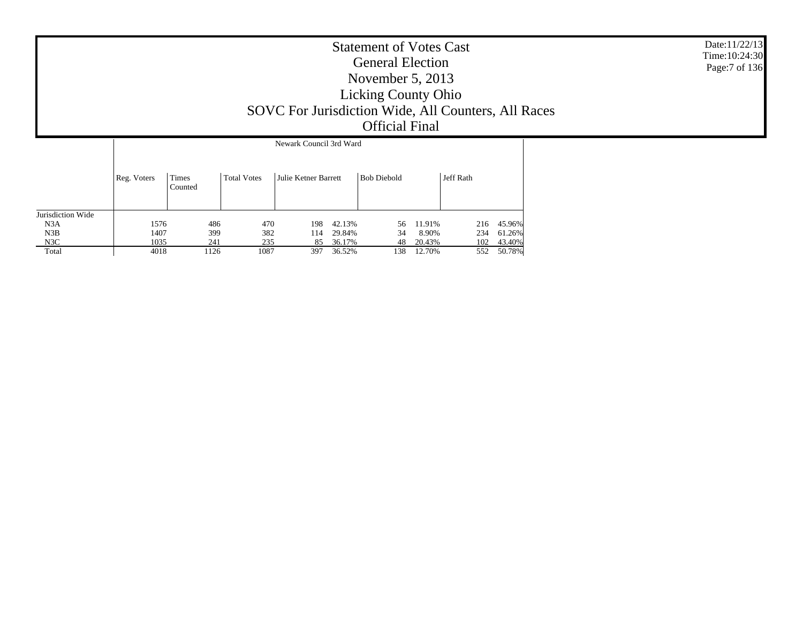| <b>Statement of Votes Cast</b><br><b>General Election</b><br>November $5, 2013$<br><b>Licking County Ohio</b> | Date:11/22/13<br>Time: 10:24:30<br>Page:7 of 136 |
|---------------------------------------------------------------------------------------------------------------|--------------------------------------------------|
| SOVC For Jurisdiction Wide, All Counters, All Races                                                           |                                                  |
| <b>Official Final</b>                                                                                         |                                                  |

|                   |             | Newark Council 3rd Ward |                    |                      |        |                    |        |           |        |  |  |  |
|-------------------|-------------|-------------------------|--------------------|----------------------|--------|--------------------|--------|-----------|--------|--|--|--|
|                   | Reg. Voters | Times<br>Counted        | <b>Total Votes</b> | Julie Ketner Barrett |        | <b>Bob Diebold</b> |        | Jeff Rath |        |  |  |  |
| Jurisdiction Wide |             |                         |                    |                      |        |                    |        |           |        |  |  |  |
| N3A               | 1576        | 486                     | 470                | 198                  | 42.13% | 56                 | 11.91% | 216       | 45.96% |  |  |  |
| N3B               | 1407        | 399                     | 382                | 114                  | 29.84% | 34                 | 8.90%  | 234       | 61.26% |  |  |  |
| N3C               | 1035        | 241                     | 235                | 85                   | 36.17% | 48                 | 20.43% | 102       | 43.40% |  |  |  |
| Total             | 4018        | 1126                    | 1087               | 397                  | 36.52% | 138                | 12.70% | 552       | 50.78% |  |  |  |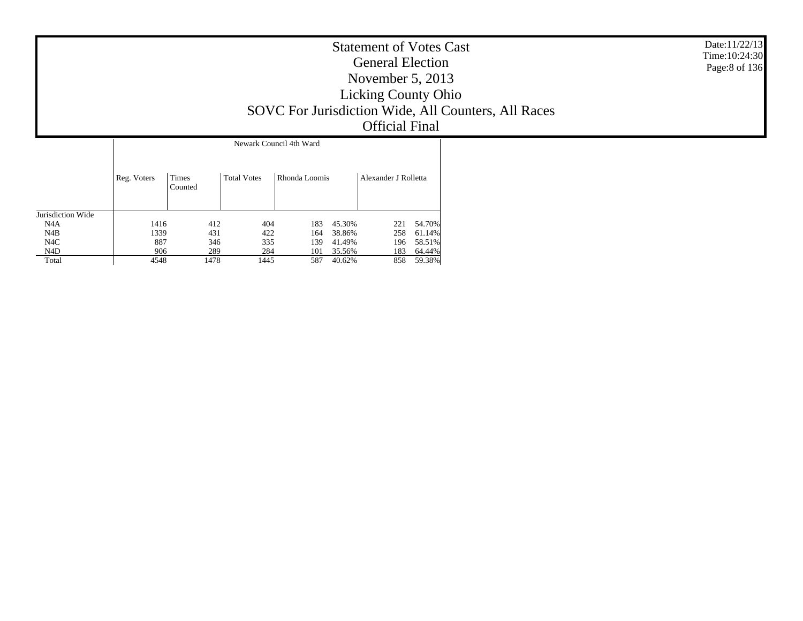| <b>Statement of Votes Cast</b><br><b>General Election</b><br>November $5, 2013$<br><b>Licking County Ohio</b><br>SOVC For Jurisdiction Wide, All Counters, All Races<br><b>Official Final</b> | Date:11/22/13<br>Time: 10:24:30<br>Page:8 of 136 |
|-----------------------------------------------------------------------------------------------------------------------------------------------------------------------------------------------|--------------------------------------------------|
| Newark Council 4th Ward                                                                                                                                                                       |                                                  |

|                   | Reg. Voters | Times<br>Counted | <b>Total Votes</b> | Rhonda Loomis |        | Alexander J Rolletta |        |
|-------------------|-------------|------------------|--------------------|---------------|--------|----------------------|--------|
| Jurisdiction Wide |             |                  |                    |               |        |                      |        |
| N4A               | 1416        | 412              | 404                | 183           | 45.30% | 221                  | 54.70% |
| N4B               | 1339        | 431              | 422                | 164           | 38.86% | 258                  | 61.14% |
| N <sub>4</sub> C  | 887         | 346              | 335                | 139           | 41.49% | 196                  | 58.51% |
| N4D               | 906         | 289              | 284                | 101           | 35.56% | 183                  | 64.44% |
| Total             | 4548        | 1478             | 1445               | 587           | 40.62% | 858                  | 59.38% |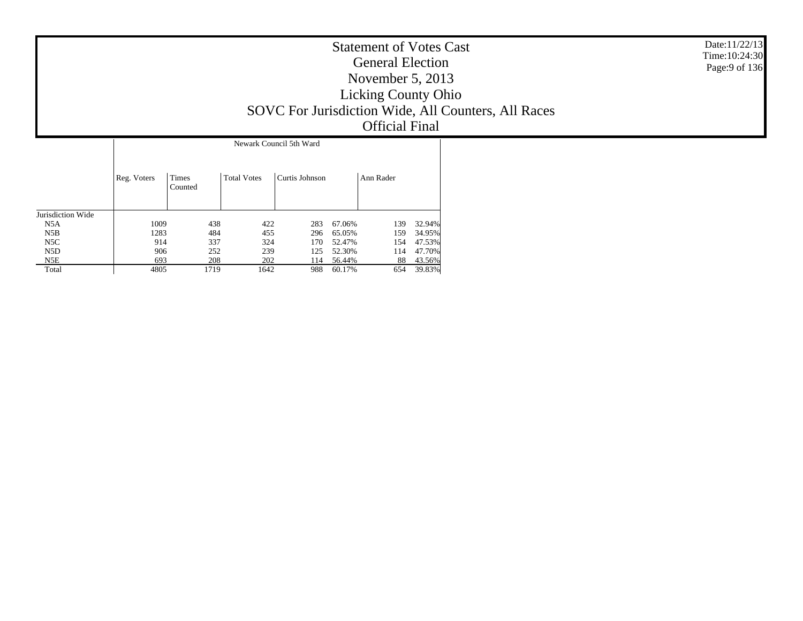| <b>Statement of Votes Cast</b><br><b>General Election</b><br>November $5, 2013$<br><b>Licking County Ohio</b><br>SOVC For Jurisdiction Wide, All Counters, All Races<br><b>Official Final</b> | Date:11/22/13<br>Time: 10:24:30<br>Page: 9 of 136 |
|-----------------------------------------------------------------------------------------------------------------------------------------------------------------------------------------------|---------------------------------------------------|
| Newark Council 5th Ward                                                                                                                                                                       |                                                   |

|                   | Reg. Voters | Times<br>Counted | <b>Total Votes</b> | Curtis Johnson |        | Ann Rader |        |
|-------------------|-------------|------------------|--------------------|----------------|--------|-----------|--------|
| Jurisdiction Wide |             |                  |                    |                |        |           |        |
| N5A               | 1009        | 438              | 422                | 283            | 67.06% | 139       | 32.94% |
| N5B               | 1283        | 484              | 455                | 296            | 65.05% | 159       | 34.95% |
| N5C               | 914         | 337              | 324                | 170            | 52.47% | 154       | 47.53% |
| N5D               | 906         | 252              | 239                | 125            | 52.30% | 114       | 47.70% |
| N5E               | 693         | 208              | 202                | 114            | 56.44% | 88        | 43.56% |
| Total             | 4805        | 1719             | 1642               | 988            | 60.17% | 654       | 39.83% |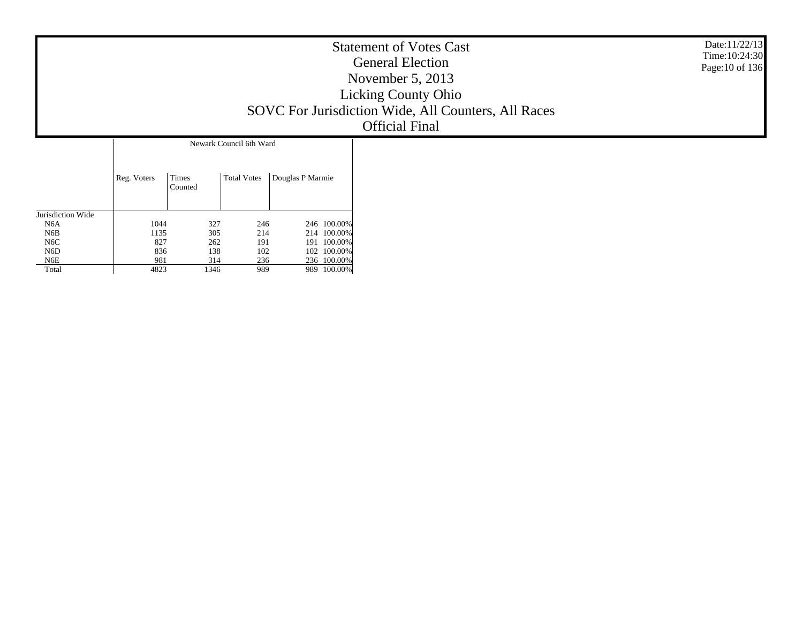|                         | <b>Statement of Votes Cast</b><br><b>General Election</b><br>November $5, 2013$<br><b>Licking County Ohio</b><br>SOVC For Jurisdiction Wide, All Counters, All Races<br><b>Official Final</b> | Date: $11/22/13$<br>Time: 10:24:30<br>Page: 10 of 136 |
|-------------------------|-----------------------------------------------------------------------------------------------------------------------------------------------------------------------------------------------|-------------------------------------------------------|
| Newark Council 6th Ward |                                                                                                                                                                                               |                                                       |

|                   | Reg. Voters | Times<br>Counted |     | <b>Total Votes</b> | Douglas P Marmie |             |
|-------------------|-------------|------------------|-----|--------------------|------------------|-------------|
| Jurisdiction Wide |             |                  |     |                    |                  |             |
| N6A               | 1044        |                  | 327 | 246                |                  | 246 100.00% |
| N6B               | 1135        |                  | 305 | 214                |                  | 214 100.00% |
| N6C               | 827         |                  | 262 | 191                | 191              | 100.00%     |
| N6D               | 836         |                  | 138 | 102                |                  | 102 100.00% |
| N6E               | 981         |                  | 314 | 236                |                  | 236 100.00% |
| Total             | 4823        | 1346             |     | 989                | 989              | 100.00%     |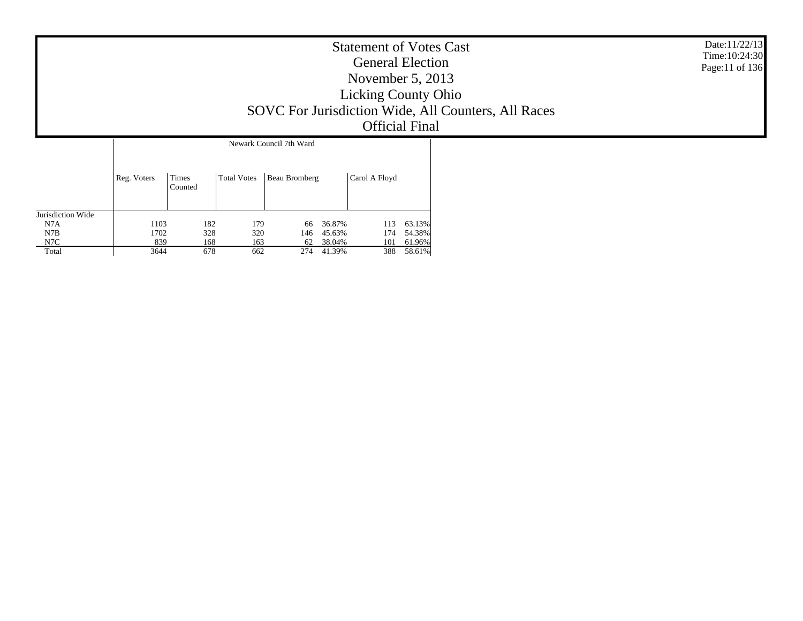|             |                  |             |                                                 | <b>Statement of Votes Cast</b><br><b>General Election</b><br>November $5, 2013$<br><b>Licking County Ohio</b><br><b>Official Final</b> | SOVC For Jurisdiction Wide, All Counters, All Races | Date:11/22/13<br>Time: 10:24:30<br>Page:11 of 136 |
|-------------|------------------|-------------|-------------------------------------------------|----------------------------------------------------------------------------------------------------------------------------------------|-----------------------------------------------------|---------------------------------------------------|
| Reg. Voters | Times<br>Counted | Total Votes | Newark Council 7th Ward<br><b>Beau Bromberg</b> | Carol A Floyd                                                                                                                          |                                                     |                                                   |

113 63.13%

174 54.38%

101 61.96%

388 58.61%

Jurisdiction Wide N7A

1103

1702

 $rac{175}{839}$ 

3644

182 179 66 36.87%

328 320 146 45.63%

168 163 62 38.04%

678 662 274 41.39%

 N7B N7C Total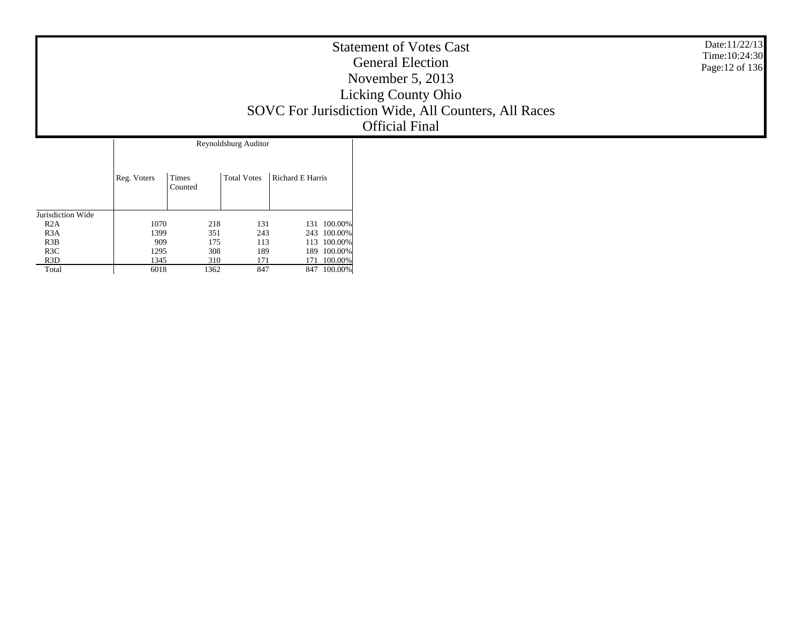| <b>Statement of Votes Cast</b><br><b>General Election</b><br>November $5, 2013$<br><b>Licking County Ohio</b><br>SOVC For Jurisdiction Wide, All Counters, All Races<br><b>Official Final</b> | Date:11/22/13<br>Time: 10:24:30<br>Page: 12 of 136 |
|-----------------------------------------------------------------------------------------------------------------------------------------------------------------------------------------------|----------------------------------------------------|
| Reynoldsburg Auditor                                                                                                                                                                          |                                                    |

|                   | Reg. Voters | Times<br>Counted | <b>Total Votes</b> | Richard E Harris |
|-------------------|-------------|------------------|--------------------|------------------|
| Jurisdiction Wide |             |                  |                    |                  |
| R2A               | 1070        | 218              | 131                | 100.00%<br>131   |
| R <sub>3</sub> A  | 1399        | 351              | 243                | 243 100.00%      |
| R3B               | 909         | 175              | 113                | 113 100.00%      |
| R3C               | 1295        | 308              | 189                | 100.00%<br>189   |
| R <sub>3</sub> D  | 1345        | 310              | 171                | 100.00%<br>171   |
| Total             | 6018        | 1362             | 847                | 100.00%<br>847   |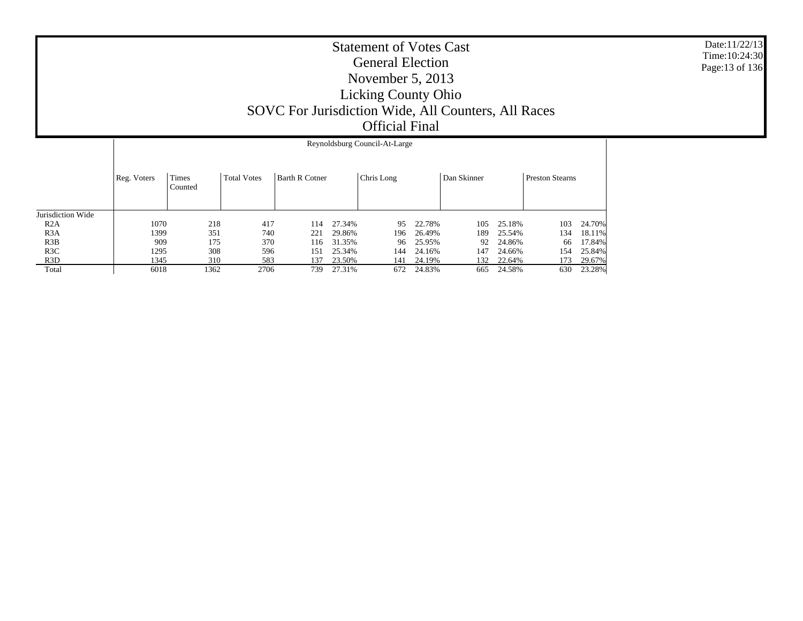|                   |             | Reynoldsburg Council-At-Large |                    |                       |        |            |        |             |        |                        |        |  |  |
|-------------------|-------------|-------------------------------|--------------------|-----------------------|--------|------------|--------|-------------|--------|------------------------|--------|--|--|
|                   | Reg. Voters | Times<br>Counted              | <b>Total Votes</b> | <b>Barth R Cotner</b> |        | Chris Long |        | Dan Skinner |        | <b>Preston Stearns</b> |        |  |  |
| Jurisdiction Wide |             |                               |                    |                       |        |            |        |             |        |                        |        |  |  |
| R2A               | 1070        | 218                           | 417                | 114                   | 27.34% | 95         | 22.78% | 105         | 25.18% | 103                    | 24.70% |  |  |
| R <sub>3</sub> A  | 1399        | 351                           | 740                | 221                   | 29.86% | 196        | 26.49% | 189         | 25.54% | 134                    | 18.11% |  |  |
| R3B               | 909         | 175                           | 370                | 116                   | 31.35% | 96         | 25.95% | 92          | 24.86% | 66                     | 17.84% |  |  |
| R3C               | 1295        | 308                           | 596                | 151                   | 25.34% | 144        | 24.16% | 147         | 24.66% | 154                    | 25.84% |  |  |
| R <sub>3</sub> D  | 1345        | 310                           | 583                | 137                   | 23.50% | 141        | 24.19% | 132         | 22.64% | 173                    | 29.67% |  |  |
| Total             | 6018        | 1362                          | 2706               | 739                   | 27.31% | 672        | 24.83% | 665         | 24.58% | 630                    | 23.28% |  |  |

Date:11/22/13 Time:10:24:30Page:13 of 136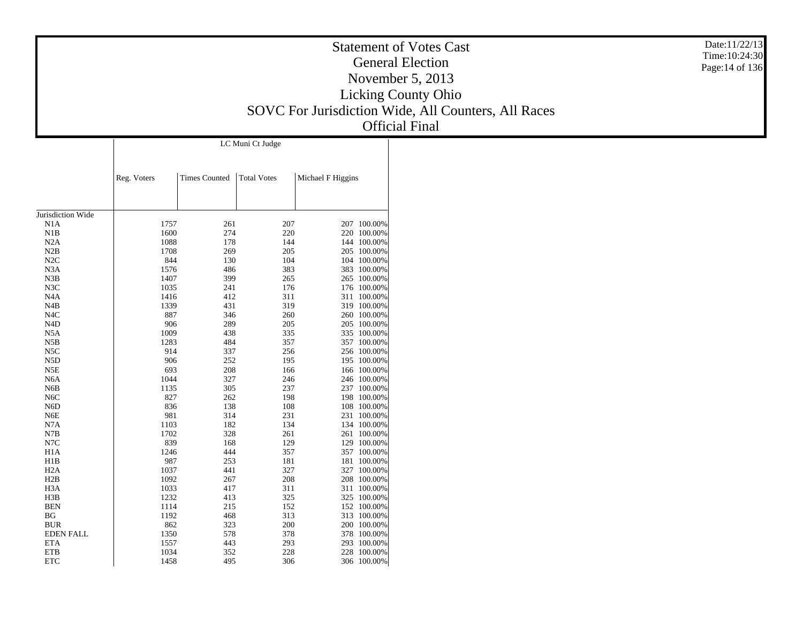|                                      |              |                      |                  |                   |                            | Date:11/22/13<br><b>Statement of Votes Cast</b><br>Time: 10:24:30 |
|--------------------------------------|--------------|----------------------|------------------|-------------------|----------------------------|-------------------------------------------------------------------|
|                                      |              |                      |                  |                   |                            | <b>General Election</b><br>Page:14 of 136                         |
|                                      |              |                      |                  |                   |                            | November 5, 2013                                                  |
|                                      |              |                      |                  |                   |                            | <b>Licking County Ohio</b>                                        |
|                                      |              |                      |                  |                   |                            |                                                                   |
|                                      |              |                      |                  |                   |                            | SOVC For Jurisdiction Wide, All Counters, All Races               |
|                                      |              |                      |                  |                   |                            | <b>Official Final</b>                                             |
|                                      |              |                      | LC Muni Ct Judge |                   |                            |                                                                   |
|                                      |              |                      |                  |                   |                            |                                                                   |
|                                      | Reg. Voters  | <b>Times Counted</b> | Total Votes      | Michael F Higgins |                            |                                                                   |
|                                      |              |                      |                  |                   |                            |                                                                   |
| Jurisdiction Wide                    |              |                      |                  |                   |                            |                                                                   |
| N1A                                  | 1757         | 261                  | $207\,$          |                   | 207 100.00%                |                                                                   |
| N1B                                  | 1600         | 274                  | 220              |                   | 220 100.00%                |                                                                   |
| N2A                                  | 1088         | 178                  | 144              |                   | 144 100.00%                |                                                                   |
| N2B<br>N2C                           | 1708<br>844  | 269<br>130           | 205<br>104       |                   | 205 100.00%<br>104 100.00% |                                                                   |
| N3A                                  | 1576         | 486                  | 383              |                   | 383 100.00%                |                                                                   |
| N3B                                  | 1407         | 399                  | 265              |                   | 265 100.00%                |                                                                   |
| N3C                                  | 1035         | 241                  | 176              |                   | 176 100.00%                |                                                                   |
| N <sub>4</sub> A                     | 1416         | 412                  | 311              |                   | 311 100.00%                |                                                                   |
| N4B                                  | 1339         | 431                  | 319              |                   | 319 100.00%                |                                                                   |
| N <sub>4</sub> C                     | 887          | 346                  | 260              |                   | 260 100.00%                |                                                                   |
| N <sub>4</sub> D<br>N5A              | 906<br>1009  | 289<br>438           | 205<br>335       |                   | 205 100.00%<br>335 100.00% |                                                                   |
| N5B                                  | 1283         | 484                  | 357              |                   | 357 100.00%                |                                                                   |
| N5C                                  | 914          | 337                  | 256              |                   | 256 100.00%                |                                                                   |
| N <sub>5</sub> D                     | 906          | 252                  | 195              |                   | 195 100.00%                |                                                                   |
| N5E                                  | 693          | 208                  | 166              |                   | 166 100.00%                |                                                                   |
| N <sub>6</sub> A                     | 1044         | 327                  | 246              |                   | 246 100.00%                |                                                                   |
| N6B                                  | 1135         | 305                  | 237              |                   | 237 100.00%                |                                                                   |
| N <sub>6</sub> C<br>N <sub>6</sub> D | 827<br>836   | 262<br>138           | 198<br>108       |                   | 198 100.00%<br>108 100.00% |                                                                   |
| N6E                                  | 981          | 314                  | 231              |                   | 231 100.00%                |                                                                   |
| N7A                                  | 1103         | 182                  | 134              |                   | 134 100.00%                |                                                                   |
| N7B                                  | 1702         | 328                  | 261              |                   | 261 100.00%                |                                                                   |
| $_{\mathrm{N7C}}$                    | 839          | 168                  | 129              |                   | 129 100.00%                |                                                                   |
| H <sub>1</sub> A                     | 1246         | 444                  | 357              |                   | 357 100.00%                |                                                                   |
| H1B                                  | 987          | 253                  | 181              |                   | 181 100.00%                |                                                                   |
| H <sub>2</sub> A<br>H2B              | 1037<br>1092 | 441<br>267           | 327<br>208       |                   | 327 100.00%<br>208 100.00% |                                                                   |
| H <sub>3</sub> A                     | 1033         | 417                  | 311              |                   | 311 100.00%                |                                                                   |
| H3B                                  | 1232         | 413                  | 325              |                   | 325 100.00%                |                                                                   |
| <b>BEN</b>                           | 1114         | 215                  | 152              |                   | 152 100.00%                |                                                                   |
| BG                                   | 1192         | 468                  | 313              |                   | 313 100.00%                |                                                                   |
| $\rm BUR$                            | 862          | 323                  | 200              |                   | 200 100.00%                |                                                                   |
| <b>EDEN FALL</b>                     | 1350         | 578                  | 378              |                   | 378 100.00%                |                                                                   |
| <b>ETA</b>                           | 1557         | 443                  | 293              |                   | 293 100.00%                |                                                                   |
| <b>ETB</b>                           | 1034         | 352                  | 228              |                   | 228 100.00%                |                                                                   |
| <b>ETC</b>                           | 1458         | 495                  | 306              |                   | 306 100.00%                |                                                                   |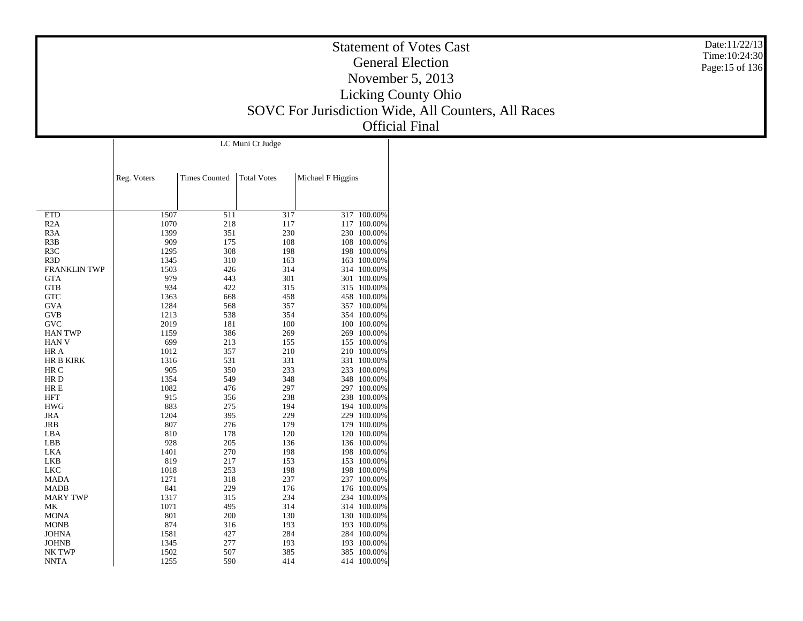|                              |              |                      |                  |                                                     | <b>Statement of Votes Cast</b> |
|------------------------------|--------------|----------------------|------------------|-----------------------------------------------------|--------------------------------|
|                              |              |                      |                  |                                                     | <b>General Election</b>        |
|                              |              |                      |                  |                                                     | November 5, 2013               |
|                              |              |                      |                  |                                                     |                                |
|                              |              |                      |                  |                                                     | <b>Licking County Ohio</b>     |
|                              |              |                      |                  | SOVC For Jurisdiction Wide, All Counters, All Races |                                |
|                              |              |                      |                  |                                                     | <b>Official Final</b>          |
|                              |              |                      |                  |                                                     |                                |
|                              |              |                      | LC Muni Ct Judge |                                                     |                                |
|                              |              |                      |                  |                                                     |                                |
|                              |              |                      |                  |                                                     |                                |
|                              | Reg. Voters  | <b>Times Counted</b> | Total Votes      | Michael F Higgins                                   |                                |
|                              |              |                      |                  |                                                     |                                |
|                              |              |                      |                  |                                                     |                                |
| <b>ETD</b>                   | 1507         | 511                  | 317              |                                                     | $317 - 100.00\%$               |
| R2A<br>R <sub>3</sub> A      | 1070<br>1399 | 218<br>351           | 117<br>230       |                                                     | 117 100.00%<br>230 100.00%     |
| R3B                          | 909          | 175                  | 108              |                                                     | 108 100.00%                    |
| R3C                          | 1295         | 308                  | 198              |                                                     | 198 100.00%                    |
| R <sub>3</sub> D             | 1345         | 310                  | 163              |                                                     | 163 100.00%                    |
| <b>FRANKLIN TWP</b>          | 1503<br>979  | 426<br>443           | 314<br>301       |                                                     | 314 100.00%<br>301 100.00%     |
| <b>GTA</b><br><b>GTB</b>     | 934          | 422                  | 315              |                                                     | 315 100.00%                    |
| ${\rm GTC}$                  | 1363         | 668                  | 458              |                                                     | 458 100.00%                    |
| <b>GVA</b>                   | 1284         | 568                  | 357              |                                                     | 357 100.00%                    |
| GVB                          | 1213         | 538                  | 354              |                                                     | 354 100.00%                    |
| <b>GVC</b><br><b>HAN TWP</b> | 2019         | 181                  | 100              |                                                     | 100 100.00%                    |
| <b>HAN V</b>                 | 1159<br>699  | 386<br>213           | 269<br>155       |                                                     | 269 100.00%<br>155 100.00%     |
| HR A                         | 1012         | 357                  | 210              |                                                     | 210 100.00%                    |
| HR B KIRK                    | 1316         | 531                  | 331              |                                                     | 331 100.00%                    |
| HR C                         | 905          | 350                  | 233              |                                                     | 233 100.00%                    |
| HR D<br>HR E                 | 1354<br>1082 | 549<br>476           | 348<br>297       |                                                     | 348 100.00%<br>297 100.00%     |
| <b>HFT</b>                   | 915          | 356                  | 238              |                                                     | 238 100.00%                    |
| <b>HWG</b>                   | 883          | 275                  | 194              |                                                     | 194 100.00%                    |
| JRA                          | 1204         | 395                  | 229              |                                                     | 229 100.00%                    |
| <b>JRB</b>                   | 807          | 276                  | 179              |                                                     | 179 100.00%                    |
| LBA<br>LBB                   | 810<br>928   | 178<br>205           | 120<br>136       |                                                     | 120 100.00%<br>136 100.00%     |
| LKA                          | 1401         | 270                  | 198              |                                                     | 198 100.00%                    |
| LKB                          | 819          | 217                  | 153              |                                                     | 153 100.00%                    |
| <b>LKC</b>                   | 1018         | 253                  | 198              |                                                     | 198 100.00%                    |
| MADA                         | 1271         | 318                  | 237              |                                                     | 237 100.00%                    |
| MADB<br><b>MARY TWP</b>      | 841<br>1317  | 229<br>315           | 176<br>234       |                                                     | 176 100.00%<br>234 100.00%     |
| МK                           | 1071         | 495                  | 314              |                                                     | 314 100.00%                    |
| <b>MONA</b>                  | 801          | $200\,$              | 130              |                                                     | 130 100.00%                    |
| <b>MONB</b>                  | 874          | 316                  | 193              |                                                     | 193 100.00%                    |
| $\rm JOHNA$                  | 1581         | 427                  | 284              |                                                     | 284 100.00%                    |
| <b>JOHNB</b><br>NK TWP       | 1345<br>1502 | 277<br>507           | 193<br>385       |                                                     | 193 100.00%<br>385 100.00%     |
| <b>NNTA</b>                  | 1255         | 590                  | 414              |                                                     | 414 100.00%                    |
|                              |              |                      |                  |                                                     |                                |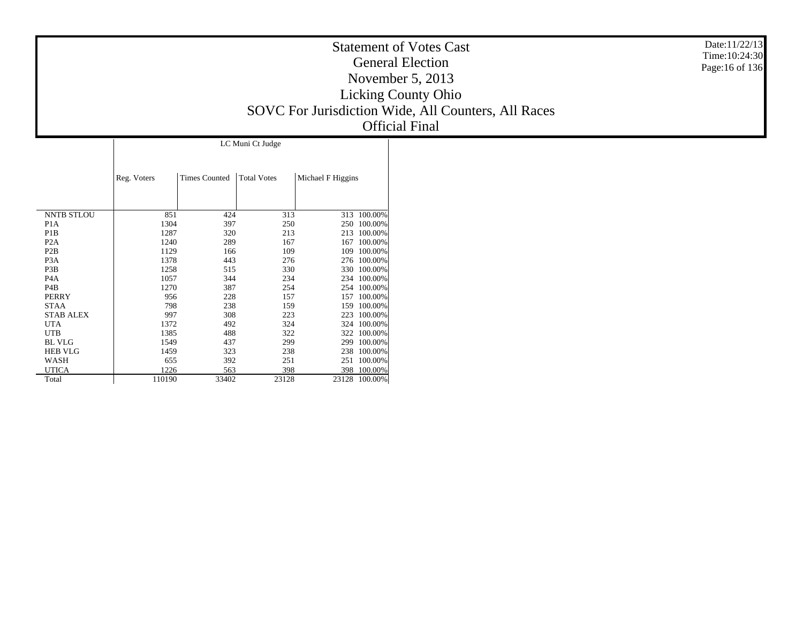| <b>Statement of Votes Cast</b>                      |
|-----------------------------------------------------|
| <b>General Election</b>                             |
| November $5, 2013$                                  |
| <b>Licking County Ohio</b>                          |
| SOVC For Jurisdiction Wide, All Counters, All Races |
| <b>Official Final</b>                               |

Date:11/22/13 Time:10:24:30 Page:16 of 136

|                   |             |                      | LC Muni Ct Judge   |                   |         |
|-------------------|-------------|----------------------|--------------------|-------------------|---------|
|                   | Reg. Voters | <b>Times Counted</b> | <b>Total Votes</b> | Michael F Higgins |         |
| <b>NNTB STLOU</b> | 851         | 424                  | 313                | 313               | 100.00% |
| P <sub>1</sub> A  | 1304        | 397                  | 250                | 250               | 100.00% |
| P <sub>1</sub> B  | 1287        | 320                  | 213                | 213               | 100.00% |
| P <sub>2</sub> A  | 1240        | 289                  | 167                | 167               | 100.00% |
| P2B               | 1129        | 166                  | 109                | 109               | 100.00% |
| P <sub>3</sub> A  | 1378        | 443                  | 276                | 276               | 100.00% |
| P3B               | 1258        | 515                  | 330                | 330               | 100.00% |
| P <sub>4</sub> A  | 1057        | 344                  | 234                | 234               | 100.00% |
| P4B               | 1270        | 387                  | 254                | 254               | 100.00% |
| <b>PERRY</b>      | 956         | 228                  | 157                | 157               | 100.00% |
| <b>STAA</b>       | 798         | 238                  | 159                | 159               | 100.00% |
| <b>STAB ALEX</b>  | 997         | 308                  | 223                | 223               | 100.00% |
| UTA               | 1372        | 492                  | 324                | 324               | 100.00% |
| <b>UTB</b>        | 1385        | 488                  | 322                | 322               | 100.00% |
| <b>BL VLG</b>     | 1549        | 437                  | 299                | 299               | 100.00% |
| <b>HEB VLG</b>    | 1459        | 323                  | 238                | 238               | 100.00% |
| WASH              | 655         | 392                  | 251                | 251               | 100.00% |
| <b>UTICA</b>      | 1226        | 563                  | 398                | 398               | 100.00% |
| Total             | 110190      | 33402                | 23128              | 23128             | 100.00% |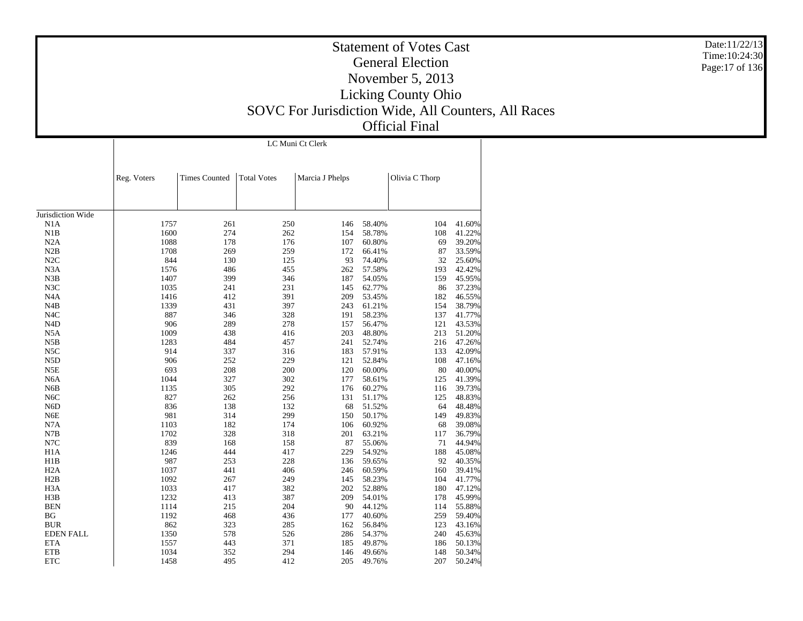LC Muni Ct Clerk

|                   | Reg. Voters | <b>Times Counted</b> | <b>Total Votes</b> | Marcia J Phelps |        | Olivia C Thorp |        |
|-------------------|-------------|----------------------|--------------------|-----------------|--------|----------------|--------|
|                   |             |                      |                    |                 |        |                |        |
| Jurisdiction Wide |             |                      |                    |                 |        |                |        |
| N1A               | 1757        | 261                  | 250                | 146             | 58.40% | 104            | 41.60% |
| N1B               | 1600        | 274                  | 262                | 154             | 58.78% | 108            | 41.22% |
| N2A               | 1088        | 178                  | 176                | 107             | 60.80% | 69             | 39.20% |
| N2B               | 1708        | 269                  | 259                | 172             | 66.41% | 87             | 33.59% |
| N2C               | 844         | 130                  | 125                | 93              | 74.40% | 32             | 25.60% |
| N <sub>3</sub> A  | 1576        | 486                  | 455                | 262             | 57.58% | 193            | 42.42% |
| N3B               | 1407        | 399                  | 346                | 187             | 54.05% | 159            | 45.95% |
| N3C               | 1035        | 241                  | 231                | 145             | 62.77% | 86             | 37.23% |
| N <sub>4</sub> A  | 1416        | 412                  | 391                | 209             | 53.45% | 182            | 46.55% |
| N4B               | 1339        | 431                  | 397                | 243             | 61.21% | 154            | 38.79% |
| N <sub>4</sub> C  | 887         | 346                  | 328                | 191             | 58.23% | 137            | 41.77% |
| N <sub>4</sub> D  | 906         | 289                  | 278                | 157             | 56.47% | 121            | 43.53% |
| N <sub>5</sub> A  | 1009        | 438                  | 416                | 203             | 48.80% | 213            | 51.20% |
| N5B               | 1283        | 484                  | 457                | 241             | 52.74% | 216            | 47.26% |
| N5C               | 914         | 337                  | 316                | 183             | 57.91% | 133            | 42.09% |
| N <sub>5</sub> D  | 906         | 252                  | 229                | 121             | 52.84% | 108            | 47.16% |
| N5E               | 693         | 208                  | 200                | 120             | 60.00% | 80             | 40.00% |
| N <sub>6</sub> A  | 1044        | 327                  | 302                | 177             | 58.61% | 125            | 41.39% |
| N <sub>6</sub> B  | 1135        | 305                  | 292                | 176             | 60.27% | 116            | 39.73% |
| N <sub>6</sub> C  | 827         | 262                  | 256                | 131             | 51.17% | 125            | 48.83% |
| N <sub>6</sub> D  | 836         | 138                  | 132                | 68              | 51.52% | 64             | 48.48% |
| N <sub>6</sub> E  | 981         | 314                  | 299                | 150             | 50.17% | 149            | 49.83% |
| N7A               | 1103        | 182                  | 174                | 106             | 60.92% | 68             | 39.08% |
| N7B               | 1702        | 328                  | 318                | 201             | 63.21% | 117            | 36.79% |
| N7C               | 839         | 168                  | 158                | 87              | 55.06% | 71             | 44.94% |
| H1A               | 1246        | 444                  | 417                | 229             | 54.92% | 188            | 45.08% |
| H1B               | 987         | 253                  | 228                | 136             | 59.65% | 92             | 40.35% |
| H <sub>2</sub> A  | 1037        | 441                  | 406                | 246             | 60.59% | 160            | 39.41% |
| H2B               | 1092        | 267                  | 249                | 145             | 58.23% | 104            | 41.77% |
| H <sub>3</sub> A  | 1033        | 417                  | 382                | 202             | 52.88% | 180            | 47.12% |
| H3B               | 1232        | 413                  | 387                | 209             | 54.01% | 178            | 45.99% |
| <b>BEN</b>        | 1114        | 215                  | 204                | 90              | 44.12% | 114            | 55.88% |
| BG                | 1192        | 468                  | 436                | 177             | 40.60% | 259            | 59.40% |
| <b>BUR</b>        | 862         | 323                  | 285                | 162             | 56.84% | 123            | 43.16% |
| <b>EDEN FALL</b>  | 1350        | 578                  | 526                | 286             | 54.37% | 240            | 45.63% |
| <b>ETA</b>        | 1557        | 443                  | 371                | 185             | 49.87% | 186            | 50.13% |
| <b>ETB</b>        | 1034        | 352                  | 294                | 146             | 49.66% | 148            | 50.34% |
| <b>ETC</b>        | 1458        | 495                  | 412                | 205             | 49.76% | 207            | 50.24% |

Date:11/22/13 Time:10:24:30 Page:17 of 136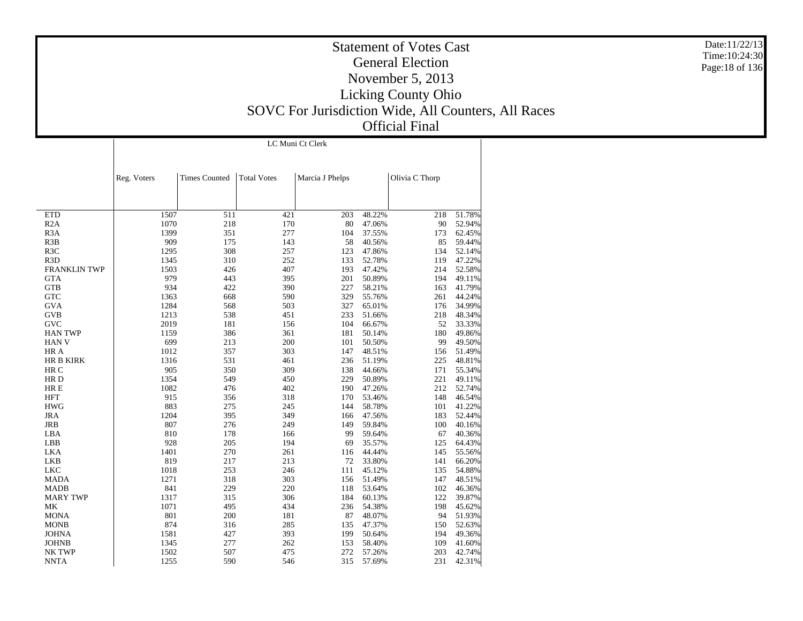LC Muni Ct Clerk

|                     | Reg. Voters | <b>Times Counted</b> | <b>Total Votes</b> | Marcia J Phelps |        | Olivia C Thorp |        |
|---------------------|-------------|----------------------|--------------------|-----------------|--------|----------------|--------|
|                     |             |                      |                    |                 |        |                |        |
|                     |             |                      |                    |                 |        |                |        |
|                     |             |                      |                    |                 |        |                |        |
| <b>ETD</b>          | 1507        | 511                  | 421                | 203             | 48.22% | 218            | 51.78% |
| R2A                 | 1070        | 218                  | 170                | 80              | 47.06% | 90             | 52.94% |
| R <sub>3</sub> A    | 1399        | 351                  | 277                | 104             | 37.55% | 173            | 62.45% |
| R3B                 | 909         | 175                  | 143                | 58              | 40.56% | 85             | 59.44% |
| R3C                 | 1295        | 308                  | 257                | 123             | 47.86% | 134            | 52.14% |
| R3D                 | 1345        | 310                  | 252                | 133             | 52.78% | 119            | 47.22% |
| <b>FRANKLIN TWP</b> | 1503        | 426                  | 407                | 193             | 47.42% | 214            | 52.58% |
| <b>GTA</b>          | 979         | 443                  | 395                | 201             | 50.89% | 194            | 49.11% |
| <b>GTB</b>          | 934         | 422                  | 390                | 227             | 58.21% | 163            | 41.79% |
| <b>GTC</b>          | 1363        | 668                  | 590                | 329             | 55.76% | 261            | 44.24% |
| <b>GVA</b>          | 1284        | 568                  | 503                | 327             | 65.01% | 176            | 34.99% |
| <b>GVB</b>          | 1213        | 538                  | 451                | 233             | 51.66% | 218            | 48.34% |
| <b>GVC</b>          | 2019        | 181                  | 156                | 104             | 66.67% | 52             | 33.33% |
| <b>HAN TWP</b>      | 1159        | 386                  | 361                | 181             | 50.14% | 180            | 49.86% |
| <b>HAN V</b>        | 699         | 213                  | 200                | 101             | 50.50% | 99             | 49.50% |
| HR A                | 1012        | 357                  | 303                | 147             | 48.51% | 156            | 51.49% |
| <b>HR B KIRK</b>    | 1316        | 531                  | 461                | 236             | 51.19% | 225            | 48.81% |
| HR C                | 905         | 350                  | 309                | 138             | 44.66% | 171            | 55.34% |
| HR <sub>D</sub>     | 1354        | 549                  | 450                | 229             | 50.89% | 221            | 49.11% |
| HR E                | 1082        | 476                  | 402                | 190             | 47.26% | 212            | 52.74% |
| <b>HFT</b>          | 915         | 356                  | 318                | 170             | 53.46% | 148            | 46.54% |
| <b>HWG</b>          | 883         | 275                  | 245                | 144             | 58.78% | 101            | 41.22% |
| <b>JRA</b>          | 1204        | 395                  | 349                | 166             | 47.56% | 183            | 52.44% |
| <b>JRB</b>          | 807         | 276                  | 249                | 149             | 59.84% | 100            | 40.16% |
| LBA                 | 810         | 178                  | 166                | 99              | 59.64% | 67             | 40.36% |
| LBB                 | 928         | 205                  | 194                | 69              | 35.57% | 125            | 64.43% |
| <b>LKA</b>          | 1401        | 270                  | 261                | 116             | 44.44% | 145            | 55.56% |
| LKB                 | 819         | 217                  | 213                | 72              | 33.80% | 141            | 66.20% |
| <b>LKC</b>          | 1018        | 253                  | 246                | 111             | 45.12% | 135            | 54.88% |
| <b>MADA</b>         | 1271        | 318                  | 303                | 156             | 51.49% | 147            | 48.51% |
| <b>MADB</b>         | 841         | 229                  | 220                | 118             | 53.64% | 102            | 46.36% |
| <b>MARY TWP</b>     | 1317        | 315                  | 306                | 184             | 60.13% | 122            | 39.87% |
| MK                  | 1071        | 495                  | 434                | 236             | 54.38% | 198            | 45.62% |
| <b>MONA</b>         | 801         | 200                  | 181                | 87              | 48.07% | 94             | 51.93% |
| <b>MONB</b>         | 874         | 316                  | 285                | 135             | 47.37% | 150            | 52.63% |
| <b>JOHNA</b>        | 1581        | 427                  | 393                | 199             | 50.64% | 194            | 49.36% |
| <b>JOHNB</b>        | 1345        | 277                  | 262                | 153             | 58.40% | 109            | 41.60% |
| NK TWP              | 1502        | 507                  | 475                | 272             | 57.26% | 203            | 42.74% |
| <b>NNTA</b>         | 1255        | 590                  | 546                | 315             | 57.69% | 231            | 42.31% |

Date:11/22/13 Time:10:24:30 Page:18 of 136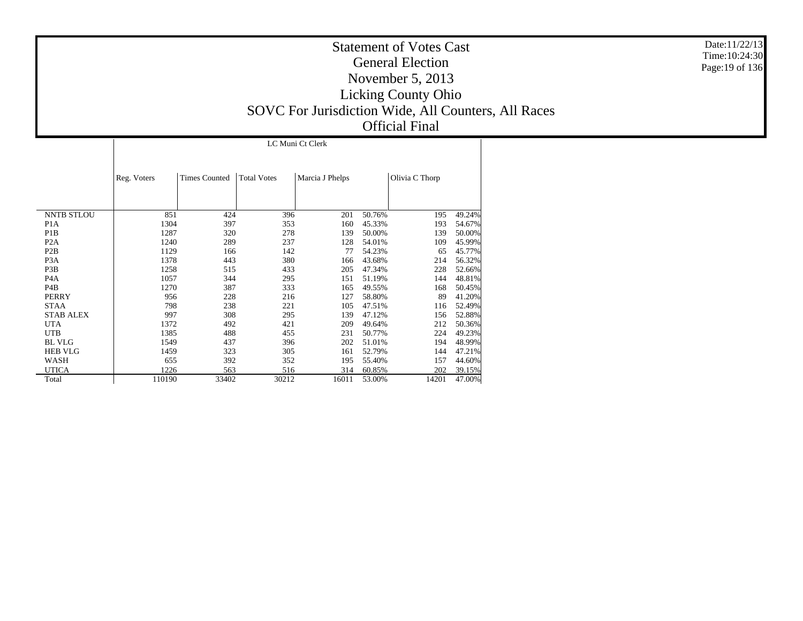|                   | LC Muni Ct Clerk |                      |                    |                 |        |                |        |  |  |  |  |  |
|-------------------|------------------|----------------------|--------------------|-----------------|--------|----------------|--------|--|--|--|--|--|
|                   | Reg. Voters      | <b>Times Counted</b> | <b>Total Votes</b> | Marcia J Phelps |        | Olivia C Thorp |        |  |  |  |  |  |
|                   |                  |                      |                    |                 |        |                |        |  |  |  |  |  |
| <b>NNTB STLOU</b> | 851              | 424                  | 396                | 201             | 50.76% | 195            | 49.24% |  |  |  |  |  |
| P <sub>1</sub> A  | 1304             | 397                  | 353                | 160             | 45.33% | 193            | 54.67% |  |  |  |  |  |
| P <sub>1</sub> B  | 1287             | 320                  | 278                | 139             | 50.00% | 139            | 50.00% |  |  |  |  |  |
| P <sub>2</sub> A  | 1240             | 289                  | 237                | 128             | 54.01% | 109            | 45.99% |  |  |  |  |  |
| P <sub>2</sub> B  | 1129             | 166                  | 142                | 77              | 54.23% | 65             | 45.77% |  |  |  |  |  |
| P <sub>3</sub> A  | 1378             | 443                  | 380                | 166             | 43.68% | 214            | 56.32% |  |  |  |  |  |
| P3B               | 1258             | 515                  | 433                | 205             | 47.34% | 228            | 52.66% |  |  |  |  |  |
| P <sub>4</sub> A  | 1057             | 344                  | 295                | 151             | 51.19% | 144            | 48.81% |  |  |  |  |  |
| P4B               | 1270             | 387                  | 333                | 165             | 49.55% | 168            | 50.45% |  |  |  |  |  |
| <b>PERRY</b>      | 956              | 228                  | 216                | 127             | 58.80% | 89             | 41.20% |  |  |  |  |  |
| <b>STAA</b>       | 798              | 238                  | 221                | 105             | 47.51% | 116            | 52.49% |  |  |  |  |  |
| <b>STAB ALEX</b>  | 997              | 308                  | 295                | 139             | 47.12% | 156            | 52.88% |  |  |  |  |  |
| <b>UTA</b>        | 1372             | 492                  | 421                | 209             | 49.64% | 212            | 50.36% |  |  |  |  |  |
| <b>UTB</b>        | 1385             | 488                  | 455                | 231             | 50.77% | 224            | 49.23% |  |  |  |  |  |
| <b>BL VLG</b>     | 1549             | 437                  | 396                | 202             | 51.01% | 194            | 48.99% |  |  |  |  |  |
| <b>HEB VLG</b>    | 1459             | 323                  | 305                | 161             | 52.79% | 144            | 47.21% |  |  |  |  |  |
| WASH              | 655              | 392                  | 352                | 195             | 55.40% | 157            | 44.60% |  |  |  |  |  |
| <b>UTICA</b>      | 1226             | 563                  | 516                | 314             | 60.85% | 202            | 39.15% |  |  |  |  |  |
| Total             | 110190           | 33402                | 30212              | 16011           | 53.00% | 14201          | 47.00% |  |  |  |  |  |

Date:11/22/13 Time:10:24:30 Page:19 of 136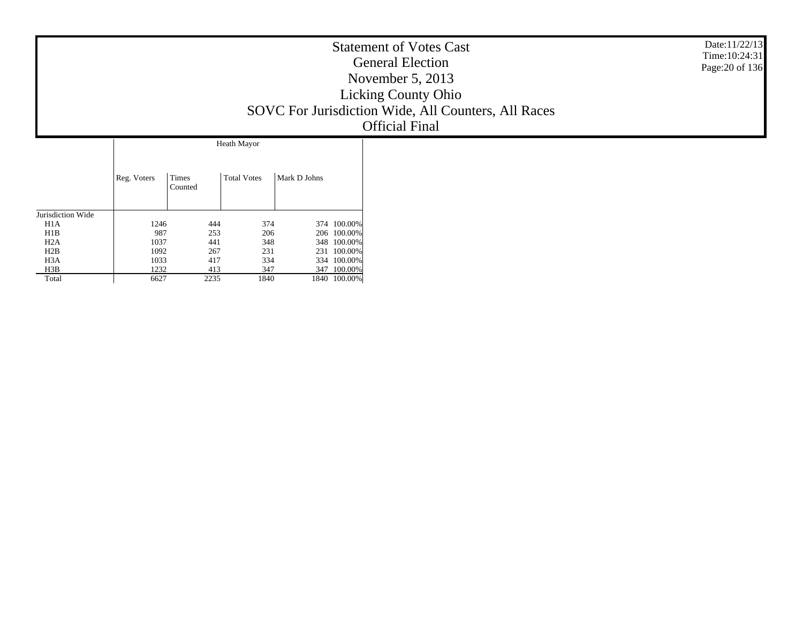|                                                                                             | Date:11/22/13<br><b>Statement of Votes Cast</b><br>Time: 10:24:31<br><b>General Election</b><br>Page: 20 of 136<br>November $5, 2013$<br><b>Licking County Ohio</b><br>SOVC For Jurisdiction Wide, All Counters, All Races<br><b>Official Final</b> |
|---------------------------------------------------------------------------------------------|-----------------------------------------------------------------------------------------------------------------------------------------------------------------------------------------------------------------------------------------------------|
| <b>Heath Mayor</b><br><b>Total Votes</b><br>Reg. Voters<br>Times<br>Mark D Johns<br>Counted |                                                                                                                                                                                                                                                     |

Jurisdiction Wide H1A H1B H2A H2B H3A H3B Total

1246

 $\begin{array}{@{}ll@{}} 6 & 444 & 374 & 374 & 100.00\% \ 7 & 253 & 206 & 206 & 100.00\% \ 7 & 441 & 348 & 348 & 100.00\% \ 267 & 231 & 231 & 100.00\% \ 417 & 334 & 334 & 100.00\% \ 7 & 2235 & 1840 & 1840 & 100.00\% \end{array}$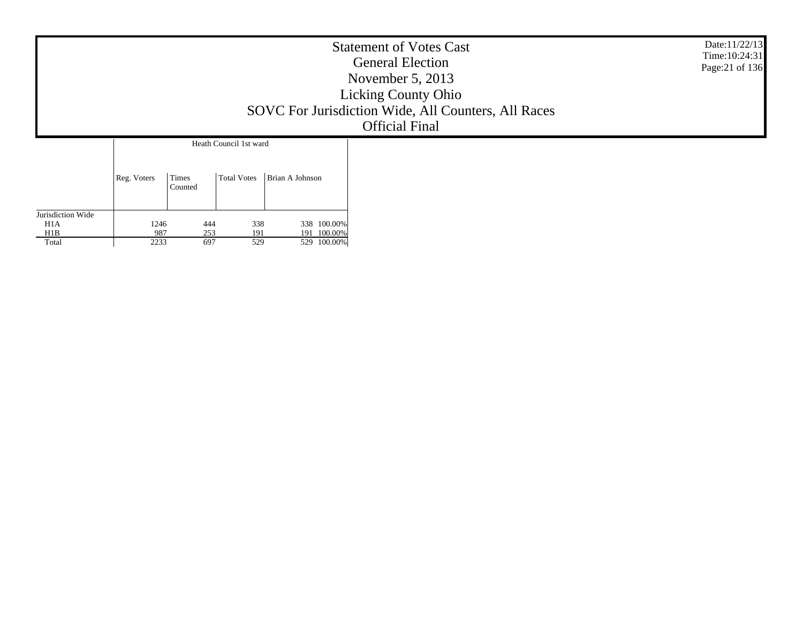|                          |             |                  |                                       |                 | <b>Statement of Votes Cast</b><br><b>General Election</b><br>November $5, 2013$<br><b>Licking County Ohio</b><br>SOVC For Jurisdiction Wide, All Counters, All Races<br><b>Official Final</b> | Date:11/22/13<br>Time: 10:24:31<br>Page: 21 of 136 |
|--------------------------|-------------|------------------|---------------------------------------|-----------------|-----------------------------------------------------------------------------------------------------------------------------------------------------------------------------------------------|----------------------------------------------------|
|                          | Reg. Voters | Times<br>Counted | Heath Council 1st ward<br>Total Votes | Brian A Johnson |                                                                                                                                                                                               |                                                    |
| Jurisdiction Wide<br>H1A | 1246        | 444              | 338                                   | 338 100.00%     |                                                                                                                                                                                               |                                                    |

444 338 338 100.00% 253 191 191 100.00% 697 529 529 100.00%

9872233

 H1A H1B Total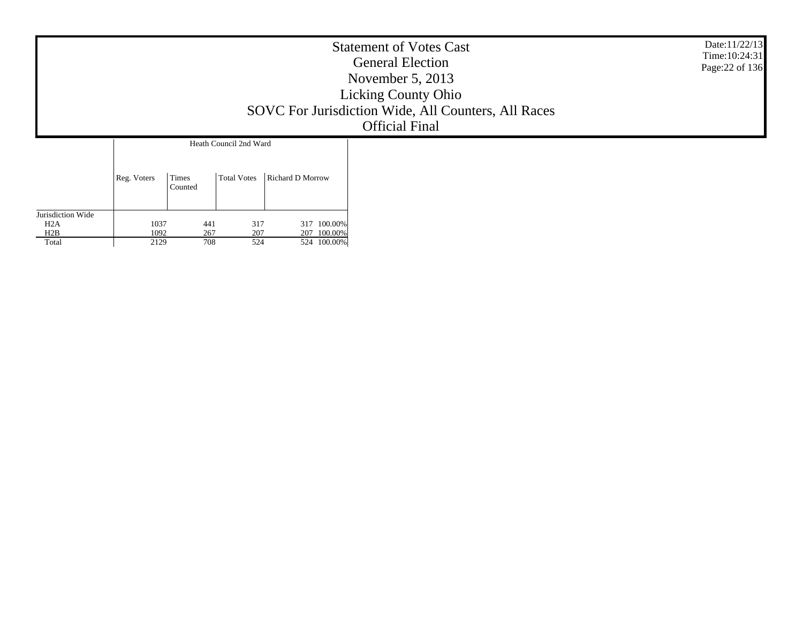|                   |             |                  |                                       |                  | <b>Statement of Votes Cast</b><br><b>General Election</b><br>November $5, 2013$<br><b>Licking County Ohio</b><br>SOVC For Jurisdiction Wide, All Counters, All Races<br><b>Official Final</b> | Date:11/22/13<br>Time: 10:24:31<br>Page: 22 of 136 |
|-------------------|-------------|------------------|---------------------------------------|------------------|-----------------------------------------------------------------------------------------------------------------------------------------------------------------------------------------------|----------------------------------------------------|
|                   | Reg. Voters | Times<br>Counted | Heath Council 2nd Ward<br>Total Votes | Richard D Morrow |                                                                                                                                                                                               |                                                    |
| Jurisdiction Wide |             |                  |                                       |                  |                                                                                                                                                                                               |                                                    |

 H2AH2B Total

1037

10922129

7 441 317 317 100.00%<br>2 267 207 207 100.00%<br>9 708 524 524 100.00%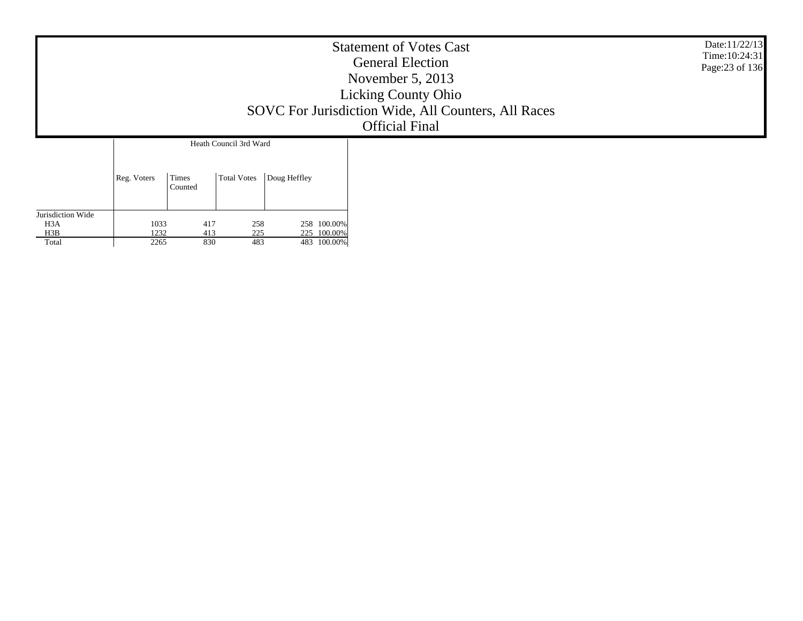|                                       |             |                  |                                              |              |             | <b>Statement of Votes Cast</b><br><b>General Election</b><br>November $5, 2013$<br><b>Licking County Ohio</b><br>SOVC For Jurisdiction Wide, All Counters, All Races<br><b>Official Final</b> | Date:11/22/13<br>Time: 10:24:31<br>Page: 23 of 136 |
|---------------------------------------|-------------|------------------|----------------------------------------------|--------------|-------------|-----------------------------------------------------------------------------------------------------------------------------------------------------------------------------------------------|----------------------------------------------------|
|                                       | Reg. Voters | Times<br>Counted | Heath Council 3rd Ward<br><b>Total Votes</b> | Doug Heffley |             |                                                                                                                                                                                               |                                                    |
| Jurisdiction Wide<br>H <sub>3</sub> A | 1033        | 417              | 258                                          |              | 258 100.00% |                                                                                                                                                                                               |                                                    |

 H3B**Total** 

1232 $\frac{2265}{2265}$ 

417 258 258 100.00% 413 225 225 100.00% 830 483 483 100.00%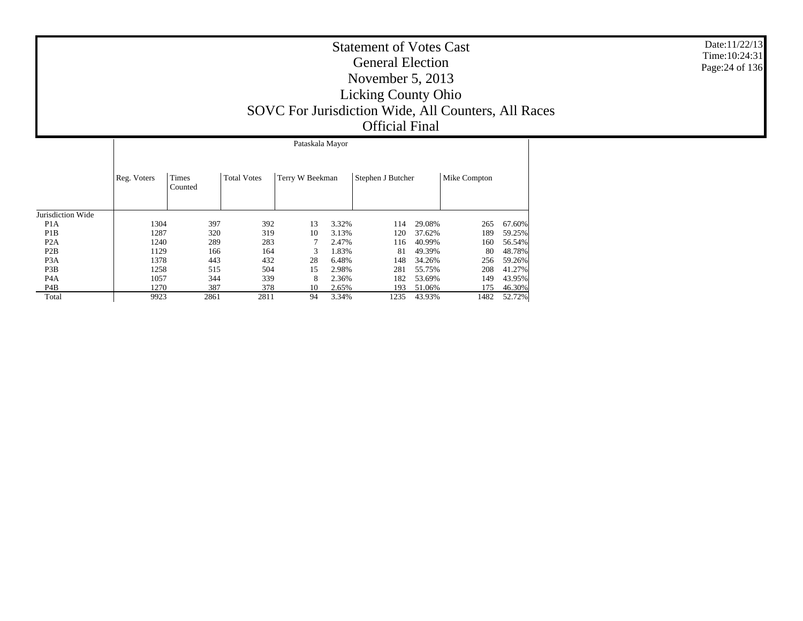|                   |             | Pataskala Mayor         |                    |                 |       |                   |        |              |        |  |  |  |  |  |
|-------------------|-------------|-------------------------|--------------------|-----------------|-------|-------------------|--------|--------------|--------|--|--|--|--|--|
|                   | Reg. Voters | <b>Times</b><br>Counted | <b>Total Votes</b> | Terry W Beekman |       | Stephen J Butcher |        | Mike Compton |        |  |  |  |  |  |
| Jurisdiction Wide |             |                         |                    |                 |       |                   |        |              |        |  |  |  |  |  |
| P <sub>1</sub> A  | 1304        | 397                     | 392                | 13              | 3.32% | 114               | 29.08% | 265          | 67.60% |  |  |  |  |  |
| P <sub>1</sub> B  | 1287        | 320                     | 319                | 10              | 3.13% | 120               | 37.62% | 189          | 59.25% |  |  |  |  |  |
| P <sub>2</sub> A  | 1240        | 289                     | 283                |                 | 2.47% | 116               | 40.99% | 160          | 56.54% |  |  |  |  |  |
| P2B               | 1129        | 166                     | 164                | 3               | 1.83% | 81                | 49.39% | 80           | 48.78% |  |  |  |  |  |
| P <sub>3</sub> A  | 1378        | 443                     | 432                | 28              | 6.48% | 148               | 34.26% | 256          | 59.26% |  |  |  |  |  |
| P <sub>3</sub> B  | 1258        | 515                     | 504                | 15              | 2.98% | 281               | 55.75% | 208          | 41.27% |  |  |  |  |  |
| P <sub>4</sub> A  | 1057        | 344                     | 339                | 8               | 2.36% | 182               | 53.69% | 149          | 43.95% |  |  |  |  |  |
| P4B               | 1270        | 387                     | 378                | 10              | 2.65% | 193               | 51.06% | 175          | 46.30% |  |  |  |  |  |
| Total             | 9923        | 2861                    | 2811               | 94              | 3.34% | 1235              | 43.93% | 1482         | 52.72% |  |  |  |  |  |

Date:11/22/13 Time:10:24:31 Page:24 of 136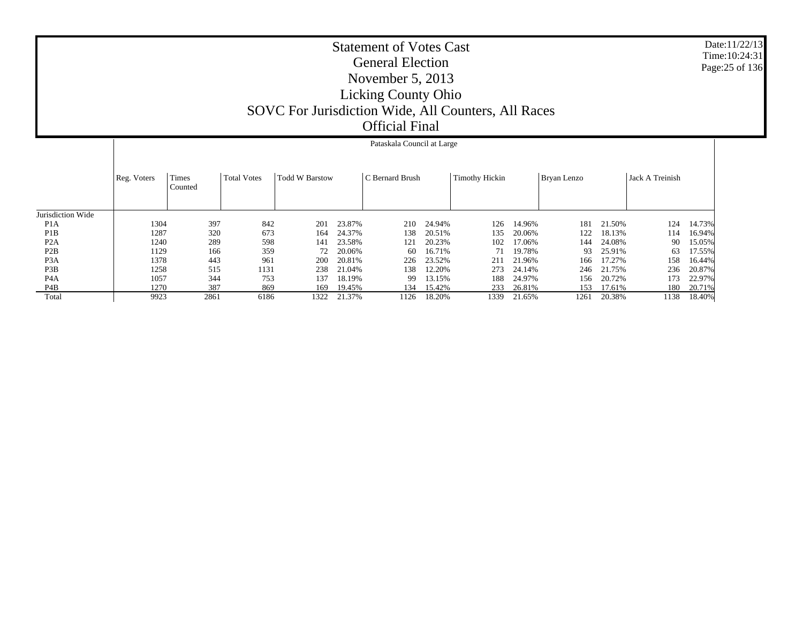|                   |             |                  |                    |                       |        | Pataskala Council at Large |        |                |        |             |        |                 |        |
|-------------------|-------------|------------------|--------------------|-----------------------|--------|----------------------------|--------|----------------|--------|-------------|--------|-----------------|--------|
|                   | Reg. Voters | Times<br>Counted | <b>Total Votes</b> | <b>Todd W Barstow</b> |        | C Bernard Brush            |        | Timothy Hickin |        | Bryan Lenzo |        | Jack A Treinish |        |
| Jurisdiction Wide |             |                  |                    |                       |        |                            |        |                |        |             |        |                 |        |
| P <sub>1</sub> A  | 1304        | 397              | 842                | 201                   | 23.87% | 210                        | 24.94% | 126            | 14.96% | 181         | 21.50% | 124             | 14.73% |
| P <sub>1</sub> B  | 1287        | 320              | 673                | 164                   | 24.37% | 138                        | 20.51% | 135            | 20.06% | 122         | 18.13% | 114             | 16.94% |
| P <sub>2</sub> A  | 1240        | 289              | 598                | 141                   | 23.58% | 121                        | 20.23% | 102            | 17.06% | 144         | 24.08% | 90              | 15.05% |
| P2B               | 1129        | 166              | 359                | 72                    | 20.06% | 60                         | 16.71% | 71             | 19.78% | 93          | 25.91% | 63              | 17.55% |
| P <sub>3</sub> A  | 1378        | 443              | 961                | 200                   | 20.81% | 226                        | 23.52% | 211            | 21.96% | 166         | 17.27% | 158             | 16.44% |
| P <sub>3</sub> B  | 1258        | 515              | 1131               | 238                   | 21.04% | 138                        | 12.20% | 273            | 24.14% | 246         | 21.75% | 236             | 20.87% |
| P <sub>4</sub> A  | 1057        | 344              | 753                | 137                   | 18.19% | 99                         | 13.15% | 188            | 24.97% | 156         | 20.72% | 173             | 22.97% |
| P4B               | 1270        | 387              | 869                | 169                   | 19.45% | 134                        | 15.42% | 233            | 26.81% | 153         | 17.61% | 180             | 20.71% |
| Total             | 9923        | 2861             | 6186               | 1322                  | 21.37% | 1126                       | 18.20% | 1339           | 21.65% | 1261        | 20.38% | 1138            | 18.40% |

Date:11/22/13 Time:10:24:31Page:25 of 136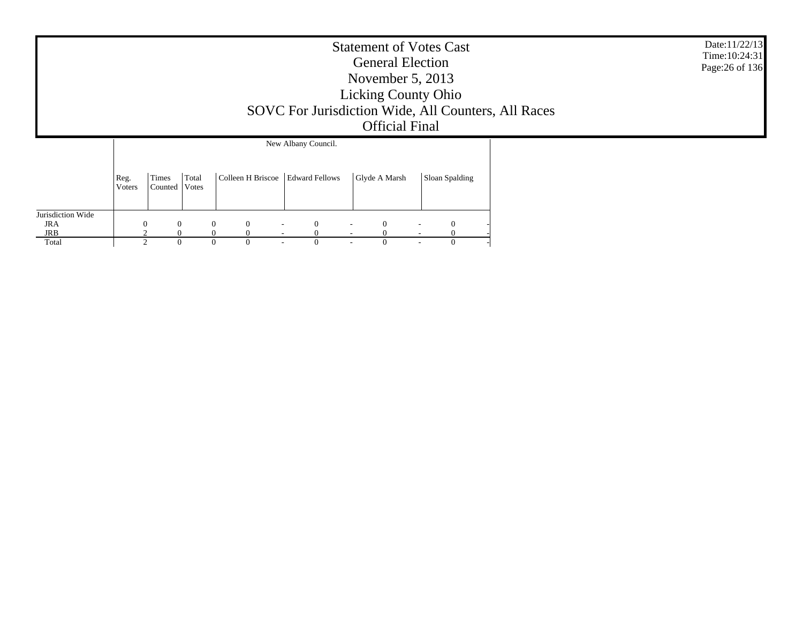|                          |                |                          |       |                                |                                              | <b>Statement of Votes Cast</b><br><b>General Election</b><br>November $5, 2013$<br><b>Licking County Ohio</b><br><b>Official Final</b> | SOVC For Jurisdiction Wide, All Counters, All Races | Date:11/22/13<br>Time: 10:24:31<br>Page: 26 of 136 |  |  |
|--------------------------|----------------|--------------------------|-------|--------------------------------|----------------------------------------------|----------------------------------------------------------------------------------------------------------------------------------------|-----------------------------------------------------|----------------------------------------------------|--|--|
|                          | Reg.<br>Voters | Times<br>Counted   Votes | Total | Colleen H Briscoe              | New Albany Council.<br><b>Edward Fellows</b> | Glyde A Marsh                                                                                                                          |                                                     | Sloan Spalding                                     |  |  |
| Jurisdiction Wide<br>JRA |                | $\theta$                 |       | $\mathbf{0}$<br>$\overline{0}$ | $\Omega$<br>$\overline{\phantom{a}}$         | $\Omega$                                                                                                                               |                                                     | $\theta$                                           |  |  |
| JRB                      |                |                          |       | $\theta$                       |                                              |                                                                                                                                        |                                                     |                                                    |  |  |
| Total                    |                | $\Omega$                 |       | $\theta$<br>0                  | $\sim$                                       | 0                                                                                                                                      |                                                     | $\Omega$                                           |  |  |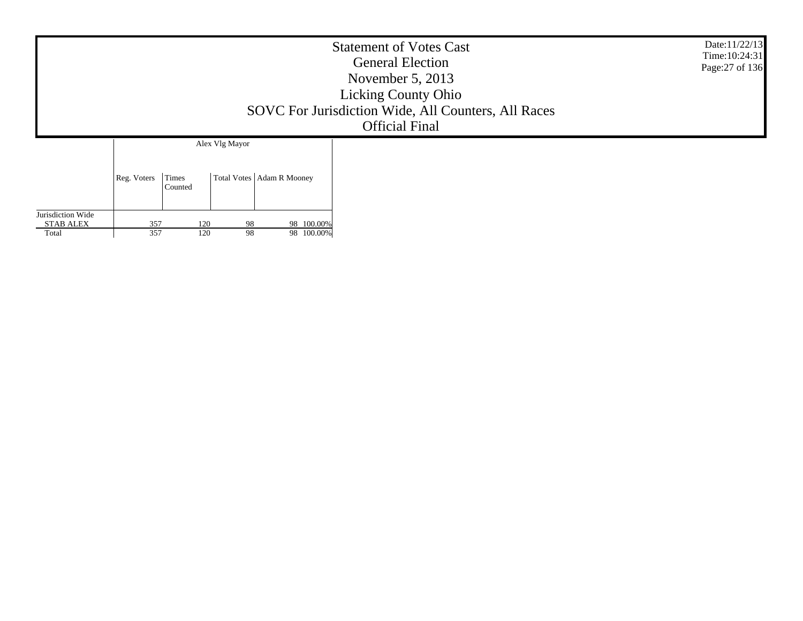| SOVC For Jurisdiction Wide, All Counters, All Races                              | Date:11/22/13<br>Time: 10:24:31<br>Page: 27 of 136 |  |
|----------------------------------------------------------------------------------|----------------------------------------------------|--|
| Alex Vlg Mayor<br>Total Votes   Adam R Mooney<br>Reg. Voters<br>Times<br>Counted |                                                    |  |

Jurisdiction Wide STAB ALEX Total

357

357

120 98 98 100.00%<br>120 98 98 100.00% 120 98 98 100.00%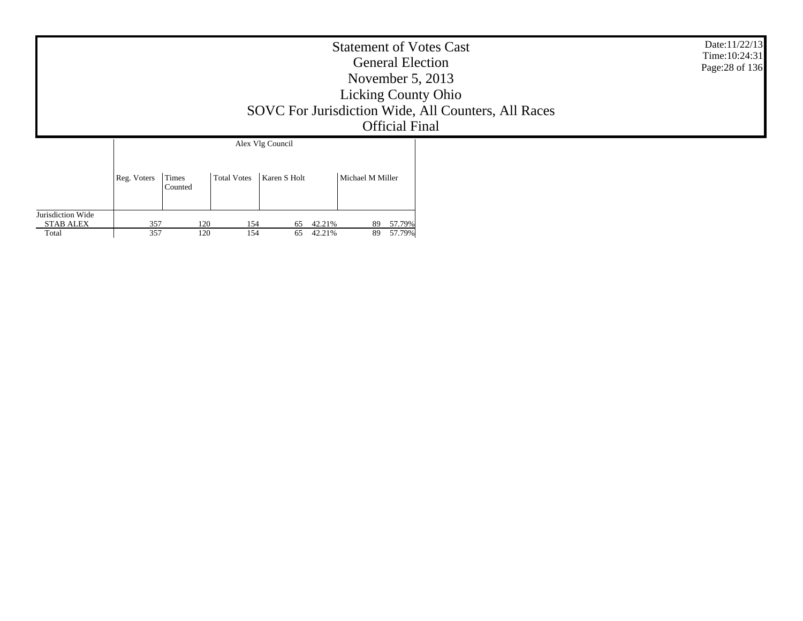|                                                |             |                  |                    |                  |                  |                  |                     | <b>Statement of Votes Cast</b><br><b>General Election</b><br>November $5, 2013$<br><b>Licking County Ohio</b><br>SOVC For Jurisdiction Wide, All Counters, All Races<br><b>Official Final</b> | Date:11/22/13<br>Time: 10:24:31<br>Page: 28 of 136 |
|------------------------------------------------|-------------|------------------|--------------------|------------------|------------------|------------------|---------------------|-----------------------------------------------------------------------------------------------------------------------------------------------------------------------------------------------|----------------------------------------------------|
|                                                |             |                  |                    | Alex Vlg Council |                  |                  |                     |                                                                                                                                                                                               |                                                    |
|                                                | Reg. Voters | Times<br>Counted | <b>Total Votes</b> | Karen S Holt     |                  | Michael M Miller |                     |                                                                                                                                                                                               |                                                    |
| Jurisdiction Wide<br><b>STAB ALEX</b><br>Total | 357<br>357  | 120<br>120       | 154<br>154         | 65<br>65         | 42.21%<br>42.21% | 89               | 89 57.79%<br>57.79% |                                                                                                                                                                                               |                                                    |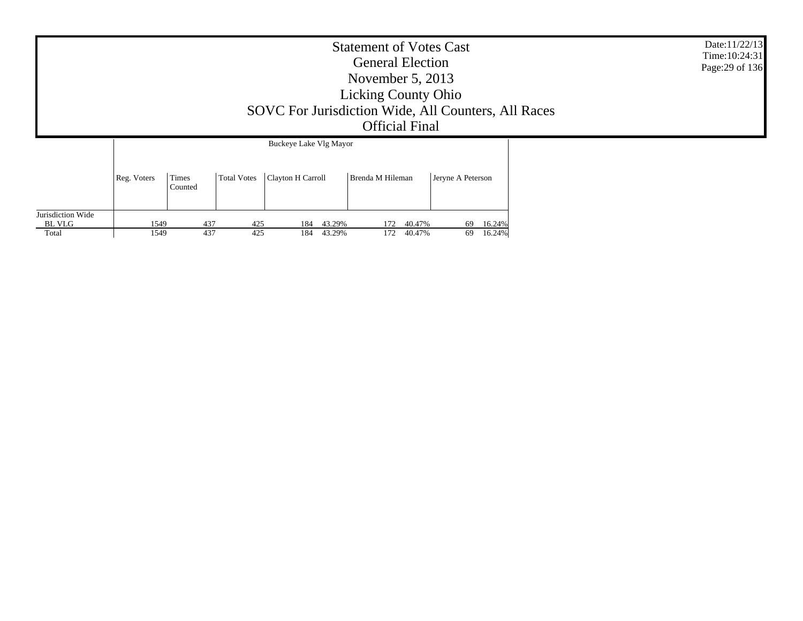|                                      | <b>Statement of Votes Cast</b><br><b>General Election</b><br>November $5, 2013$<br><b>Licking County Ohio</b><br>SOVC For Jurisdiction Wide, All Counters, All Races<br><b>Official Final</b><br>Buckeye Lake Vlg Mayor |                  |             |                   |                  |                  |                  |                   |                           |  |  |  |
|--------------------------------------|-------------------------------------------------------------------------------------------------------------------------------------------------------------------------------------------------------------------------|------------------|-------------|-------------------|------------------|------------------|------------------|-------------------|---------------------------|--|--|--|
|                                      | Reg. Voters                                                                                                                                                                                                             | Times<br>Counted | Total Votes | Clayton H Carroll |                  | Brenda M Hileman |                  | Jeryne A Peterson |                           |  |  |  |
| Jurisdiction Wide<br>BL VLG<br>Total | 1549<br>1549                                                                                                                                                                                                            | 437<br>437       | 425<br>425  | 184<br>184        | 43.29%<br>43.29% | 172<br>172       | 40.47%<br>40.47% |                   | 69 16.24%<br>16.24%<br>69 |  |  |  |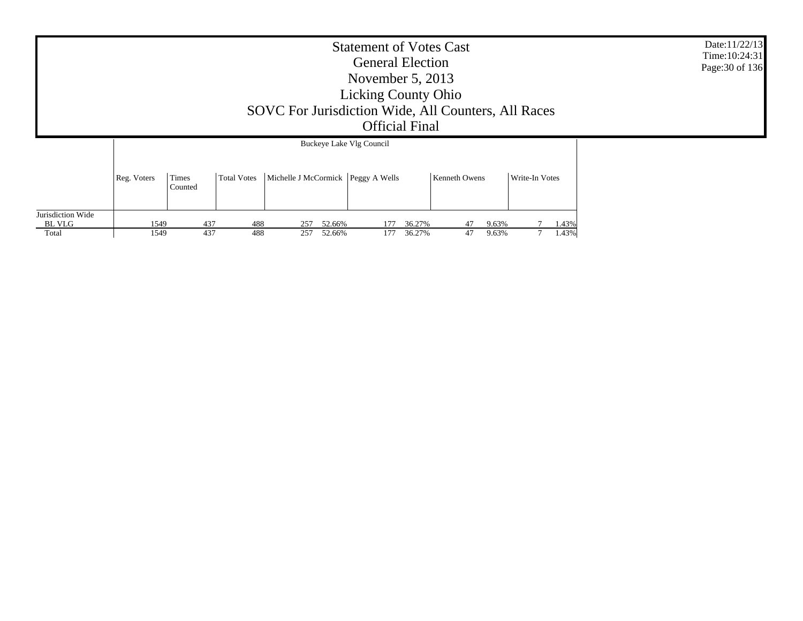|                             |             | SOVC For Jurisdiction Wide, All Counters, All Races | Date:11/22/13<br>Time: 10:24:31<br>Page: 30 of 136 |                                      |                          |        |               |       |                |  |  |
|-----------------------------|-------------|-----------------------------------------------------|----------------------------------------------------|--------------------------------------|--------------------------|--------|---------------|-------|----------------|--|--|
|                             |             |                                                     |                                                    |                                      | Buckeye Lake Vlg Council |        |               |       |                |  |  |
|                             | Reg. Voters | Times<br>Counted                                    | Total Votes                                        | Michelle J McCormick   Peggy A Wells |                          |        | Kenneth Owens |       | Write-In Votes |  |  |
| Jurisdiction Wide<br>BL VLG | 1549        | 437                                                 | 488                                                | 52.66%<br>257                        | 177                      | 36.27% | 47            | 9.63% | 1.43%          |  |  |
| Total                       | 1549        | 437                                                 | 488                                                | 257<br>52.66%                        | 177                      | 36.27% | 47            | 9.63% | 1.43%          |  |  |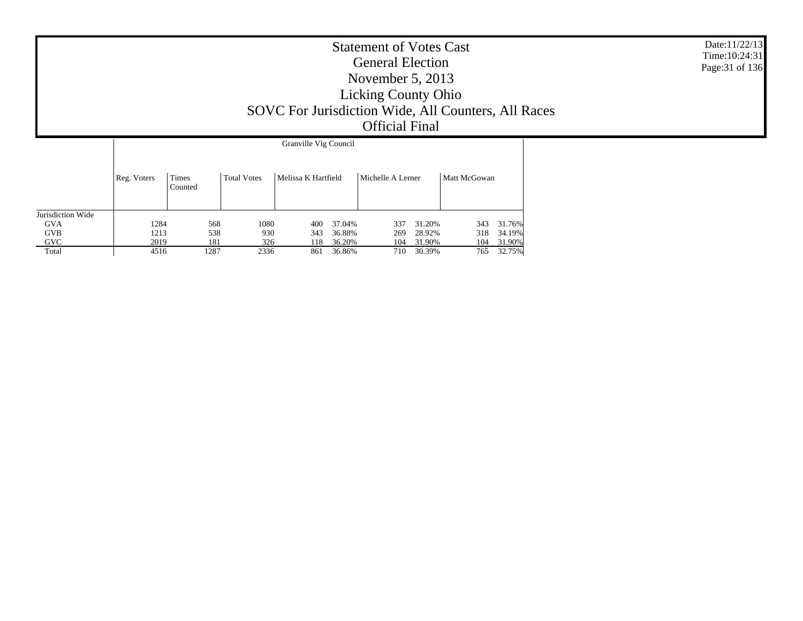| <b>Statement of Votes Cast</b><br><b>General Election</b><br>November $5, 2013$<br><b>Licking County Ohio</b><br>SOVC For Jurisdiction Wide, All Counters, All Races<br><b>Official Final</b> | Date:11/22/13<br>Time: $10:24:31$<br>Page: 31 of 136 |
|-----------------------------------------------------------------------------------------------------------------------------------------------------------------------------------------------|------------------------------------------------------|
| Granville Vlg Council                                                                                                                                                                         |                                                      |
| Melissa K Hartfield<br>Michelle A Lerner<br>Times<br>Matt McGowan<br><b>Total Votes</b><br>Reg. Voters                                                                                        |                                                      |

|                   | ັ    | Counted |      |      |        |     |        |     |        |
|-------------------|------|---------|------|------|--------|-----|--------|-----|--------|
|                   |      |         |      |      |        |     |        |     |        |
| Jurisdiction Wide |      |         |      |      |        |     |        |     |        |
| <b>GVA</b>        | 1284 | 568     | 1080 | 400  | 37.04% | 337 | 31.20% | 343 | 31.76% |
| <b>GVB</b>        | 1213 | 538     | 930  | 343  | 36.88% | 269 | 28.92% | 318 | 34.19% |
| <b>GVC</b>        | 2019 | 181     | 326  | l 18 | 36.20% | 104 | 31.90% | 104 | 31.90% |
| Total             | 4516 | 1287    | 2336 | 861  | 36.86% | 710 | 30.39% | 765 | 32.75% |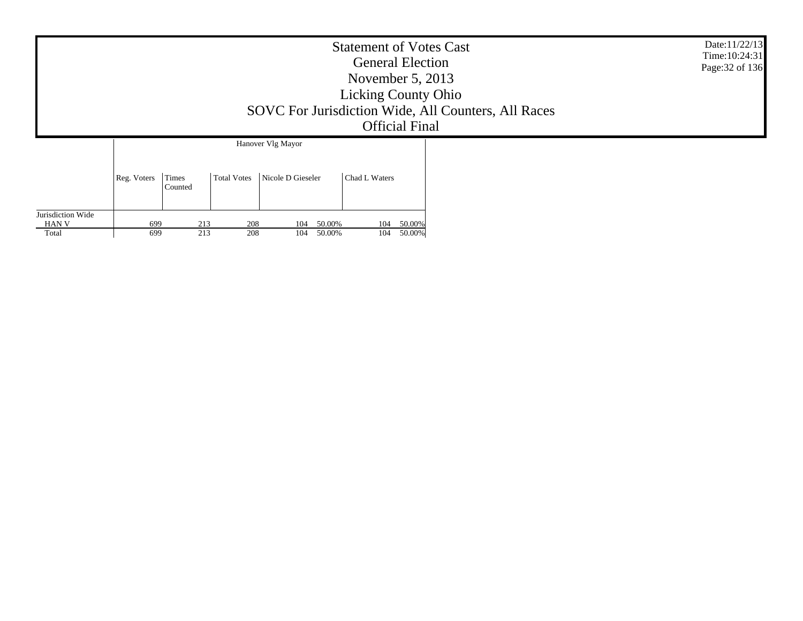|                                     |             |                  |                    |                                        | <b>Statement of Votes Cast</b><br><b>General Election</b><br>November $5, 2013$<br><b>Licking County Ohio</b><br><b>Official Final</b> | SOVC For Jurisdiction Wide, All Counters, All Races | Date:11/22/13<br>Time: $10:24:31$<br>Page: 32 of 136 |
|-------------------------------------|-------------|------------------|--------------------|----------------------------------------|----------------------------------------------------------------------------------------------------------------------------------------|-----------------------------------------------------|------------------------------------------------------|
|                                     | Reg. Voters | Times<br>Counted | <b>Total Votes</b> | Hanover Vlg Mayor<br>Nicole D Gieseler | Chad L Waters                                                                                                                          |                                                     |                                                      |
| Jurisdiction Wide<br>HAN V<br>Total | 699<br>699  | 213<br>213       | 208<br>208         | 50.00%<br>104<br>50.00%<br>104         | 104<br>104                                                                                                                             | 50.00%<br>50.00%                                    |                                                      |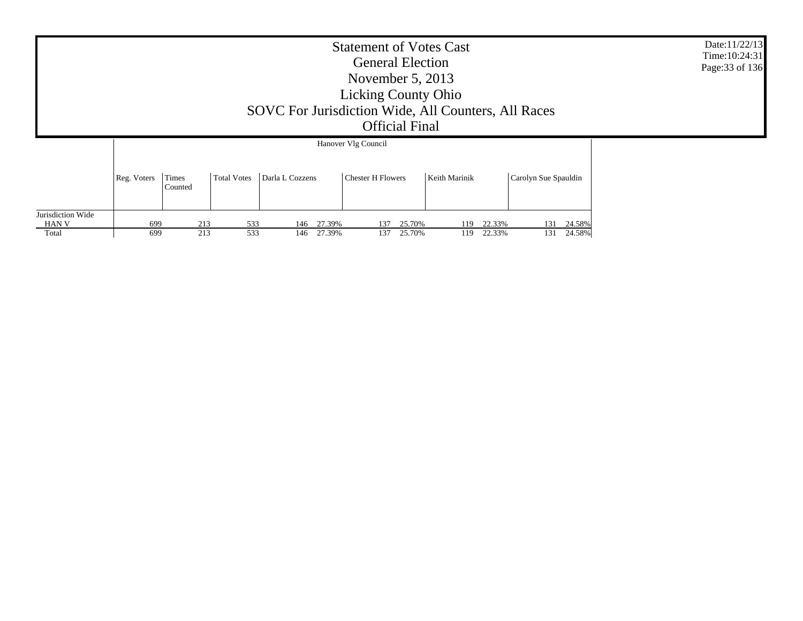|                   |             |                  |                    | SOVC For Jurisdiction Wide, All Counters, All Races | <b>Statement of Votes Cast</b><br><b>General Election</b><br>November $5, 2013$<br><b>Licking County Ohio</b><br><b>Official Final</b> |               |        |                      |        | Date:11/22/13<br>Time:10:24:31<br>Page: 33 of 136 |
|-------------------|-------------|------------------|--------------------|-----------------------------------------------------|----------------------------------------------------------------------------------------------------------------------------------------|---------------|--------|----------------------|--------|---------------------------------------------------|
|                   |             |                  |                    |                                                     | Hanover Vlg Council                                                                                                                    |               |        |                      |        |                                                   |
|                   | Reg. Voters | Times<br>Counted | <b>Total Votes</b> | Darla L Cozzens                                     | <b>Chester H Flowers</b>                                                                                                               | Keith Marinik |        | Carolyn Sue Spauldin |        |                                                   |
| Jurisdiction Wide |             |                  |                    |                                                     |                                                                                                                                        |               |        |                      |        |                                                   |
| HAN V             | 699         | 213              | 533                | 27.39%<br>146                                       | 25.70%<br>137                                                                                                                          | 119           | 22.33% | 131                  | 24.58% |                                                   |
| Total             | 699         | 213              | 533                | 27.39%<br>146                                       | 137<br>25.70%                                                                                                                          | 119           | 22.33% | 131                  | 24.58% |                                                   |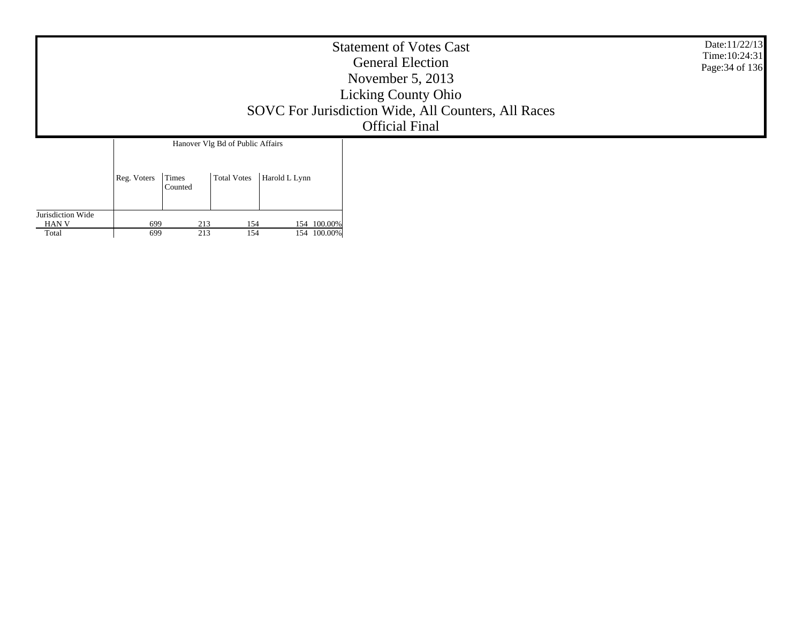|                                                                                                            | <b>Statement of Votes Cast</b><br><b>General Election</b><br>November $5, 2013$<br><b>Licking County Ohio</b><br>SOVC For Jurisdiction Wide, All Counters, All Races<br><b>Official Final</b> | Date:11/22/13<br>Time: 10:24:31<br>Page: 34 of 136 |
|------------------------------------------------------------------------------------------------------------|-----------------------------------------------------------------------------------------------------------------------------------------------------------------------------------------------|----------------------------------------------------|
| Hanover Vlg Bd of Public Affairs<br>Times<br><b>Total Votes</b><br>Harold L Lynn<br>Reg. Voters<br>Counted |                                                                                                                                                                                               |                                                    |

Jurisdiction Wide HAN V Total

699

699

 $\begin{array}{c|cc} 213 & 154 & 154 & 100.00\% \\ \hline 213 & 154 & 154 & 100.00\% \end{array}$ 9 213 154 154 100.00%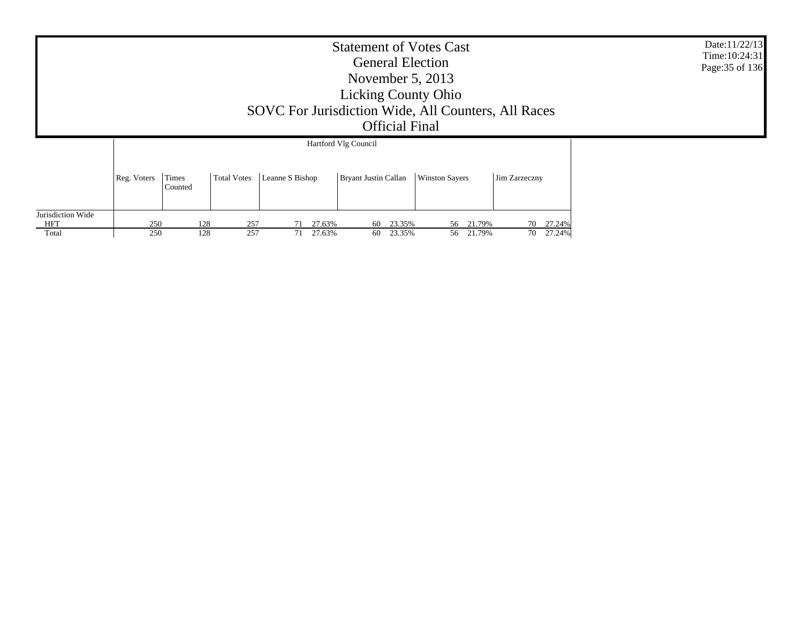|                   |             |                  |                    | SOVC For Jurisdiction Wide, All Counters, All Races | <b>Statement of Votes Cast</b><br><b>General Election</b><br>November $5, 2013$<br><b>Licking County Ohio</b><br><b>Official Final</b> |                       |               | Date:11/22/13<br>Time: 10:24:31<br>Page: 35 of 136 |
|-------------------|-------------|------------------|--------------------|-----------------------------------------------------|----------------------------------------------------------------------------------------------------------------------------------------|-----------------------|---------------|----------------------------------------------------|
|                   |             |                  |                    |                                                     | Hartford Vlg Council                                                                                                                   |                       |               |                                                    |
|                   | Reg. Voters | Times<br>Counted | <b>Total Votes</b> | Leanne S Bishop                                     | <b>Bryant Justin Callan</b>                                                                                                            | <b>Winston Sayers</b> | Jim Zarzeczny |                                                    |
| Jurisdiction Wide |             |                  |                    |                                                     |                                                                                                                                        |                       |               |                                                    |
| <b>HFT</b>        | 250         | 128              | 257                | 27.63%                                              | 23.35%<br>60                                                                                                                           | 21.79%<br>56          | 70 27.24%     |                                                    |
| Total             | 250         | 128              | 257                | 71 27.63%                                           | 23.35%<br>60                                                                                                                           | 56 21.79%             | 27.24%<br>70  |                                                    |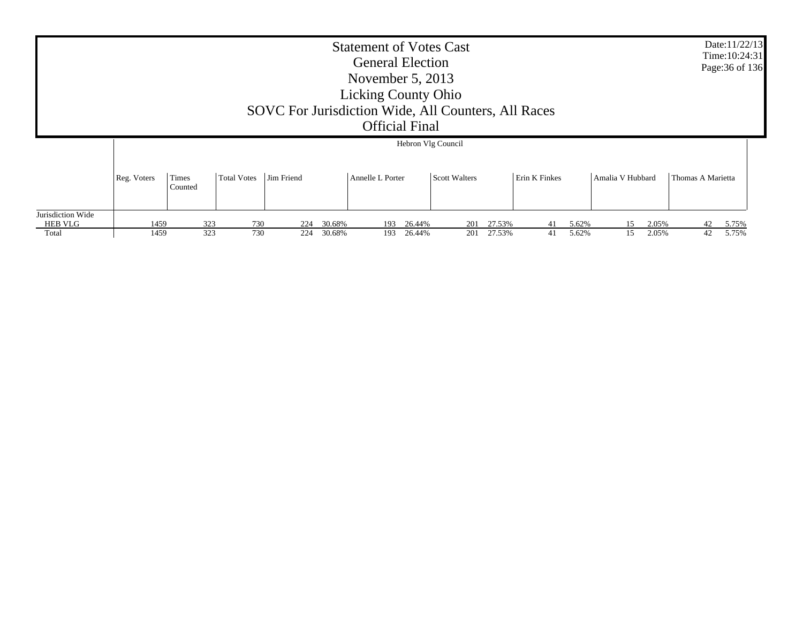|                                       |              |                       |                    |            |                  | <b>Statement of Votes Cast</b><br><b>General Election</b><br>November $5, 2013$<br><b>Licking County Ohio</b><br>SOVC For Jurisdiction Wide, All Counters, All Races<br><b>Official Final</b> |                  |                                     |                  |                      |                |                  |                |                   | Date:11/22/13<br>Time: 10:24:31<br>Page: 36 of 136 |
|---------------------------------------|--------------|-----------------------|--------------------|------------|------------------|-----------------------------------------------------------------------------------------------------------------------------------------------------------------------------------------------|------------------|-------------------------------------|------------------|----------------------|----------------|------------------|----------------|-------------------|----------------------------------------------------|
|                                       | Reg. Voters  | Times                 | <b>Total Votes</b> | Jim Friend |                  | Annelle L Porter                                                                                                                                                                              |                  | Hebron Vlg Council<br>Scott Walters |                  | <b>Erin K Finkes</b> |                | Amalia V Hubbard |                | Thomas A Marietta |                                                    |
| Jurisdiction Wide<br>HEB VLG<br>Total | 1459<br>1459 | Counted<br>323<br>323 | 730<br>730         | 224<br>224 | 30.68%<br>30.68% | 193<br>193                                                                                                                                                                                    | 26.44%<br>26.44% | 201<br>201                          | 27.53%<br>27.53% | 41<br>41             | 5.62%<br>5.62% | 15<br>15         | 2.05%<br>2.05% | 42<br>42          | 5.75%<br>5.75%                                     |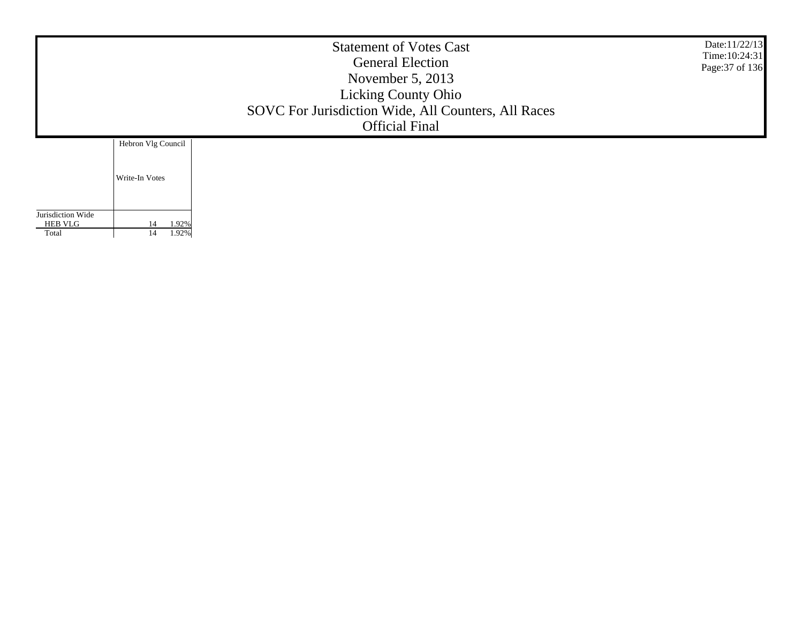|                                     | <b>Statement of Votes Cast</b><br><b>General Election</b><br>November $5, 2013$<br><b>Licking County Ohio</b><br>SOVC For Jurisdiction Wide, All Counters, All Races<br><b>Official Final</b> |  |  |  |  |  |  |  |
|-------------------------------------|-----------------------------------------------------------------------------------------------------------------------------------------------------------------------------------------------|--|--|--|--|--|--|--|
|                                     | Hebron Vlg Council                                                                                                                                                                            |  |  |  |  |  |  |  |
|                                     | Write-In Votes                                                                                                                                                                                |  |  |  |  |  |  |  |
| Jurisdiction Wide<br><b>HEB VLG</b> | 1.92%<br>14                                                                                                                                                                                   |  |  |  |  |  |  |  |
| Total                               | 1.92%<br>14                                                                                                                                                                                   |  |  |  |  |  |  |  |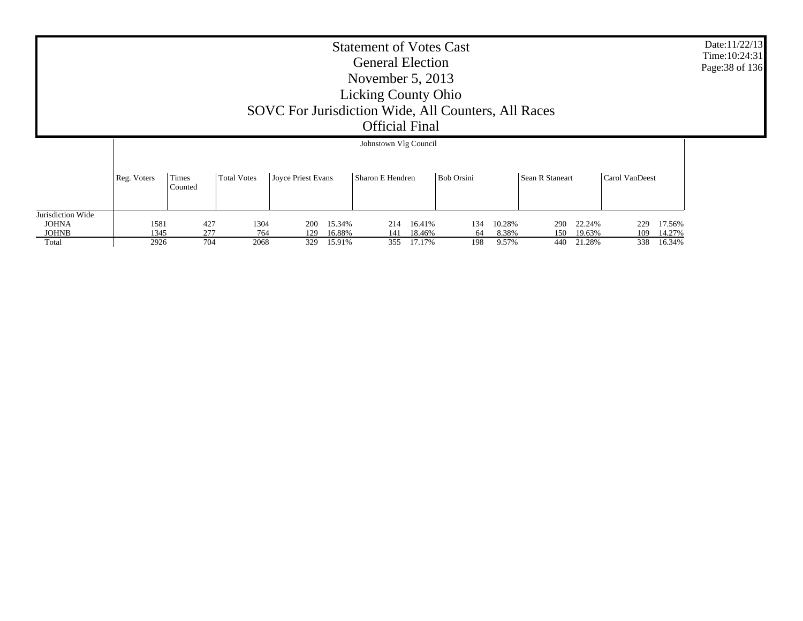|                                   | <b>Statement of Votes Cast</b><br><b>General Election</b><br>November $5, 2013$<br><b>Licking County Ohio</b><br>SOVC For Jurisdiction Wide, All Counters, All Races<br><b>Official Final</b> |                  |                    |                    |        |                       |        |                   |        |                 |        |                |        | Date:11/22/13<br>Time: 10:24:31<br>Page: 38 of 136 |
|-----------------------------------|-----------------------------------------------------------------------------------------------------------------------------------------------------------------------------------------------|------------------|--------------------|--------------------|--------|-----------------------|--------|-------------------|--------|-----------------|--------|----------------|--------|----------------------------------------------------|
|                                   |                                                                                                                                                                                               |                  |                    |                    |        | Johnstown Vlg Council |        |                   |        |                 |        |                |        |                                                    |
|                                   | Reg. Voters                                                                                                                                                                                   | Times<br>Counted | <b>Total Votes</b> | Joyce Priest Evans |        | Sharon E Hendren      |        | <b>Bob Orsini</b> |        | Sean R Staneart |        | Carol VanDeest |        |                                                    |
| Jurisdiction Wide<br><b>JOHNA</b> | 1581                                                                                                                                                                                          | 427              | 1304               | 200                | 15.34% | 214                   | 16.41% | 134               | 10.28% | 290             | 22.24% | 229            | 17.56% |                                                    |
| <b>JOHNB</b>                      | 1345                                                                                                                                                                                          | 277              | 764                | 129                | 16.88% | 141                   | 18.46% | 64                | 8.38%  | 150             | 19.63% | 109            | 14.27% |                                                    |
| Total                             | 2926                                                                                                                                                                                          | 704              | 2068               | 329                | 15.91% | 355                   | 17.17% | 198               | 9.57%  | 440             | 21.28% | 338            | 16.34% |                                                    |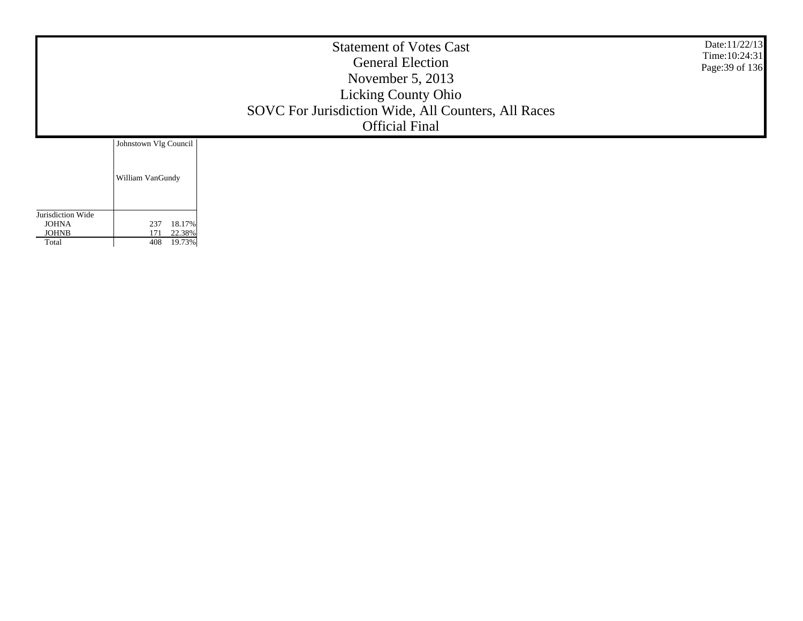|                              | Date:11/22/13<br>Time: $10:24:31$<br>Page: 39 of 136 |  |  |
|------------------------------|------------------------------------------------------|--|--|
|                              | Johnstown Vlg Council                                |  |  |
|                              | William VanGundy                                     |  |  |
| Jurisdiction Wide            |                                                      |  |  |
| <b>JOHNA</b><br><b>JOHNB</b> | 18.17%<br>237<br>22.38%<br>171                       |  |  |
| Total                        | 408<br>19.73%                                        |  |  |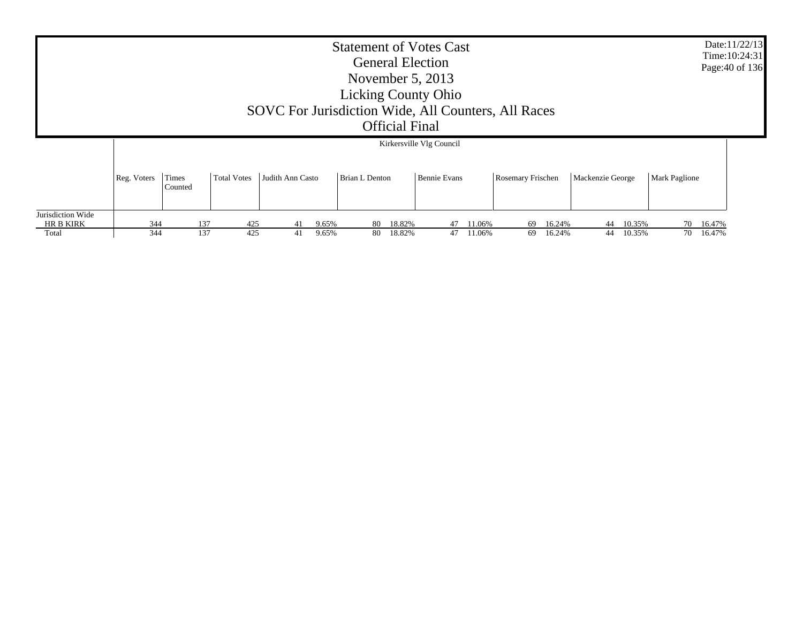|                                                | <b>Statement of Votes Cast</b><br><b>General Election</b><br>November $5, 2013$<br><b>Licking County Ohio</b><br>SOVC For Jurisdiction Wide, All Counters, All Races<br><b>Official Final</b> |                  |                    |                        |                |                       |                  |                                          |                  |                   |                  |                  |                  | Date:11/22/13<br>Time: 10:24:31<br>Page: 40 of 136 |                  |  |
|------------------------------------------------|-----------------------------------------------------------------------------------------------------------------------------------------------------------------------------------------------|------------------|--------------------|------------------------|----------------|-----------------------|------------------|------------------------------------------|------------------|-------------------|------------------|------------------|------------------|----------------------------------------------------|------------------|--|
|                                                | Reg. Voters                                                                                                                                                                                   | Times<br>Counted | <b>Total Votes</b> | Judith Ann Casto       |                | <b>Brian L Denton</b> |                  | Kirkersville Vlg Council<br>Bennie Evans |                  | Rosemary Frischen |                  | Mackenzie George |                  | <b>Mark Paglione</b>                               |                  |  |
| Jurisdiction Wide<br><b>HR B KIRK</b><br>Total | 344<br>344                                                                                                                                                                                    |                  | 137<br>137         | 425<br>41<br>425<br>41 | 9.65%<br>9.65% | 80<br>80              | 18.82%<br>18.82% | 47<br>47                                 | 11.06%<br>11.06% | 69<br>69          | 16.24%<br>16.24% | 44<br>44         | 10.35%<br>10.35% | 70<br>70                                           | 16.47%<br>16.47% |  |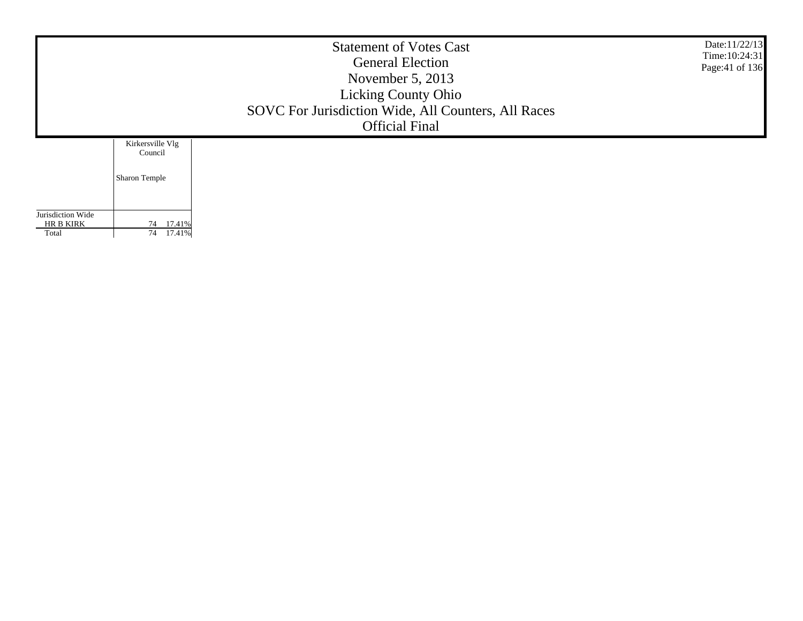|                                | Date:11/22/13<br>Time: 10:24:31<br>Page: 41 of 136 |  |  |
|--------------------------------|----------------------------------------------------|--|--|
|                                | Kirkersville Vlg<br>Council                        |  |  |
|                                | Sharon Temple                                      |  |  |
|                                |                                                    |  |  |
| Jurisdiction Wide<br>HR B KIRK | 17.41%<br>74                                       |  |  |
| Total                          | 17.41%<br>74                                       |  |  |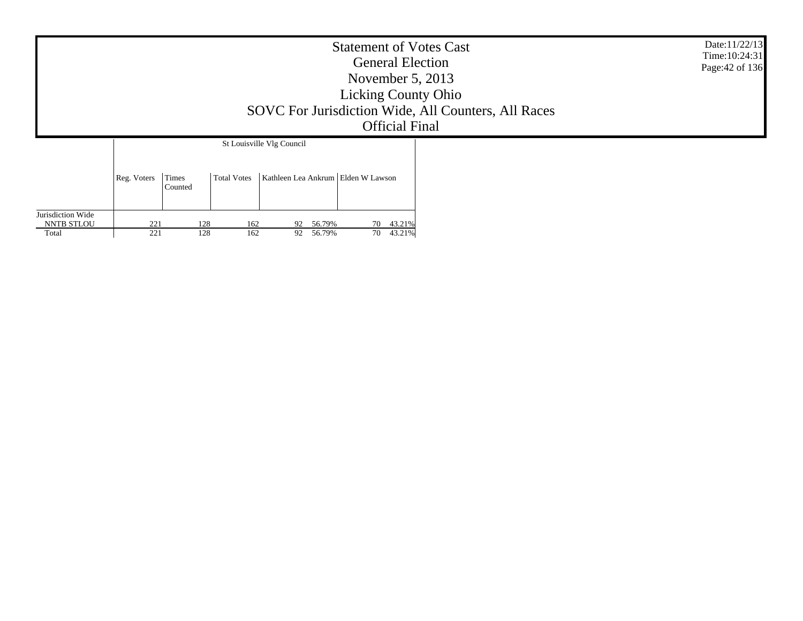|                            | <b>Statement of Votes Cast</b><br><b>General Election</b><br>November $5, 2013$<br><b>Licking County Ohio</b><br>SOVC For Jurisdiction Wide, All Counters, All Races<br><b>Official Final</b> | Date:11/22/13<br>Time: 10:24:31<br>Page: 42 of 136 |                    |                                    |                              |  |  |
|----------------------------|-----------------------------------------------------------------------------------------------------------------------------------------------------------------------------------------------|----------------------------------------------------|--------------------|------------------------------------|------------------------------|--|--|
|                            |                                                                                                                                                                                               |                                                    |                    | St Louisville Vlg Council          |                              |  |  |
|                            | Reg. Voters                                                                                                                                                                                   | Times<br>Counted                                   | <b>Total Votes</b> | Kathleen Lea Ankrum Elden W Lawson |                              |  |  |
| Jurisdiction Wide          |                                                                                                                                                                                               |                                                    |                    |                                    |                              |  |  |
| <b>NNTB STLOU</b><br>Total | 221<br>221                                                                                                                                                                                    | 128<br>128                                         | 162<br>162         | 92 56.79%<br>56.79%<br>92          | 43.21%<br>70<br>70<br>43.21% |  |  |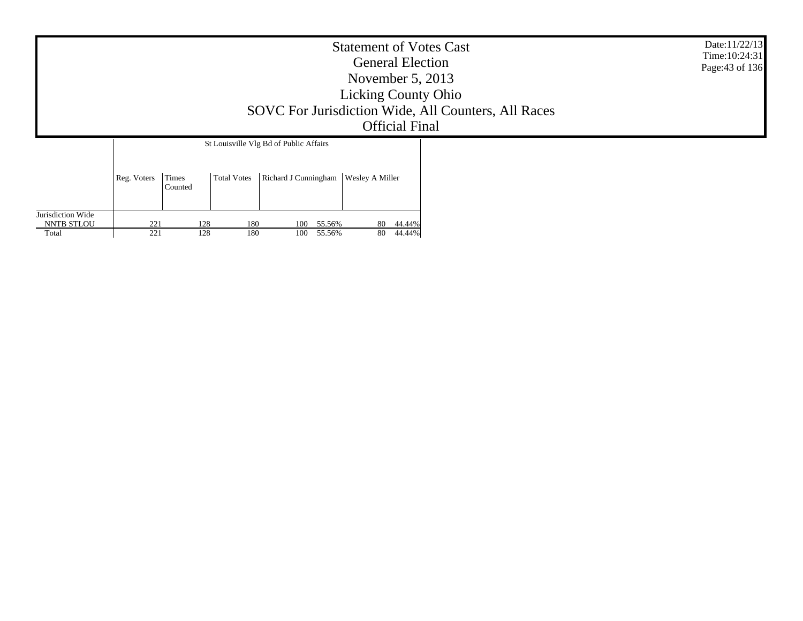|                                                 | Date:11/22/13<br>Time: 10:24:31<br>Page: 43 of 136 |                  |                    |                                                                |                        |                  |  |  |
|-------------------------------------------------|----------------------------------------------------|------------------|--------------------|----------------------------------------------------------------|------------------------|------------------|--|--|
|                                                 | Reg. Voters                                        | Times<br>Counted | <b>Total Votes</b> | St Louisville Vlg Bd of Public Affairs<br>Richard J Cunningham | <b>Wesley A Miller</b> |                  |  |  |
| Jurisdiction Wide<br><b>NNTB STLOU</b><br>Total | 221<br>221                                         | 128<br>128       | 180<br>180         | 55.56%<br>100<br>100<br>55.56%                                 | 80<br>80               | 44.44%<br>44.44% |  |  |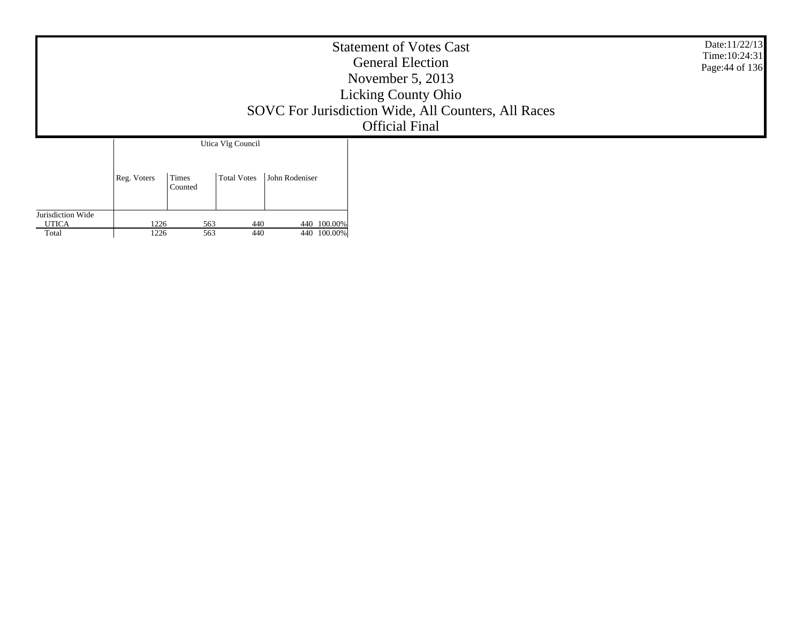|                       |              |                  |                    |                            | <b>Statement of Votes Cast</b><br><b>General Election</b><br>November $5, 2013$<br><b>Licking County Ohio</b><br>SOVC For Jurisdiction Wide, All Counters, All Races<br><b>Official Final</b> | Date:11/22/13<br>Time: 10:24:31<br>Page: 44 of 136 |
|-----------------------|--------------|------------------|--------------------|----------------------------|-----------------------------------------------------------------------------------------------------------------------------------------------------------------------------------------------|----------------------------------------------------|
|                       |              |                  | Utica Vlg Council  |                            |                                                                                                                                                                                               |                                                    |
|                       | Reg. Voters  | Times<br>Counted | <b>Total Votes</b> | John Rodeniser             |                                                                                                                                                                                               |                                                    |
| Jurisdiction Wide     |              |                  |                    |                            |                                                                                                                                                                                               |                                                    |
| <b>UTICA</b><br>Total | 1226<br>1226 | 563<br>563       | 440<br>440         | 440 100.00%<br>440 100.00% |                                                                                                                                                                                               |                                                    |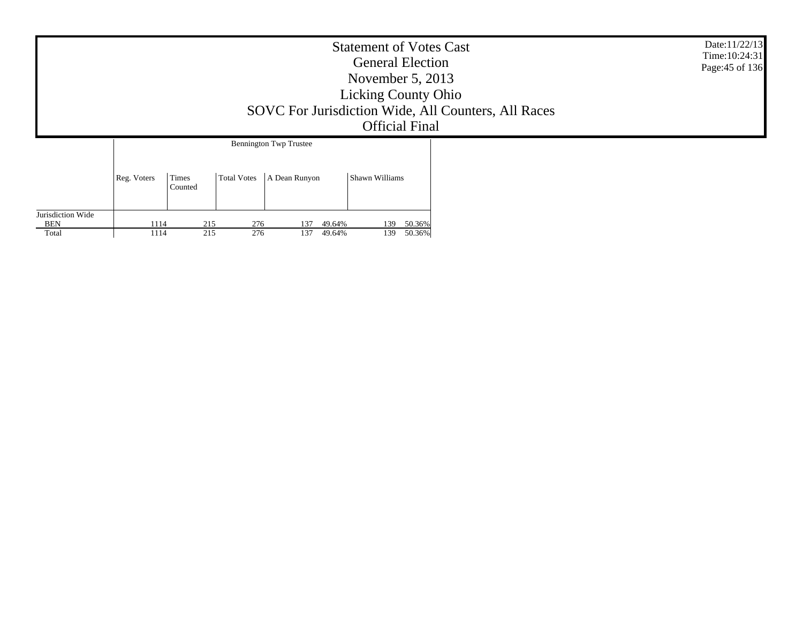|                                 |             |                  |                    |                               | <b>Statement of Votes Cast</b><br><b>General Election</b><br>November $5, 2013$<br><b>Licking County Ohio</b><br><b>Official Final</b> | SOVC For Jurisdiction Wide, All Counters, All Races | Date:11/22/13<br>Time: 10:24:31<br>Page: 45 of 136 |
|---------------------------------|-------------|------------------|--------------------|-------------------------------|----------------------------------------------------------------------------------------------------------------------------------------|-----------------------------------------------------|----------------------------------------------------|
|                                 |             |                  |                    | <b>Bennington Twp Trustee</b> |                                                                                                                                        |                                                     |                                                    |
|                                 | Reg. Voters | Times<br>Counted | <b>Total Votes</b> | A Dean Runyon                 | Shawn Williams                                                                                                                         |                                                     |                                                    |
| Jurisdiction Wide<br><b>BEN</b> | 1114        | 215              | 276                | 49.64%<br>137                 | 50.36%<br>139                                                                                                                          |                                                     |                                                    |
| Total                           | 1114        | 215              | 276                | 137<br>49.64%                 | 50.36%<br>139                                                                                                                          |                                                     |                                                    |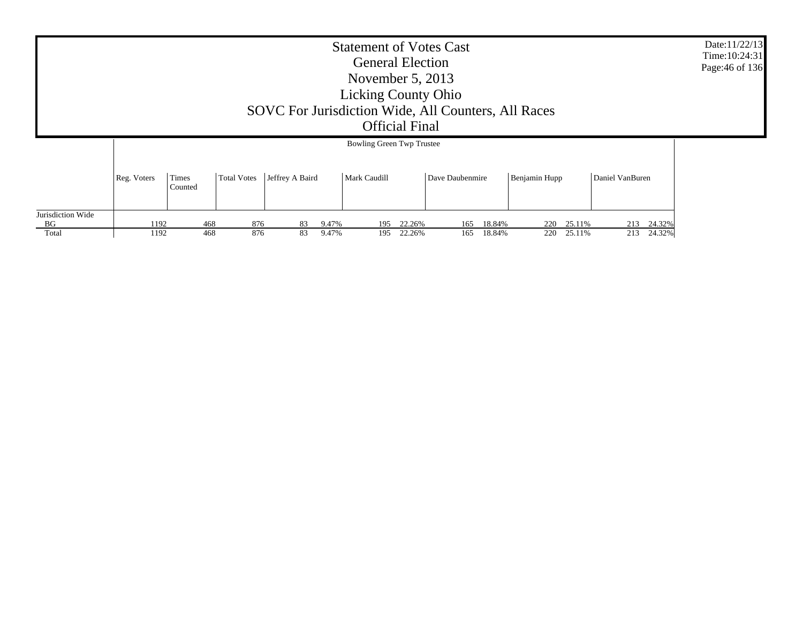| <b>Statement of Votes Cast</b><br><b>General Election</b><br>November $5, 2013$<br><b>Licking County Ohio</b><br>SOVC For Jurisdiction Wide, All Counters, All Races<br><b>Official Final</b><br><b>Bowling Green Twp Trustee</b> |             |                  |             |                 |              |        |                 |        |               |        |                 |  |
|-----------------------------------------------------------------------------------------------------------------------------------------------------------------------------------------------------------------------------------|-------------|------------------|-------------|-----------------|--------------|--------|-----------------|--------|---------------|--------|-----------------|--|
|                                                                                                                                                                                                                                   |             |                  |             |                 |              |        |                 |        |               |        |                 |  |
|                                                                                                                                                                                                                                   | Reg. Voters | Times<br>Counted | Total Votes | Jeffrey A Baird | Mark Caudill |        | Dave Daubenmire |        | Benjamin Hupp |        | Daniel VanBuren |  |
| Jurisdiction Wide<br>BG                                                                                                                                                                                                           | 1192        | 468              | 876         | 9.47%<br>83     | 195          | 22.26% | 165             | 18.84% | 220           | 25.11% | 24.32%<br>213   |  |
| Total                                                                                                                                                                                                                             | 1192        | 468              | 876         | 83<br>9.47%     | 195          | 22.26% | 165             | 18.84% | 220           | 25.11% | 24.32%<br>213   |  |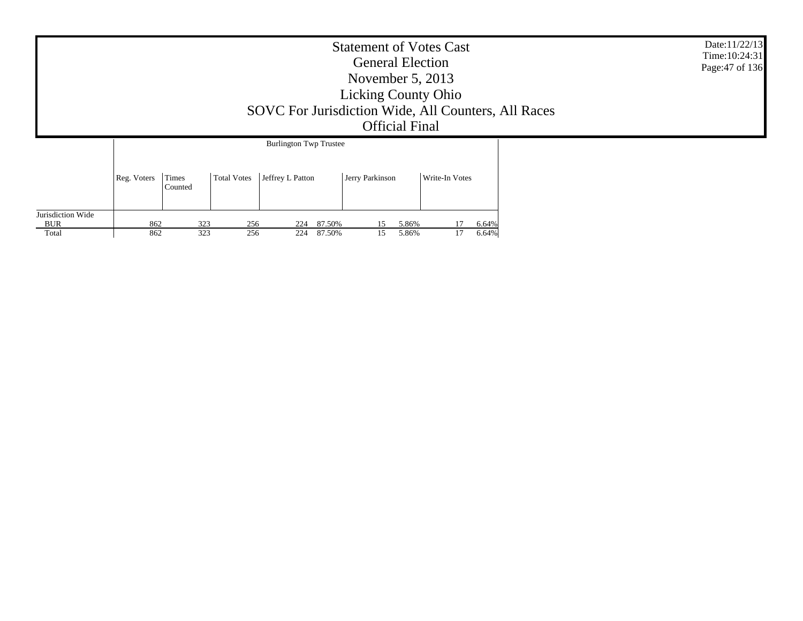|                                 | Date:11/22/13<br>Time: 10:24:31<br>Page: 47 of 136<br>SOVC For Jurisdiction Wide, All Counters, All Races |                  |                    |                               |                 |       |                |       |  |
|---------------------------------|-----------------------------------------------------------------------------------------------------------|------------------|--------------------|-------------------------------|-----------------|-------|----------------|-------|--|
|                                 |                                                                                                           |                  |                    | <b>Burlington Twp Trustee</b> |                 |       |                |       |  |
|                                 | Reg. Voters                                                                                               | Times<br>Counted | <b>Total Votes</b> | Jeffrey L Patton              | Jerry Parkinson |       | Write-In Votes |       |  |
| Jurisdiction Wide<br><b>BUR</b> | 862                                                                                                       |                  | 323<br>256         | 87.50%<br>224                 | 15              | 5.86% |                | 6.64% |  |
| Total                           | 862                                                                                                       |                  | 323<br>256         | 224<br>87.50%                 | 15              | 5.86% | 17             | 6.64% |  |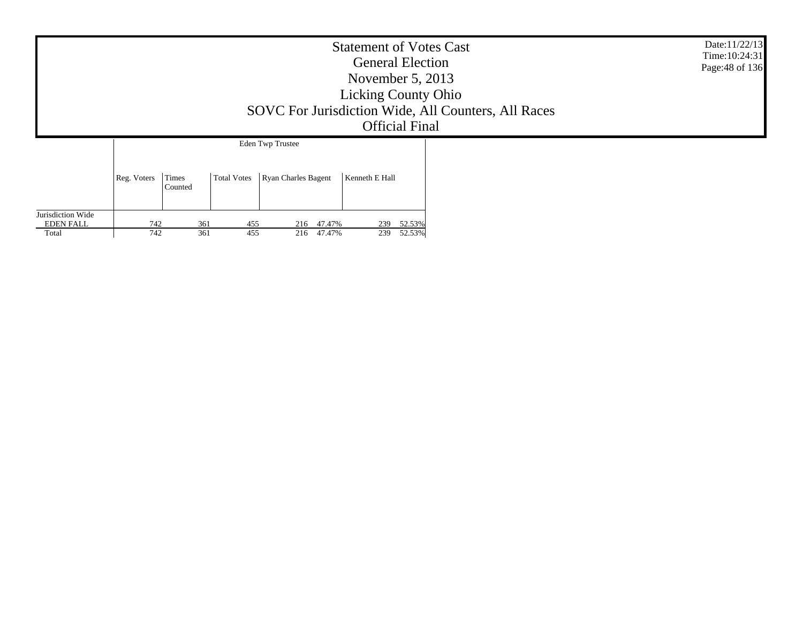|                                       |             |                  |                    |                                                | <b>Statement of Votes Cast</b><br><b>General Election</b><br>November $5, 2013$<br><b>Licking County Ohio</b><br><b>Official Final</b> | SOVC For Jurisdiction Wide, All Counters, All Races | Date:11/22/13<br>Time: 10:24:31<br>Page: 48 of 136 |
|---------------------------------------|-------------|------------------|--------------------|------------------------------------------------|----------------------------------------------------------------------------------------------------------------------------------------|-----------------------------------------------------|----------------------------------------------------|
|                                       | Reg. Voters | Times<br>Counted | <b>Total Votes</b> | <b>Eden Twp Trustee</b><br>Ryan Charles Bagent | Kenneth E Hall                                                                                                                         |                                                     |                                                    |
| Jurisdiction Wide<br><b>EDEN FALL</b> | 742         | 361              | 455                | 216 47.47%                                     | 239 52.53%                                                                                                                             |                                                     |                                                    |

361 455 216 47.47% 239 52.53%

Total

742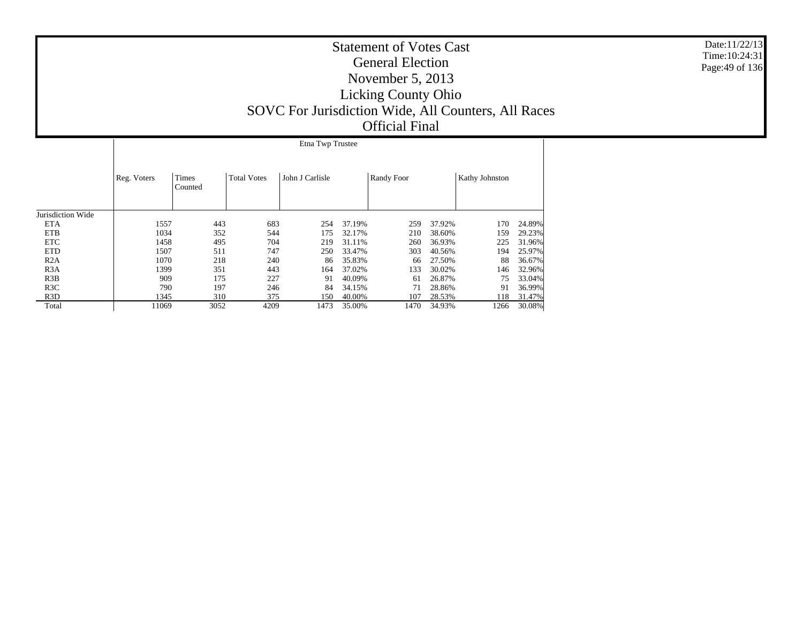|                   | Etna Twp Trustee |                  |                    |                 |        |            |        |                |        |  |  |
|-------------------|------------------|------------------|--------------------|-----------------|--------|------------|--------|----------------|--------|--|--|
|                   | Reg. Voters      | Times<br>Counted | <b>Total Votes</b> | John J Carlisle |        | Randy Foor |        | Kathy Johnston |        |  |  |
| Jurisdiction Wide |                  |                  |                    |                 |        |            |        |                |        |  |  |
| <b>ETA</b>        | 1557             | 443              | 683                | 254             | 37.19% | 259        | 37.92% | 170            | 24.89% |  |  |
| <b>ETB</b>        | 1034             | 352              | 544                | 175             | 32.17% | 210        | 38.60% | 159            | 29.23% |  |  |
| <b>ETC</b>        | 1458             | 495              | 704                | 219             | 31.11% | 260        | 36.93% | 225            | 31.96% |  |  |
| <b>ETD</b>        | 1507             | 511              | 747                | 250             | 33.47% | 303        | 40.56% | 194            | 25.97% |  |  |
| R2A               | 1070             | 218              | 240                | 86              | 35.83% | 66         | 27.50% | 88             | 36.67% |  |  |
| R3A               | 1399             | 351              | 443                | 164             | 37.02% | 133        | 30.02% | 146            | 32.96% |  |  |
| R3B               | 909              | 175              | 227                | 91              | 40.09% | 61         | 26.87% | 75             | 33.04% |  |  |
| R <sub>3</sub> C  | 790              | 197              | 246                | 84              | 34.15% | 71         | 28.86% | 91             | 36.99% |  |  |
| R <sub>3</sub> D  | 1345             | 310              | 375                | 150             | 40.00% | 107        | 28.53% | 118            | 31.47% |  |  |
| Total             | 11069            | 3052             | 4209               | 1473            | 35.00% | 1470       | 34.93% | 1266           | 30.08% |  |  |

Date:11/22/13 Time:10:24:31Page:49 of 136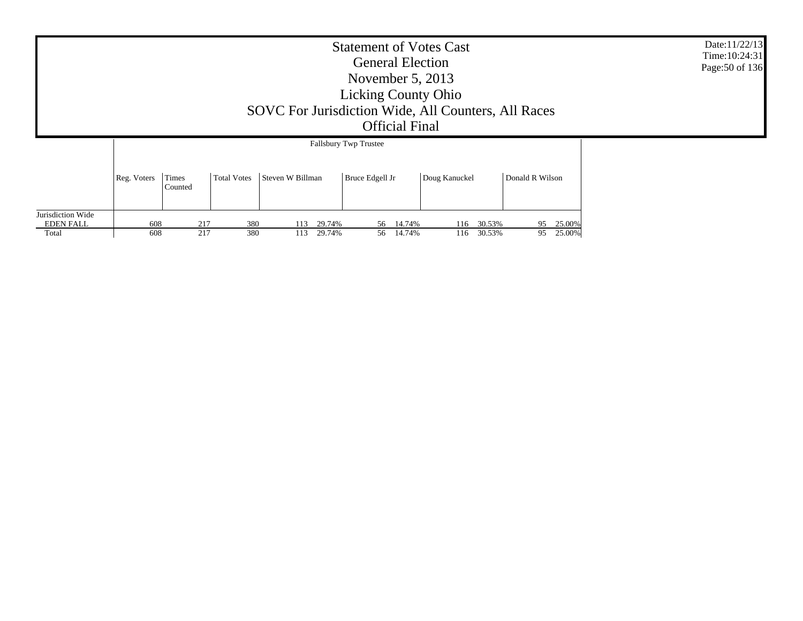|                                                |             | Date:11/22/13<br>Time: 10:24:31<br>Page: 50 of 136 |            |                                |                           |                                |                              |  |
|------------------------------------------------|-------------|----------------------------------------------------|------------|--------------------------------|---------------------------|--------------------------------|------------------------------|--|
|                                                |             |                                                    |            |                                |                           |                                |                              |  |
|                                                | Reg. Voters | Times<br>Counted                                   |            |                                |                           |                                |                              |  |
| Jurisdiction Wide<br><b>EDEN FALL</b><br>Total | 608<br>608  | 217<br>217                                         | 380<br>380 | 29.74%<br>113<br>29.74%<br>113 | 56 14.74%<br>14.74%<br>56 | 30.53%<br>116<br>30.53%<br>116 | 25.00%<br>95<br>95<br>25.00% |  |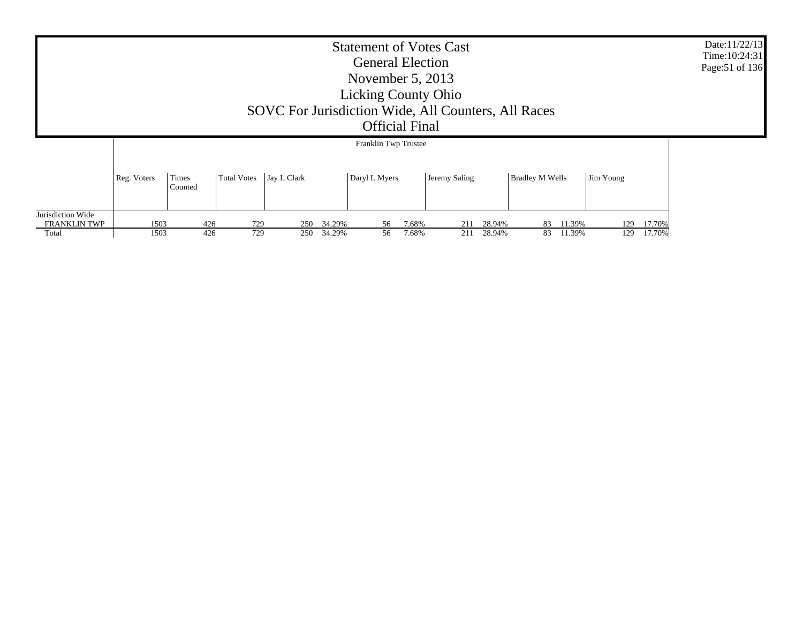| <b>Statement of Votes Cast</b><br><b>General Election</b><br>November $5, 2013$<br><b>Licking County Ohio</b><br>SOVC For Jurisdiction Wide, All Counters, All Races<br><b>Official Final</b> |                                                                                                                                     |     |     |     |            |                      |       |     |        |    |        | Date:11/22/13<br>Time: 10:24:31<br>Page: 51 of 136 |        |  |
|-----------------------------------------------------------------------------------------------------------------------------------------------------------------------------------------------|-------------------------------------------------------------------------------------------------------------------------------------|-----|-----|-----|------------|----------------------|-------|-----|--------|----|--------|----------------------------------------------------|--------|--|
|                                                                                                                                                                                               |                                                                                                                                     |     |     |     |            | Franklin Twp Trustee |       |     |        |    |        |                                                    |        |  |
|                                                                                                                                                                                               | Total Votes Jay L Clark<br>Daryl L Myers<br>Times<br>Jeremy Saling<br><b>Bradley M Wells</b><br>Reg. Voters<br>Jim Young<br>Counted |     |     |     |            |                      |       |     |        |    |        |                                                    |        |  |
| Jurisdiction Wide<br><b>FRANKLIN TWP</b>                                                                                                                                                      | 1503                                                                                                                                | 426 | 729 |     | 250 34.29% | 56                   | 7.68% | 211 | 28.94% | 83 | 11.39% | 129                                                | 17.70% |  |
| Total                                                                                                                                                                                         | 1503                                                                                                                                | 426 | 729 | 250 | 34.29%     | 56                   | 7.68% | 211 | 28.94% | 83 | 11.39% | 129                                                | 17.70% |  |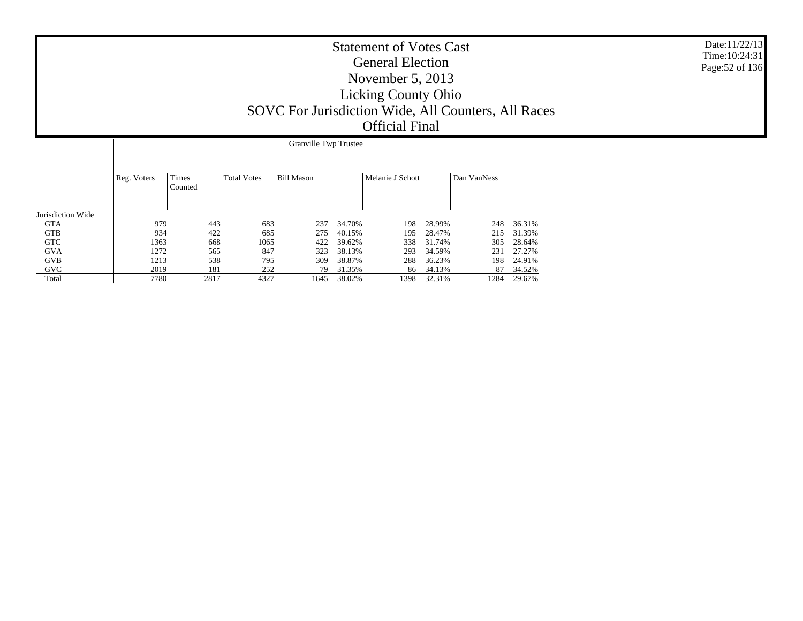|                   |             | <b>Granville Twp Trustee</b> |                    |                   |        |                  |        |             |        |  |  |  |
|-------------------|-------------|------------------------------|--------------------|-------------------|--------|------------------|--------|-------------|--------|--|--|--|
|                   | Reg. Voters | Times<br>Counted             | <b>Total Votes</b> | <b>Bill Mason</b> |        | Melanie J Schott |        | Dan VanNess |        |  |  |  |
| Jurisdiction Wide |             |                              |                    |                   |        |                  |        |             |        |  |  |  |
| <b>GTA</b>        | 979         | 443                          | 683                | 237               | 34.70% | 198              | 28.99% | 248         | 36.31% |  |  |  |
| <b>GTB</b>        | 934         | 422                          | 685                | 275               | 40.15% | 195              | 28.47% | 215         | 31.39% |  |  |  |
| <b>GTC</b>        | 1363        | 668                          | 1065               | 422               | 39.62% | 338              | 31.74% | 305         | 28.64% |  |  |  |
| <b>GVA</b>        | 1272        | 565                          | 847                | 323               | 38.13% | 293              | 34.59% | 231         | 27.27% |  |  |  |
| <b>GVB</b>        | 1213        | 538                          | 795                | 309               | 38.87% | 288              | 36.23% | 198         | 24.91% |  |  |  |
| <b>GVC</b>        | 2019        | 181                          | 252                | 79                | 31.35% | 86               | 34.13% | 87          | 34.52% |  |  |  |
| Total             | 7780        | 2817                         | 4327               | 1645              | 38.02% | 1398             | 32.31% | 1284        | 29.67% |  |  |  |

Date:11/22/13 Time:10:24:31Page:52 of 136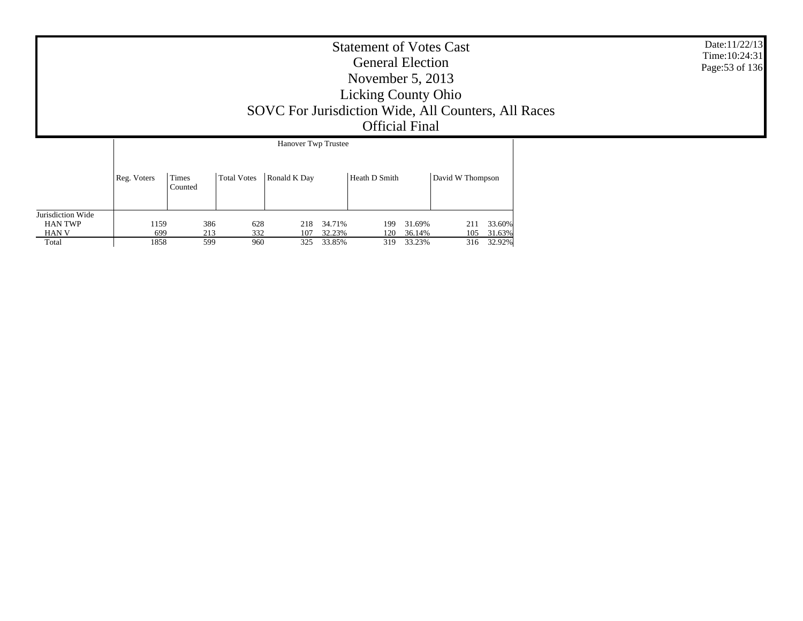| <b>Statement of Votes Cast</b><br><b>General Election</b><br>November $5, 2013$<br><b>Licking County Ohio</b><br>SOVC For Jurisdiction Wide, All Counters, All Races<br><b>Official Final</b> | Date:11/22/13<br>Time: 10:24:31<br>Page: 53 of 136 |
|-----------------------------------------------------------------------------------------------------------------------------------------------------------------------------------------------|----------------------------------------------------|
| Hanover Twp Trustee                                                                                                                                                                           |                                                    |

|                   | Reg. Voters | Times<br>Counted | <b>Total Votes</b> | Ronald K Day |        | Heath D Smith |        | David W Thompson |        |
|-------------------|-------------|------------------|--------------------|--------------|--------|---------------|--------|------------------|--------|
| Jurisdiction Wide |             |                  |                    |              |        |               |        |                  |        |
| <b>HAN TWP</b>    | 159         | 386              | 628                | 218          | 34.71% | 199           | 31.69% | 211              | 33.60% |
| HAN V             | 699         | 213              | 332                | 107          | 32.23% | 120           | 36.14% | 105              | 31.63% |
| Total             | 1858        | 599              | 960                | 325          | 33.85% | 319           | 33.23% | 316              | 32.92% |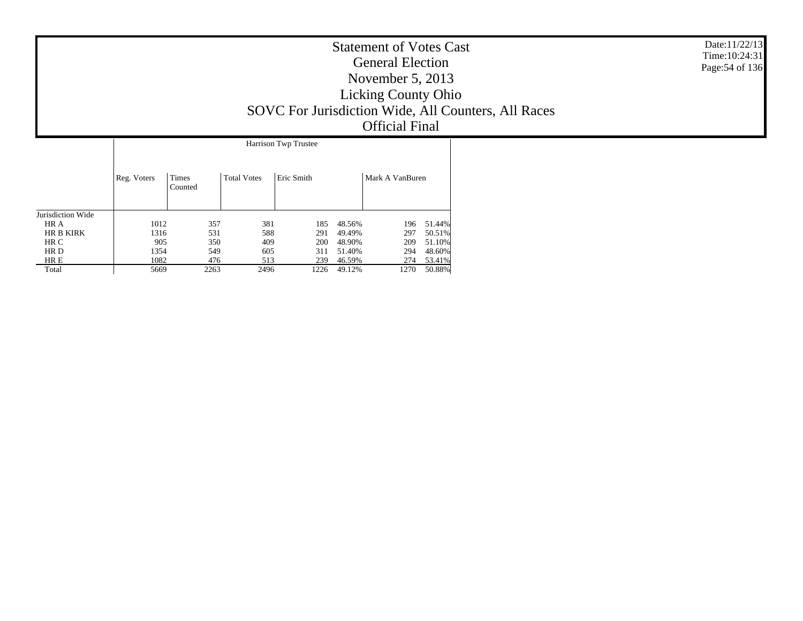|                      | <b>Statement of Votes Cast</b><br><b>General Election</b><br>November $5, 2013$<br><b>Licking County Ohio</b><br>SOVC For Jurisdiction Wide, All Counters, All Races<br><b>Official Final</b> | Date:11/22/13<br>Time: 10:24:31<br>Page: 54 of 136 |
|----------------------|-----------------------------------------------------------------------------------------------------------------------------------------------------------------------------------------------|----------------------------------------------------|
| Harrison Twn Trustee |                                                                                                                                                                                               |                                                    |

|                   | Harrison Twp Trustee |                         |                    |            |        |                 |        |  |  |  |  |
|-------------------|----------------------|-------------------------|--------------------|------------|--------|-----------------|--------|--|--|--|--|
|                   | Reg. Voters          | <b>Times</b><br>Counted | <b>Total Votes</b> | Eric Smith |        | Mark A VanBuren |        |  |  |  |  |
| Jurisdiction Wide |                      |                         |                    |            |        |                 |        |  |  |  |  |
| HR A              | 1012                 | 357                     | 381                | 185        | 48.56% | 196             | 51.44% |  |  |  |  |
| <b>HR B KIRK</b>  | 1316                 | 531                     | 588                | 291        | 49.49% | 297             | 50.51% |  |  |  |  |
| HR C              | 905                  | 350                     | 409                | 200        | 48.90% | 209             | 51.10% |  |  |  |  |
| HR D              | 1354                 | 549                     | 605                | 311        | 51.40% | 294             | 48.60% |  |  |  |  |
| HR E              | 1082                 | 476                     | 513                | 239        | 46.59% | 274             | 53.41% |  |  |  |  |
| Total             | 5669                 | 2263                    | 2496               | 1226       | 49.12% | 1270            | 50.88% |  |  |  |  |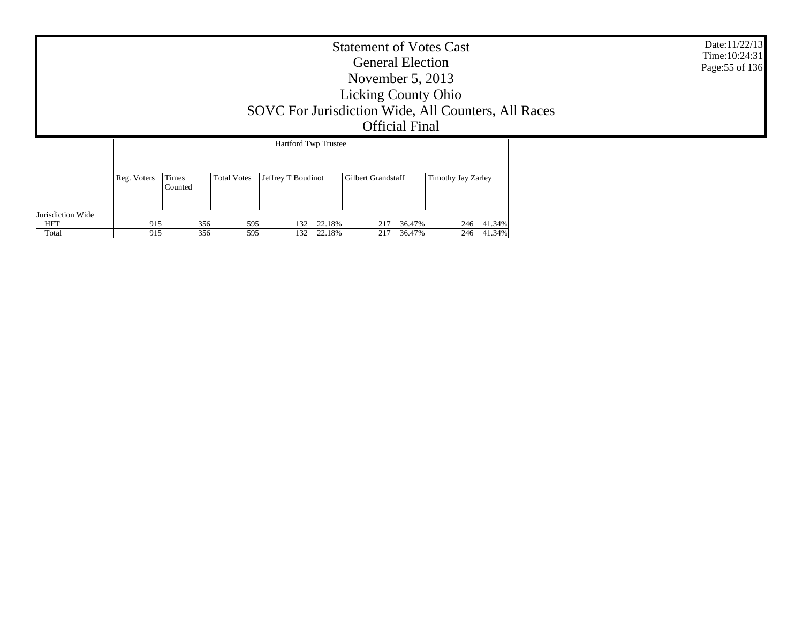|                                          | Date:11/22/13<br>Time: 10:24:31<br>Page: 55 of 136<br>SOVC For Jurisdiction Wide, All Counters, All Races |                  |                    |                                            |                                |                    |                          |  |  |
|------------------------------------------|-----------------------------------------------------------------------------------------------------------|------------------|--------------------|--------------------------------------------|--------------------------------|--------------------|--------------------------|--|--|
|                                          | Reg. Voters                                                                                               | Times<br>Counted | <b>Total Votes</b> | Hartford Twp Trustee<br>Jeffrey T Boudinot | <b>Gilbert Grandstaff</b>      | Timothy Jay Zarley |                          |  |  |
| Jurisdiction Wide<br><b>HFT</b><br>Total | 915<br>915                                                                                                | 356<br>356       | 595<br>595         | 22.18%<br>132<br>132<br>22.18%             | 36.47%<br>217<br>217<br>36.47% |                    | 246 41.34%<br>246 41.34% |  |  |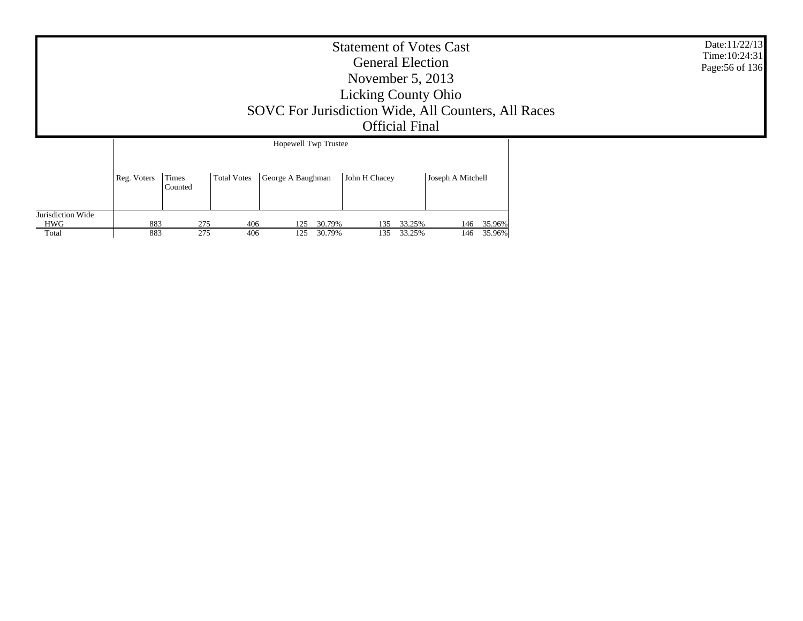|                          | <b>Statement of Votes Cast</b><br><b>General Election</b><br>November $5, 2013$<br><b>Licking County Ohio</b><br>SOVC For Jurisdiction Wide, All Counters, All Races<br><b>Official Final</b>                 |  |     |     |     |        |     |        |  |     | Date:11/22/13<br>Time: 10:24:31<br>Page: 56 of 136 |  |
|--------------------------|---------------------------------------------------------------------------------------------------------------------------------------------------------------------------------------------------------------|--|-----|-----|-----|--------|-----|--------|--|-----|----------------------------------------------------|--|
| Jurisdiction Wide<br>HWG | Hopewell Twp Trustee<br>John H Chacey<br>Joseph A Mitchell<br>Times<br><b>Total Votes</b><br>George A Baughman<br>Reg. Voters<br>Counted<br>275<br>883<br>406<br>30.79%<br>33.25%<br>146 35.96%<br>125<br>135 |  |     |     |     |        |     |        |  |     |                                                    |  |
| Total                    | 883                                                                                                                                                                                                           |  | 275 | 406 | 125 | 30.79% | 135 | 33.25% |  | 146 | 35.96%                                             |  |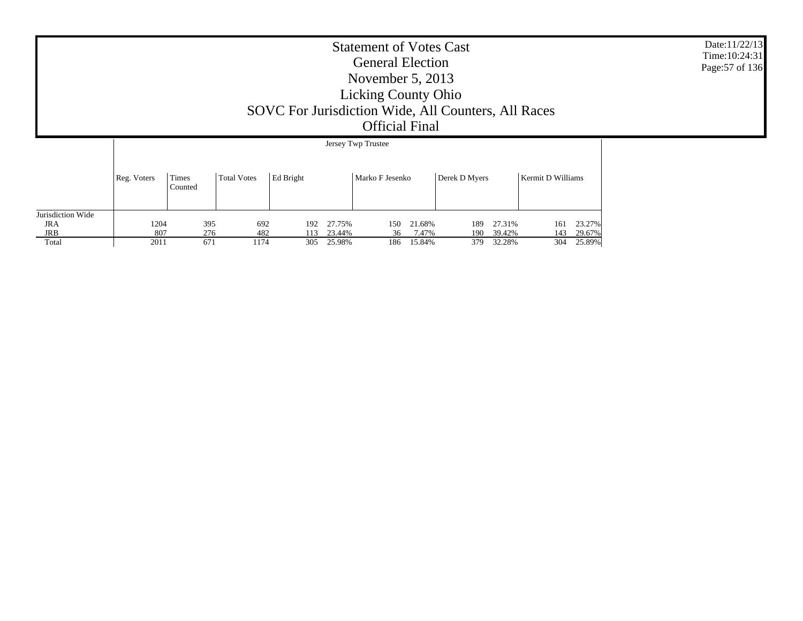Date:11/22/13 Time:10:24:31Page:57 of 136

|                   |             | Jersey Twp Trustee |                    |                  |        |                 |        |               |        |                   |        |
|-------------------|-------------|--------------------|--------------------|------------------|--------|-----------------|--------|---------------|--------|-------------------|--------|
|                   | Reg. Voters | Times<br>Counted   | <b>Total Votes</b> | <b>Ed Bright</b> |        | Marko F Jesenko |        | Derek D Myers |        | Kermit D Williams |        |
| Jurisdiction Wide |             |                    |                    |                  |        |                 |        |               |        |                   |        |
| <b>JRA</b>        | 1204        | 395                | 692                | 192              | 27.75% | 150             | 21.68% | 189           | 27.31% | 161               | 23.27% |
| JRB               | 807         | 276                | 482                | 113              | 23.44% | 36              | 7.47%  | 190           | 39.42% | 143               | 29.67% |
| Total             | 2011        | 671                | 1174               | 305              | 25.98% | 186             | 15.84% | 379           | 32.28% | 304               | 25.89% |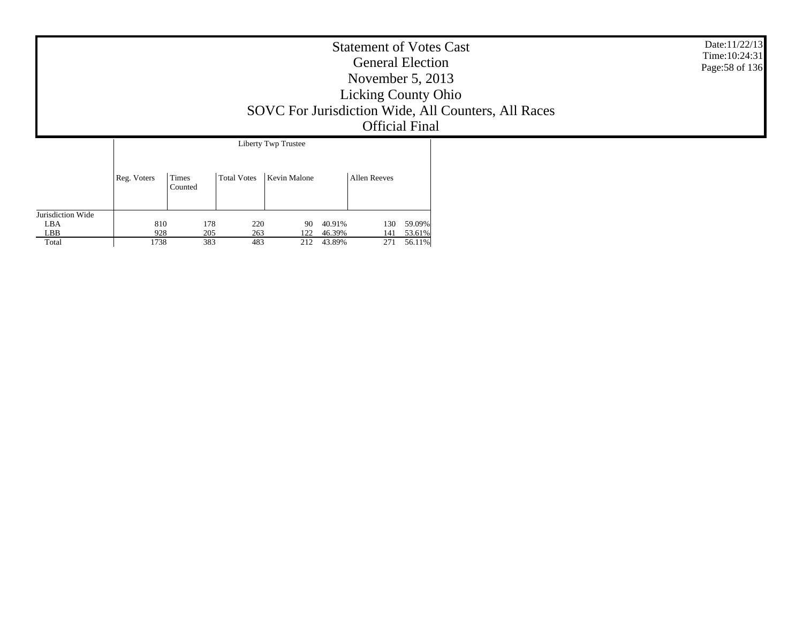|             |                  |             |                                            | <b>Statement of Votes Cast</b><br><b>General Election</b><br>November $5, 2013$<br><b>Licking County Ohio</b><br><b>Official Final</b> | SOVC For Jurisdiction Wide, All Counters, All Races | Date:11/22/13<br>Time: 10:24:31<br>Page: 58 of 136 |
|-------------|------------------|-------------|--------------------------------------------|----------------------------------------------------------------------------------------------------------------------------------------|-----------------------------------------------------|----------------------------------------------------|
| Reg. Voters | Times<br>Counted | Total Votes | Liberty Twp Trustee<br><b>Kevin Malone</b> | <b>Allen Reeves</b>                                                                                                                    |                                                     |                                                    |

130 59.09%

141 53.61%

271 56.11%

Jurisdiction Wide LBA

810

928

1738

178 220 90 40.91%

205 263 122 46.39%

383 483 212 43.89%

LBB Total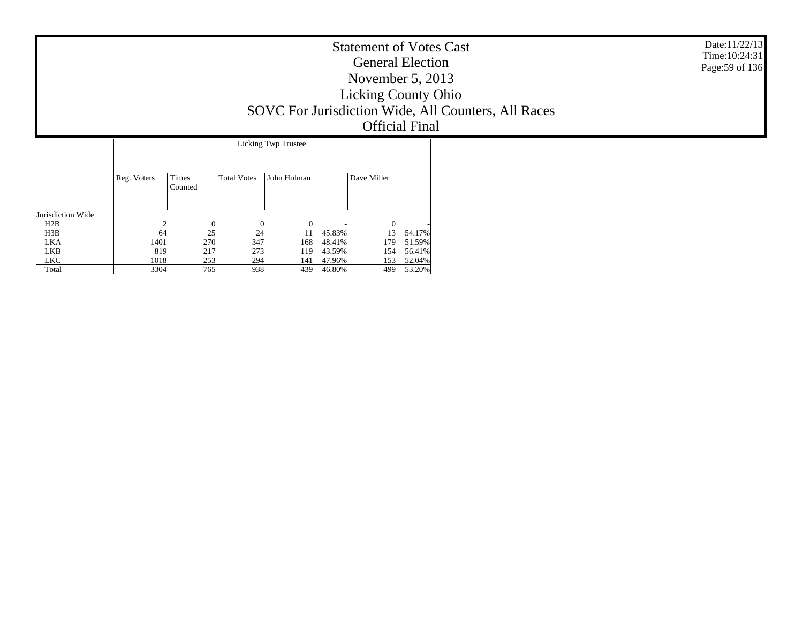| <b>Statement of Votes Cast</b><br><b>General Election</b><br>November $5, 2013$<br><b>Licking County Ohio</b><br>SOVC For Jurisdiction Wide, All Counters, All Races<br><b>Official Final</b> | Date:11/22/13<br>Time: $10:24:31$<br>Page: 59 of 136 |
|-----------------------------------------------------------------------------------------------------------------------------------------------------------------------------------------------|------------------------------------------------------|
| Licking Twp Trustee                                                                                                                                                                           |                                                      |

|                   | Reg. Voters | Times<br>Counted | <b>Total Votes</b> | John Holman |        | Dave Miller |        |
|-------------------|-------------|------------------|--------------------|-------------|--------|-------------|--------|
| Jurisdiction Wide |             |                  |                    |             |        |             |        |
| H2B               | 2           | $\Omega$         | 0                  | $\theta$    |        | $\theta$    |        |
| H3B               | 64          | 25               | 24                 |             | 45.83% | 13          | 54.17% |
| <b>LKA</b>        | 1401        | 270              | 347                | 168         | 48.41% | 179         | 51.59% |
| LKB               | 819         | 217              | 273                | 119         | 43.59% | 154         | 56.41% |
| <b>LKC</b>        | 1018        | 253              | 294                | 141         | 47.96% | 153         | 52.04% |
| Total             | 3304        | 765              | 938                | 439         | 46.80% | 499         | 53.20% |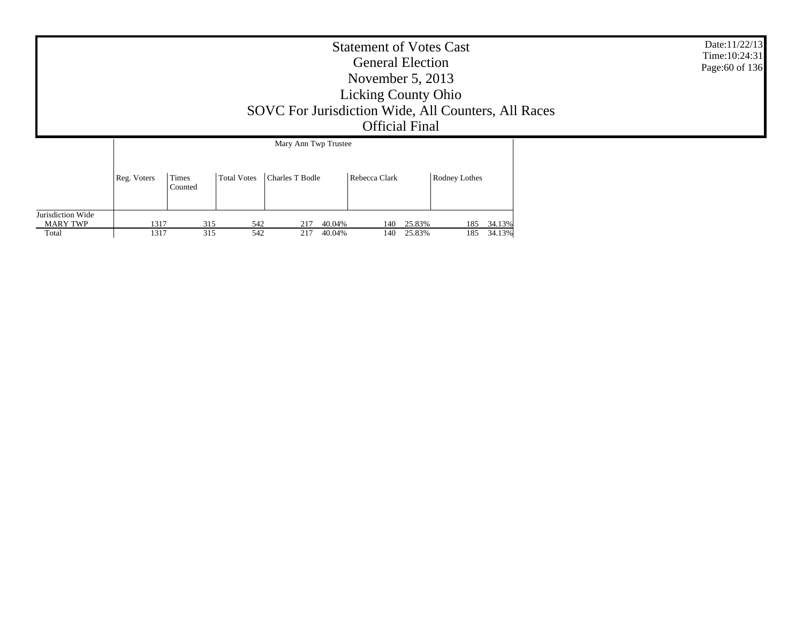|                                        | <b>Statement of Votes Cast</b><br><b>General Election</b><br>November $5, 2013$<br><b>Licking County Ohio</b><br>SOVC For Jurisdiction Wide, All Counters, All Races<br><b>Official Final</b><br>Mary Ann Twp Trustee |                  |            |            |            |                  |            |                  |     |                      |  |  |  |
|----------------------------------------|-----------------------------------------------------------------------------------------------------------------------------------------------------------------------------------------------------------------------|------------------|------------|------------|------------|------------------|------------|------------------|-----|----------------------|--|--|--|
|                                        | Reg. Voters                                                                                                                                                                                                           | Times<br>Counted |            |            |            |                  |            |                  |     |                      |  |  |  |
| Jurisdiction Wide<br>MARY TWP<br>Total | 1317<br>1317                                                                                                                                                                                                          |                  | 315<br>315 | 542<br>542 | 217<br>217 | 40.04%<br>40.04% | 140<br>140 | 25.83%<br>25.83% | 185 | 185 34.13%<br>34.13% |  |  |  |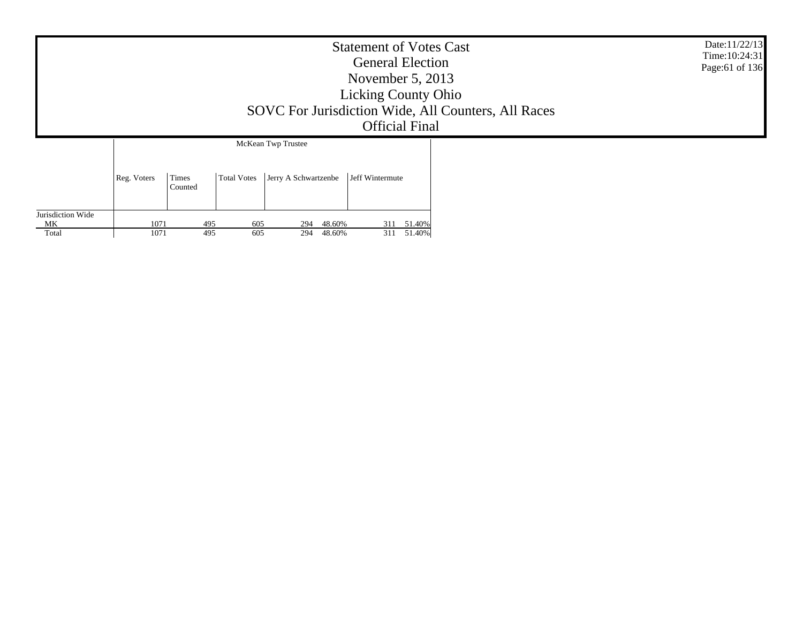|                         | <b>Statement of Votes Cast</b><br><b>General Election</b><br>November $5, 2013$<br><b>Licking County Ohio</b><br>SOVC For Jurisdiction Wide, All Counters, All Races<br><b>Official Final</b> |                  |                    |                      |                 |  |  |  |  |  |
|-------------------------|-----------------------------------------------------------------------------------------------------------------------------------------------------------------------------------------------|------------------|--------------------|----------------------|-----------------|--|--|--|--|--|
|                         |                                                                                                                                                                                               |                  |                    | McKean Twp Trustee   |                 |  |  |  |  |  |
|                         | Reg. Voters                                                                                                                                                                                   | Times<br>Counted | <b>Total Votes</b> | Jerry A Schwartzenbe | Jeff Wintermute |  |  |  |  |  |
| Jurisdiction Wide<br>МK | 1071                                                                                                                                                                                          | 495              | 605                | 48.60%<br>294        | 311 51.40%      |  |  |  |  |  |
| Total                   | 1071                                                                                                                                                                                          | 495              | 605                | 48.60%<br>294        | 51.40%<br>311   |  |  |  |  |  |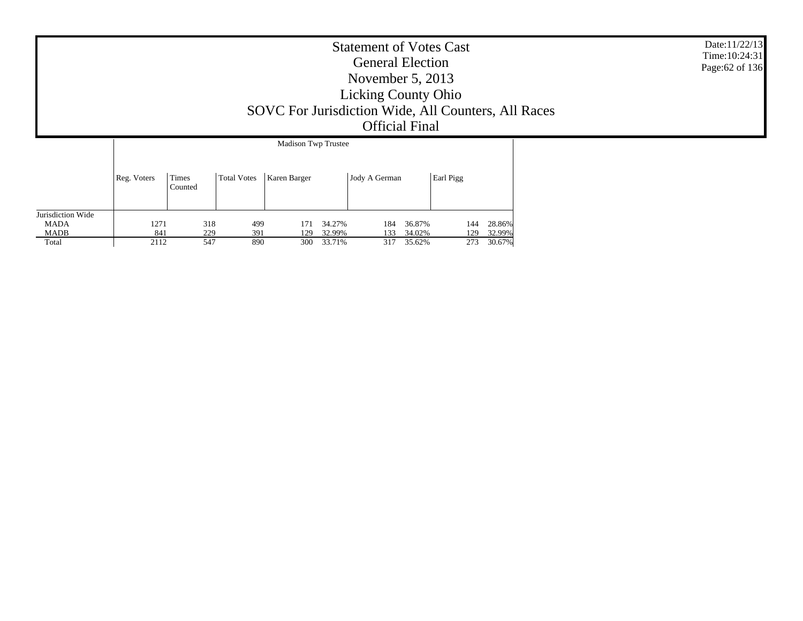|             | SOVC For Jurisdiction Wide, All Counters, All Races | Date:11/22/13<br>Time: 10:24:31<br>Page: 62 of 136 |  |  |
|-------------|-----------------------------------------------------|----------------------------------------------------|--|--|
| Reg. Voters | Times<br>Counted                                    | Total Votes                                        |  |  |

| Jurisdiction Wide |      |     |     |     |        |     |        |          |        |
|-------------------|------|-----|-----|-----|--------|-----|--------|----------|--------|
| <b>MADA</b>       |      | 318 | 499 |     | 34.27% | 184 | 36.87% | 144      | 28.86% |
| <b>MADB</b>       | 841  | 229 | 391 | ാവ  | 32.99% | 133 | 34.02% | 120      | 32.99% |
| Total             | 2112 | 547 | 890 | 300 | 33.71% | 317 | 35.62% | วรว<br>- | 30.67% |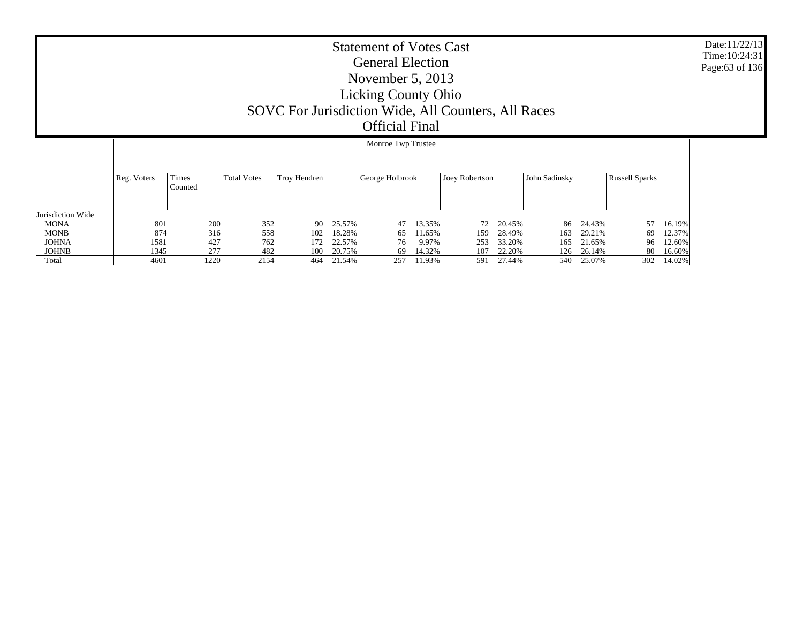|                   |             |                  |      |                    |              |        | Monroe Twp Trustee |        |                |        |               |        |                       |        |
|-------------------|-------------|------------------|------|--------------------|--------------|--------|--------------------|--------|----------------|--------|---------------|--------|-----------------------|--------|
|                   | Reg. Voters | Times<br>Counted |      | <b>Total Votes</b> | Troy Hendren |        | George Holbrook    |        | Joey Robertson |        | John Sadinsky |        | <b>Russell Sparks</b> |        |
| Jurisdiction Wide |             |                  |      |                    |              |        |                    |        |                |        |               |        |                       |        |
| <b>MONA</b>       | 801         |                  | 200  | 352                | 90           | 25.57% | 47                 | 13.35% | 72             | 20.45% | 86            | 24.43% | 57                    | 16.19% |
| <b>MONB</b>       | 874         |                  | 316  | 558                | 102          | 18.28% | 65                 | 11.65% | 159            | 28.49% | 163           | 29.21% | 69                    | 12.37% |
| <b>JOHNA</b>      | 1581        |                  | 427  | 762                | 172.         | 22.57% | 76                 | 9.97%  | 253            | 33.20% | 165           | 21.65% | 96                    | 12.60% |
| <b>JOHNB</b>      | 1345        |                  | 277  | 482                | 100          | 20.75% | 69                 | 14.32% | 107            | 22.20% | 126           | 26.14% | 80                    | 16.60% |
| Total             | 4601        |                  | 1220 | 2154               | 464          | 21.54% | 257                | 11.93% | 591            | 27.44% | 540           | 25.07% | 302                   | 14.02% |

#### Date:11/22/13 Time:10:24:31Page:63 of 136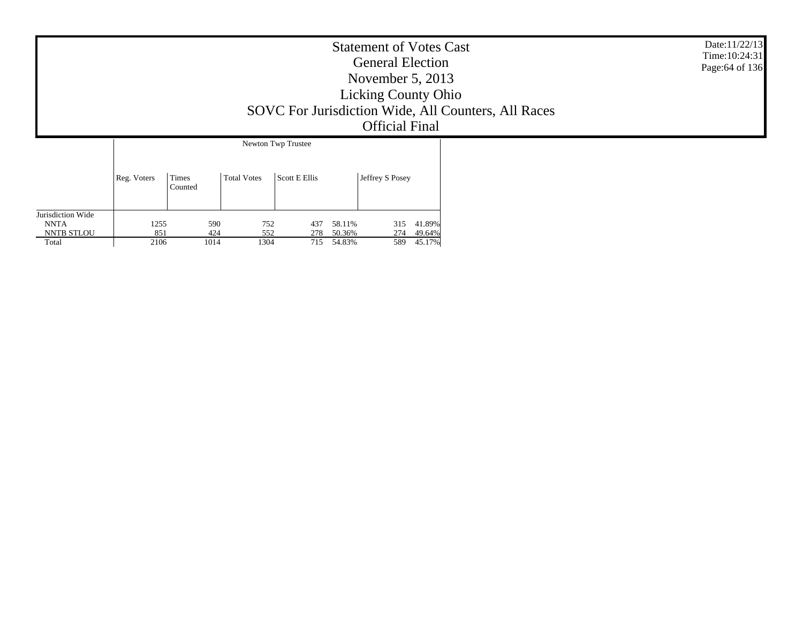| <b>Statement of Votes Cast</b><br><b>General Election</b><br>November $5, 2013$<br><b>Licking County Ohio</b><br>SOVC For Jurisdiction Wide, All Counters, All Races<br><b>Official Final</b> |                  |             |                                     |                 |  |  |  |  |
|-----------------------------------------------------------------------------------------------------------------------------------------------------------------------------------------------|------------------|-------------|-------------------------------------|-----------------|--|--|--|--|
| Reg. Voters                                                                                                                                                                                   | Times<br>Counted | Total Votes | Newton Twp Trustee<br>Scott E Ellis | Jeffrey S Posey |  |  |  |  |

315 41.89%

274 49.64%

589 45.17%

Jurisdiction Wide NNTANNTB STLOU Total

1255

851

2106

590 752 437 58.11%

424 552 278 50.36%

1014 1304 715 54.83%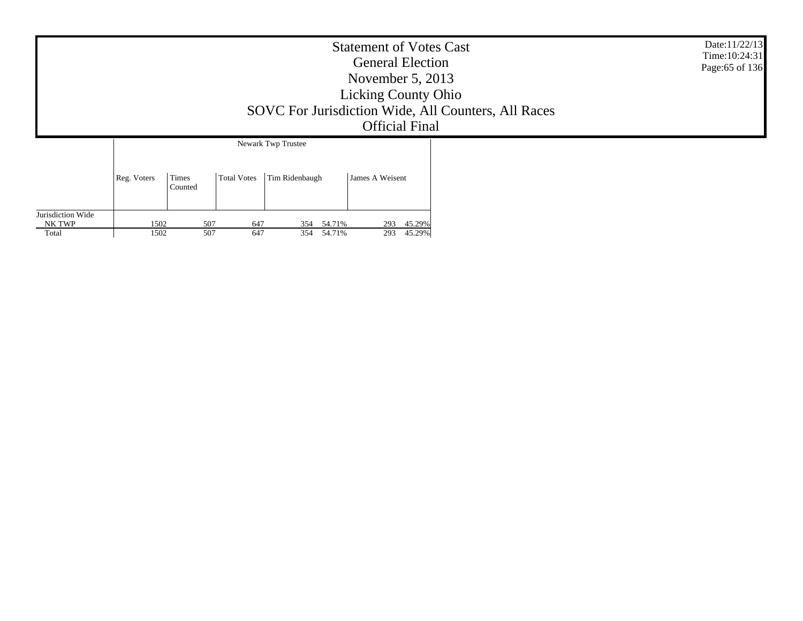|                                      |              |                  |                    |                                      | <b>Statement of Votes Cast</b><br><b>General Election</b><br>November $5, 2013$<br><b>Licking County Ohio</b><br><b>Official Final</b> | SOVC For Jurisdiction Wide, All Counters, All Races | Date:11/22/13<br>Time: 10:24:31<br>Page:65 of 136 |
|--------------------------------------|--------------|------------------|--------------------|--------------------------------------|----------------------------------------------------------------------------------------------------------------------------------------|-----------------------------------------------------|---------------------------------------------------|
|                                      | Reg. Voters  | Times<br>Counted | <b>Total Votes</b> | Newark Twp Trustee<br>Tim Ridenbaugh |                                                                                                                                        |                                                     |                                                   |
| Jurisdiction Wide<br>NK TWP<br>Total | 1502<br>1502 | 507<br>507       | 647<br>647         | 354 54.71%<br>354 54.71%             | 45.29%<br>293<br>45.29%<br>293                                                                                                         |                                                     |                                                   |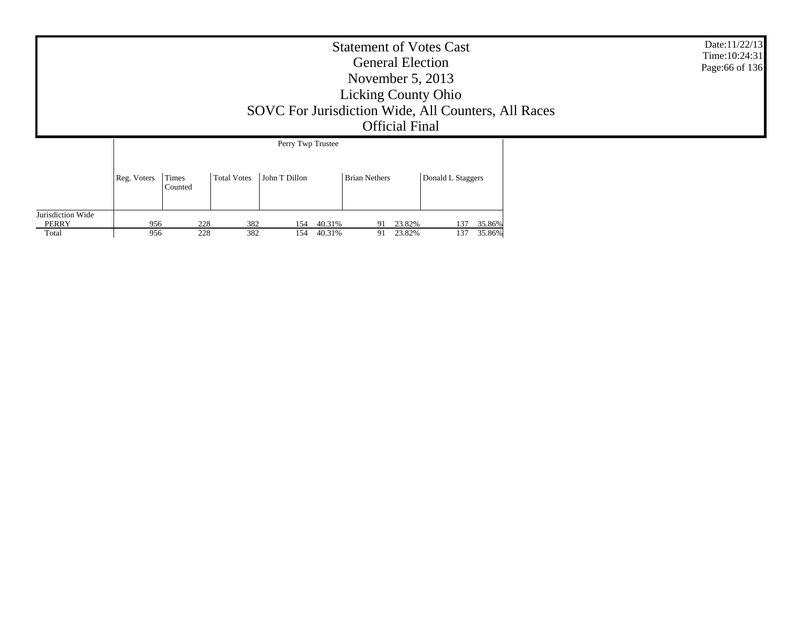|                                     | <b>Statement of Votes Cast</b><br><b>General Election</b><br>November $5, 2013$<br><b>Licking County Ohio</b><br>SOVC For Jurisdiction Wide, All Counters, All Races<br><b>Official Final</b> |                  |                    |                                    |                  |                      |                  |                   |            |                  |  |  |
|-------------------------------------|-----------------------------------------------------------------------------------------------------------------------------------------------------------------------------------------------|------------------|--------------------|------------------------------------|------------------|----------------------|------------------|-------------------|------------|------------------|--|--|
|                                     | Reg. Voters                                                                                                                                                                                   | Times<br>Counted | <b>Total Votes</b> | Perry Twp Trustee<br>John T Dillon |                  | <b>Brian Nethers</b> |                  | Donald L Staggers |            |                  |  |  |
| Jurisdiction Wide<br>PERRY<br>Total | 956<br>956                                                                                                                                                                                    | 228<br>228       | 382<br>382         | 154<br>154                         | 40.31%<br>40.31% | 91<br>91             | 23.82%<br>23.82% |                   | 137<br>137 | 35.86%<br>35.86% |  |  |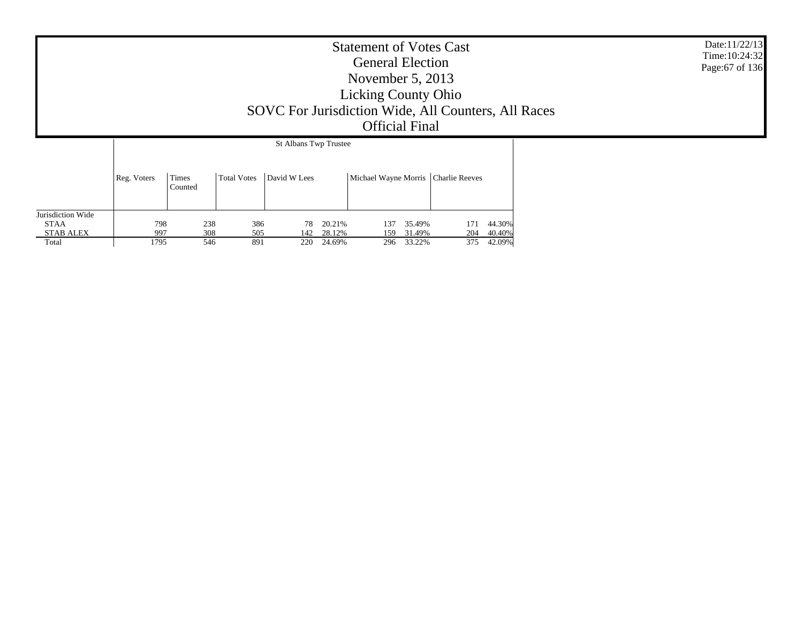|                   | Date:11/22/13<br>Time: 10:24:32<br>Page: 67 of 136 |                  |                    |  |  |  |  |  |
|-------------------|----------------------------------------------------|------------------|--------------------|--|--|--|--|--|
|                   | Reg. Voters                                        | Times<br>Counted | <b>Total Votes</b> |  |  |  |  |  |
| Jurisdiction Wide |                                                    |                  |                    |  |  |  |  |  |

137 35.49% 171 44.30%

159 31.49% 204 40.40%

 $\begin{array}{cccc} 137 & 35.49\% & & 171 & 44.30\% \\ 159 & 31.49\% & & 204 & 40.40\% \\ 296 & 33.22\% & & 375 & 42.09\% \end{array}$ 

 STAA STAB ALEX Total

798

997

1795

238 386 78 20.21%<br>308 505 142 28.12%

308 505 142 28.12%<br>546 891 220 24.69%

 $\frac{201276}{220}$  24.69%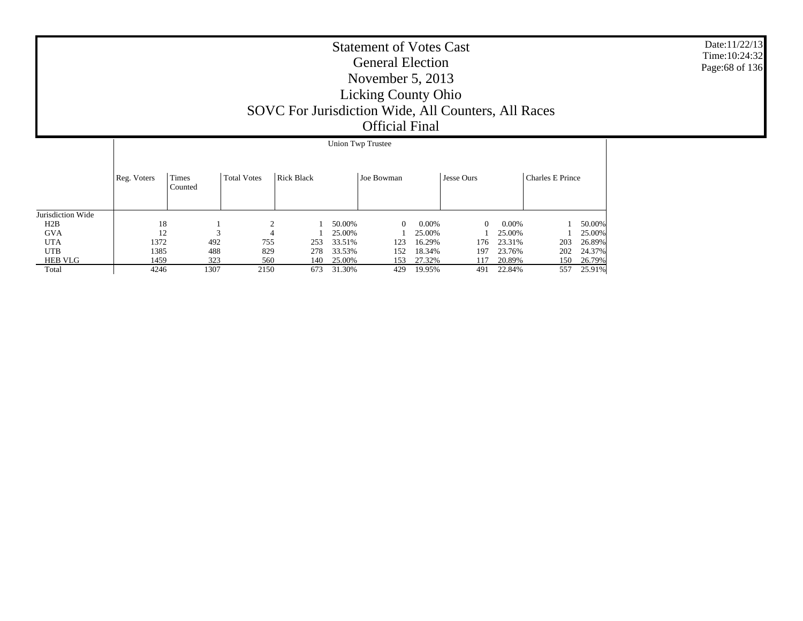|                   |             | Union Twp Trustee |                    |                   |        |              |          |            |        |                  |        |  |  |
|-------------------|-------------|-------------------|--------------------|-------------------|--------|--------------|----------|------------|--------|------------------|--------|--|--|
|                   | Reg. Voters | Times<br>Counted  | <b>Total Votes</b> | <b>Rick Black</b> |        | Joe Bowman   |          | Jesse Ours |        | Charles E Prince |        |  |  |
| Jurisdiction Wide |             |                   |                    |                   |        |              |          |            |        |                  |        |  |  |
| H2B               | 18          |                   | ↑                  |                   | 50.00% | $\mathbf{0}$ | $0.00\%$ | 0          | 0.00%  |                  | 50.00% |  |  |
| <b>GVA</b>        | 12          | $\sim$            | 4                  |                   | 25.00% |              | 25.00%   |            | 25.00% |                  | 25.00% |  |  |
| <b>UTA</b>        | 1372        | 492               | 755                | 253               | 33.51% | 123          | 16.29%   | 176        | 23.31% | 203              | 26.89% |  |  |
| <b>UTB</b>        | 1385        | 488               | 829                | 278               | 33.53% | 152          | 18.34%   | 197        | 23.76% | 202              | 24.37% |  |  |
| <b>HEB VLG</b>    | 1459        | 323               | 560                | 140               | 25.00% | 153          | 27.32%   | 117        | 20.89% | 150              | 26.79% |  |  |
| Total             | 4246        | 1307              | 2150               | 673               | 31.30% | 429          | 19.95%   | 491        | 22.84% | 557              | 25.91% |  |  |

Date:11/22/13 Time:10:24:32Page:68 of 136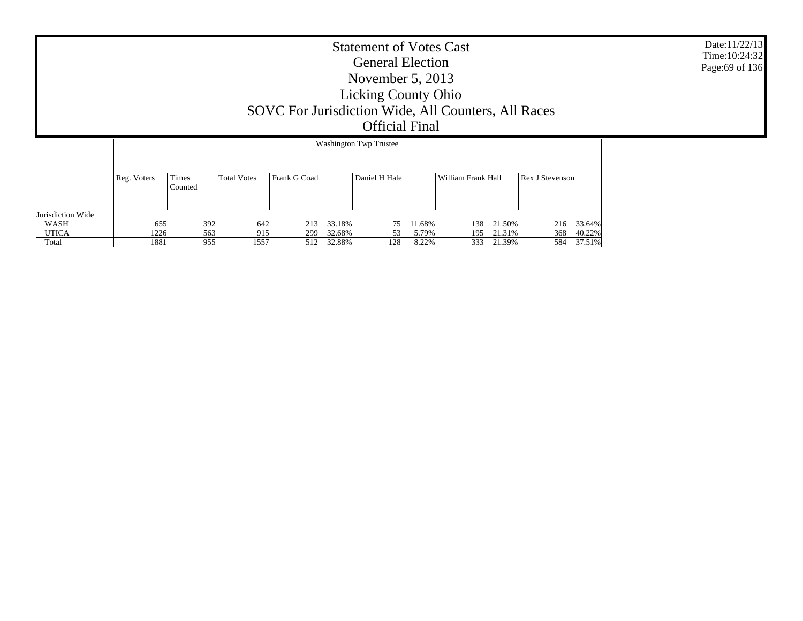|                   | <b>Washington Twp Trustee</b> |                  |                    |              |        |               |        |                    |        |                 |        |
|-------------------|-------------------------------|------------------|--------------------|--------------|--------|---------------|--------|--------------------|--------|-----------------|--------|
|                   | Reg. Voters                   | Times<br>Counted | <b>Total Votes</b> | Frank G Coad |        | Daniel H Hale |        | William Frank Hall |        | Rex J Stevenson |        |
| Jurisdiction Wide |                               |                  |                    |              |        |               |        |                    |        |                 |        |
| WASH              | 655                           | 392              | 642                | 213          | 33.18% | 75            | 11.68% | 138                | 21.50% | 216             | 33.64% |
| <b>UTICA</b>      | 1226                          | 563              | 915                | 299          | 32.68% | 53            | 5.79%  | 195                | 21.31% | 368             | 40.22% |
| Total             | 1881                          | 955              | 1557               | 512          | 32.88% | 128           | 8.22%  | 333                | 21.39% | 584             | 37.51% |

Date:11/22/13 Time:10:24:32Page:69 of 136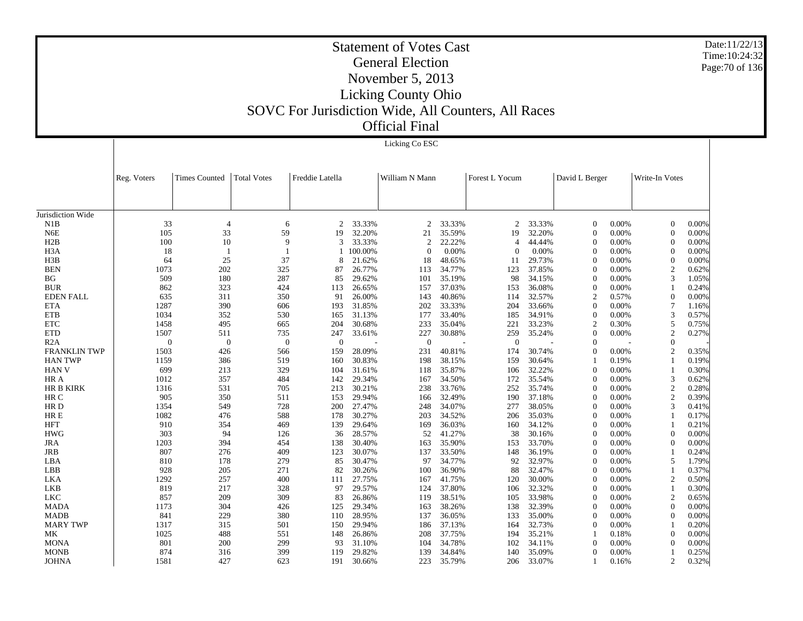Jurisdiction Wide N1B N6E H2B H3A H3B BEN BG BUR EDEN FALL ETA ETB ETC ETD R2A FRANKLIN TWP HAN TWP HAN V HR A HR B KIRK HR C HR D HR E HFT HWG JRA JRB LBA LBB LKA LKB LKC MADA MADB MARY TWP MK MONA MONB JOHNAReg. Voters | Times Counted | Total Votes | Freddie Latella | William N Mann | Forest L Yocum | David L Berger | Write-In Votes 33 4 6 2 33.33% $\%$  2 33.33% 2 33.33% 0 0.00% 0 0.00% 105 33 59 19 32.20% $\%$  21 35.59% 19 32.20% 0 0.00% 0 0.00% 100 10 9 3 33.33% $\%$  2 22.22% 4 44.44% 0 0.00% 0 0.00% 181 1 100.00%  $\%$  0 0.00% 0 0.00% 0 0.00% 0 0.00% 64 25 37 8 21.62% 18 48.65% 11 29.73% 0 0.00% 0 0.00% 1073 202 325 87 26.77% 113 34.77% 123 37.85% 0 0.00% 2 0.62% 509 180 287 85 29.62% 101 35.19% 98 34.15% 0 0.00% 3 1.05% 862 323 424 113 26.65% 157 37.03% 153 36.08% 0 0.00% 1 0.24% 635 311 350 91 26.00% 143 40.86% 114 32.57% 2 0.57% 0 0.00% 1287 390 606 193 31.85% 202 33.33% 204 33.66% 0 0.00% 7 1.16% 1034 352 530 165 31.13% 177 33.40% 185 34.91% 0 0.00% 3 0.57% 1458 495 665 204 30.68% 233 35.04% 221 33.23% 2 0.30% 5 0.75% 1507 511 735 247 33.61% 227 30.88% 259 35.24% 0 0.00% 2 0.27% 0 $0$  0 0 - 0 - 0 - 0 - 0 -1503 426 566 159 28.09% 231 40.81% 174 30.74% 0 0.00% 2 0.35% 1159 386 519 160 30.83% 198 38.15% 159 30.64% 1 0.19% 1 0.19% 699 213 329 104 31.61% 118 35.87% 106 32.22% 0 0.00% 1 0.30% 1012 357 484 142 29.34% 167 34.50% 172 35.54% 0 0.00% 3 0.62% 1316 531 705 213 30.21% 238 33.76% 252 35.74% 0 0.00% 2 0.28% 905 350 511 153 29.94% 166 32.49% 190 37.18% 0 0.00% 2 0.39% 1354 549 728 200 27.47% 248 34.07% 277 38.05% 0 0.00% 3 0.41% 1082 476 588 178 30.27% 203 34.52% 206 35.03% 0 0.00% 1 0.17% 910 354 469 139 29.64% 169 36.03% 160 34.12% 0 0.00% 1 0.21% 303 94 126 36 28.57% $\%$  52 41.27% 38 30.16% 0 0.00% 0 0.00% 1203 394 454 138 30.40% 163 35.90% 153 33.70% 0 0.00% 0 0.00% 807 276 409 123 30.07% 137 33.50% 148 36.19% 0 0.00% 1 0.24% 810 178 279 85 30.47% 97 34.77% 92 32.97% 0 0.00% 5 1.79% 928 205 271 82 30.26% 100 36.90% 88 32.47% 0 0.00% 1 0.37% 1292 257 400 111 27.75% 167 41.75% 120 30.00% 0 0.00% 2 0.50% 819 217 328 97 29.57% 124 37.80% 106 32.32% 0 0.00% 1 0.30% 857 209 309 83 26.86% 119 38.51% 105 33.98% 0 0.00% 2 0.65% 1173 304 426 125 29.34% 163 38.26% 138 32.39% 0 0.00% 0 0.00% 841 229 380 110 28.95% 137 36.05% 133 35.00% 0 0.00% 0 0.00% 1317 315 501 150 29.94% 186 37.13% 164 32.73% 0 0.00% 1 0.20% 1025 488 551 148 26.86% 208 37.75% 194 35.21% 1 0.18% 0 0.00% 801 200 299 93 31.10% $\%$  104 34.78% 102 34.11% 0 0.00% 0 0.00% 874 316 399 119 29.82% 139 34.84% 140 35.09% 0 0.00% 1 0.25% 1581 427 623 191 30.66%223 35.79% 206 33.07% 1 0.16% 2 0.32%

Licking Co ESC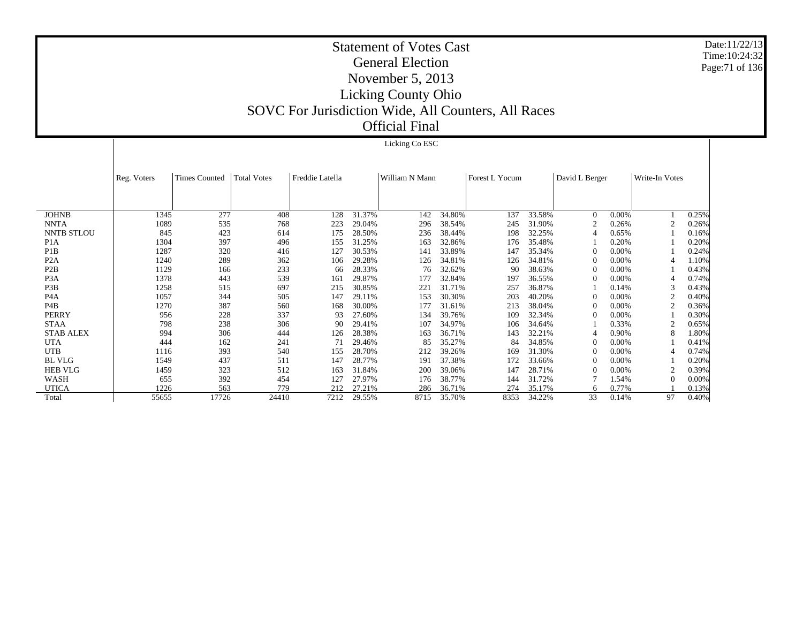Licking Co ESC

Date:11/22/13Time:10:24:32Page:71 of 136

 JOHNB NNTA NNTB STLOU P1A P1B P2A P2B P3A P3B P4A P4B PERRY STAA STAB ALEX UTA UTB BL VLG HEB VLG WASH UTICA Total Reg. Voters Times Counted Total Votes Freddie Latella William N Mann Forest L Yocum David L Berger Write-In Votes  $1345$ 277 408 128 31.37% 142 34.80% 137 33.58% 0 0.00% 1 0.25% 1089 535 768 223 29.04% 296 38.54% 245 31.90% 2 0.26% 2 0.26% 845 423 614 175 28.50% 236 38.44% 198 32.25% 4 0.65% 1 0.16% 1304 397 496 155 31.25% 163 32.86% 176 35.48% 1 0.20% 1 0.20% 1287 320 416 127 30.53% 141 33.89% 147 35.34% 0 0.00% 1 0.24% 1240 289 362 106 29.28% 126 34.81% 126 34.81% 0 0.00% 4 1.10% 1129 166 233 66 28.33% 76 32.62% 90 38.63% 0 0.00% 1 0.43% 1378 443 539 161 29.87% 177 32.84% 197 36.55% 0 0.00% 4 0.74% 1258 515 697 215 30.85% 221 31.71% 257 36.87% 1 0.14% 3 0.43% 1057 344 505 147 29.11% 153 30.30% 203 40.20% 0 0.00% 2 0.40% 1270 387 560 168 30.00% 177 31.61% 213 38.04% 0 0.00% 2 0.36% 956 228 337 93 27.60% 134 39.76% 109 32.34% 0 0.00% 1 0.30% 798 238 306 90 29.41% 107 34.97% 106 34.64% 1 0.33% 2 0.65% 994 306 444 126 28.38% 163 36.71% 143 32.21% 4 0.90% 8 1.80% 444 162 241 71 29.46% 85 35.27% 84 34.85% 0 0.00% 1 0.41% 1116 393 540 155 28.70% 212 39.26% 169 31.30% 0 0.00% 4 0.74% 1549 437 511 147 28.77% 191 37.38% 172 33.66% 0 0.00% 1 0.20% 1459 323 512 163 31.84% 200 39.06% 147 28.71% 0 0.00% 2 0.39% 655 392 454 127 27.97% 176 38.77% 144 31.72% 7 1.54% 0 0.00% 1226 563 779 212 27.21% 286 36.71% 274 35.17% 6 0.77% 1 0.13% 55655 17726 24410 7212 29.55%8715 35.70% 8353 34.22% 33 0.14% 97 0.40%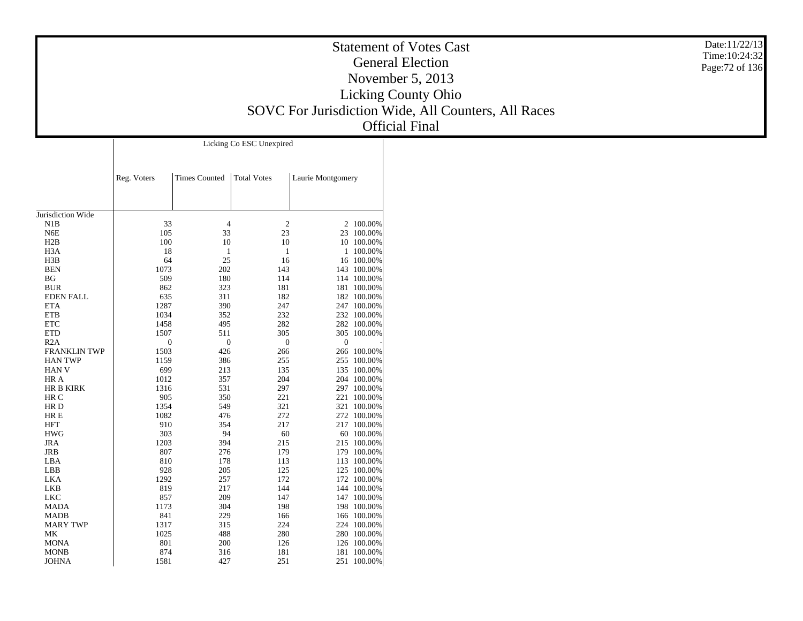| <b>Statement of Votes Cast</b>                      |  |  |  |  |  |  |
|-----------------------------------------------------|--|--|--|--|--|--|
| <b>General Election</b>                             |  |  |  |  |  |  |
| November $5, 2013$                                  |  |  |  |  |  |  |
| <b>Licking County Ohio</b>                          |  |  |  |  |  |  |
| SOVC For Jurisdiction Wide, All Counters, All Races |  |  |  |  |  |  |
| <b>Official Final</b>                               |  |  |  |  |  |  |

Date:11/22/13 Time:10:24:32 Page:72 of 136

|                     | Licking Co ESC Unexpired |                      |                    |                   |             |  |  |  |  |
|---------------------|--------------------------|----------------------|--------------------|-------------------|-------------|--|--|--|--|
|                     | Reg. Voters              | <b>Times Counted</b> | <b>Total Votes</b> | Laurie Montgomery |             |  |  |  |  |
|                     |                          |                      |                    |                   |             |  |  |  |  |
| Jurisdiction Wide   |                          |                      |                    |                   |             |  |  |  |  |
| N1B                 | 33                       | $\overline{4}$       | $\overline{c}$     |                   | 2 100.00%   |  |  |  |  |
| N <sub>6</sub> E    | 105                      | 33                   | 23                 |                   | 23 100.00%  |  |  |  |  |
| H2B                 | 100                      | 10                   | 10                 |                   | 10 100.00%  |  |  |  |  |
| H <sub>3</sub> A    | 18                       | 1                    | $\mathbf{1}$       | 1                 | 100.00%     |  |  |  |  |
| H3B                 | 64                       | 25                   | 16                 |                   | 16 100.00%  |  |  |  |  |
| <b>BEN</b>          | 1073                     | 202                  | 143                |                   | 143 100.00% |  |  |  |  |
| BG                  | 509                      | 180                  | 114                |                   | 114 100.00% |  |  |  |  |
| <b>BUR</b>          | 862                      | 323                  | 181                |                   | 181 100.00% |  |  |  |  |
| <b>EDEN FALL</b>    | 635                      | 311                  | 182                |                   | 182 100.00% |  |  |  |  |
| <b>ETA</b>          | 1287                     | 390                  | 247                |                   | 247 100.00% |  |  |  |  |
| <b>ETB</b>          | 1034                     | 352                  | 232                |                   | 232 100.00% |  |  |  |  |
| <b>ETC</b>          | 1458                     | 495                  | 282                |                   | 282 100.00% |  |  |  |  |
| <b>ETD</b>          | 1507                     | 511                  | 305                |                   | 305 100.00% |  |  |  |  |
| R2A                 | $\overline{0}$           | $\mathbf{0}$         | $\mathbf{0}$       | $\overline{0}$    |             |  |  |  |  |
| <b>FRANKLIN TWP</b> | 1503                     | 426                  | 266                |                   | 266 100.00% |  |  |  |  |
| <b>HAN TWP</b>      | 1159                     | 386                  | 255                |                   | 255 100.00% |  |  |  |  |
| <b>HAN V</b>        | 699                      | 213                  | 135                |                   | 135 100.00% |  |  |  |  |
| HR A                | 1012                     | 357                  | 204                |                   | 204 100.00% |  |  |  |  |
| <b>HR B KIRK</b>    | 1316                     | 531                  | 297                |                   | 297 100.00% |  |  |  |  |
| HR C                | 905                      | 350                  | 221                |                   | 221 100.00% |  |  |  |  |
| HR D                | 1354                     | 549                  | 321                |                   | 321 100.00% |  |  |  |  |
| HR E                | 1082                     | 476                  | 272                |                   | 272 100.00% |  |  |  |  |
| HFT                 | 910                      | 354                  | 217                |                   | 217 100.00% |  |  |  |  |
| <b>HWG</b>          | 303                      | 94                   | 60                 |                   | 60 100.00%  |  |  |  |  |
| <b>JRA</b>          | 1203                     | 394                  | 215                |                   | 215 100.00% |  |  |  |  |
| <b>JRB</b>          | 807                      | 276                  | 179                |                   | 179 100.00% |  |  |  |  |
| LBA                 | 810                      | 178                  | 113                |                   | 113 100.00% |  |  |  |  |
| LBB                 | 928                      | 205                  | 125                |                   | 125 100.00% |  |  |  |  |
| LKA                 | 1292                     | 257                  | 172                |                   | 172 100.00% |  |  |  |  |
| LKB                 | 819                      | 217                  | 144                |                   | 144 100.00% |  |  |  |  |
| <b>LKC</b>          | 857                      | 209                  | 147                |                   | 147 100.00% |  |  |  |  |
| MADA                | 1173                     | 304                  | 198                |                   | 198 100.00% |  |  |  |  |
| <b>MADB</b>         | 841                      | 229                  | 166                |                   | 166 100.00% |  |  |  |  |
| <b>MARY TWP</b>     | 1317                     | 315                  | 224                |                   | 224 100.00% |  |  |  |  |
| МK                  | 1025                     | 488                  | 280                |                   | 280 100.00% |  |  |  |  |
| <b>MONA</b>         | 801                      | 200                  | 126                |                   | 126 100.00% |  |  |  |  |
| <b>MONB</b>         | 874                      | 316                  | 181                |                   | 181 100.00% |  |  |  |  |
| <b>JOHNA</b>        | 1581                     | 427                  | 251                | 251               | 100.00%     |  |  |  |  |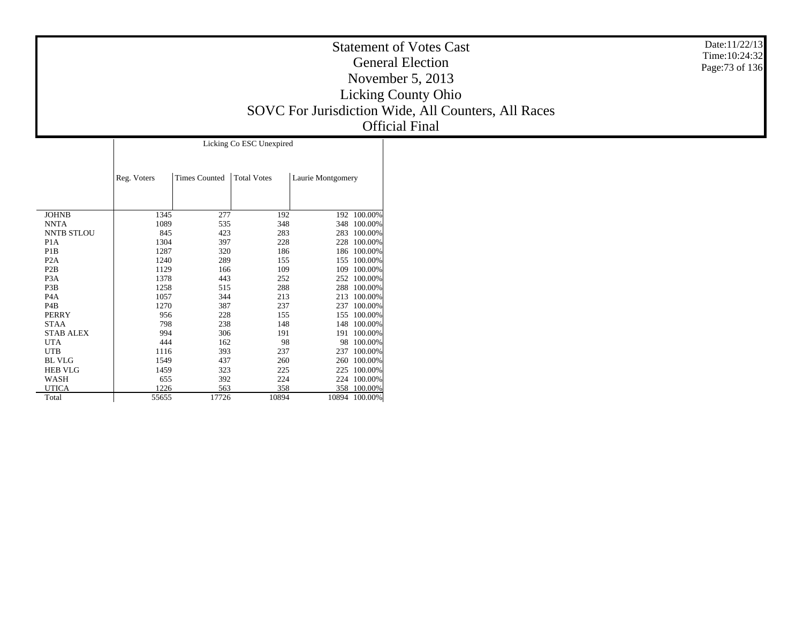| <b>Statement of Votes Cast</b>                      |
|-----------------------------------------------------|
| <b>General Election</b>                             |
| November 5, 2013                                    |
| <b>Licking County Ohio</b>                          |
| SOVC For Jurisdiction Wide, All Counters, All Races |
| <b>Official Final</b>                               |

Date:11/22/13 Time:10:24:32 Page:73 of 136

|                   | Licking Co ESC Unexpired |                      |                    |                   |         |  |  |  |  |  |  |  |  |
|-------------------|--------------------------|----------------------|--------------------|-------------------|---------|--|--|--|--|--|--|--|--|
|                   | Reg. Voters              | <b>Times Counted</b> | <b>Total Votes</b> | Laurie Montgomery |         |  |  |  |  |  |  |  |  |
| <b>JOHNB</b>      | 1345                     | 277                  | 192                | 192               | 100.00% |  |  |  |  |  |  |  |  |
| <b>NNTA</b>       | 1089                     | 535                  | 348                | 348               | 100.00% |  |  |  |  |  |  |  |  |
| <b>NNTB STLOU</b> | 845                      | 423                  | 283                | 283               | 100.00% |  |  |  |  |  |  |  |  |
| P <sub>1</sub> A  | 1304                     | 397                  | 228                | 228               | 100.00% |  |  |  |  |  |  |  |  |
| P <sub>1</sub> B  | 1287                     | 320                  | 186                | 186               | 100.00% |  |  |  |  |  |  |  |  |
| P <sub>2</sub> A  | 1240                     | 289                  | 155                | 155               | 100.00% |  |  |  |  |  |  |  |  |
| P <sub>2</sub> B  | 1129                     | 166                  | 109                | 109               | 100.00% |  |  |  |  |  |  |  |  |
| P <sub>3</sub> A  | 1378                     | 443                  | 252                | 252               | 100.00% |  |  |  |  |  |  |  |  |
| P <sub>3</sub> B  | 1258                     | 515                  | 288                | 288               | 100.00% |  |  |  |  |  |  |  |  |
| P <sub>4</sub> A  | 1057                     | 344                  | 213                | 213               | 100.00% |  |  |  |  |  |  |  |  |
| P <sub>4</sub> B  | 1270                     | 387                  | 237                | 237               | 100.00% |  |  |  |  |  |  |  |  |
| <b>PERRY</b>      | 956                      | 228                  | 155                | 155               | 100.00% |  |  |  |  |  |  |  |  |
| <b>STAA</b>       | 798                      | 238                  | 148                | 148               | 100.00% |  |  |  |  |  |  |  |  |
| <b>STAB ALEX</b>  | 994                      | 306                  | 191                | 191               | 100.00% |  |  |  |  |  |  |  |  |
| <b>UTA</b>        | 444                      | 162                  | 98                 | 98                | 100.00% |  |  |  |  |  |  |  |  |
| <b>UTB</b>        | 1116                     | 393                  | 237                | 237               | 100.00% |  |  |  |  |  |  |  |  |
| <b>BL VLG</b>     | 1549                     | 437                  | 260                | 260               | 100.00% |  |  |  |  |  |  |  |  |
| <b>HEB VLG</b>    | 1459                     | 323                  | 225                | 225               | 100.00% |  |  |  |  |  |  |  |  |
| WASH              | 655                      | 392                  | 224                | 224               | 100.00% |  |  |  |  |  |  |  |  |
| <b>UTICA</b>      | 1226                     | 563                  | 358                | 358               | 100.00% |  |  |  |  |  |  |  |  |
| Total             | 55655                    | 17726                | 10894              | 10894             | 100.00% |  |  |  |  |  |  |  |  |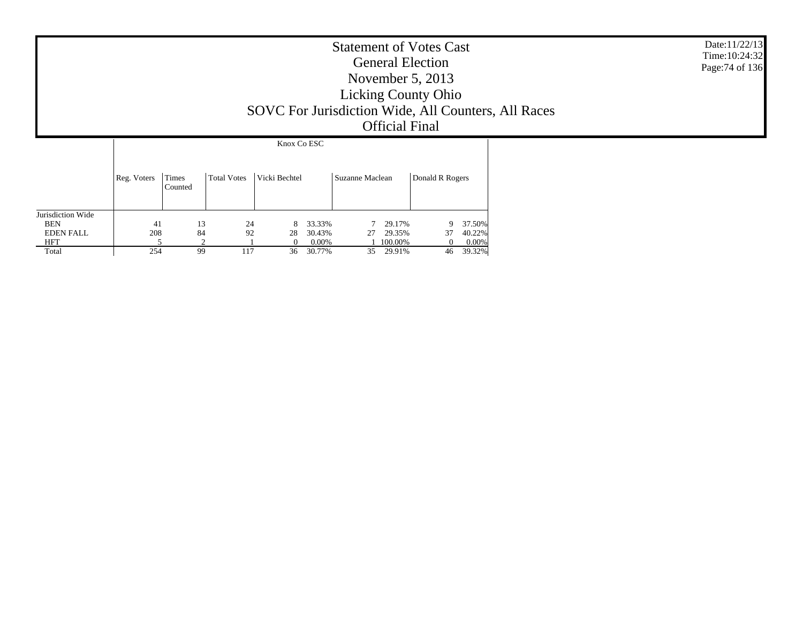| <b>Statement of Votes Cast</b>                      |  |
|-----------------------------------------------------|--|
| <b>General Election</b>                             |  |
| November $5, 2013$                                  |  |
| <b>Licking County Ohio</b>                          |  |
| SOVC For Jurisdiction Wide, All Counters, All Races |  |
| <b>Official Final</b>                               |  |
| $V_{\text{max}}$ $C_{2}$ $E C$                      |  |

Date:11/22/13 Time:10:24:32 Page:74 of 136

|                   |             | Knox Co ESC             |                    |               |          |                 |         |                 |        |  |  |  |  |  |
|-------------------|-------------|-------------------------|--------------------|---------------|----------|-----------------|---------|-----------------|--------|--|--|--|--|--|
|                   |             |                         |                    |               |          |                 |         |                 |        |  |  |  |  |  |
|                   | Reg. Voters | <b>Times</b><br>Counted | <b>Total Votes</b> | Vicki Bechtel |          | Suzanne Maclean |         | Donald R Rogers |        |  |  |  |  |  |
| Jurisdiction Wide |             |                         |                    |               |          |                 |         |                 |        |  |  |  |  |  |
| <b>BEN</b>        | 41          | 13                      | 24                 | 8             | 33.33%   |                 | 29.17%  | 9               | 37.50% |  |  |  |  |  |
| <b>EDEN FALL</b>  | 208         | 84                      | 92                 | 28            | 30.43%   | 27              | 29.35%  | 37              | 40.22% |  |  |  |  |  |
| <b>HFT</b>        |             | ↑                       |                    | 0             | $0.00\%$ |                 | 100.00% |                 | 0.00%  |  |  |  |  |  |
| Total             | 254         | 99                      | 117                | 36            | 30.77%   | 35              | 29.91%  | 46              | 39.32% |  |  |  |  |  |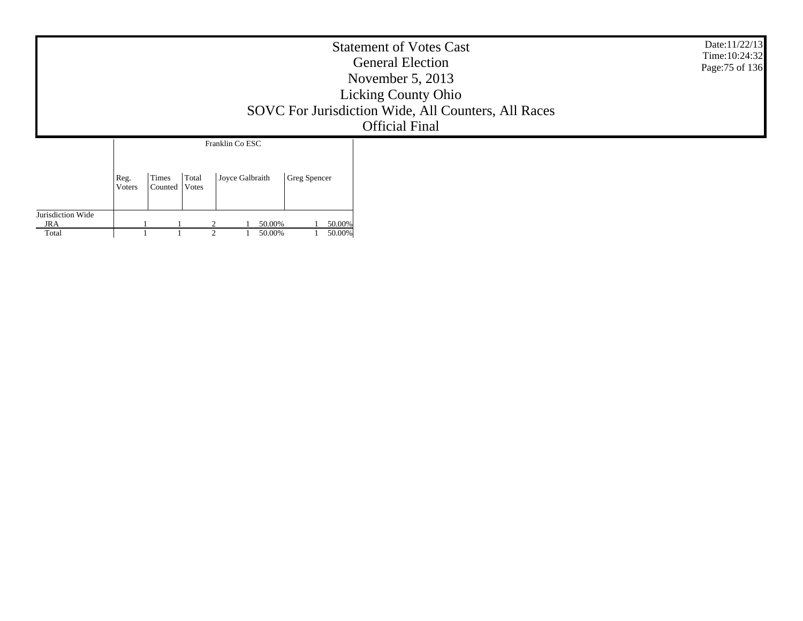|                                          |                |                                    |                                    |                  | <b>Statement of Votes Cast</b><br><b>General Election</b><br>November $5, 2013$<br><b>Licking County Ohio</b><br>SOVC For Jurisdiction Wide, All Counters, All Races<br><b>Official Final</b> | Date:11/22/13<br>Time: 10:24:32<br>Page: 75 of 136 |
|------------------------------------------|----------------|------------------------------------|------------------------------------|------------------|-----------------------------------------------------------------------------------------------------------------------------------------------------------------------------------------------|----------------------------------------------------|
|                                          | Reg.<br>Voters | Times<br>Total<br>Counted<br>Votes | Franklin Co ESC<br>Joyce Galbraith | Greg Spencer     |                                                                                                                                                                                               |                                                    |
| Jurisdiction Wide<br><b>JRA</b><br>Total |                |                                    | 50.00%<br>50.00%                   | 50.00%<br>50.00% |                                                                                                                                                                                               |                                                    |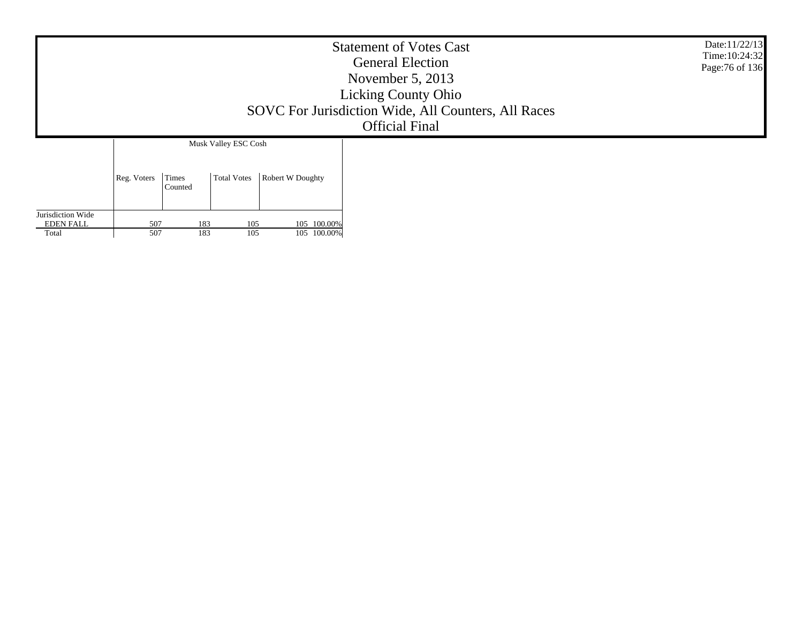| <b>Statement of Votes Cast</b><br><b>General Election</b><br>November 5, 2013<br><b>Licking County Ohio</b><br>SOVC For Jurisdiction Wide, All Counters, All Races<br><b>Official Final</b><br>Musk Valley ESC Cosh |                                        |                  |  |  |  |  |  |
|---------------------------------------------------------------------------------------------------------------------------------------------------------------------------------------------------------------------|----------------------------------------|------------------|--|--|--|--|--|
| Reg. Voters                                                                                                                                                                                                         | <b>Total Votes</b><br>Times<br>Counted | Robert W Doughty |  |  |  |  |  |

Jurisdiction Wide EDEN FALL Total

507

507

183 105 105 100.00% 183 105 105 100.00%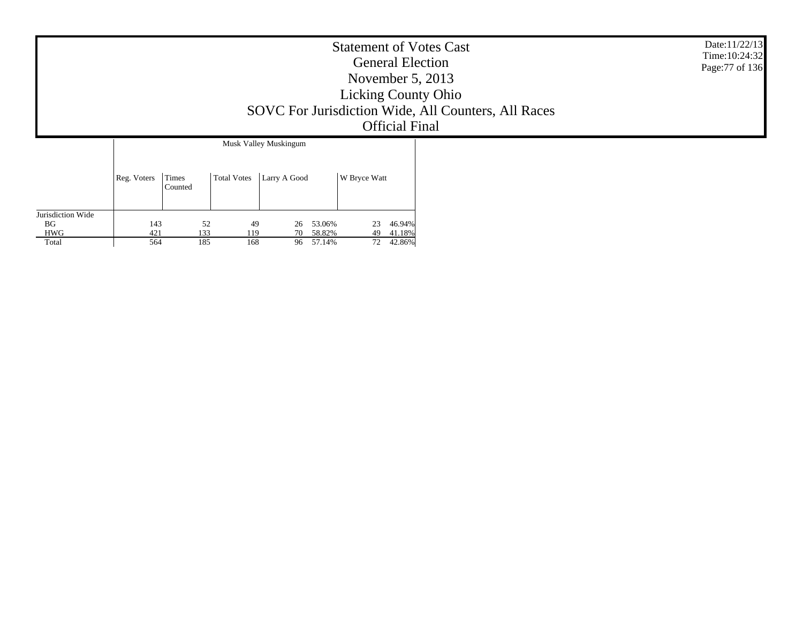|                    | <b>Statement of Votes Cast</b><br><b>General Election</b><br>November $5, 2013$<br><b>Licking County Ohio</b><br>SOVC For Jurisdiction Wide, All Counters, All Races<br><b>Official Final</b> |                  |                    |                       |                  |              |                  |  |  |  |
|--------------------|-----------------------------------------------------------------------------------------------------------------------------------------------------------------------------------------------|------------------|--------------------|-----------------------|------------------|--------------|------------------|--|--|--|
|                    |                                                                                                                                                                                               |                  |                    | Musk Valley Muskingum |                  |              |                  |  |  |  |
|                    | Reg. Voters                                                                                                                                                                                   | Times<br>Counted | <b>Total Votes</b> | Larry A Good          |                  | W Bryce Watt |                  |  |  |  |
| Jurisdiction Wide  |                                                                                                                                                                                               |                  |                    |                       |                  |              |                  |  |  |  |
| <b>HWG</b>         | 421                                                                                                                                                                                           | 133              | 119                | 70                    | 58.82%           | 49           | 41.18%           |  |  |  |
| <b>BG</b><br>Total | 143<br>564                                                                                                                                                                                    | 52<br>185        | 49<br>168          | 26<br>96              | 53.06%<br>57.14% | 23<br>72     | 46.94%<br>42.86% |  |  |  |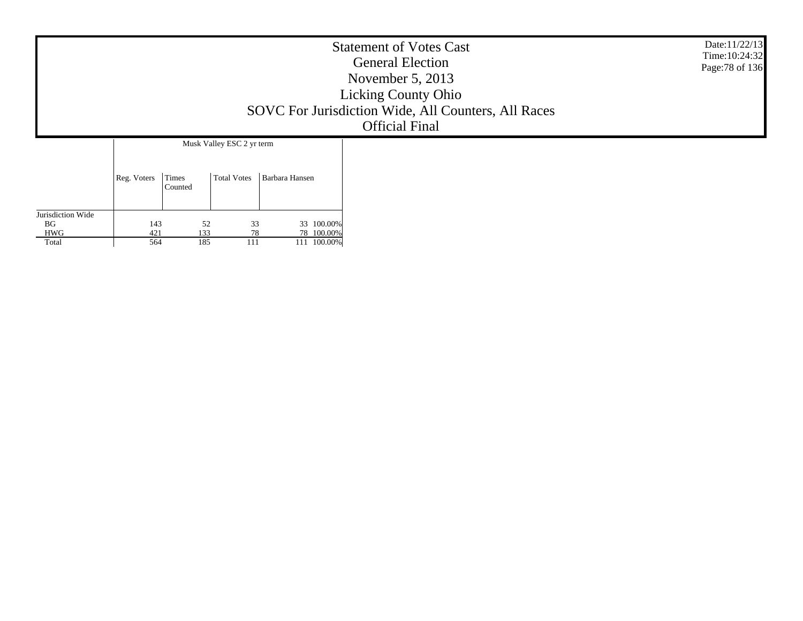| <b>Statement of Votes Cast</b><br><b>General Election</b><br>November $5, 2013$<br><b>Licking County Ohio</b><br>SOVC For Jurisdiction Wide, All Counters, All Races<br><b>Official Final</b> |  |  |  |  |  |  |  |
|-----------------------------------------------------------------------------------------------------------------------------------------------------------------------------------------------|--|--|--|--|--|--|--|
| Musk Valley ESC 2 yr term<br><b>Total Votes</b><br>Barbara Hansen<br>Times<br>Reg. Voters<br>Counted                                                                                          |  |  |  |  |  |  |  |

| Jurisdiction Wide |     |     |    |    |            |
|-------------------|-----|-----|----|----|------------|
| BG                | 143 | 52  | 33 |    | 33 100.00% |
| <b>HWG</b>        | 421 | 133 | 78 | 78 | 100.00%    |
| Total             | 564 | 185 |    |    | 100.00%    |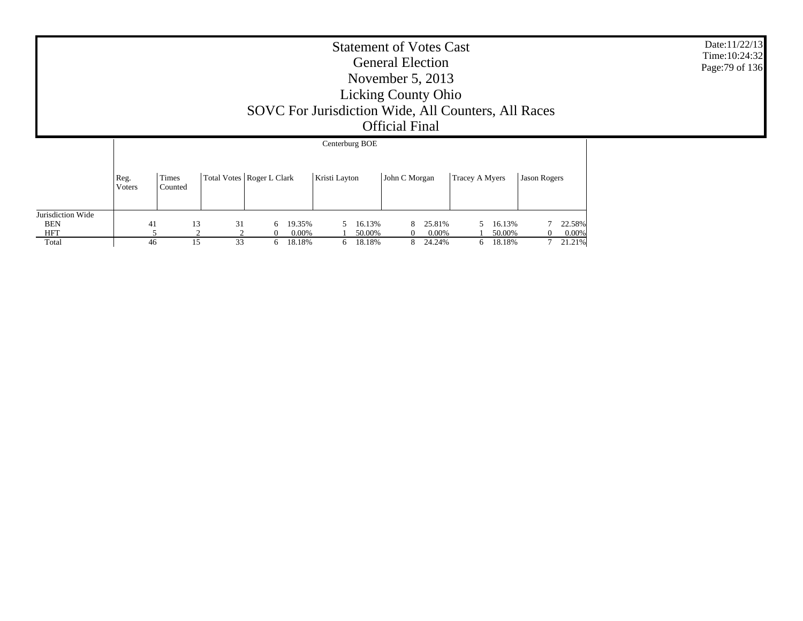| <b>Statement of Votes Cast</b><br><b>General Election</b><br>November $5, 2013$<br><b>Licking County Ohio</b><br>SOVC For Jurisdiction Wide, All Counters, All Races<br><b>Official Final</b> |                |                  |                             |                 |          |                      |               |                  |               |          |                    | Date: 11/22/13<br>Time: 10:24:32<br>Page: 79 of 136 |                  |              |          |                 |  |  |
|-----------------------------------------------------------------------------------------------------------------------------------------------------------------------------------------------|----------------|------------------|-----------------------------|-----------------|----------|----------------------|---------------|------------------|---------------|----------|--------------------|-----------------------------------------------------|------------------|--------------|----------|-----------------|--|--|
|                                                                                                                                                                                               |                |                  |                             |                 |          |                      |               | Centerburg BOE   |               |          |                    |                                                     |                  |              |          |                 |  |  |
|                                                                                                                                                                                               | Reg.<br>Voters | Times<br>Counted | Total Votes   Roger L Clark |                 |          |                      | Kristi Layton |                  | John C Morgan |          |                    | Tracey A Myers                                      |                  | Jason Rogers |          |                 |  |  |
| Jurisdiction Wide<br><b>BEN</b><br><b>HFT</b>                                                                                                                                                 | 41             |                  | 13<br>$\bigcap$             | 31<br>$\bigcap$ | $\Omega$ | 6 19.35%<br>$0.00\%$ |               | 16.13%<br>50.00% |               | $\Omega$ | 25.81%<br>$0.00\%$ |                                                     | 16.13%<br>50.00% |              | $\Omega$ | 22.58%<br>0.00% |  |  |
| Total                                                                                                                                                                                         | 46             |                  | 15                          | 33              |          | 6 18.18%             |               | 6 18.18%         |               |          | 8 24.24%           |                                                     | 6 18.18%         |              |          | 7 21.21%        |  |  |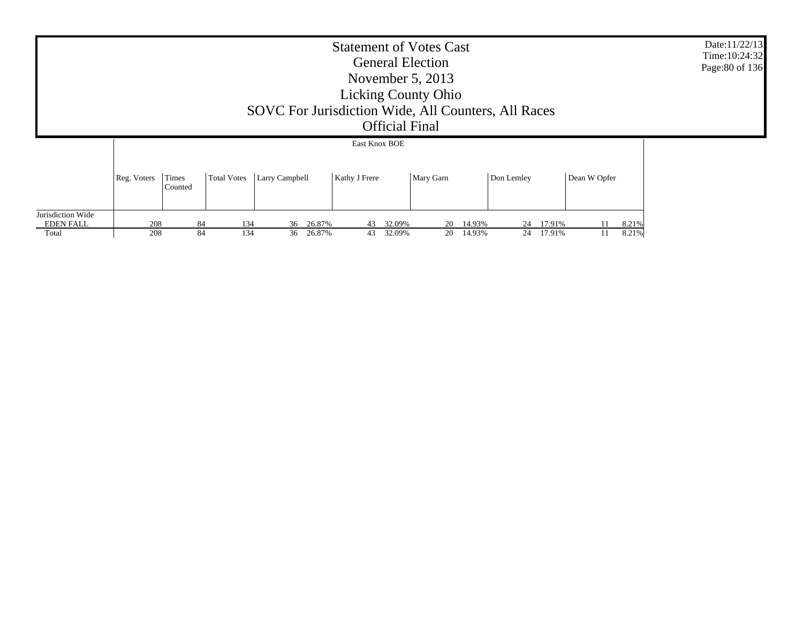|                                       | Date:11/22/13<br>Time: 10:24:32<br>Page: 80 of 136                                                                                  |    |     |              |    |                        |    |        |             |  |  |  |
|---------------------------------------|-------------------------------------------------------------------------------------------------------------------------------------|----|-----|--------------|----|------------------------|----|--------|-------------|--|--|--|
|                                       | East Knox BOE                                                                                                                       |    |     |              |    |                        |    |        |             |  |  |  |
|                                       | <b>Larry Campbell</b><br>Times<br>Total Votes<br>Mary Garn<br>Dean W Opfer<br>Reg. Voters<br>Kathy J Frere<br>Don Lemley<br>Counted |    |     |              |    |                        |    |        |             |  |  |  |
| Jurisdiction Wide<br><b>EDEN FALL</b> | 208                                                                                                                                 | 84 | 134 | 36 26.87%    | 43 | 32.09%<br>14.93%<br>20 | 24 | 17.91% | 8.21%       |  |  |  |
| Total                                 | 208                                                                                                                                 | 84 | 134 | 26.87%<br>36 | 43 | 32.09%<br>14.93%<br>20 | 24 | 17.91% | 8.21%<br>11 |  |  |  |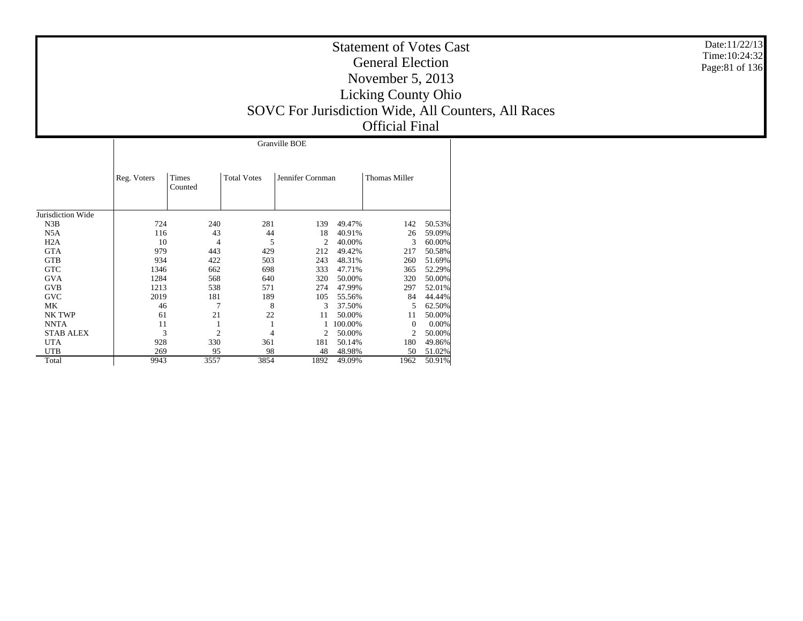|                   |             | Granville BOE    |                    |                  |         |                      |        |  |  |  |  |  |  |  |
|-------------------|-------------|------------------|--------------------|------------------|---------|----------------------|--------|--|--|--|--|--|--|--|
|                   | Reg. Voters | Times<br>Counted | <b>Total Votes</b> | Jennifer Cornman |         | <b>Thomas Miller</b> |        |  |  |  |  |  |  |  |
| Jurisdiction Wide |             |                  |                    |                  |         |                      |        |  |  |  |  |  |  |  |
| N3B               | 724         | 240              | 281                | 139              | 49.47%  | 142                  | 50.53% |  |  |  |  |  |  |  |
| N5A               | 116         | 43               | 44                 | 18               | 40.91%  | 26                   | 59.09% |  |  |  |  |  |  |  |
| H2A               | 10          | 4                | 5                  | $\overline{c}$   | 40.00%  | 3                    | 60.00% |  |  |  |  |  |  |  |
| <b>GTA</b>        | 979         | 443              | 429                | 212              | 49.42%  | 217                  | 50.58% |  |  |  |  |  |  |  |
| <b>GTB</b>        | 934         | 422              | 503                | 243              | 48.31%  | 260                  | 51.69% |  |  |  |  |  |  |  |
| <b>GTC</b>        | 1346        | 662              | 698                | 333              | 47.71%  | 365                  | 52.29% |  |  |  |  |  |  |  |
| <b>GVA</b>        | 1284        | 568              | 640                | 320              | 50.00%  | 320                  | 50.00% |  |  |  |  |  |  |  |
| <b>GVB</b>        | 1213        | 538              | 571                | 274              | 47.99%  | 297                  | 52.01% |  |  |  |  |  |  |  |
| <b>GVC</b>        | 2019        | 181              | 189                | 105              | 55.56%  | 84                   | 44.44% |  |  |  |  |  |  |  |
| МK                | 46          | 7                | 8                  | 3                | 37.50%  | 5                    | 62.50% |  |  |  |  |  |  |  |
| NK TWP            | 61          | 21               | 22                 | 11               | 50.00%  | 11                   | 50.00% |  |  |  |  |  |  |  |
| <b>NNTA</b>       | 11          |                  | 1                  |                  | 100.00% | $\Omega$             | 0.00%  |  |  |  |  |  |  |  |
| <b>STAB ALEX</b>  | 3           | $\overline{2}$   | 4                  | 2                | 50.00%  | $\overline{2}$       | 50.00% |  |  |  |  |  |  |  |
| <b>UTA</b>        | 928         | 330              | 361                | 181              | 50.14%  | 180                  | 49.86% |  |  |  |  |  |  |  |
| <b>UTB</b>        | 269         | 95               | 98                 | 48               | 48.98%  | 50                   | 51.02% |  |  |  |  |  |  |  |
| Total             | 9943        | 3557             | 3854               | 1892             | 49.09%  | 1962                 | 50.91% |  |  |  |  |  |  |  |

Date:11/22/13 Time:10:24:32 Page:81 of 136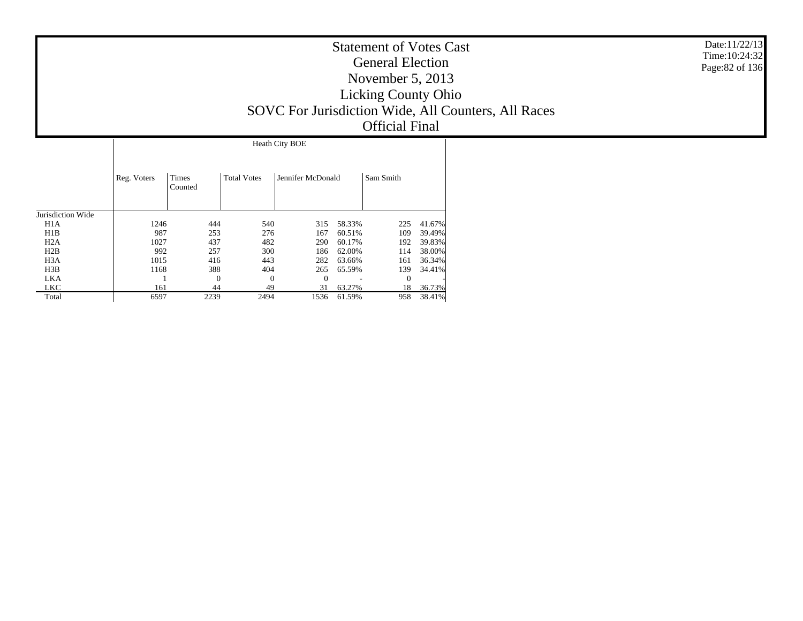|                   |             | Heath City BOE   |                    |                   |        |              |        |  |  |  |  |  |  |  |  |  |
|-------------------|-------------|------------------|--------------------|-------------------|--------|--------------|--------|--|--|--|--|--|--|--|--|--|
|                   | Reg. Voters | Times<br>Counted | <b>Total Votes</b> | Jennifer McDonald |        | Sam Smith    |        |  |  |  |  |  |  |  |  |  |
| Jurisdiction Wide |             |                  |                    |                   |        |              |        |  |  |  |  |  |  |  |  |  |
| H1A               | 1246        | 444              | 540                | 315               | 58.33% | 225          | 41.67% |  |  |  |  |  |  |  |  |  |
| H1B               | 987         | 253              | 276                | 167               | 60.51% | 109          | 39.49% |  |  |  |  |  |  |  |  |  |
| H2A               | 1027        | 437              | 482                | 290               | 60.17% | 192          | 39.83% |  |  |  |  |  |  |  |  |  |
| H2B               | 992         | 257              | 300                | 186               | 62.00% | 114          | 38.00% |  |  |  |  |  |  |  |  |  |
| H <sub>3</sub> A  | 1015        | 416              | 443                | 282               | 63.66% | 161          | 36.34% |  |  |  |  |  |  |  |  |  |
| H3B               | 1168        | 388              | 404                | 265               | 65.59% | 139          | 34.41% |  |  |  |  |  |  |  |  |  |
| <b>LKA</b>        |             | 0                | $\theta$           | $\Omega$          |        | $\mathbf{0}$ |        |  |  |  |  |  |  |  |  |  |
| LKC               | 161         | 44               | 49                 | 31                | 63.27% | 18           | 36.73% |  |  |  |  |  |  |  |  |  |
| Total             | 6597        | 2239             | 2494               | 1536              | 61.59% | 958          | 38.41% |  |  |  |  |  |  |  |  |  |

Date:11/22/13 Time:10:24:32Page:82 of 136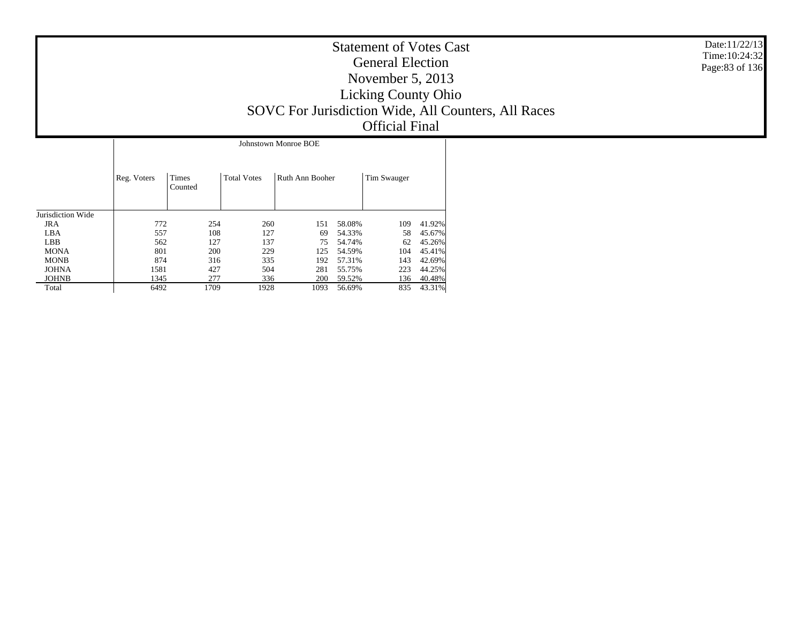|                   |             |                  |                    | Johnstown Monroe BOE |        |             |        |
|-------------------|-------------|------------------|--------------------|----------------------|--------|-------------|--------|
|                   | Reg. Voters | Times<br>Counted | <b>Total Votes</b> | Ruth Ann Booher      |        | Tim Swauger |        |
| Jurisdiction Wide |             |                  |                    |                      |        |             |        |
| <b>JRA</b>        | 772         | 254              | 260                | 151                  | 58.08% | 109         | 41.92% |
| LBA               | 557         | 108              | 127                | 69                   | 54.33% | 58          | 45.67% |
| <b>LBB</b>        | 562         | 127              | 137                | 75                   | 54.74% | 62          | 45.26% |
| <b>MONA</b>       | 801         | 200              | 229                | 125                  | 54.59% | 104         | 45.41% |
| <b>MONB</b>       | 874         | 316              | 335                | 192                  | 57.31% | 143         | 42.69% |
| <b>JOHNA</b>      | 1581        | 427              | 504                | 281                  | 55.75% | 223         | 44.25% |
| <b>JOHNB</b>      | 1345        | 277              | 336                | 200                  | 59.52% | 136         | 40.48% |
| Total             | 6492        | 1709             | 1928               | 1093                 | 56.69% | 835         | 43.31% |

Date:11/22/13 Time:10:24:32Page:83 of 136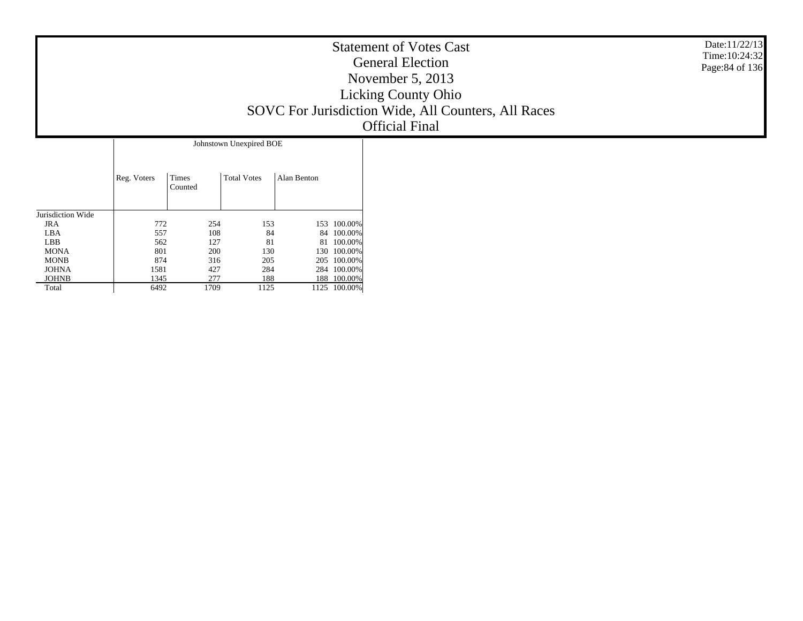|                         | <b>Statement of Votes Cast</b><br><b>General Election</b><br>November $5, 2013$<br><b>Licking County Ohio</b><br>SOVC For Jurisdiction Wide, All Counters, All Races<br>Official Final | Date:11/22/13<br>Time: 10:24:32<br>Page: 84 of 136 |
|-------------------------|----------------------------------------------------------------------------------------------------------------------------------------------------------------------------------------|----------------------------------------------------|
| Johnstown Unexpired BOE |                                                                                                                                                                                        |                                                    |

|                   |             |                  | JOILISTOWII UIICAPIICU DUE |             |         |
|-------------------|-------------|------------------|----------------------------|-------------|---------|
|                   | Reg. Voters | Times<br>Counted | <b>Total Votes</b>         | Alan Benton |         |
| Jurisdiction Wide |             |                  |                            |             |         |
| JRA               | 772         | 254              | 153                        | 153         | 100.00% |
| LBA               | 557         | 108              | 84                         | 84          | 100.00% |
| <b>LBB</b>        | 562         | 127              | 81                         | 81          | 100.00% |
| <b>MONA</b>       | 801         | 200              | 130                        | 130         | 100.00% |
| <b>MONB</b>       | 874         | 316              | 205                        | 205         | 100.00% |
| <b>JOHNA</b>      | 1581        | 427              | 284                        | 284         | 100.00% |
| <b>JOHNB</b>      | 1345        | 277              | 188                        | 188         | 100.00% |
| Total             | 6492        | 1709             | 1125                       | 1125        | 100.00% |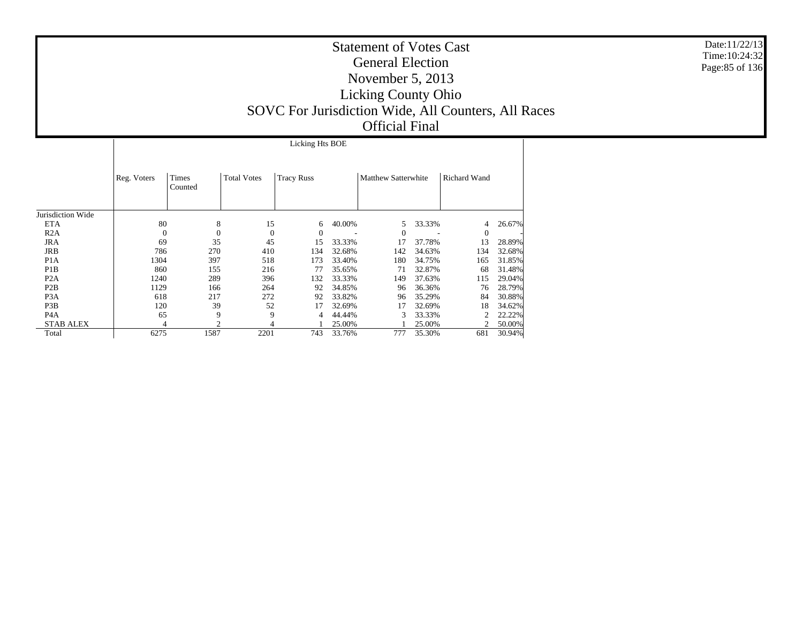Licking Hts BOE

|                   | Reg. Voters  | Times<br>Counted | <b>Total Votes</b> | <b>Tracy Russ</b> |        | <b>Matthew Satterwhite</b> |        | Richard Wand |        |
|-------------------|--------------|------------------|--------------------|-------------------|--------|----------------------------|--------|--------------|--------|
| Jurisdiction Wide |              |                  |                    |                   |        |                            |        |              |        |
| <b>ETA</b>        | 80           | 8                | 15                 | 6                 | 40.00% | 5                          | 33.33% | 4            | 26.67% |
| R2A               | $\mathbf{0}$ | $\theta$         | $\theta$           | $\Omega$          |        | $\overline{0}$             |        | $\mathbf{0}$ |        |
| JRA               | 69           | 35               | 45                 | 15                | 33.33% | 17                         | 37.78% | 13           | 28.89% |
| JRB               | 786          | 270              | 410                | 134               | 32.68% | 142                        | 34.63% | 134          | 32.68% |
| P <sub>1</sub> A  | 1304         | 397              | 518                | 173               | 33.40% | 180                        | 34.75% | 165          | 31.85% |
| P <sub>1</sub> B  | 860          | 155              | 216                | 77                | 35.65% | 71                         | 32.87% | 68           | 31.48% |
| P <sub>2</sub> A  | 1240         | 289              | 396                | 132               | 33.33% | 149                        | 37.63% | 115          | 29.04% |
| P <sub>2</sub> B  | 1129         | 166              | 264                | 92                | 34.85% | 96                         | 36.36% | 76           | 28.79% |
| P <sub>3</sub> A  | 618          | 217              | 272                | 92                | 33.82% | 96                         | 35.29% | 84           | 30.88% |
| P3B               | 120          | 39               | 52                 | 17                | 32.69% | 17                         | 32.69% | 18           | 34.62% |
| P <sub>4</sub> A  | 65           | 9                | 9                  | 4                 | 44.44% | 3                          | 33.33% |              | 22.22% |
| <b>STAB ALEX</b>  | 4            | $\overline{c}$   | 4                  |                   | 25.00% |                            | 25.00% |              | 50.00% |
| Total             | 6275         | 1587             | 2201               | 743               | 33.76% | 777                        | 35.30% | 681          | 30.94% |

Date:11/22/13 Time:10:24:32Page:85 of 136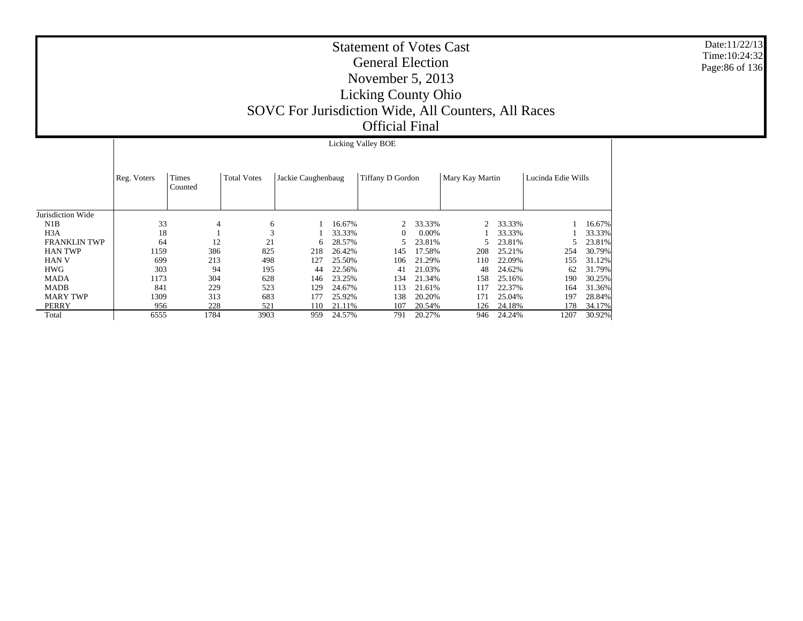|                     |             |                  |                    |                    |        | <b>Licking Valley BOE</b> |        |                 |        |                    |        |
|---------------------|-------------|------------------|--------------------|--------------------|--------|---------------------------|--------|-----------------|--------|--------------------|--------|
|                     | Reg. Voters | Times<br>Counted | <b>Total Votes</b> | Jackie Caughenbaug |        | Tiffany D Gordon          |        | Mary Kay Martin |        | Lucinda Edie Wills |        |
| Jurisdiction Wide   |             |                  |                    |                    |        |                           |        |                 |        |                    |        |
| N1B                 | 33          | 4                | 6                  |                    | 16.67% |                           | 33.33% |                 | 33.33% |                    | 16.67% |
| H <sub>3</sub> A    | 18          |                  | 3                  |                    | 33.33% | $\Omega$                  | 0.00%  |                 | 33.33% |                    | 33.33% |
| <b>FRANKLIN TWP</b> | 64          | 12               | 21                 | 6.                 | 28.57% |                           | 23.81% |                 | 23.81% |                    | 23.81% |
| <b>HAN TWP</b>      | 1159        | 386              | 825                | 218                | 26.42% | 145                       | 17.58% | 208             | 25.21% | 254                | 30.79% |
| <b>HAN V</b>        | 699         | 213              | 498                | 127                | 25.50% | 106                       | 21.29% | 110             | 22.09% | 155                | 31.12% |
| <b>HWG</b>          | 303         | 94               | 195                | 44                 | 22.56% | 41                        | 21.03% | 48              | 24.62% | 62                 | 31.79% |
| <b>MADA</b>         | 1173        | 304              | 628                | 146                | 23.25% | 134                       | 21.34% | 158             | 25.16% | 190                | 30.25% |
| <b>MADB</b>         | 841         | 229              | 523                | 129                | 24.67% | 113                       | 21.61% | 117             | 22.37% | 164                | 31.36% |
| <b>MARY TWP</b>     | 1309        | 313              | 683                | 177                | 25.92% | 138                       | 20.20% | 171             | 25.04% | 197                | 28.84% |
| PERRY               | 956         | 228              | 521                | 110                | 21.11% | 107                       | 20.54% | 126             | 24.18% | 178                | 34.17% |
| Total               | 6555        | 1784             | 3903               | 959                | 24.57% | 791                       | 20.27% | 946             | 24.24% | 1207               | 30.92% |

Date:11/22/13 Time:10:24:32 Page:86 of 136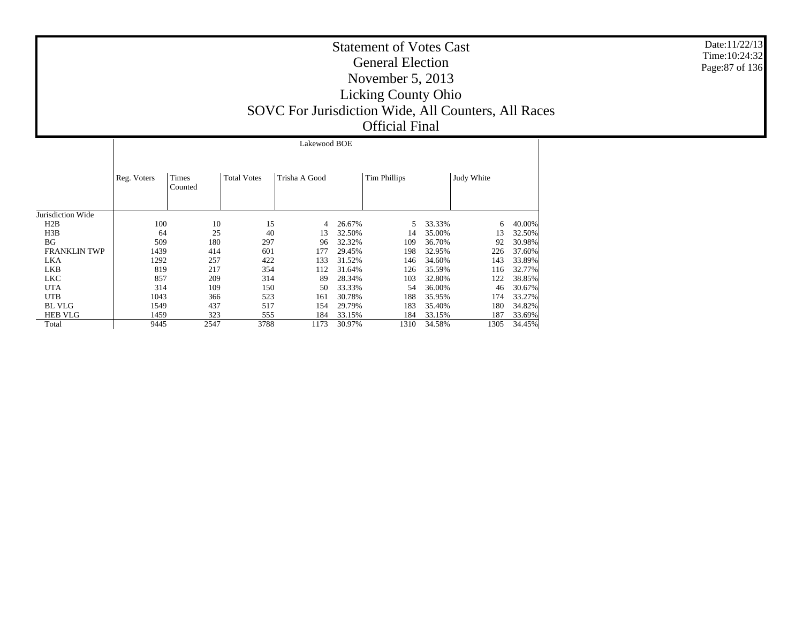Jurisdiction Wide H2B H3B BG FRANKLIN TWP LKA LKB LKC UTA UTB BL VLG HEB VLG Total Reg. Voters | Times CountedTotal Votes Trisha A GoodTim Phillips | Judy White Lakewood BOE100 10 15 4 26.67% 5 33.33% 6 40.00% 64 25 40 13 32.50% 14 35.00% 13 32.50% 509 180 297 96 32.32% 109 36.70% 92 30.98% 1439 414 601 177 29.45% 198 32.95% 226 37.60% 1292 257 422 133 31.52% 146 34.60% 143 33.89% 819 217 354 112 31.64% 126 35.59% 116 32.77% 857 209 314 89 28.34% 103 32.80% 122 38.85% 314 109 150 50 33.33% 54 36.00% 46 30.67% 1043 366 523 161 30.78% 188 35.95% 174 33.27% 1549 437 517 154 29.79%183 35.40% 180 1459 323 555 184 33.15%184 33.15% 187 33.69%<br>1310 34.58% 1305 34.45% 9445 2547 3788 1173 30.97%34.58%

Date:11/22/13 Time:10:24:32Page:87 of 136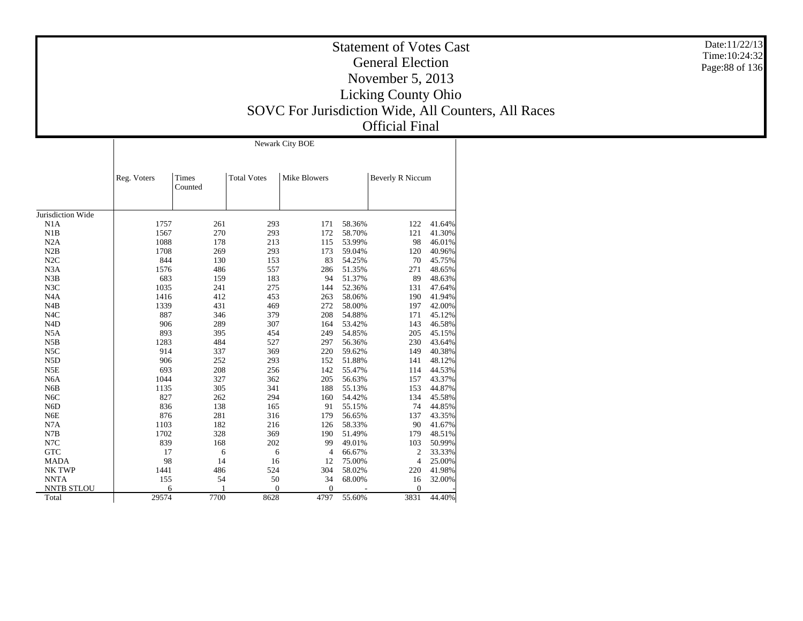|                   |             | Newark City BOE  |                    |                     |        |                  |        |  |  |  |  |  |  |  |  |
|-------------------|-------------|------------------|--------------------|---------------------|--------|------------------|--------|--|--|--|--|--|--|--|--|
|                   | Reg. Voters | Times<br>Counted | <b>Total Votes</b> | <b>Mike Blowers</b> |        | Beverly R Niccum |        |  |  |  |  |  |  |  |  |
| Jurisdiction Wide |             |                  |                    |                     |        |                  |        |  |  |  |  |  |  |  |  |
| N1A               | 1757        | 261              | 293                | 171                 | 58.36% | 122              | 41.64% |  |  |  |  |  |  |  |  |
| N1B               | 1567        | 270              | 293                | 172                 | 58.70% | 121              | 41.30% |  |  |  |  |  |  |  |  |
| N2A               | 1088        | 178              | 213                | 115                 | 53.99% | 98               | 46.01% |  |  |  |  |  |  |  |  |
| N2B               | 1708        | 269              | 293                | 173                 | 59.04% | 120              | 40.96% |  |  |  |  |  |  |  |  |
| N2C               | 844         | 130              | 153                | 83                  | 54.25% | 70               | 45.75% |  |  |  |  |  |  |  |  |
| N <sub>3</sub> A  | 1576        | 486              | 557                | 286                 | 51.35% | 271              | 48.65% |  |  |  |  |  |  |  |  |
| N3B               | 683         | 159              | 183                | 94                  | 51.37% | 89               | 48.63% |  |  |  |  |  |  |  |  |
| N3C               | 1035        | 241              | 275                | 144                 | 52.36% | 131              | 47.64% |  |  |  |  |  |  |  |  |
| N <sub>4</sub> A  | 1416        | 412              | 453                | 263                 | 58.06% | 190              | 41.94% |  |  |  |  |  |  |  |  |
| N <sub>4</sub> B  | 1339        | 431              | 469                | 272                 | 58.00% | 197              | 42.00% |  |  |  |  |  |  |  |  |
| N <sub>4</sub> C  | 887         | 346              | 379                | 208                 | 54.88% | 171              | 45.12% |  |  |  |  |  |  |  |  |
| N <sub>4</sub> D  | 906         | 289              | 307                | 164                 | 53.42% | 143              | 46.58% |  |  |  |  |  |  |  |  |
| N <sub>5</sub> A  | 893         | 395              | 454                | 249                 | 54.85% | 205              | 45.15% |  |  |  |  |  |  |  |  |
| N5B               | 1283        | 484              | 527                | 297                 | 56.36% | 230              | 43.64% |  |  |  |  |  |  |  |  |
| N5C               | 914         | 337              | 369                | 220                 | 59.62% | 149              | 40.38% |  |  |  |  |  |  |  |  |
| N <sub>5</sub> D  | 906         | 252              | 293                | 152                 | 51.88% | 141              | 48.12% |  |  |  |  |  |  |  |  |
| N5E               | 693         | 208              | 256                | 142                 | 55.47% | 114              | 44.53% |  |  |  |  |  |  |  |  |
| N <sub>6</sub> A  | 1044        | 327              | 362                | 205                 | 56.63% | 157              | 43.37% |  |  |  |  |  |  |  |  |
| N <sub>6</sub> B  | 1135        | 305              | 341                | 188                 | 55.13% | 153              | 44.87% |  |  |  |  |  |  |  |  |
| N <sub>6</sub> C  | 827         | 262              | 294                | 160                 | 54.42% | 134              | 45.58% |  |  |  |  |  |  |  |  |
| N <sub>6</sub> D  | 836         | 138              | 165                | 91                  | 55.15% | 74               | 44.85% |  |  |  |  |  |  |  |  |
| N <sub>6</sub> E  | 876         | 281              | 316                | 179                 | 56.65% | 137              | 43.35% |  |  |  |  |  |  |  |  |
| N7A               | 1103        | 182              | 216                | 126                 | 58.33% | 90               | 41.67% |  |  |  |  |  |  |  |  |
| N7B               | 1702        | 328              | 369                | 190                 | 51.49% | 179              | 48.51% |  |  |  |  |  |  |  |  |
| N7C               | 839         | 168              | 202                | 99                  | 49.01% | 103              | 50.99% |  |  |  |  |  |  |  |  |
| <b>GTC</b>        | 17          | 6                | 6                  | 4                   | 66.67% | 2                | 33.33% |  |  |  |  |  |  |  |  |
| <b>MADA</b>       | 98          | 14               | 16                 | 12                  | 75.00% | $\overline{4}$   | 25.00% |  |  |  |  |  |  |  |  |
| NK TWP            | 1441        | 486              | 524                | 304                 | 58.02% | 220              | 41.98% |  |  |  |  |  |  |  |  |
| <b>NNTA</b>       | 155         | 54               | 50                 | 34                  | 68.00% | 16               | 32.00% |  |  |  |  |  |  |  |  |
| <b>NNTB STLOU</b> | 6           |                  | $\boldsymbol{0}$   | $\theta$            |        | 0                |        |  |  |  |  |  |  |  |  |
| Total             | 29574       | 7700             | 8628               | 4797                | 55.60% | 3831             | 44.40% |  |  |  |  |  |  |  |  |

Date:11/22/13 Time:10:24:32 Page:88 of 136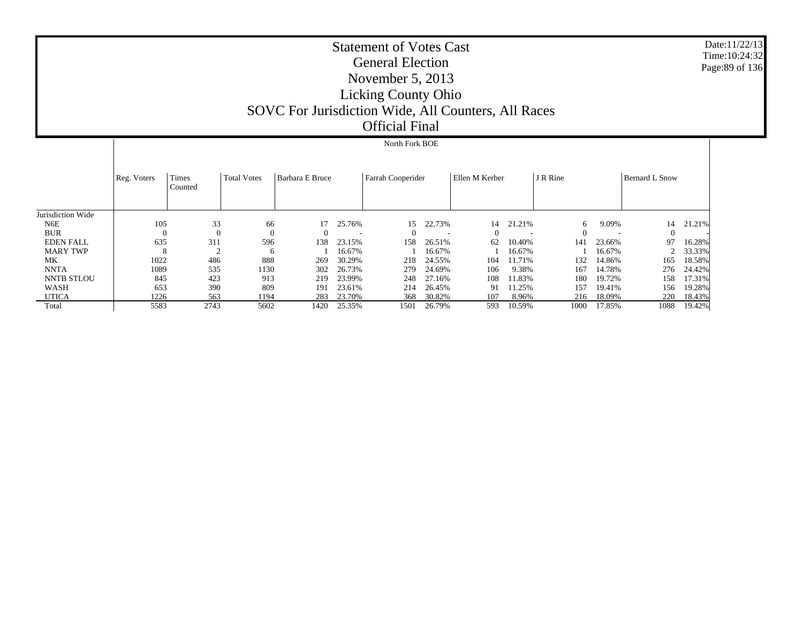|                   |                | North Fork BOE   |                    |                 |        |                   |        |                |        |          |        |                       |        |  |  |  |
|-------------------|----------------|------------------|--------------------|-----------------|--------|-------------------|--------|----------------|--------|----------|--------|-----------------------|--------|--|--|--|
|                   | Reg. Voters    | Times<br>Counted | <b>Total Votes</b> | Barbara E Bruce |        | Farrah Cooperider |        | Ellen M Kerber |        | J R Rine |        | <b>Bernard L Snow</b> |        |  |  |  |
| Jurisdiction Wide |                |                  |                    |                 |        |                   |        |                |        |          |        |                       |        |  |  |  |
| N6E               | 105            | 33               | 66                 |                 | 25.76% | 15                | 22.73% | 14             | 21.21% | 6        | 9.09%  | 14                    | 21.21% |  |  |  |
| <b>BUR</b>        | $\overline{0}$ | $\Omega$         |                    | $\theta$        |        |                   |        | 0              |        | $\Omega$ |        | $\mathbf{0}$          |        |  |  |  |
| <b>EDEN FALL</b>  | 635            | 311              | 596                | 138             | 23.15% | 158               | 26.51% | 62             | 10.40% | 141      | 23.66% | 97                    | 16.28% |  |  |  |
| <b>MARY TWP</b>   | 8              | $\sim$           | 6                  |                 | 16.67% |                   | 16.67% |                | 16.67% |          | 16.67% |                       | 33.33% |  |  |  |
| МK                | 1022           | 486              | 888                | 269             | 30.29% | 218               | 24.55% | 104            | 11.71% | 132      | 14.86% | 165                   | 18.58% |  |  |  |
| <b>NNTA</b>       | 1089           | 535              | 1130               | 302             | 26.73% | 279               | 24.69% | 106            | 9.38%  | 167      | 14.78% | 276                   | 24.42% |  |  |  |
| <b>NNTB STLOU</b> | 845            | 423              | 913                | 219             | 23.99% | 248               | 27.16% | 108            | 11.83% | 180      | 19.72% | 158                   | 17.31% |  |  |  |
| WASH              | 653            | 390              | 809                | 191             | 23.61% | 214               | 26.45% | 91             | 11.25% | 157      | 19.41% | 156                   | 19.28% |  |  |  |
| <b>UTICA</b>      | 1226           | 563              | 1194               | 283             | 23.70% | 368               | 30.82% | 107            | 8.96%  | 216      | 18.09% | 220                   | 18.43% |  |  |  |
| Total             | 5583           | 2743             | 5602               | 1420            | 25.35% | 1501              | 26.79% | 593            | 10.59% | 1000     | 17.85% | 1088                  | 19.42% |  |  |  |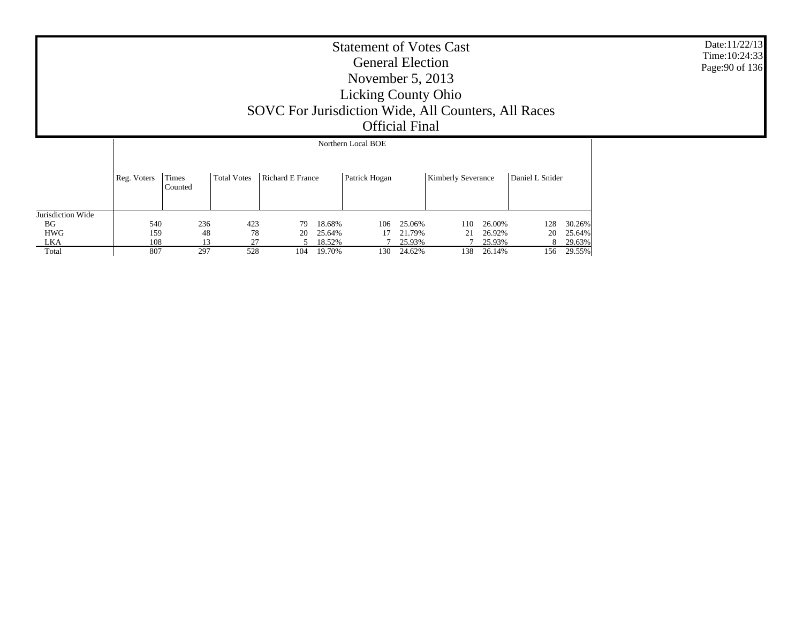|                   |             |                  |                    |                  |        | Northern Local BOE |        |                           |        |                 |        |
|-------------------|-------------|------------------|--------------------|------------------|--------|--------------------|--------|---------------------------|--------|-----------------|--------|
|                   | Reg. Voters | Times<br>Counted | <b>Total Votes</b> | Richard E France |        | Patrick Hogan      |        | <b>Kimberly Severance</b> |        | Daniel L Snider |        |
| Jurisdiction Wide |             |                  |                    |                  |        |                    |        |                           |        |                 |        |
| <b>BG</b>         | 540         | 236              | 423                | 79               | 18.68% | 106                | 25.06% | 110                       | 26.00% | 128             | 30.26% |
| <b>HWG</b>        | 159         | 48               | 78                 | 20               | 25.64% | 17                 | 21.79% | 21                        | 26.92% | 20              | 25.64% |
| LKA               | 108         | 13               | 27                 |                  | 18.52% |                    | 25.93% |                           | 25.93% | 8.              | 29.63% |
| Total             | 807         | 297              | 528                | 104              | 19.70% | 130                | 24.62% | 138                       | 26.14% | 156             | 29.55% |

Date:11/22/13 Time:10:24:33Page:90 of 136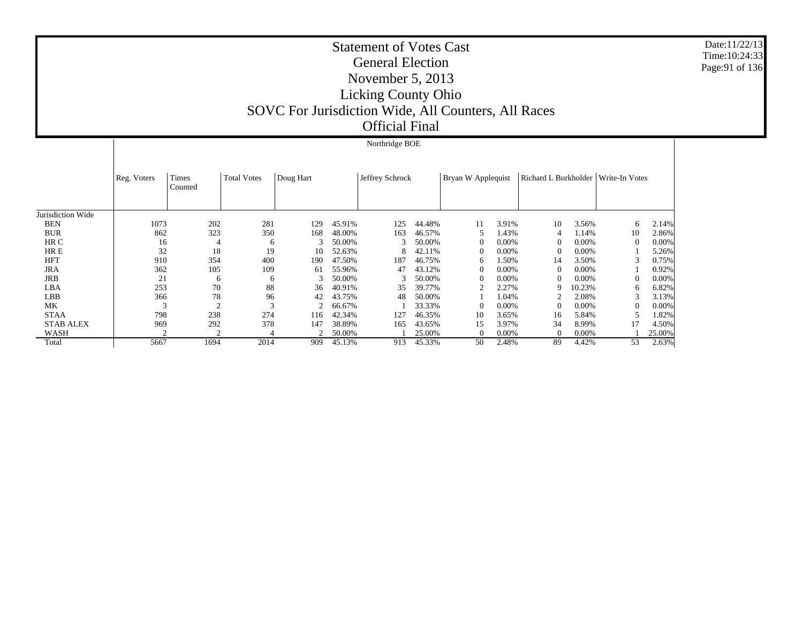Date:11/22/13Time:10:24:33Page:91 of 136

Jurisdiction Wide BEN BUR HR C HR E HFT JRA JRB LBA LBB MK STAA STAB ALEX WASH Total Reg. Voters | Times CountedTotal VotesDoug Hart Jeffrey Schrock Bryan W Applequist Richard L Burkholder Write-In Votes Northridge BOE 1073 202 281 129 45.91% 125 44.48% 11 3.91% 10 3.56% 6 2.14% 862 323 350 168 48.00% 163 46.57% 5 1.43% 4 1.14% 10 2.86% 16 4 6 3 50.00% $\%$  3 50.00% 0 0.00% 0 0.00% 0 0.00% 32 18 19 10 52.63% 8 42.11% 0 0.00% 0 0.00% 1 5.26% 910 354 400 190 47.50% 187 46.75% 6 1.50% 14 3.50% 3 0.75% 362 105 109 61 55.96% 47 43.12% 0 0.00% 0 0.00% 1 0.92% 21 6 6 3 50.00% $\%$  3 50.00% 0 0.00% 0 0.00% 0 0.00% 253 70 88 36 40.91% 35 39.77% 2 2.27% 9 10.23% 6 6.82% 366 78 96 42 43.75% 48 50.00% 1 1.04% 2 2.08% 3 3.13% 3 2 3 2 66.67% $\%$  1 33.33% 0 0.00% 0 0.00% 0 0.00% 798 238 274 116 42.34% 127 46.35% 10 3.65% 16 5.84% 5 1.82% 969 292 378 147 38.89% 165 43.65% 15 3.97% 34 8.99% 17 4.50% 2 2 4 2 50.00% 1 25.00% 0 0.00% 0 0.00% 1 25.00% 5667 1694 2014 909 45.13%913 45.33% 50 2.48% 89 4.42% 53 2.63%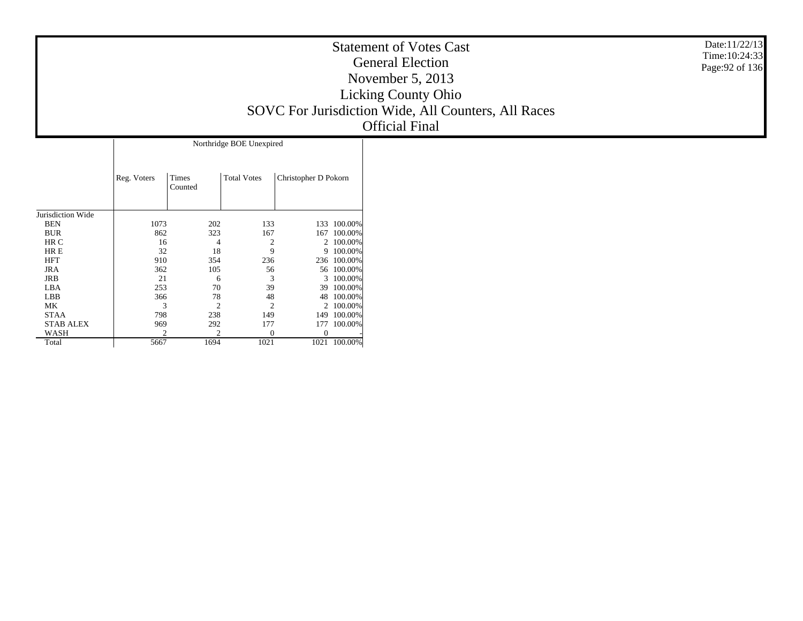| <b>Statement of Votes Cast</b>                      |  |
|-----------------------------------------------------|--|
| <b>General Election</b>                             |  |
| November $5, 2013$                                  |  |
| <b>Licking County Ohio</b>                          |  |
| SOVC For Jurisdiction Wide, All Counters, All Races |  |
| <b>Official Final</b>                               |  |

Date:11/22/13 Time:10:24:33 Page:92 of 136

|                   | Northridge BOE Unexpired |                  |                    |                      |         |  |  |  |  |  |  |  |  |
|-------------------|--------------------------|------------------|--------------------|----------------------|---------|--|--|--|--|--|--|--|--|
|                   | Reg. Voters              | Times<br>Counted | <b>Total Votes</b> | Christopher D Pokorn |         |  |  |  |  |  |  |  |  |
| Jurisdiction Wide |                          |                  |                    |                      |         |  |  |  |  |  |  |  |  |
| <b>BEN</b>        | 1073                     | 202              | 133                | 133                  | 100.00% |  |  |  |  |  |  |  |  |
| <b>BUR</b>        | 862                      | 323              | 167                | 167                  | 100.00% |  |  |  |  |  |  |  |  |
| HR C              | 16                       | 4                | 2                  | 2                    | 100.00% |  |  |  |  |  |  |  |  |
| HR E              | 32                       | 18               | 9                  | 9                    | 100.00% |  |  |  |  |  |  |  |  |
| <b>HFT</b>        | 910                      | 354              | 236                | 236                  | 100.00% |  |  |  |  |  |  |  |  |
| <b>JRA</b>        | 362                      | 105              | 56                 | 56                   | 100.00% |  |  |  |  |  |  |  |  |
| JRB               | 21                       | 6                | 3                  | 3                    | 100.00% |  |  |  |  |  |  |  |  |
| LBA               | 253                      | 70               | 39                 | 39                   | 100.00% |  |  |  |  |  |  |  |  |
| <b>LBB</b>        | 366                      | 78               | 48                 | 48                   | 100.00% |  |  |  |  |  |  |  |  |
| МK                | 3                        | 2                | 2                  | 2                    | 100.00% |  |  |  |  |  |  |  |  |
| <b>STAA</b>       | 798                      | 238              | 149                | 149                  | 100.00% |  |  |  |  |  |  |  |  |
| <b>STAB ALEX</b>  | 969                      | 292              | 177                | 177                  | 100.00% |  |  |  |  |  |  |  |  |
| WASH              |                          |                  | $\Omega$           |                      |         |  |  |  |  |  |  |  |  |
| Total             | 5667                     | 1694             | 1021               | 1021                 | 100.00% |  |  |  |  |  |  |  |  |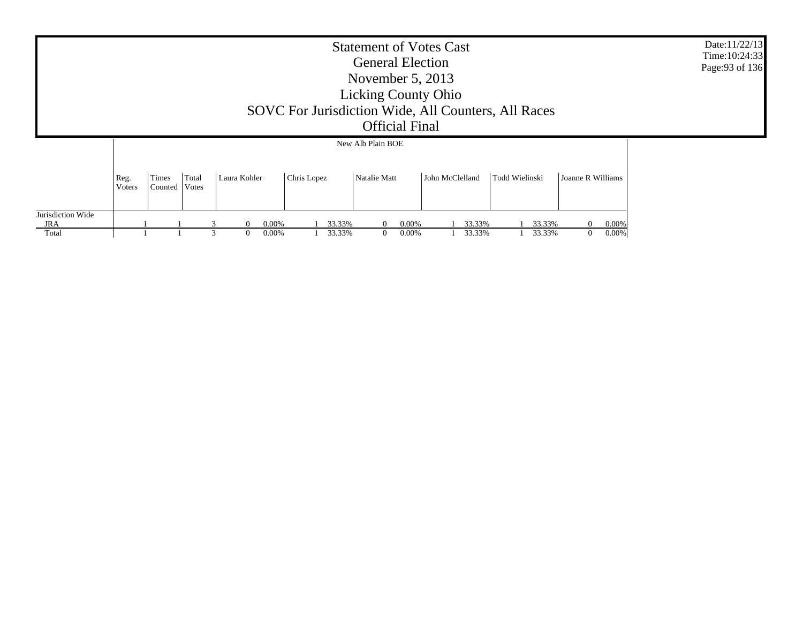|                   | <b>Statement of Votes Cast</b><br><b>General Election</b><br>November $5, 2013$<br><b>Licking County Ohio</b><br>SOVC For Jurisdiction Wide, All Counters, All Races<br><b>Official Final</b><br>New Alb Plain BOE |                  |                |   |              |                |             |  |                  |              |          |                   |                 |  |                  |                |                  | Date:11/22/13<br>Time: 10:24:33<br>Page: 93 of 136 |                                  |                |  |  |  |  |
|-------------------|--------------------------------------------------------------------------------------------------------------------------------------------------------------------------------------------------------------------|------------------|----------------|---|--------------|----------------|-------------|--|------------------|--------------|----------|-------------------|-----------------|--|------------------|----------------|------------------|----------------------------------------------------|----------------------------------|----------------|--|--|--|--|
|                   |                                                                                                                                                                                                                    |                  |                |   |              |                |             |  |                  |              |          |                   |                 |  |                  |                |                  |                                                    |                                  |                |  |  |  |  |
|                   | Reg.<br>Voters                                                                                                                                                                                                     | Times<br>Counted | Total<br>Votes |   | Laura Kohler |                | Chris Lopez |  |                  | Natalie Matt |          |                   | John McClelland |  |                  | Todd Wielinski |                  | Joanne R Williams                                  |                                  |                |  |  |  |  |
| Jurisdiction Wide |                                                                                                                                                                                                                    |                  |                |   |              |                |             |  |                  |              |          |                   |                 |  |                  |                |                  |                                                    |                                  |                |  |  |  |  |
| JRA<br>Total      |                                                                                                                                                                                                                    |                  |                | 3 |              | 0.00%<br>0.00% |             |  | 33.33%<br>33.33% |              | $\Omega$ | $0.00\%$<br>0.00% |                 |  | 33.33%<br>33.33% |                | 33.33%<br>33.33% |                                                    | $\overline{0}$<br>$\overline{0}$ | 0.00%<br>0.00% |  |  |  |  |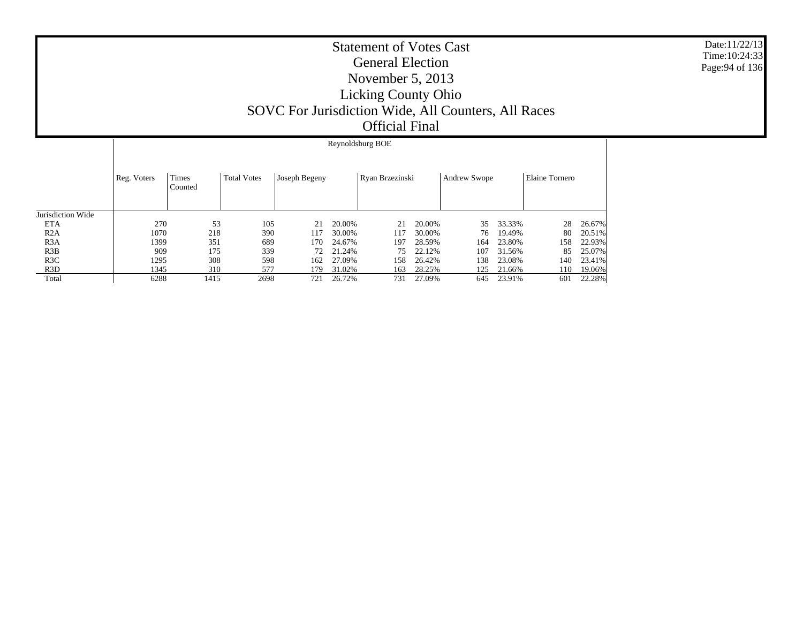|                   |             | Reynoldsburg BOE |                    |               |        |                 |        |                     |        |                |        |  |  |
|-------------------|-------------|------------------|--------------------|---------------|--------|-----------------|--------|---------------------|--------|----------------|--------|--|--|
|                   | Reg. Voters | Times<br>Counted | <b>Total Votes</b> | Joseph Begeny |        | Ryan Brzezinski |        | <b>Andrew Swope</b> |        | Elaine Tornero |        |  |  |
| Jurisdiction Wide |             |                  |                    |               |        |                 |        |                     |        |                |        |  |  |
| <b>ETA</b>        | 270         | 53               | 105                | 21            | 20.00% | 21              | 20.00% | 35                  | 33.33% | 28             | 26.67% |  |  |
| R2A               | 1070        | 218              | 390                | 117           | 30.00% | 117             | 30.00% | 76                  | 19.49% | 80             | 20.51% |  |  |
| R <sub>3</sub> A  | 1399        | 351              | 689                | 170           | 24.67% | 197             | 28.59% | 164                 | 23.80% | 158            | 22.93% |  |  |
| R3B               | 909         | 175              | 339                | 72            | 21.24% | 75              | 22.12% | 107                 | 31.56% | 85             | 25.07% |  |  |
| R3C               | 1295        | 308              | 598                | 162           | 27.09% | 158             | 26.42% | 138                 | 23.08% | 140            | 23.41% |  |  |
| R <sub>3</sub> D  | 1345        | 310              | 577                | 179           | 31.02% | 163             | 28.25% | 125                 | 21.66% | 110            | 19.06% |  |  |
| Total             | 6288        | 1415             | 2698               | 721           | 26.72% | 731             | 27.09% | 645                 | 23.91% | 601            | 22.28% |  |  |

Date:11/22/13 Time:10:24:33Page:94 of 136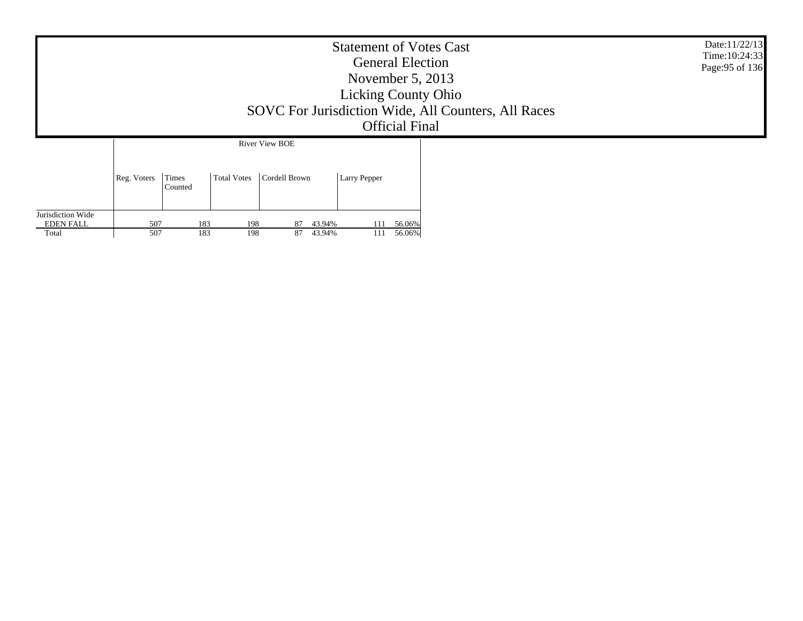| <b>Statement of Votes Cast</b><br><b>General Election</b><br>November $5, 2013$<br><b>Licking County Ohio</b><br>SOVC For Jurisdiction Wide, All Counters, All Races<br><b>Official Final</b> |             |                  |                    |                       |                  |                     |                  | Date:11/22/13<br>Time: 10:24:33<br>Page: 95 of 136 |  |
|-----------------------------------------------------------------------------------------------------------------------------------------------------------------------------------------------|-------------|------------------|--------------------|-----------------------|------------------|---------------------|------------------|----------------------------------------------------|--|
|                                                                                                                                                                                               |             |                  |                    | <b>River View BOE</b> |                  |                     |                  |                                                    |  |
|                                                                                                                                                                                               | Reg. Voters | Times<br>Counted | <b>Total Votes</b> | Cordell Brown         |                  | <b>Larry Pepper</b> |                  |                                                    |  |
| Jurisdiction Wide<br><b>EDEN FALL</b><br>Total                                                                                                                                                | 507<br>507  | 183<br>183       | 198<br>198         | 87<br>87              | 43.94%<br>43.94% | 111<br>111          | 56.06%<br>56.06% |                                                    |  |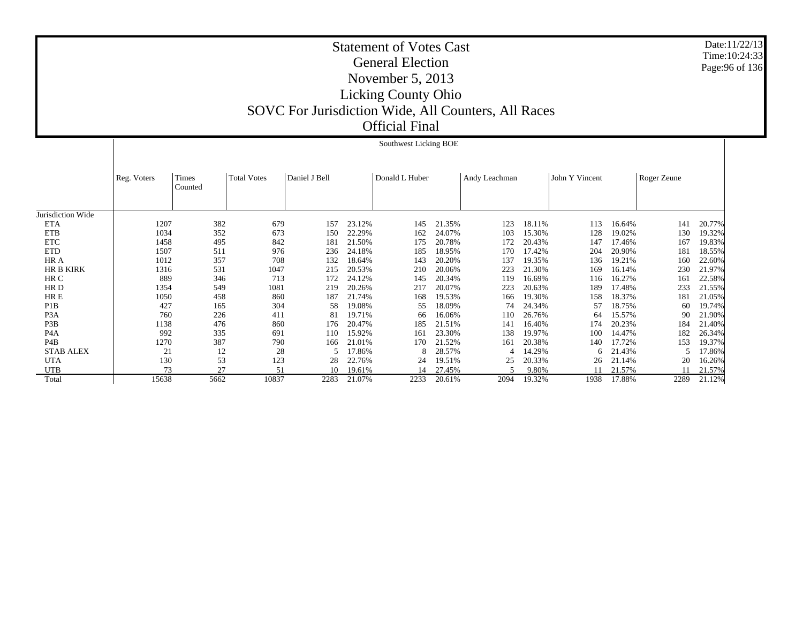|                   |             |                  |                    |               |        | Southwest Licking BOE |        |               |        |                |        |             |        |
|-------------------|-------------|------------------|--------------------|---------------|--------|-----------------------|--------|---------------|--------|----------------|--------|-------------|--------|
|                   | Reg. Voters | Times<br>Counted | <b>Total Votes</b> | Daniel J Bell |        | Donald L Huber        |        | Andy Leachman |        | John Y Vincent |        | Roger Zeune |        |
| Jurisdiction Wide |             |                  |                    |               |        |                       |        |               |        |                |        |             |        |
| <b>ETA</b>        | 1207        | 382              | 679                | 157           | 23.12% | 145                   | 21.35% | 123           | 18.11% | 113            | 16.64% | 141         | 20.77% |
| <b>ETB</b>        | 1034        | 352              | 673                | 150           | 22.29% | 162                   | 24.07% | 103           | 15.30% | 128            | 19.02% | 130         | 19.32% |
| <b>ETC</b>        | 1458        | 495              | 842                | 181           | 21.50% | 175                   | 20.78% | 172           | 20.43% | 147            | 17.46% | 167         | 19.83% |
| <b>ETD</b>        | 1507        | 511              | 976                | 236           | 24.18% | 185                   | 18.95% | 170           | 17.42% | 204            | 20.90% | 181         | 18.55% |
| HR A              | 1012        | 357              | 708                | 132           | 18.64% | 143                   | 20.20% | 137           | 19.35% | 136            | 19.21% | 160         | 22.60% |
| <b>HR B KIRK</b>  | 1316        | 531              | 1047               | 215           | 20.53% | 210                   | 20.06% | 223           | 21.30% | 169            | 16.14% | 230         | 21.97% |
| HR C              | 889         | 346              | 713                | 172           | 24.12% | 145                   | 20.34% | 119           | 16.69% | 116            | 16.27% | 161         | 22.58% |
| HR D              | 1354        | 549              | 1081               | 219           | 20.26% | 217                   | 20.07% | 223           | 20.63% | 189            | 17.48% | 233         | 21.55% |
| HR E              | 1050        | 458              | 860                | 187           | 21.74% | 168                   | 19.53% | 166           | 19.30% | 158            | 18.37% | 181         | 21.05% |
| P <sub>1</sub> B  | 427         | 165              | 304                | 58            | 19.08% | 55                    | 18.09% | 74            | 24.34% | 57             | 18.75% | 60          | 19.74% |
| P <sub>3</sub> A  | 760         | 226              | 411                | 81            | 19.71% | 66                    | 16.06% | 110           | 26.76% | 64             | 15.57% | 90          | 21.90% |
| P3B               | 1138        | 476              | 860                | 176           | 20.47% | 185                   | 21.51% | 141           | 16.40% | 174            | 20.23% | 184         | 21.40% |
| P <sub>4</sub> A  | 992         | 335              | 691                | 110           | 15.92% | 161                   | 23.30% | 138           | 19.97% | 100            | 14.47% | 182         | 26.34% |
| P4B               | 1270        | 387              | 790                | 166           | 21.01% | 170                   | 21.52% | 161           | 20.38% | 140            | 17.72% | 153         | 19.37% |
| <b>STAB ALEX</b>  | 21          | 12               | 28                 |               | 17.86% |                       | 28.57% | Δ             | 14.29% | 6              | 21.43% |             | 17.86% |
| <b>UTA</b>        | 130         | 53               | 123                | 28            | 22.76% | 24                    | 19.51% | 25            | 20.33% | 26             | 21.14% | 20          | 16.26% |
| <b>UTB</b>        | 73          | 27               | 51                 | 10            | 19.61% |                       | 27.45% |               | 9.80%  |                | 21.57% |             | 21.57% |
| Total             | 15638       | 5662             | 10837              | 2283          | 21.07% | 2233                  | 20.61% | 2094          | 19.32% | 1938           | 17.88% | 2289        | 21.12% |

Date:11/22/13 Time:10:24:33Page:96 of 136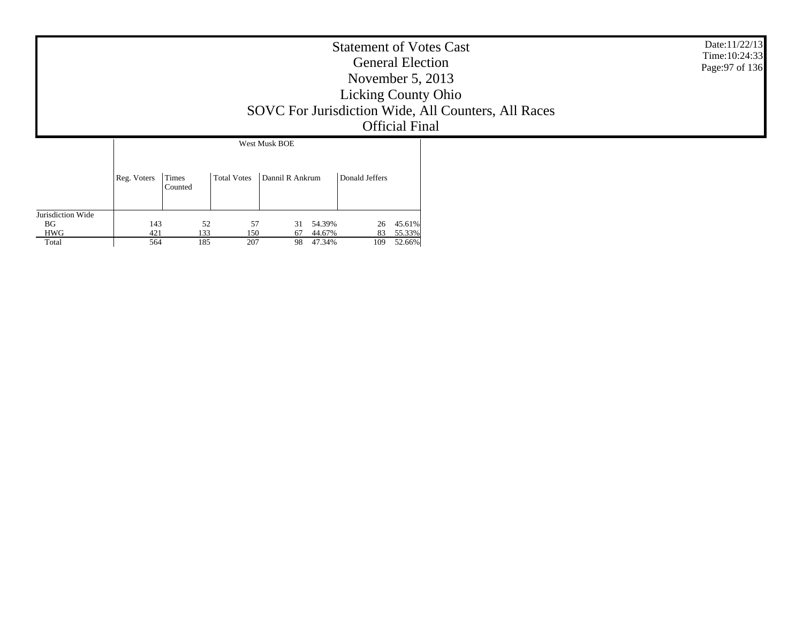| <b>Statement of Votes Cast</b><br><b>General Election</b><br>November $5, 2013$<br><b>Licking County Ohio</b><br>SOVC For Jurisdiction Wide, All Counters, All Races<br><b>Official Final</b> |             |                  |                  |                                    |                |                  | Date:11/22/13<br>Time: 10:24:33<br>Page: 97 of 136 |
|-----------------------------------------------------------------------------------------------------------------------------------------------------------------------------------------------|-------------|------------------|------------------|------------------------------------|----------------|------------------|----------------------------------------------------|
|                                                                                                                                                                                               |             |                  |                  | West Musk BOE                      |                |                  |                                                    |
|                                                                                                                                                                                               | Reg. Voters | Times<br>Counted | Total Votes      | Dannil R Ankrum                    | Donald Jeffers |                  |                                                    |
| Jurisdiction Wide                                                                                                                                                                             |             |                  |                  |                                    |                |                  |                                                    |
| BG<br><b>HWG</b>                                                                                                                                                                              | 143<br>421  |                  | 52<br>133<br>150 | 57<br>54.39%<br>31<br>44.67%<br>67 | 26<br>83       | 45.61%<br>55.33% |                                                    |
| Total                                                                                                                                                                                         | 564         |                  | 185<br>207       | 47.34%<br>98                       | 109            | 52.66%           |                                                    |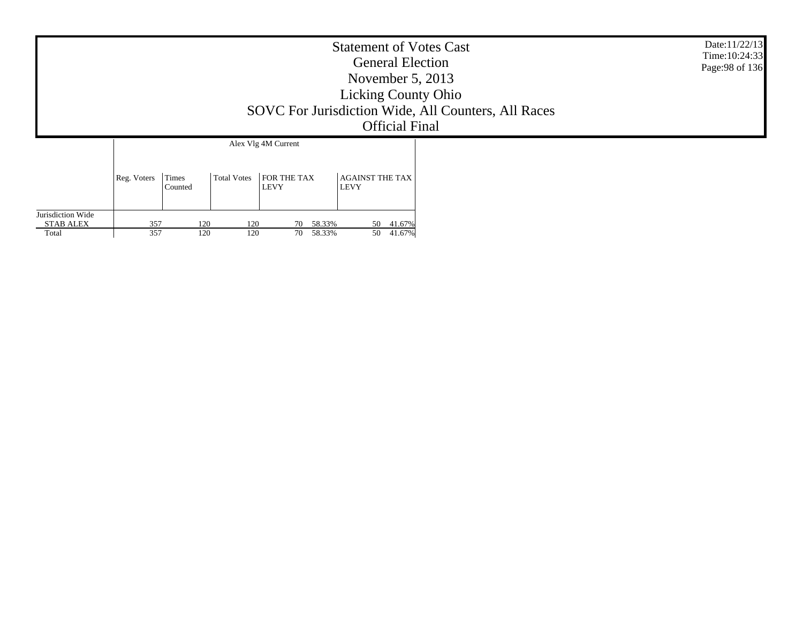|                                                |             |                       |                    |                                           | <b>Statement of Votes Cast</b><br><b>General Election</b><br>November $5, 2013$<br><b>Licking County Ohio</b><br><b>Official Final</b> | SOVC For Jurisdiction Wide, All Counters, All Races | Date:11/22/13<br>Time: 10:24:33<br>Page: 98 of 136 |
|------------------------------------------------|-------------|-----------------------|--------------------|-------------------------------------------|----------------------------------------------------------------------------------------------------------------------------------------|-----------------------------------------------------|----------------------------------------------------|
|                                                | Reg. Voters | Times                 | <b>Total Votes</b> | Alex Vlg 4M Current<br><b>FOR THE TAX</b> | <b>AGAINST THE TAX</b>                                                                                                                 |                                                     |                                                    |
| Jurisdiction Wide<br><b>STAB ALEX</b><br>Total | 357<br>357  | Counted<br>120<br>120 | 120<br>120         | <b>LEVY</b><br>70 58.33%<br>70 58.33%     | LEVY<br>50 41.67%<br>50<br>41.67%                                                                                                      |                                                     |                                                    |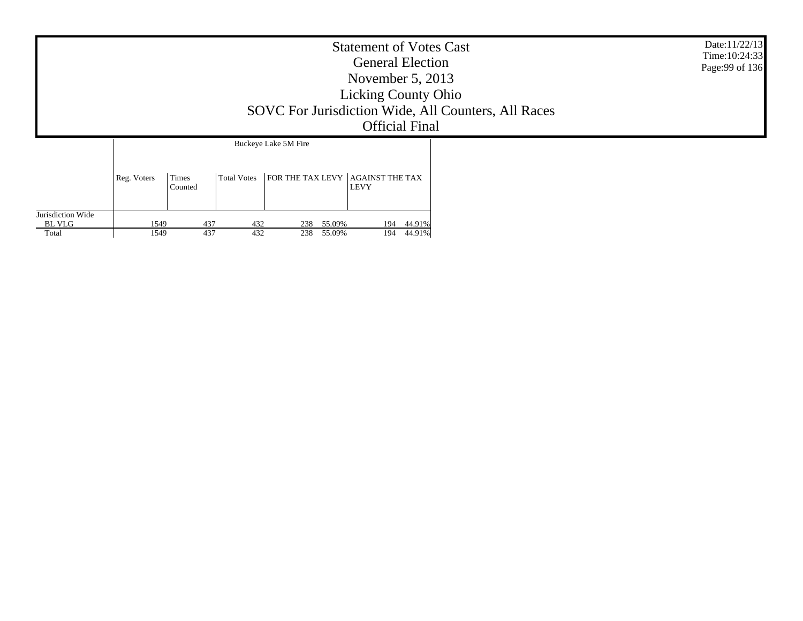|                                      |              |                  |                    |                          | <b>Statement of Votes Cast</b><br><b>General Election</b><br>November $5, 2013$<br><b>Licking County Ohio</b><br><b>Official Final</b> | SOVC For Jurisdiction Wide, All Counters, All Races | Date:11/22/13<br>Time: 10:24:33<br>Page: 99 of 136 |
|--------------------------------------|--------------|------------------|--------------------|--------------------------|----------------------------------------------------------------------------------------------------------------------------------------|-----------------------------------------------------|----------------------------------------------------|
|                                      | Reg. Voters  | Times<br>Counted | <b>Total Votes</b> | Buckeye Lake 5M Fire     | FOR THE TAX LEVY AGAINST THE TAX<br><b>LEVY</b>                                                                                        |                                                     |                                                    |
| Jurisdiction Wide<br>BL VLG<br>Total | 1549<br>1549 | 437<br>437       | 432<br>432         | 238 55.09%<br>238 55.09% | 44.91%<br>194<br>44.91%<br>194                                                                                                         |                                                     |                                                    |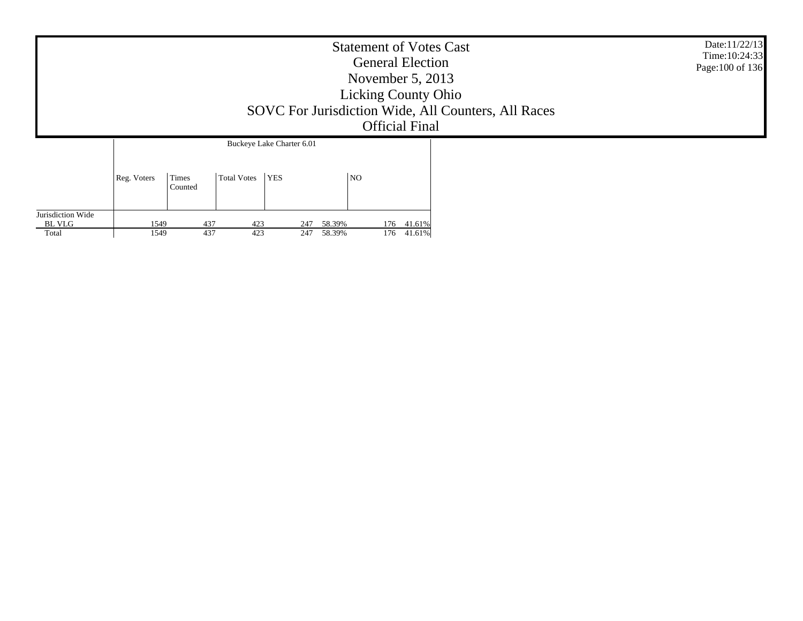|                                      | <b>Statement of Votes Cast</b><br><b>General Election</b><br>November $5, 2013$<br><b>Licking County Ohio</b><br>SOVC For Jurisdiction Wide, All Counters, All Races<br><b>Official Final</b> |                  |                    |                           |                  |                          |  | Date:11/22/13<br>Time: 10:24:33<br>Page: 100 of 136 |
|--------------------------------------|-----------------------------------------------------------------------------------------------------------------------------------------------------------------------------------------------|------------------|--------------------|---------------------------|------------------|--------------------------|--|-----------------------------------------------------|
|                                      |                                                                                                                                                                                               |                  |                    | Buckeye Lake Charter 6.01 |                  |                          |  |                                                     |
|                                      | Reg. Voters                                                                                                                                                                                   | Times<br>Counted | <b>Total Votes</b> | <b>YES</b>                | <b>NO</b>        |                          |  |                                                     |
| Jurisdiction Wide<br>BL VLG<br>Total | 1549<br>1549                                                                                                                                                                                  | 437<br>437       | 423<br>423         | 247<br>247                | 58.39%<br>58.39% | 176 41.61%<br>176 41.61% |  |                                                     |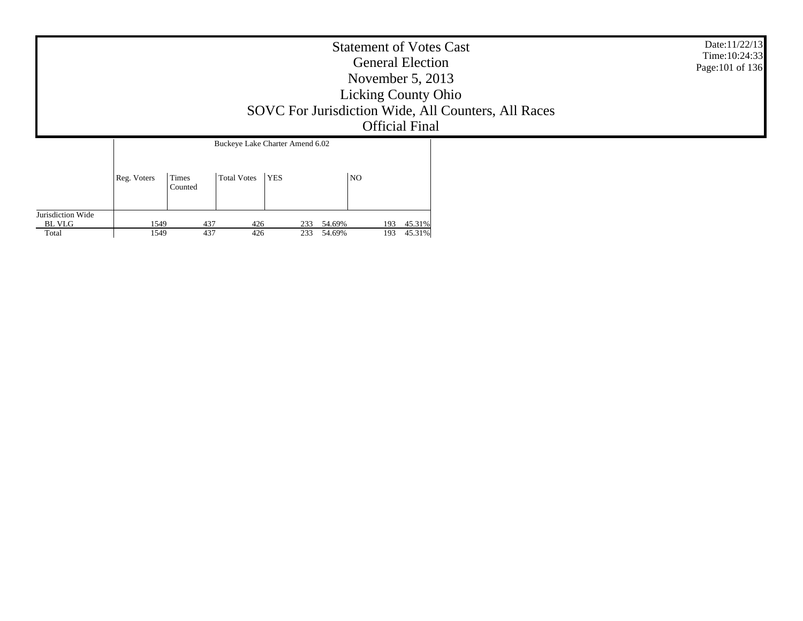|                      | <b>Statement of Votes Cast</b><br><b>General Election</b><br>November $5, 2013$<br><b>Licking County Ohio</b><br>SOVC For Jurisdiction Wide, All Counters, All Races<br><b>Official Final</b> | Date:11/22/13<br>Time: 10:24:33<br>Page: 101 of 136 |  |  |
|----------------------|-----------------------------------------------------------------------------------------------------------------------------------------------------------------------------------------------|-----------------------------------------------------|--|--|
|                      | Buckeye Lake Charter Amend 6.02                                                                                                                                                               |                                                     |  |  |
| Times<br>Reg. Voters | YES<br>Total Votes                                                                                                                                                                            | N <sub>O</sub>                                      |  |  |

193 45.31%

193 45.31%

437 426 233 54.69%

437 426 233 54.69%

Jurisdiction Wide BL VLG Total

Counted

1549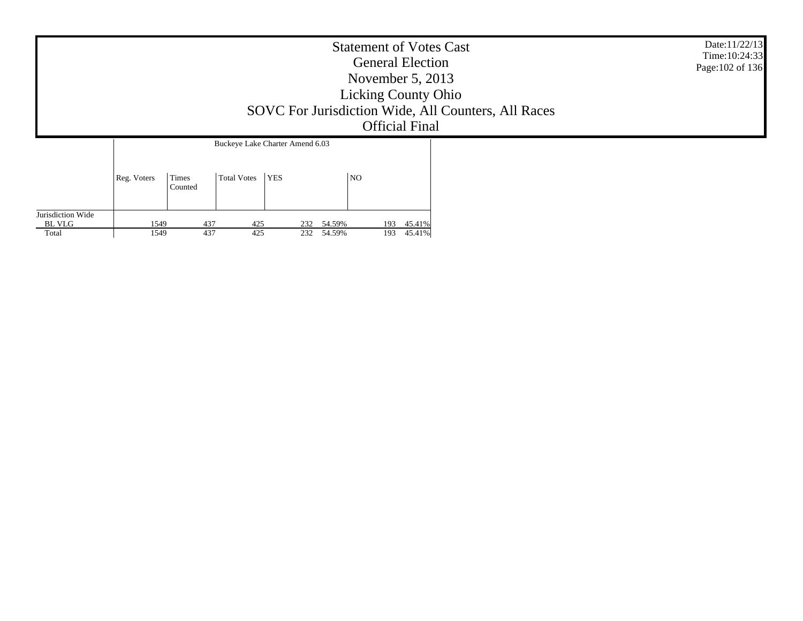| <b>Statement of Votes Cast</b><br><b>General Election</b><br>November $5, 2013$<br><b>Licking County Ohio</b><br>SOVC For Jurisdiction Wide, All Counters, All Races<br><b>Official Final</b> | Date:11/22/13<br>Time: 10:24:33<br>Page: 102 of 136 |
|-----------------------------------------------------------------------------------------------------------------------------------------------------------------------------------------------|-----------------------------------------------------|
| Buckeye Lake Charter Amend 6.03                                                                                                                                                               |                                                     |

|                   | Reg. Voters | Times<br>Counted | <b>Total Votes</b> | YES |        | NO  |        |
|-------------------|-------------|------------------|--------------------|-----|--------|-----|--------|
| Jurisdiction Wide |             |                  |                    |     |        |     |        |
| BL VLG            | 1549        | 437              | 425                | 232 | 54.59% | 193 | 45.41% |
| Total             | 1549        | 437              | 425                | 232 | 54.59% | 193 | 45.41% |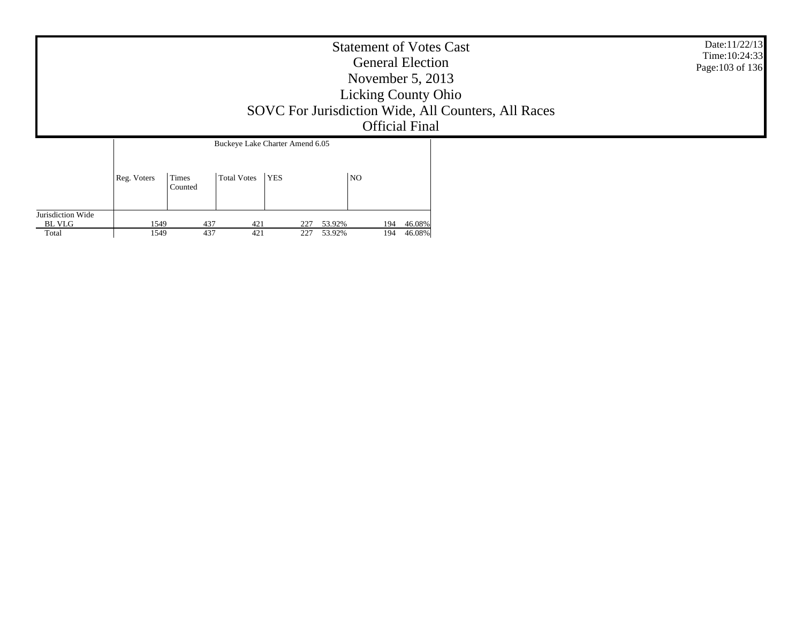| SOVC For Jurisdiction Wide, All Counters, All Races | Date:11/22/13<br>Time: 10:24:33<br>Page: 103 of 136 |  |
|-----------------------------------------------------|-----------------------------------------------------|--|
| Buckeye Lake Charter Amend 6.05                     |                                                     |  |
| YES<br>Times<br>Total Votes<br>Reg. Voters          | N <sub>O</sub>                                      |  |

194 46.08%

194 46.08%

Jurisdiction Wide BL VLG Total

Counted

437 421 227 53.92%

437 421 227 53.92%

1549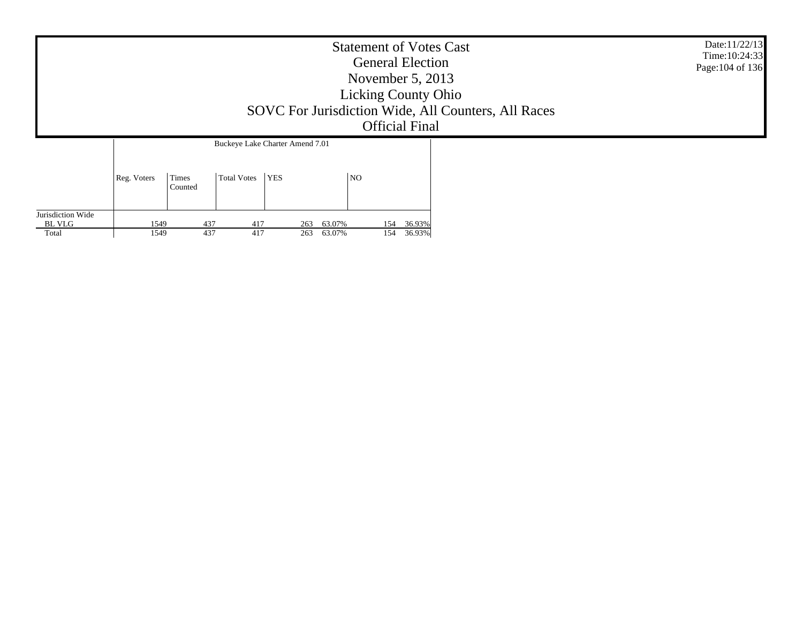|             | Date:11/22/13<br>Time: 10:24:33<br>Page: 104 of 136 |             |                                 |    |  |  |
|-------------|-----------------------------------------------------|-------------|---------------------------------|----|--|--|
|             |                                                     |             | Buckeye Lake Charter Amend 7.01 |    |  |  |
| Reg. Voters | Times<br>Counted                                    | Total Votes | <b>YES</b>                      | NO |  |  |

| Jurisdiction Wide |      |              |                 |     |        |      |        |
|-------------------|------|--------------|-----------------|-----|--------|------|--------|
| <b>BL VLG</b>     | 549ء | 43           | 41 <sup>7</sup> | 263 | 63.07% | 154. | 36.93% |
| Total             | 1549 | $\sim$<br>43 | 417             | 263 | 63.07% | 154  | 36.93% |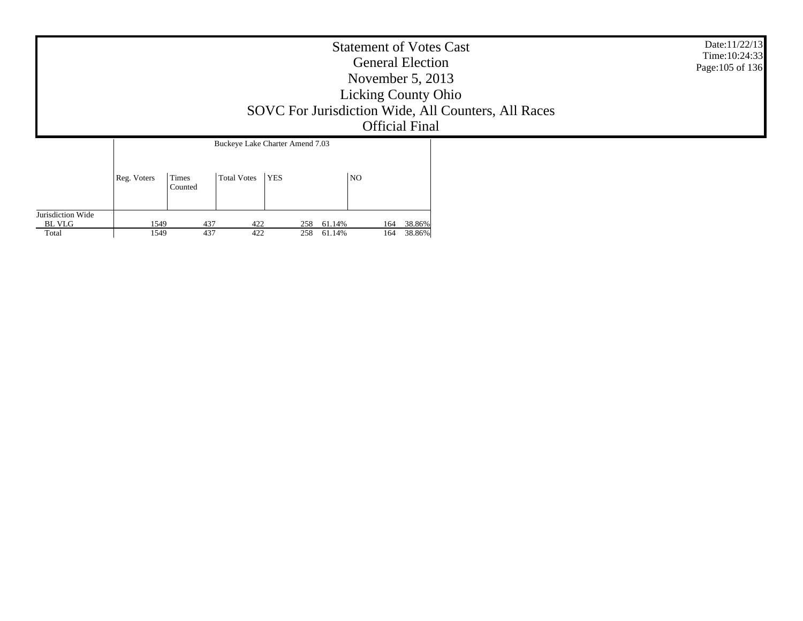|             | <b>Statement of Votes Cast</b><br><b>General Election</b><br>November $5, 2013$<br><b>Licking County Ohio</b><br>SOVC For Jurisdiction Wide, All Counters, All Races<br><b>Official Final</b> |                                               |  |  |  |  |  |
|-------------|-----------------------------------------------------------------------------------------------------------------------------------------------------------------------------------------------|-----------------------------------------------|--|--|--|--|--|
| Reg. Voters | Times<br>Total Votes                                                                                                                                                                          | Buckeye Lake Charter Amend 7.03<br><b>YES</b> |  |  |  |  |  |

| Jurisdiction Wide |      |          |     |     |               |        |
|-------------------|------|----------|-----|-----|---------------|--------|
| <b>BL VLG</b>     | 1549 | $43^{-}$ | 422 | 258 | 61.14%<br>164 | 38.86% |
| Total             | 1549 | 437      | 422 | 258 | 61.14%<br>164 | 38.86% |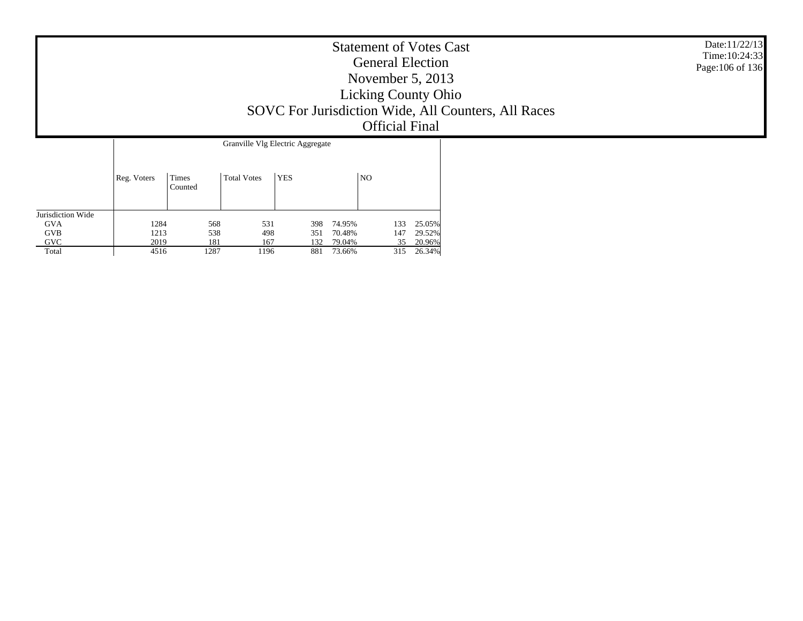|             |                  |             |                                                | <b>Statement of Votes Cast</b><br><b>General Election</b><br>November 5, 2013<br><b>Licking County Ohio</b><br>SOVC For Jurisdiction Wide, All Counters, All Races<br><b>Official Final</b> | Date:11/22/13<br>Time: 10:24:33<br>Page: 106 of 136 |
|-------------|------------------|-------------|------------------------------------------------|---------------------------------------------------------------------------------------------------------------------------------------------------------------------------------------------|-----------------------------------------------------|
| Reg. Voters | Times<br>Counted | Total Votes | Granville Vlg Electric Aggregate<br><b>YES</b> | NO                                                                                                                                                                                          |                                                     |

| Jurisdiction Wide |      |      |     |     |        |     |        |
|-------------------|------|------|-----|-----|--------|-----|--------|
| <b>GVA</b>        | 1284 | 568  | 531 | 398 | 74.95% | 133 | 25.05% |
| <b>GVB</b>        | 1213 | 538  | 498 | 351 | 70.48% | 147 | 29.52% |
| <b>GVC</b>        | 2019 | 181  | 167 | 132 | 79.04% | 35  | 20.96% |
| Total             | 4516 | 1287 | 196 | 881 | 73.66% | 315 | 26.34% |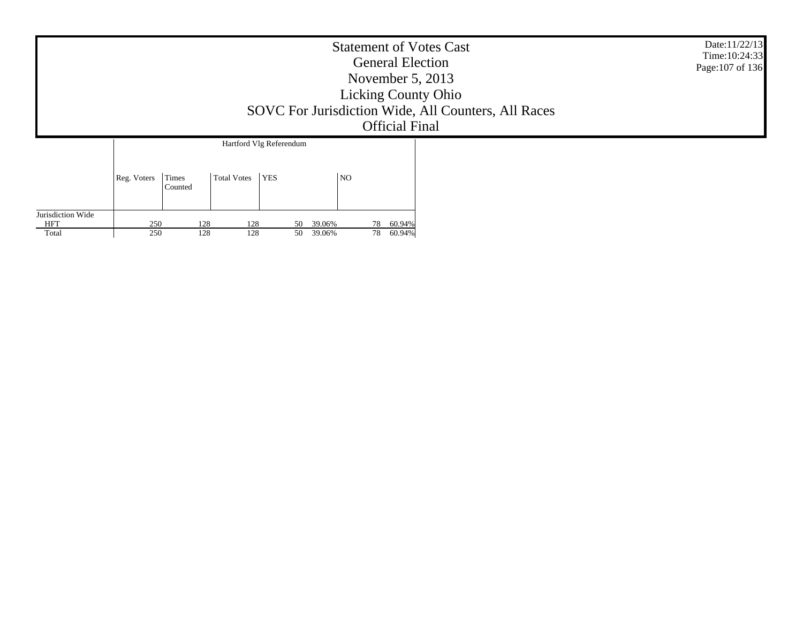|                   | Date:11/22/13<br>Time: 10:24:33<br>Page: 107 of 136 |                  |                    |                         |                     |    |                              |  |  |
|-------------------|-----------------------------------------------------|------------------|--------------------|-------------------------|---------------------|----|------------------------------|--|--|
|                   |                                                     |                  |                    | Hartford Vlg Referendum |                     |    |                              |  |  |
|                   | Reg. Voters                                         | Times<br>Counted | <b>Total Votes</b> | <b>YES</b>              |                     | NO |                              |  |  |
| Jurisdiction Wide |                                                     |                  |                    |                         |                     |    |                              |  |  |
| HFT<br>Total      | 250<br>250                                          | 128<br>128       | 128<br>128         | 50                      | 39.06%<br>50 39.06% |    | 60.94%<br>78<br>60.94%<br>78 |  |  |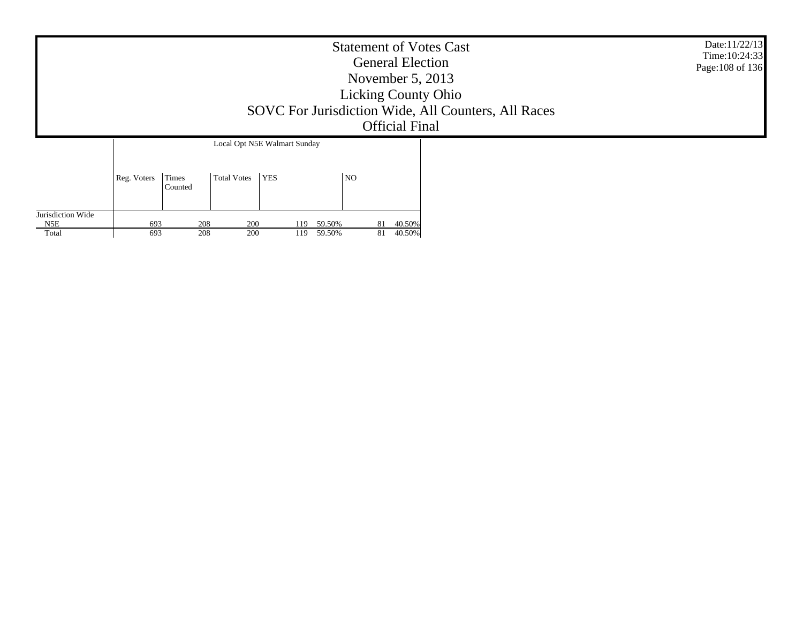|                   | Date:11/22/13<br>Time: 10:24:33<br>Page: 108 of 136 |                  |                    |                              |                |    |        |  |  |
|-------------------|-----------------------------------------------------|------------------|--------------------|------------------------------|----------------|----|--------|--|--|
|                   |                                                     |                  |                    | Local Opt N5E Walmart Sunday |                |    |        |  |  |
|                   | Reg. Voters                                         | Times<br>Counted | <b>Total Votes</b> | <b>YES</b>                   | N <sub>O</sub> |    |        |  |  |
| Jurisdiction Wide |                                                     |                  |                    |                              |                |    |        |  |  |
| N5E               | 693                                                 | 208              | 200                | 119                          | 59.50%         | 81 | 40.50% |  |  |
| Total             | 693                                                 | 208              | 200                | 119                          | 59.50%         | 81 | 40.50% |  |  |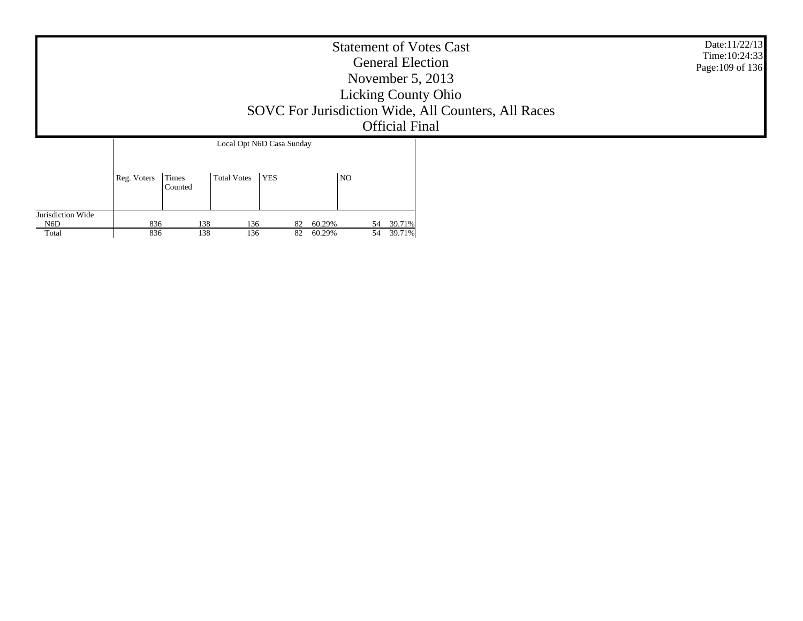|                          |             |                  |                    |                           |                | <b>Official Final</b> | <b>Statement of Votes Cast</b><br><b>General Election</b><br>November $5, 2013$<br><b>Licking County Ohio</b><br>SOVC For Jurisdiction Wide, All Counters, All Races | Date:11/22/13<br>Time: 10:24:33<br>Page: 109 of 136 |
|--------------------------|-------------|------------------|--------------------|---------------------------|----------------|-----------------------|----------------------------------------------------------------------------------------------------------------------------------------------------------------------|-----------------------------------------------------|
|                          |             |                  |                    | Local Opt N6D Casa Sunday |                |                       |                                                                                                                                                                      |                                                     |
|                          | Reg. Voters | Times<br>Counted | <b>Total Votes</b> | <b>YES</b>                | N <sub>O</sub> |                       |                                                                                                                                                                      |                                                     |
| Jurisdiction Wide<br>N6D | 836         | 138              | 136                |                           | 82 60.29%      | 54 39.71%             |                                                                                                                                                                      |                                                     |
| Total                    | 836         | 138              | 136                | 82                        | 60.29%         | 54 39.71%             |                                                                                                                                                                      |                                                     |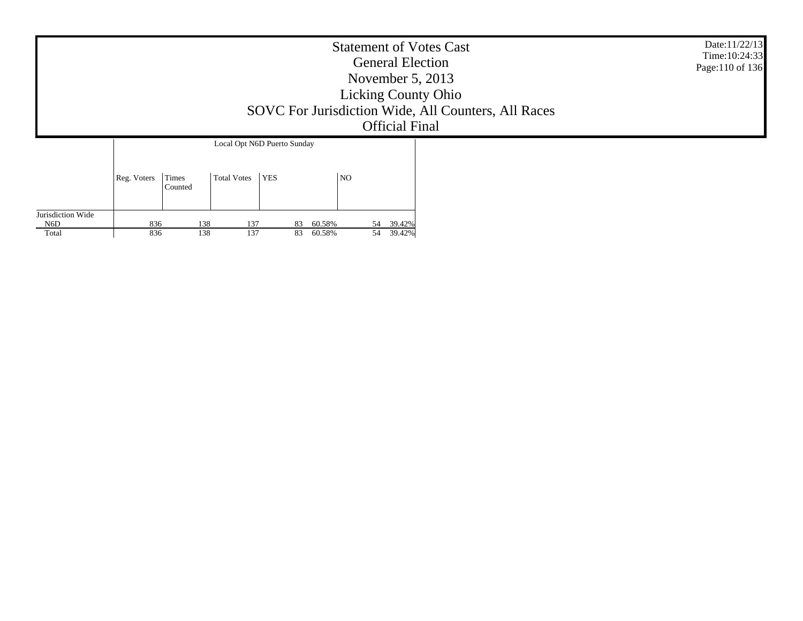|                   |             |            |                                                   |            |                  |                | <b>Official Final</b> | <b>Statement of Votes Cast</b><br><b>General Election</b><br>November $5, 2013$<br><b>Licking County Ohio</b><br>SOVC For Jurisdiction Wide, All Counters, All Races | Date:11/22/13<br>Time: 10:24:33<br>Page:110 of 136 |
|-------------------|-------------|------------|---------------------------------------------------|------------|------------------|----------------|-----------------------|----------------------------------------------------------------------------------------------------------------------------------------------------------------------|----------------------------------------------------|
|                   | Reg. Voters | Times      | Local Opt N6D Puerto Sunday<br><b>Total Votes</b> | <b>YES</b> |                  | N <sub>O</sub> |                       |                                                                                                                                                                      |                                                    |
| Jurisdiction Wide |             | Counted    |                                                   |            |                  |                |                       |                                                                                                                                                                      |                                                    |
| N6D<br>Total      | 836<br>836  | 138<br>138 | 137<br>137                                        | 83<br>83   | 60.58%<br>60.58% | 54<br>54       | 39.42%<br>39.42%      |                                                                                                                                                                      |                                                    |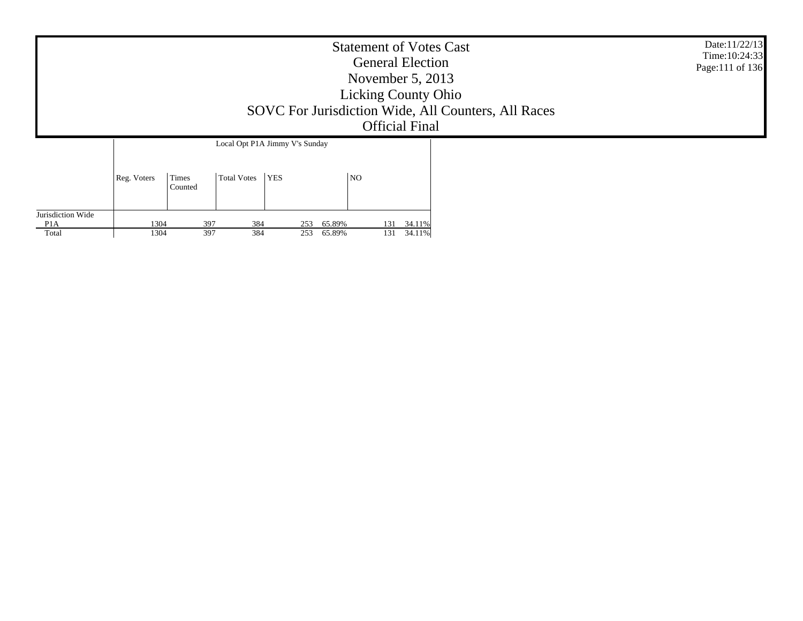|                   |             |                  |                    |                                |                | <b>Statement of Votes Cast</b><br><b>General Election</b><br>November $5, 2013$<br><b>Licking County Ohio</b><br>SOVC For Jurisdiction Wide, All Counters, All Races<br><b>Official Final</b> | Date:11/22/13<br>Time: 10:24:33<br>Page:111 of 136 |
|-------------------|-------------|------------------|--------------------|--------------------------------|----------------|-----------------------------------------------------------------------------------------------------------------------------------------------------------------------------------------------|----------------------------------------------------|
|                   |             |                  |                    | Local Opt P1A Jimmy V's Sunday |                |                                                                                                                                                                                               |                                                    |
| Jurisdiction Wide | Reg. Voters | Times<br>Counted | <b>Total Votes</b> | <b>YES</b>                     | N <sub>O</sub> |                                                                                                                                                                                               |                                                    |

131 34.11%

131 34.11%

P1A Total

1304

1304

397 384 253 65.89%

397 384 253 65.89%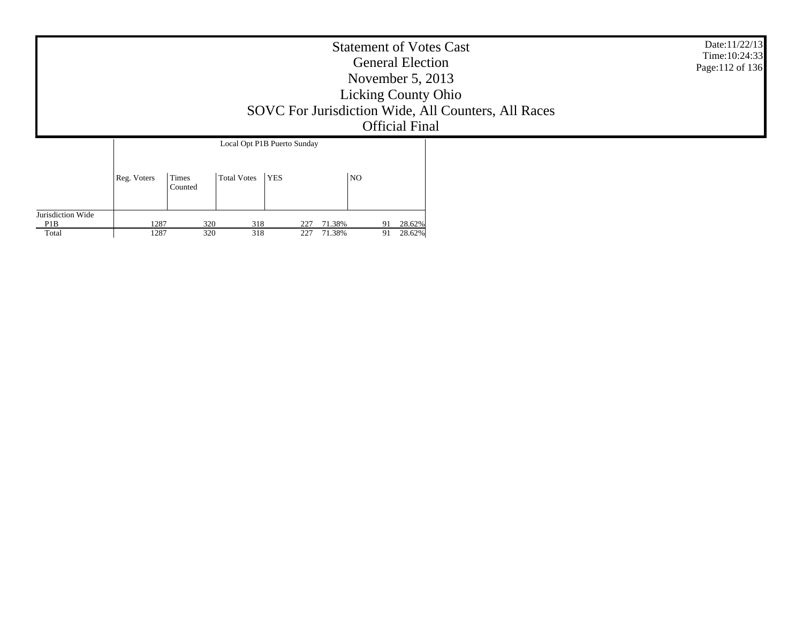|                   |             |                  |             |                             | <b>Statement of Votes Cast</b><br><b>General Election</b><br>November $5, 2013$<br><b>Licking County Ohio</b><br>SOVC For Jurisdiction Wide, All Counters, All Races<br><b>Official Final</b> | Date:11/22/13<br>Time: 10:24:33<br>Page:112 of 136 |  |
|-------------------|-------------|------------------|-------------|-----------------------------|-----------------------------------------------------------------------------------------------------------------------------------------------------------------------------------------------|----------------------------------------------------|--|
|                   |             |                  |             | Local Opt P1B Puerto Sunday |                                                                                                                                                                                               |                                                    |  |
| Jurisdiction Wide | Reg. Voters | Times<br>Counted | Total Votes | <b>YES</b>                  | NO                                                                                                                                                                                            |                                                    |  |

91 28.62%

91 28.62%

P1B Total

1287

1287

320 318 227 71.38%

320 318 227 71.38%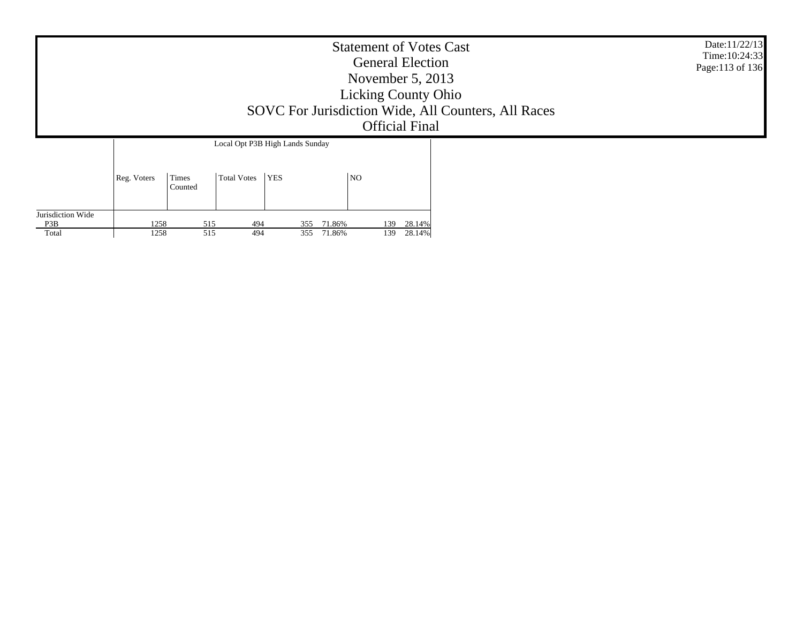|                                 |                                                              | <b>Statement of Votes Cast</b><br><b>General Election</b><br>November $5, 2013$<br><b>Licking County Ohio</b><br>SOVC For Jurisdiction Wide, All Counters, All Races<br><b>Official Final</b> | Date:11/22/13<br>Time: 10:24:33<br>Page:113 of 136 |  |
|---------------------------------|--------------------------------------------------------------|-----------------------------------------------------------------------------------------------------------------------------------------------------------------------------------------------|----------------------------------------------------|--|
| Times<br>Reg. Voters<br>Counted | Local Opt P3B High Lands Sunday<br><b>YES</b><br>Total Votes | NO                                                                                                                                                                                            |                                                    |  |

| Jurisdiction Wide |                              |       |     |             |            |               |        |
|-------------------|------------------------------|-------|-----|-------------|------------|---------------|--------|
| P <sub>3</sub> B  | $\sim$ $\sim$ $\sim$<br>1238 | ັ້    | 494 | JJJ         | 86%        | $130 -$<br>⊥⊃ | 28.14% |
| Total             | 1258                         | ن 1 ب | 494 | 255<br>JJ J | .86%<br>71 | 139           | 28.14% |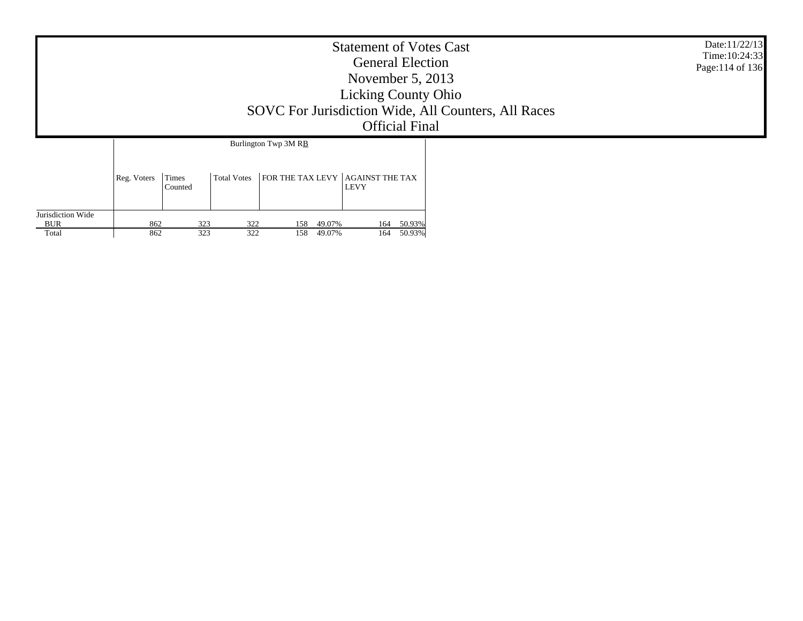|                                   |             |                         |                    |                                                 | <b>Statement of Votes Cast</b><br><b>General Election</b><br>November 5, 2013<br><b>Licking County Ohio</b><br>SOVC For Jurisdiction Wide, All Counters, All Races<br><b>Official Final</b> | Date:11/22/13<br>Time: 10:24:33<br>Page:114 of 136 |  |  |
|-----------------------------------|-------------|-------------------------|--------------------|-------------------------------------------------|---------------------------------------------------------------------------------------------------------------------------------------------------------------------------------------------|----------------------------------------------------|--|--|
|                                   | Reg. Voters | <b>Times</b><br>Counted | <b>Total Votes</b> | Burlington Twp 3M RB<br><b>FOR THE TAX LEVY</b> | <b>AGAINST THE TAX</b><br><b>LEVY</b>                                                                                                                                                       |                                                    |  |  |
| Jurisdiction Wide<br>BUR<br>Total | 862<br>862  | 323<br>323              | 322<br>322         | 49.07%<br>158<br>158<br>49.07%                  | 164<br>164                                                                                                                                                                                  | 50.93%<br>50.93%                                   |  |  |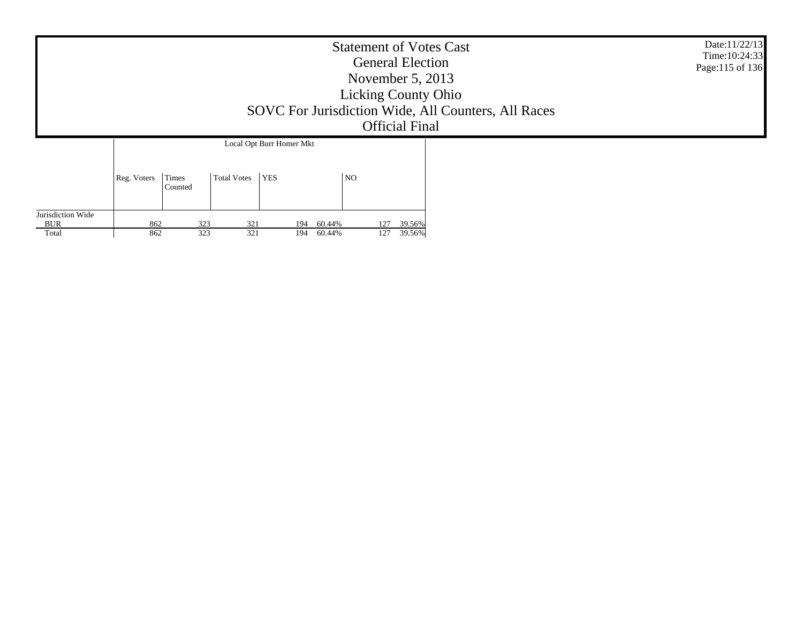|                                   |                                 | Date:11/22/13<br>Time: 10:24:33<br>Page:115 of 136 |                                               |                                |     |                  |  |  |
|-----------------------------------|---------------------------------|----------------------------------------------------|-----------------------------------------------|--------------------------------|-----|------------------|--|--|
|                                   | Reg. Voters<br>Times<br>Counted |                                                    | Local Opt Burr Homer Mkt<br>Total Votes   YES |                                | NO  |                  |  |  |
| Jurisdiction Wide<br>BUR<br>Total | 862<br>862                      | 323<br>323                                         | 321<br>321                                    | 60.44%<br>194<br>60.44%<br>194 | 127 | 39.56%<br>39.56% |  |  |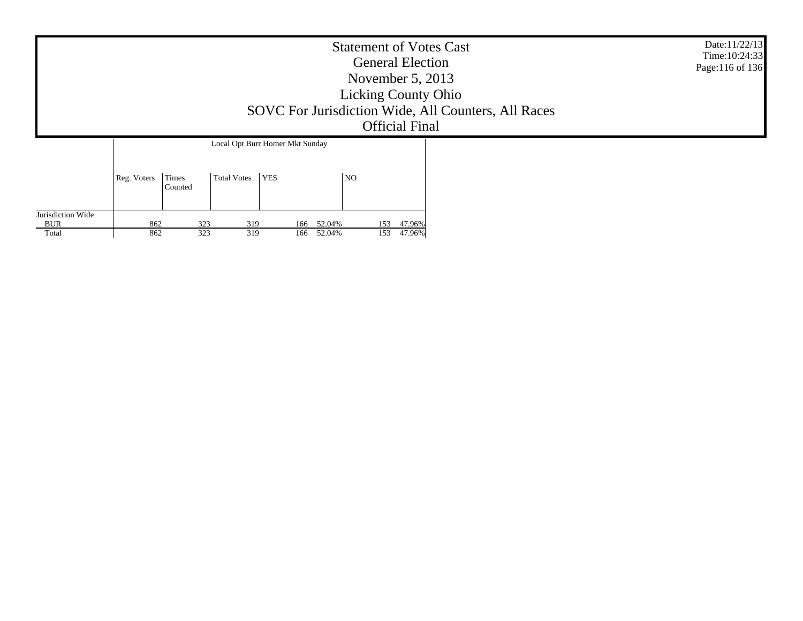|                   |             |                  |                    |                                 | <b>Statement of Votes Cast</b><br><b>General Election</b><br>November $5, 2013$<br><b>Licking County Ohio</b><br><b>Official Final</b> | SOVC For Jurisdiction Wide, All Counters, All Races | Date:11/22/13<br>Time: 10:24:33<br>Page:116 of 136 |
|-------------------|-------------|------------------|--------------------|---------------------------------|----------------------------------------------------------------------------------------------------------------------------------------|-----------------------------------------------------|----------------------------------------------------|
|                   |             |                  |                    | Local Opt Burr Homer Mkt Sunday |                                                                                                                                        |                                                     |                                                    |
| Jurisdiction Wide | Reg. Voters | Times<br>Counted | <b>Total Votes</b> | <b>YES</b>                      | N <sub>O</sub>                                                                                                                         |                                                     |                                                    |

153 47.96%

153 47.96%

BUR Total

862

862

323 319 166 52.04%

323 319 166 52.04%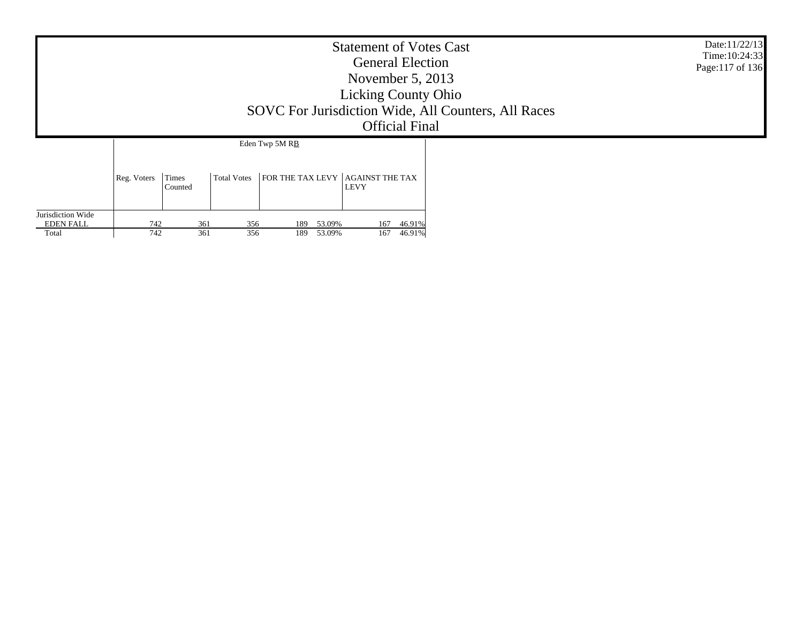|                                                |             |                  |                    |                                | <b>Statement of Votes Cast</b><br><b>General Election</b><br>November $5, 2013$<br><b>Licking County Ohio</b><br><b>Official Final</b> | SOVC For Jurisdiction Wide, All Counters, All Races | Date:11/22/13<br>Time: 10:24:33<br>Page:117 of 136 |  |
|------------------------------------------------|-------------|------------------|--------------------|--------------------------------|----------------------------------------------------------------------------------------------------------------------------------------|-----------------------------------------------------|----------------------------------------------------|--|
|                                                |             |                  |                    | Eden Twp 5M RB                 |                                                                                                                                        |                                                     |                                                    |  |
|                                                | Reg. Voters | Times<br>Counted | <b>Total Votes</b> | <b>FOR THE TAX LEVY</b>        | <b>AGAINST THE TAX</b><br><b>LEVY</b>                                                                                                  |                                                     |                                                    |  |
| Jurisdiction Wide<br><b>EDEN FALL</b><br>Total | 742<br>742  | 361<br>361       | 356<br>356         | 53.09%<br>189<br>189<br>53.09% | 167<br>167                                                                                                                             | 46.91%<br>46.91%                                    |                                                    |  |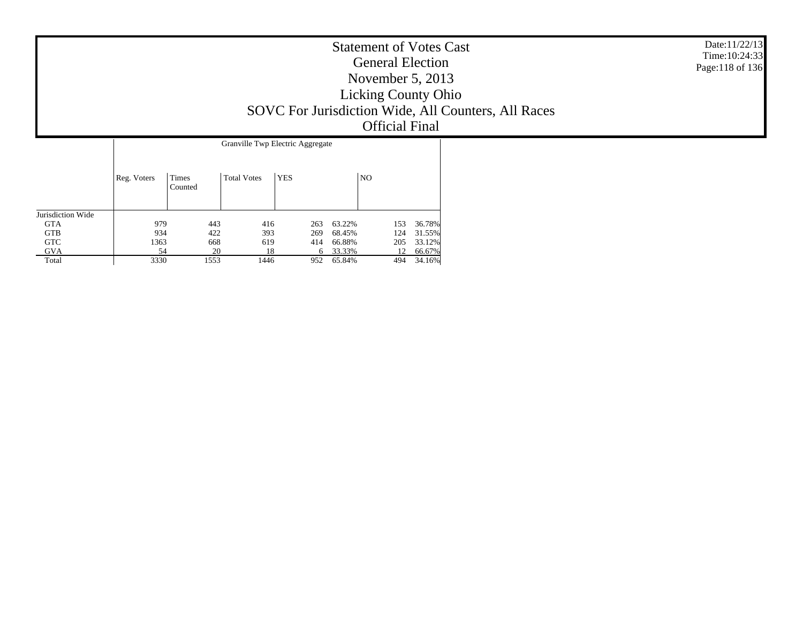| <b>Statement of Votes Cast</b><br><b>General Election</b><br>November $5, 2013$<br><b>Licking County Ohio</b><br>SOVC For Jurisdiction Wide, All Counters, All Races<br><b>Official Final</b> | Date:11/22/13<br>Time: 10:24:33<br>Page:118 of 136 |
|-----------------------------------------------------------------------------------------------------------------------------------------------------------------------------------------------|----------------------------------------------------|
| Granville Twp Electric Aggregate                                                                                                                                                              |                                                    |

|                   |             |                  | Granville Twp Electric Aggregate |            |        |     |        |  |  |  |
|-------------------|-------------|------------------|----------------------------------|------------|--------|-----|--------|--|--|--|
|                   | Reg. Voters | Times<br>Counted | <b>Total Votes</b>               | <b>YES</b> |        | NO. |        |  |  |  |
| Jurisdiction Wide |             |                  |                                  |            |        |     |        |  |  |  |
| <b>GTA</b>        | 979         | 443              | 416                              | 263        | 63.22% | 153 | 36.78% |  |  |  |
| <b>GTB</b>        | 934         | 422              | 393                              | 269        | 68.45% | 124 | 31.55% |  |  |  |
| <b>GTC</b>        | 1363        | 668              | 619                              | 414        | 66.88% | 205 | 33.12% |  |  |  |
| GVA               | 54          | 20               | 18                               | 6          | 33.33% | 12  | 66.67% |  |  |  |
| Total             | 3330        | 1553             | 1446                             | 952        | 65.84% | 494 | 34.16% |  |  |  |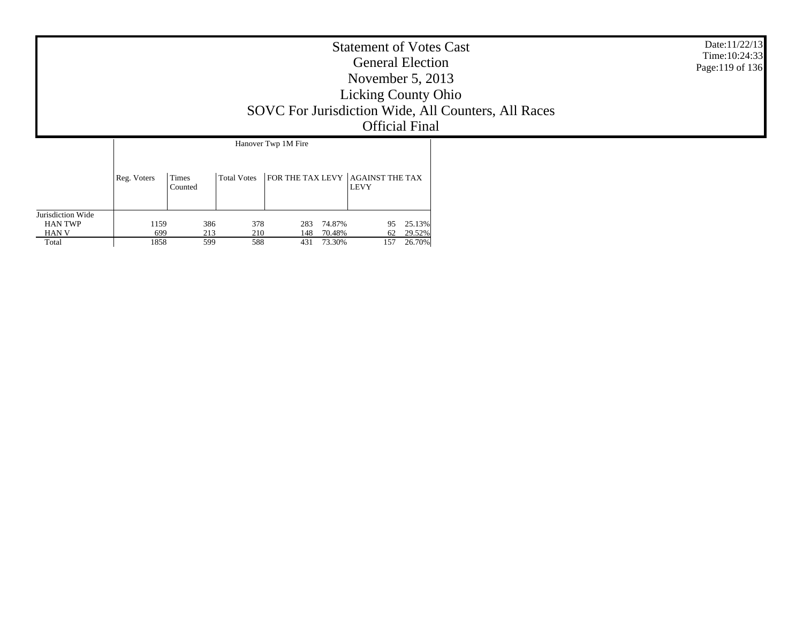|                                     |             |                  |                    |                     | <b>Statement of Votes Cast</b><br><b>General Election</b><br>November $5, 2013$<br><b>Licking County Ohio</b><br><b>Official Final</b> | SOVC For Jurisdiction Wide, All Counters, All Races | Date:11/22/13<br>Time: 10:24:33<br>Page:119 of 136 |
|-------------------------------------|-------------|------------------|--------------------|---------------------|----------------------------------------------------------------------------------------------------------------------------------------|-----------------------------------------------------|----------------------------------------------------|
|                                     |             |                  |                    | Hanover Twp 1M Fire |                                                                                                                                        |                                                     |                                                    |
|                                     | Reg. Voters | Times<br>Counted | <b>Total Votes</b> |                     | FOR THE TAX LEVY AGAINST THE TAX<br><b>LEVY</b>                                                                                        |                                                     |                                                    |
| Jurisdiction Wide<br><b>HAN TWP</b> | 1159        | 386              | 378                | 74.87%<br>283       | 25.13%<br>95                                                                                                                           |                                                     |                                                    |

62 29.52%

157 26.70%

HAN V Total

699

1858

213 210 148 70.48%

599 588 431 73.30%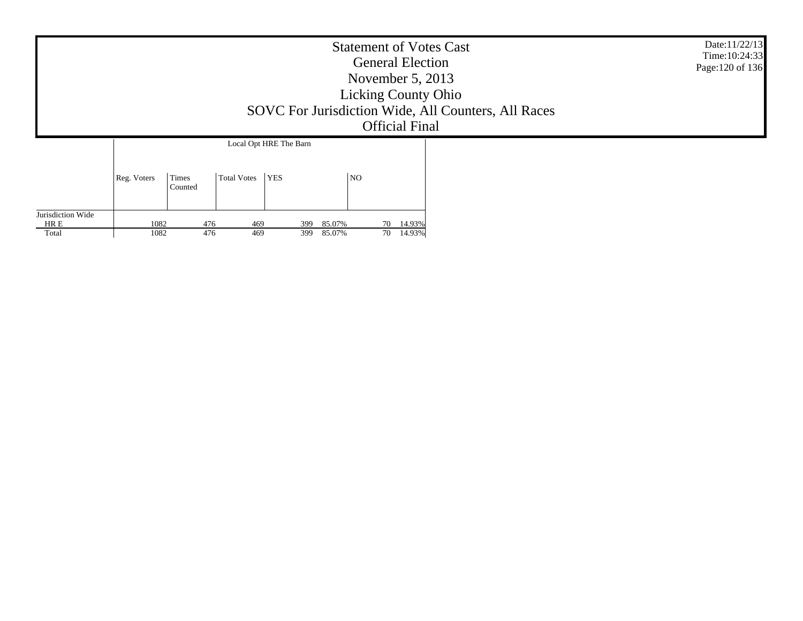|                                    |              | <b>Statement of Votes Cast</b><br><b>General Election</b><br>November $5, 2013$<br><b>Licking County Ohio</b><br>SOVC For Jurisdiction Wide, All Counters, All Races<br><b>Official Final</b> | Date:11/22/13<br>Time: 10:24:33<br>Page: 120 of 136 |                        |                  |    |                     |  |  |
|------------------------------------|--------------|-----------------------------------------------------------------------------------------------------------------------------------------------------------------------------------------------|-----------------------------------------------------|------------------------|------------------|----|---------------------|--|--|
|                                    |              |                                                                                                                                                                                               |                                                     | Local Opt HRE The Barn |                  |    |                     |  |  |
|                                    | Reg. Voters  | Times<br>Counted                                                                                                                                                                              | Total Votes                                         | <b>YES</b>             | <b>NO</b>        |    |                     |  |  |
| Jurisdiction Wide<br>HR E<br>Total | 1082<br>1082 | 476<br>476                                                                                                                                                                                    | 469<br>469                                          | 399<br>399             | 85.07%<br>85.07% | 70 | 70 14.93%<br>14.93% |  |  |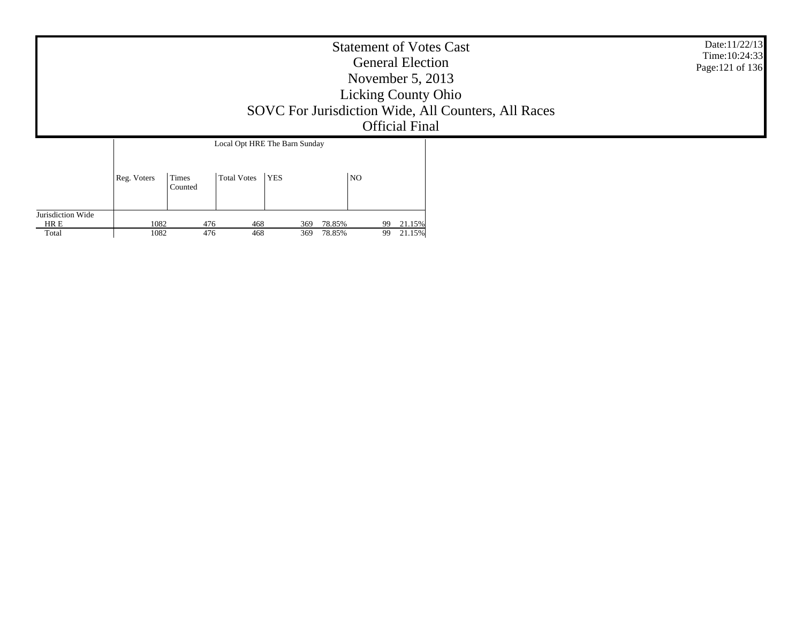|                   |              |                         |                               |            |                  |          | <b>General Election</b><br>November $5, 2013$<br><b>Official Final</b> | <b>Statement of Votes Cast</b><br><b>Licking County Ohio</b><br>SOVC For Jurisdiction Wide, All Counters, All Races | Date:11/22/13<br>Time:10:24:33<br>Page: 121 of 136 |
|-------------------|--------------|-------------------------|-------------------------------|------------|------------------|----------|------------------------------------------------------------------------|---------------------------------------------------------------------------------------------------------------------|----------------------------------------------------|
|                   |              |                         | Local Opt HRE The Barn Sunday |            |                  |          |                                                                        |                                                                                                                     |                                                    |
|                   | Reg. Voters  | <b>Times</b><br>Counted | <b>Total Votes</b>            | <b>YES</b> | N <sub>O</sub>   |          |                                                                        |                                                                                                                     |                                                    |
| Jurisdiction Wide |              |                         |                               |            |                  |          |                                                                        |                                                                                                                     |                                                    |
| HR E<br>Total     | 1082<br>1082 | 476<br>476              | 468<br>468                    | 369<br>369 | 78.85%<br>78.85% | 99<br>99 | 21.15%<br>21.15%                                                       |                                                                                                                     |                                                    |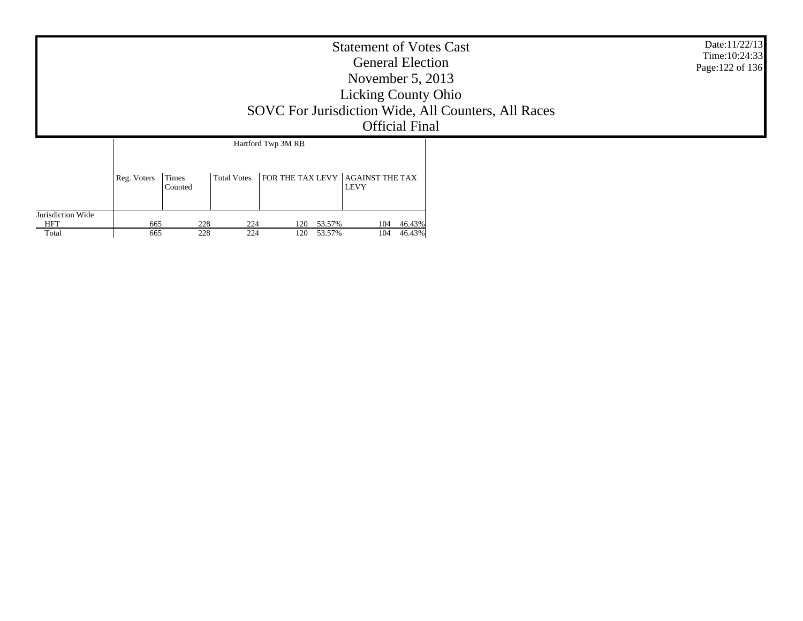|                                          |             |                         |                    |                                               | <b>Statement of Votes Cast</b><br><b>General Election</b><br>November $5, 2013$<br><b>Licking County Ohio</b><br>SOVC For Jurisdiction Wide, All Counters, All Races<br><b>Official Final</b> | Date:11/22/13<br>Time: 10:24:33<br>Page: 122 of 136 |  |  |
|------------------------------------------|-------------|-------------------------|--------------------|-----------------------------------------------|-----------------------------------------------------------------------------------------------------------------------------------------------------------------------------------------------|-----------------------------------------------------|--|--|
|                                          | Reg. Voters | <b>Times</b><br>Counted | <b>Total Votes</b> | Hartford Twp 3M RB<br><b>FOR THE TAX LEVY</b> | <b>AGAINST THE TAX</b>                                                                                                                                                                        |                                                     |  |  |
| Jurisdiction Wide<br><b>HFT</b><br>Total | 665<br>665  | 228<br>228              | 224<br>224         | 53.57%<br>120<br>120<br>53.57%                | 104<br>104                                                                                                                                                                                    | 46.43%<br>46.43%                                    |  |  |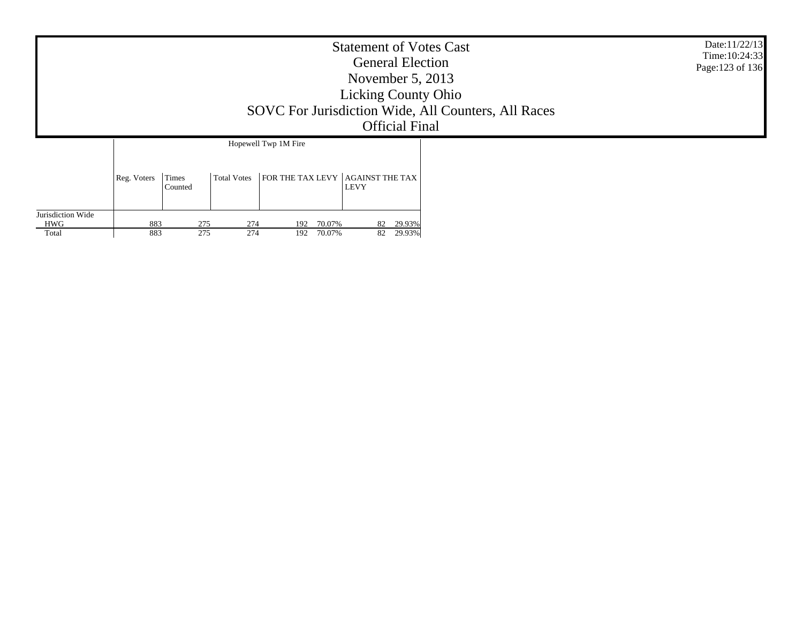|                                   |             |                       |                    |                                                 | <b>Statement of Votes Cast</b><br><b>General Election</b><br>November $5, 2013$<br><b>Licking County Ohio</b><br><b>Official Final</b> | SOVC For Jurisdiction Wide, All Counters, All Races | Date:11/22/13<br>Time: 10:24:33<br>Page: 123 of 136 |
|-----------------------------------|-------------|-----------------------|--------------------|-------------------------------------------------|----------------------------------------------------------------------------------------------------------------------------------------|-----------------------------------------------------|-----------------------------------------------------|
|                                   | Reg. Voters | Times                 | <b>Total Votes</b> | Hopewell Twp 1M Fire<br><b>FOR THE TAX LEVY</b> | <b>AGAINST THE TAX</b><br><b>LEVY</b>                                                                                                  |                                                     |                                                     |
| Jurisdiction Wide<br>HWG<br>Total | 883<br>883  | Counted<br>275<br>275 | 274<br>274         | 70.07%<br>192<br>192<br>70.07%                  |                                                                                                                                        |                                                     |                                                     |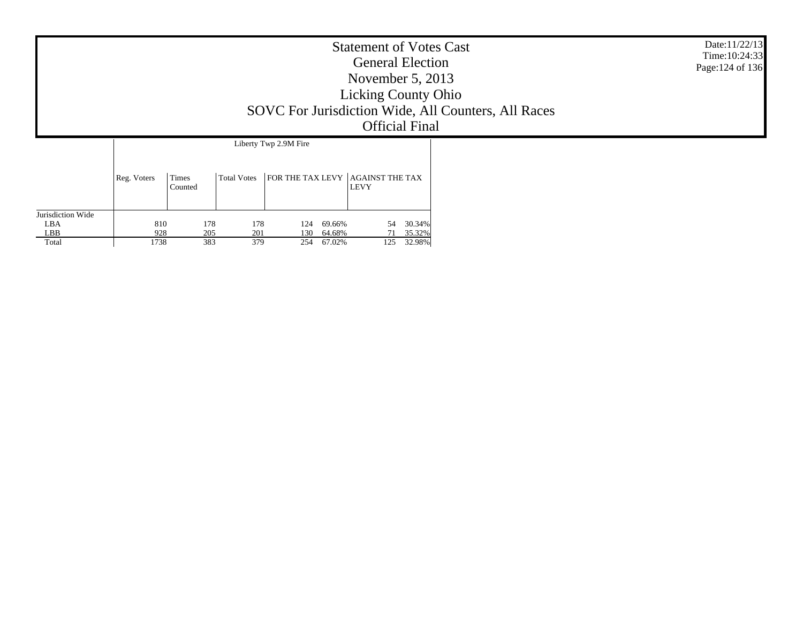|                                          |                    |                   |                   |                       |                            | <b>Statement of Votes Cast</b><br><b>General Election</b><br>November $5, 2013$<br><b>Licking County Ohio</b><br><b>Official Final</b> | SOVC For Jurisdiction Wide, All Counters, All Races | Date:11/22/13<br>Time: 10:24:33<br>Page: 124 of 136 |
|------------------------------------------|--------------------|-------------------|-------------------|-----------------------|----------------------------|----------------------------------------------------------------------------------------------------------------------------------------|-----------------------------------------------------|-----------------------------------------------------|
|                                          | Reg. Voters        | Times<br>Counted  | Total Votes       | Liberty Twp 2.9M Fire |                            | $ $ FOR THE TAX LEVY $ $ AGAINST THE TAX<br><b>LEVY</b>                                                                                |                                                     |                                                     |
| Jurisdiction Wide<br>LBA<br>LBB<br>Total | 810<br>928<br>1738 | 178<br>205<br>383 | 178<br>201<br>379 | 124<br>130<br>254     | 69.66%<br>64.68%<br>67.02% | 30.34%<br>54<br>35.32%<br>71<br>32.98%<br>125                                                                                          |                                                     |                                                     |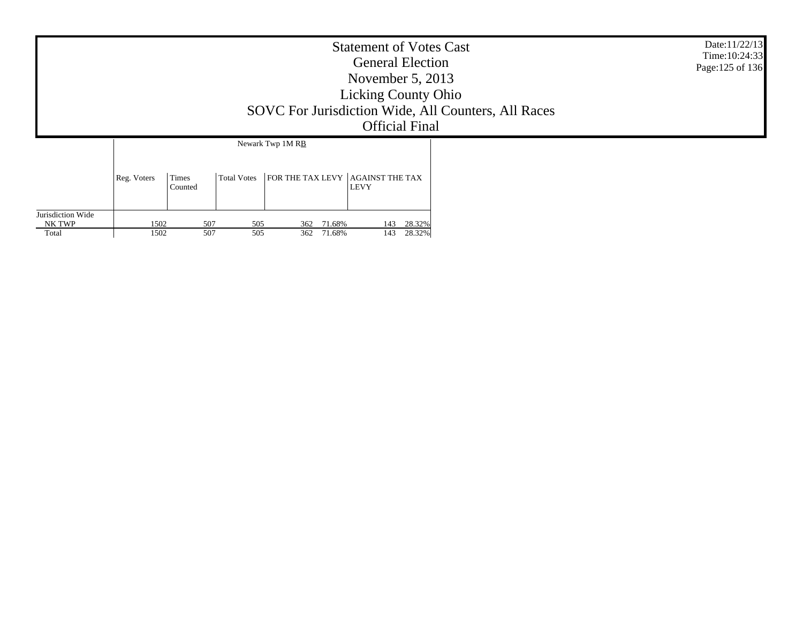|                                      |              |                  |                    |                                  | <b>Statement of Votes Cast</b><br><b>General Election</b><br>November $5, 2013$<br><b>Licking County Ohio</b><br>SOVC For Jurisdiction Wide, All Counters, All Races<br><b>Official Final</b> | Date:11/22/13<br>Time: 10:24:33<br>Page: 125 of 136 |  |
|--------------------------------------|--------------|------------------|--------------------|----------------------------------|-----------------------------------------------------------------------------------------------------------------------------------------------------------------------------------------------|-----------------------------------------------------|--|
|                                      |              |                  |                    | Newark Twp 1M RB                 |                                                                                                                                                                                               |                                                     |  |
|                                      | Reg. Voters  | Times<br>Counted | <b>Total Votes</b> | FOR THE TAX LEVY AGAINST THE TAX | <b>LEVY</b>                                                                                                                                                                                   |                                                     |  |
| Jurisdiction Wide<br>NK TWP<br>Total | 1502<br>1502 | 507<br>507       | 505<br>505         | 71.68%<br>362<br>362<br>71.68%   | 28.32%<br>143<br>28.32%<br>143                                                                                                                                                                |                                                     |  |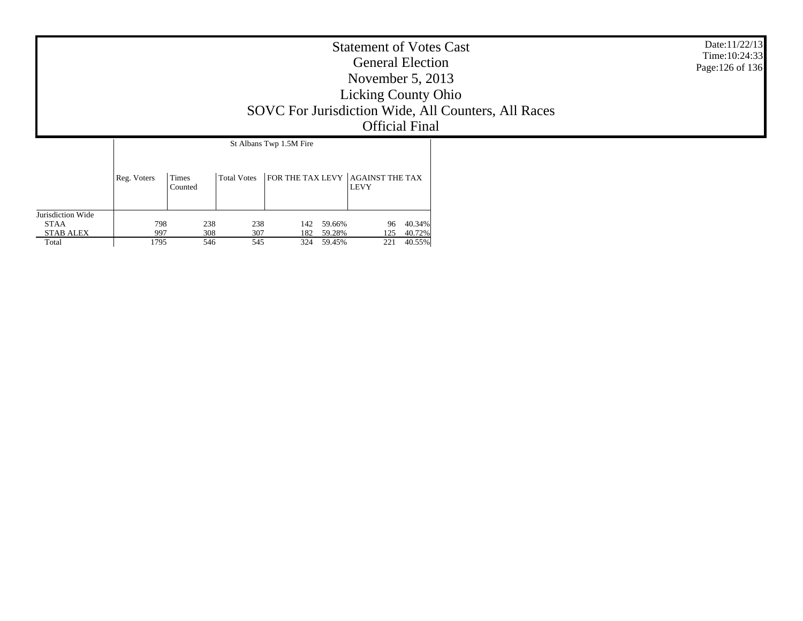|                                  |             |                  |                    |                         |        | <b>Statement of Votes Cast</b><br><b>General Election</b><br>November $5, 2013$<br><b>Licking County Ohio</b><br><b>Official Final</b> |        | SOVC For Jurisdiction Wide, All Counters, All Races | Date:11/22/13<br>Time: 10:24:33<br>Page: 126 of 136 |
|----------------------------------|-------------|------------------|--------------------|-------------------------|--------|----------------------------------------------------------------------------------------------------------------------------------------|--------|-----------------------------------------------------|-----------------------------------------------------|
|                                  |             |                  |                    | St Albans Twp 1.5M Fire |        |                                                                                                                                        |        |                                                     |                                                     |
|                                  | Reg. Voters | Times<br>Counted | <b>Total Votes</b> |                         |        | FOR THE TAX LEVY AGAINST THE TAX<br><b>LEVY</b>                                                                                        |        |                                                     |                                                     |
| Jurisdiction Wide<br><b>STAA</b> | 798         | 238              | 238                | 142                     | 59.66% | 96                                                                                                                                     | 40.34% |                                                     |                                                     |
| <b>STAB ALEX</b>                 | 997         | 308              | 307                | 182                     | 59.28% | 125                                                                                                                                    | 40.72% |                                                     |                                                     |
| Total                            | 1795        | 546              | 545                | 324                     | 59.45% | 221                                                                                                                                    | 40.55% |                                                     |                                                     |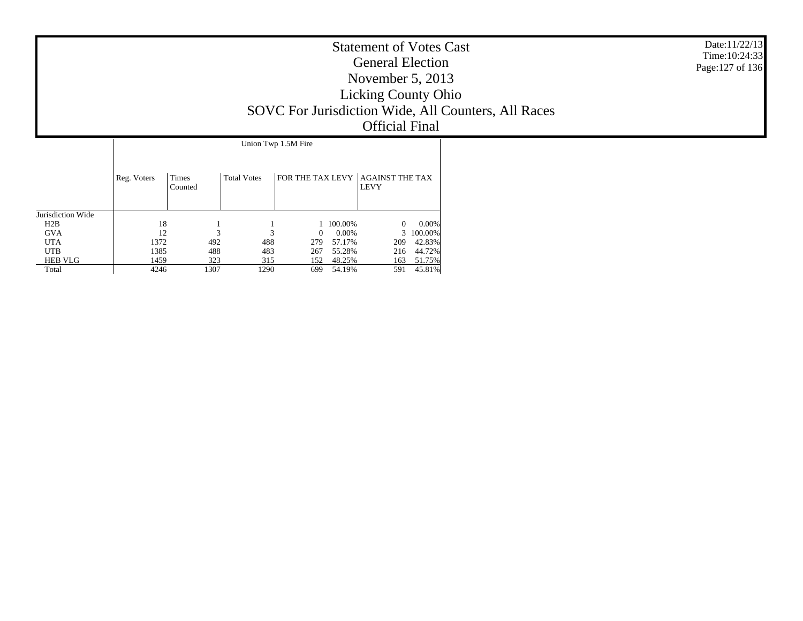|                                                                                               |                                          |                                |                                |                                                                                                        | <b>Statement of Votes Cast</b><br><b>General Election</b><br>November $5, 2013$<br><b>Licking County Ohio</b><br>SOVC For Jurisdiction Wide, All Counters, All Races | Date: 11/22/13<br>Time: 10:24:33<br>Page: 127 of 136 |  |
|-----------------------------------------------------------------------------------------------|------------------------------------------|--------------------------------|--------------------------------|--------------------------------------------------------------------------------------------------------|----------------------------------------------------------------------------------------------------------------------------------------------------------------------|------------------------------------------------------|--|
|                                                                                               |                                          |                                |                                | Union Twp 1.5M Fire                                                                                    |                                                                                                                                                                      |                                                      |  |
|                                                                                               | Reg. Voters                              | Times<br>Counted               | <b>Total Votes</b>             | FOR THE TAX LEVY AGAINST THE TAX                                                                       | <b>LEVY</b>                                                                                                                                                          |                                                      |  |
| Jurisdiction Wide<br>H2B<br><b>GVA</b><br><b>UTA</b><br><b>UTB</b><br><b>HEB VLG</b><br>Total | 18<br>12<br>1372<br>1385<br>1459<br>4246 | 3<br>492<br>488<br>323<br>1307 | 3<br>488<br>483<br>315<br>1290 | 100.00%<br>0.00%<br>$\overline{0}$<br>57.17%<br>279<br>55.28%<br>267<br>48.25%<br>152<br>54.19%<br>699 | $\theta$<br>0.00%<br>3<br>100.00%<br>42.83%<br>209<br>216<br>44.72%<br>163<br>51.75%<br>45.81%<br>591                                                                |                                                      |  |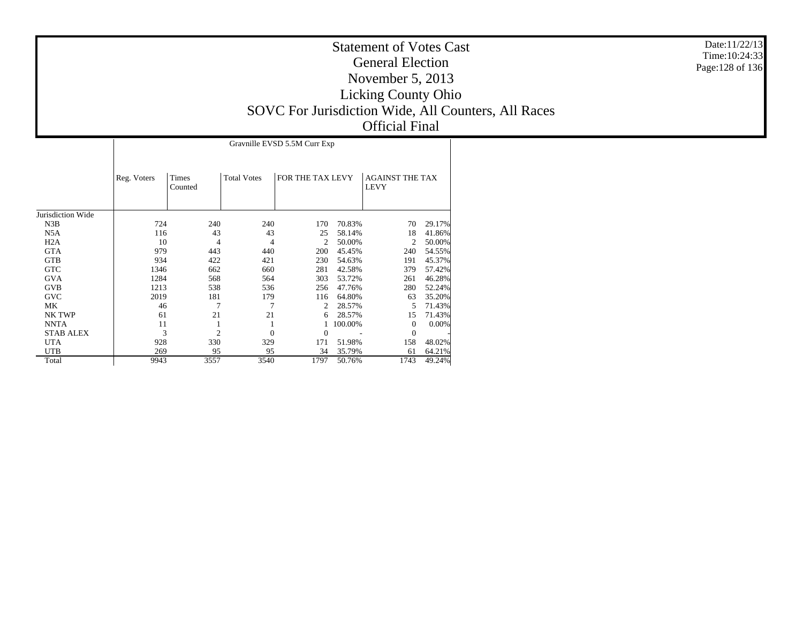## Statement of Votes Cast General Election November 5, 2013 Licking County Ohio SOVC For Jurisdiction Wide, All Counters, All Races Official Final

|                   |             | Gravnille EVSD 5.5M Curr Exp |                    |                  |         |                                       |        |  |  |  |  |  |
|-------------------|-------------|------------------------------|--------------------|------------------|---------|---------------------------------------|--------|--|--|--|--|--|
|                   | Reg. Voters | Times<br>Counted             | <b>Total Votes</b> | FOR THE TAX LEVY |         | <b>AGAINST THE TAX</b><br><b>LEVY</b> |        |  |  |  |  |  |
| Jurisdiction Wide |             |                              |                    |                  |         |                                       |        |  |  |  |  |  |
| N3B               | 724         | 240                          | 240                | 170              | 70.83%  | 70                                    | 29.17% |  |  |  |  |  |
| N5A               | 116         | 43                           | 43                 | 25               | 58.14%  | 18                                    | 41.86% |  |  |  |  |  |
| H <sub>2</sub> A  | 10          | 4                            | 4                  | $\overline{c}$   | 50.00%  | 2                                     | 50.00% |  |  |  |  |  |
| <b>GTA</b>        | 979         | 443                          | 440                | 200              | 45.45%  | 240                                   | 54.55% |  |  |  |  |  |
| <b>GTB</b>        | 934         | 422                          | 421                | 230              | 54.63%  | 191                                   | 45.37% |  |  |  |  |  |
| <b>GTC</b>        | 1346        | 662                          | 660                | 281              | 42.58%  | 379                                   | 57.42% |  |  |  |  |  |
| <b>GVA</b>        | 1284        | 568                          | 564                | 303              | 53.72%  | 261                                   | 46.28% |  |  |  |  |  |
| <b>GVB</b>        | 1213        | 538                          | 536                | 256              | 47.76%  | 280                                   | 52.24% |  |  |  |  |  |
| <b>GVC</b>        | 2019        | 181                          | 179                | 116              | 64.80%  | 63                                    | 35.20% |  |  |  |  |  |
| МK                | 46          | 7                            | 7                  | 2                | 28.57%  | 5                                     | 71.43% |  |  |  |  |  |
| NK TWP            | 61          | 21                           | 21                 | 6                | 28.57%  | 15                                    | 71.43% |  |  |  |  |  |
| <b>NNTA</b>       | 11          |                              | 1                  |                  | 100.00% | $\theta$                              | 0.00%  |  |  |  |  |  |
| <b>STAB ALEX</b>  | 3           | $\overline{c}$               | $\overline{0}$     | $\Omega$         |         | $\theta$                              |        |  |  |  |  |  |
| <b>UTA</b>        | 928         | 330                          | 329                | 171              | 51.98%  | 158                                   | 48.02% |  |  |  |  |  |
| <b>UTB</b>        | 269         | 95                           | 95                 | 34               | 35.79%  | 61                                    | 64.21% |  |  |  |  |  |
| Total             | 9943        | 3557                         | 3540               | 1797             | 50.76%  | 1743                                  | 49.24% |  |  |  |  |  |

Date:11/22/13 Time:10:24:33Page:128 of 136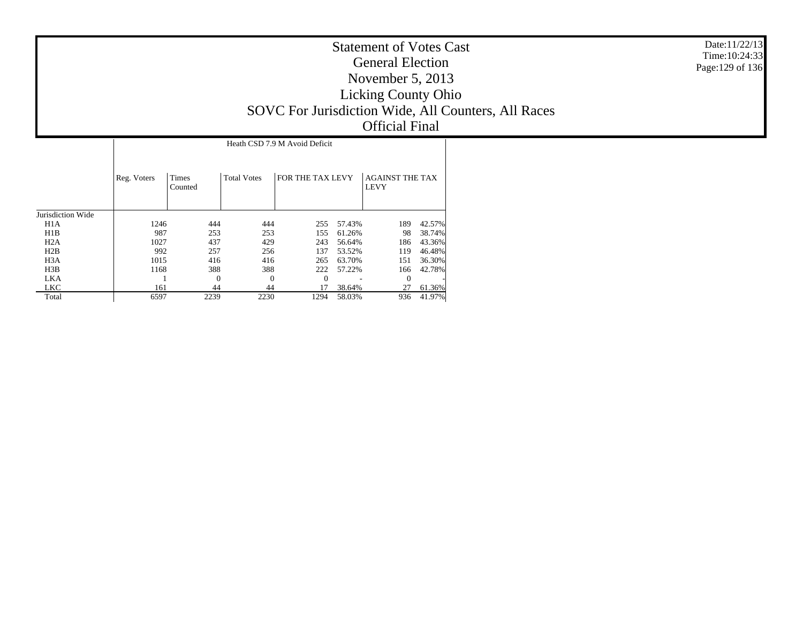| <b>Statement of Votes Cast</b><br><b>General Election</b><br>November $5, 2013$<br><b>Licking County Ohio</b><br>SOVC For Jurisdiction Wide, All Counters, All Races<br><b>Official Final</b> | Date: 11/22/13<br>Time: 10:24:33<br>Page:129 of 136 |
|-----------------------------------------------------------------------------------------------------------------------------------------------------------------------------------------------|-----------------------------------------------------|
| Heath CSD 7.9 M Avoid Deficit                                                                                                                                                                 |                                                     |

|                   | Heath CSD 7.9 M Avoid Deficit |                  |                    |                  |        |                                       |        |  |  |  |  |
|-------------------|-------------------------------|------------------|--------------------|------------------|--------|---------------------------------------|--------|--|--|--|--|
|                   | Reg. Voters                   | Times<br>Counted | <b>Total Votes</b> | FOR THE TAX LEVY |        | <b>AGAINST THE TAX</b><br><b>LEVY</b> |        |  |  |  |  |
| Jurisdiction Wide |                               |                  |                    |                  |        |                                       |        |  |  |  |  |
| H1A               | 1246                          | 444              | 444                | 255              | 57.43% | 189                                   | 42.57% |  |  |  |  |
| H1B               | 987                           | 253              | 253                | 155              | 61.26% | 98                                    | 38.74% |  |  |  |  |
| H2A               | 1027                          | 437              | 429                | 243              | 56.64% | 186                                   | 43.36% |  |  |  |  |
| H2B               | 992                           | 257              | 256                | 137              | 53.52% | 119                                   | 46.48% |  |  |  |  |
| H <sub>3</sub> A  | 1015                          | 416              | 416                | 265              | 63.70% | 151                                   | 36.30% |  |  |  |  |
| H3B               | 1168                          | 388              | 388                | 222              | 57.22% | 166                                   | 42.78% |  |  |  |  |
| LKA               |                               | $\theta$         | $\theta$           | $\Omega$         |        | $\Omega$                              |        |  |  |  |  |
| LKC               | 161                           | 44               | 44                 | 17               | 38.64% | 27                                    | 61.36% |  |  |  |  |
| Total             | 6597                          | 2239             | 2230               | 1294             | 58.03% | 936                                   | 41.97% |  |  |  |  |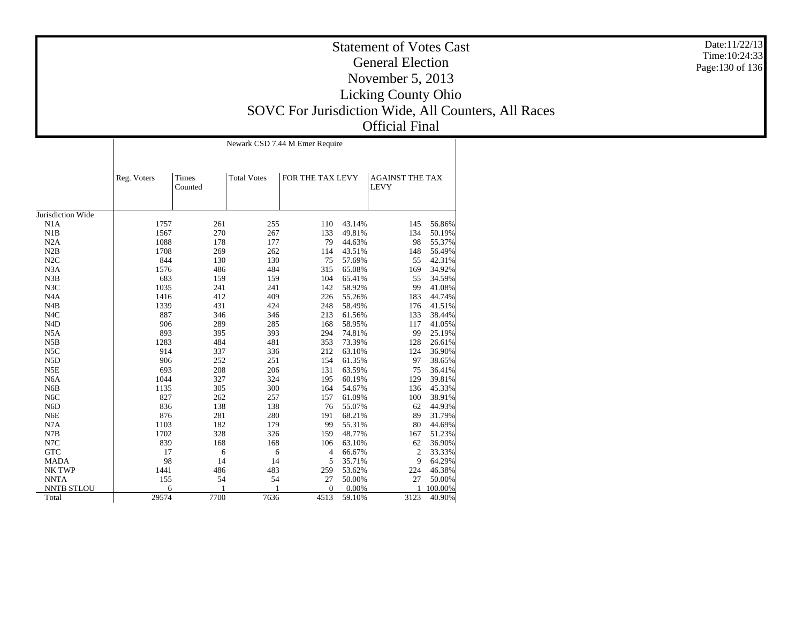## Statement of Votes CastGeneral ElectionNovember 5, 2013 Licking County Ohio SOVC For Jurisdiction Wide, All Counters, All Races Official Final

Jurisdiction Wide N1A N1B N2A N2B N2C N3A N3B N3C N4A N4B N4C N4D N5A N5B N5C N5D N5E N6A N6B N6C N6D N6E N7A N7B N7C GTC MADA NK TWP NNTA NNTB STLOU Total Reg. Voters | Times CountedTotal Votes FOR THE TAX LEVY AGAINST THE TAX LEVYNewark CSD 7.44 M Emer Require 1757 261 255 110 43.14% 145 56.86% 1567 270 267 133 49.81% 134 50.19% 1088 178 177 79 44.63% 98 55.37% 1708 269 262 114 43.51% 148 56.49% 844 130 130 75 57.69% 55 42.31% 1576 486 484 315 65.08% 169 34.92% 683 159 159 104 65.41% 55 34.59% 1035 241 241 142 58.92% 99 41.08% 1416 412 409 226 55.26% 183 44.74% 1339 431 424 248 58.49% 176 41.51% 887 346 346 213 61.56% 133 38.44% 906 289 285 168 58.95% 117 41.05% 893 395 393 294 74.81% 99 25.19% 1283 484 481 353 73.39% 128 26.61% 914 337 336 212 63.10% 124 36.90% 906 252 251 154 61.35% 97 38.65% 693 208 206 131 63.59% 75 36.41% 1044 327 324 195 60.19% 129 39.81% 1135 305 300 164 54.67% 136 45.33% 827 262 257 157 61.09% 100 38.91% 836 138 138 76 55.07% 62 44.93% 876 281 280 191 68.21% 89 31.79% 1103 182 179 99 55.31% 80 44.69% 1702 328 326 159 48.77% 167 51.23% 839 168 168 106 63.10% $62$  36.90%<br>2 33.330 17 6 6 4 66.67% 2 33.33% 98 14 14 5 35.71% 9 64.29% 1441 486 483 259 53.62% 224 46.38% 155 54 54 27 50.00% 27 50.00% 6 1 1 0 0.00% 1 100.00% 29574 7700 7636 4513 59.10%3123 40.90%

Date:11/22/13Time:10:24:33Page:130 of 136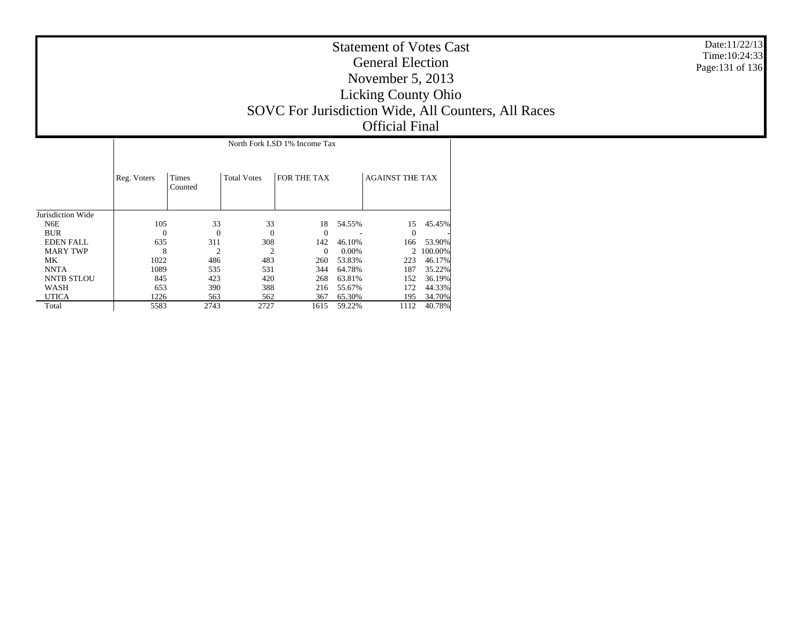| <b>Statement of Votes Cast</b><br><b>General Election</b><br>November 5, $2013$<br><b>Licking County Ohio</b><br>SOVC For Jurisdiction Wide, All Counters, All Races<br><b>Official Final</b> | Date:11/22/13<br>Time: 10:24:33<br>Page:131 of 136 |
|-----------------------------------------------------------------------------------------------------------------------------------------------------------------------------------------------|----------------------------------------------------|
| North Fork LSD 1% Income Tax                                                                                                                                                                  |                                                    |

|                   | Reg. Voters | Times<br>Counted | <b>Total Votes</b> | FOR THE TAX |        | <b>AGAINST THE TAX</b> |         |
|-------------------|-------------|------------------|--------------------|-------------|--------|------------------------|---------|
| Jurisdiction Wide |             |                  |                    |             |        |                        |         |
| N6E               | 105         | 33               | 33                 | 18          | 54.55% | 15                     | 45.45%  |
| <b>BUR</b>        | $\theta$    | $\Omega$         | $\Omega$           | $\Omega$    |        | $\theta$               |         |
| <b>EDEN FALL</b>  | 635         | 311              | 308                | 142         | 46.10% | 166                    | 53.90%  |
| <b>MARY TWP</b>   | 8           | $\overline{c}$   | $\overline{c}$     | $\Omega$    | 0.00%  | $\mathfrak{D}$         | 100.00% |
| MK                | 1022        | 486              | 483                | 260         | 53.83% | 223                    | 46.17%  |
| <b>NNTA</b>       | 1089        | 535              | 531                | 344         | 64.78% | 187                    | 35.22%  |
| <b>NNTB STLOU</b> | 845         | 423              | 420                | 268         | 63.81% | 152                    | 36.19%  |
| WASH              | 653         | 390              | 388                | 216         | 55.67% | 172                    | 44.33%  |
| <b>UTICA</b>      | 1226        | 563              | 562                | 367         | 65.30% | 195                    | 34.70%  |
| Total             | 5583        | 2743             | 2727               | 1615        | 59.22% | 1112                   | 40.78%  |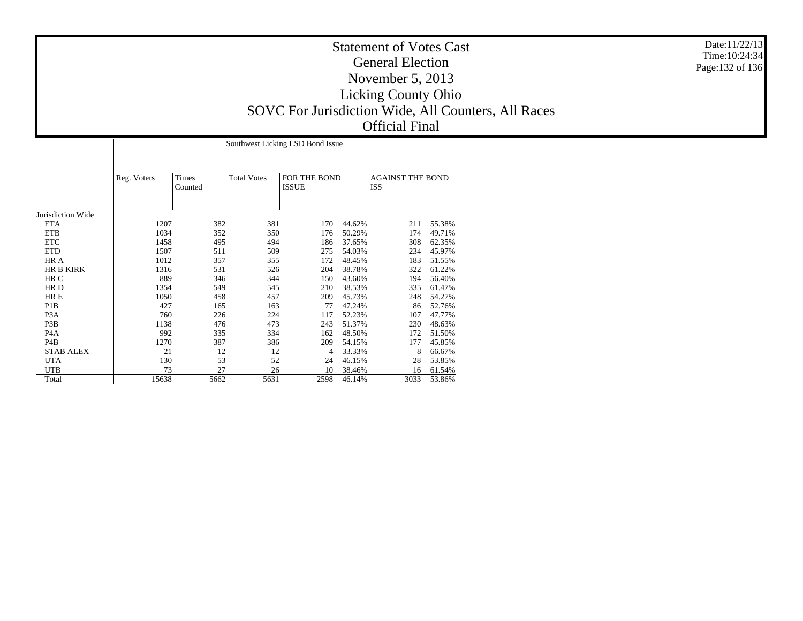## Statement of Votes CastGeneral ElectionNovember 5, 2013 Licking County Ohio SOVC For Jurisdiction Wide, All Counters, All Races Official Final

Jurisdiction Wide ETA ETB ETC ETD HR A HR B KIRK HR C HR D HR E P1B P3A P3B P4A P4B STAB ALEX UTA UTB**Total** Reg. Voters | Times CountedTotal Votes FOR THE BOND ISSUEAGAINST THE BOND ISSSouthwest Licking LSD Bond Issue 1207 382 381 170 44.62% 211 55.38% 1034 352 350 176 50.29% 174 49.71% 1458 495 494 186 37.65% 308 62.35% 1507 511 509 275 54.03% 234 45.97% 1012 357 355 172 48.45% 183 51.55% 1316 531 526 204 38.78% 322 61.22% 889 346 344 150 43.60% 194 56.40% 1354 549 545 210 38.53% 335 61.47% 1050 458 457 209 45.73% 248 54.27% 427 165 163 77 47.24% 86 52.76% 760 226 224 117 52.23% 107 47.77% 1138 476 473 243 51.37% 230 48.63% 992 335 334 162 48.50% 172 51.50% 1270 387 386 209 54.15% 177 45.85% 21 12 12 4 33.33% 8 66.67% 130 53 52 24 46.15% 28 53.85% 73 27 26 10 38.46% 16 61.54% 15638 5662 5631 2598 46.14%3033 53.86%

Date:11/22/13 Time:10:24:34Page:132 of 136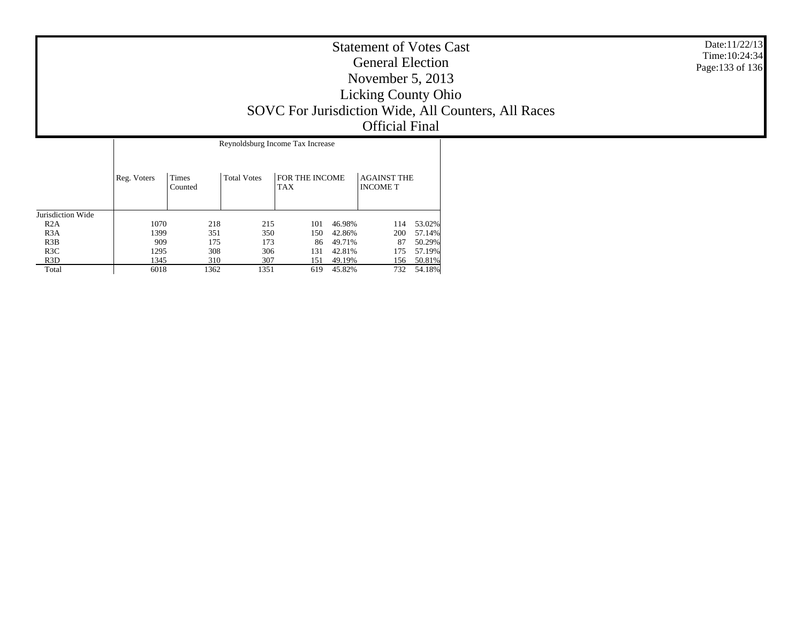| <b>Statement of Votes Cast</b><br><b>General Election</b><br>November $5, 2013$<br><b>Licking County Ohio</b><br>SOVC For Jurisdiction Wide, All Counters, All Races<br><b>Official Final</b> | Date:11/22/13<br>Time: $10:24:34$<br>Page: 133 of 136 |
|-----------------------------------------------------------------------------------------------------------------------------------------------------------------------------------------------|-------------------------------------------------------|
| Reynoldsburg Income Tax Increase                                                                                                                                                              |                                                       |

|                   | Reg. Voters | Times<br>Counted | <b>Total Votes</b> | FOR THE INCOME<br><b>TAX</b> |        | <b>AGAINST THE</b><br><b>INCOME T</b> |        |
|-------------------|-------------|------------------|--------------------|------------------------------|--------|---------------------------------------|--------|
| Jurisdiction Wide |             |                  |                    |                              |        |                                       |        |
| R2A               | 1070        | 218              | 215                | 101                          | 46.98% | 114                                   | 53.02% |
| R <sub>3</sub> A  | 1399        | 351              | 350                | 150                          | 42.86% | 200                                   | 57.14% |
| R3B               | 909         | 175              | 173                | 86                           | 49.71% | 87                                    | 50.29% |
| R3C               | 1295        | 308              | 306                | 131                          | 42.81% | 175                                   | 57.19% |
| R <sub>3</sub> D  | 1345        | 310              | 307                | 151                          | 49.19% | 156                                   | 50.81% |
| Total             | 6018        | 1362             | 1351               | 619                          | 45.82% | 732                                   | 54.18% |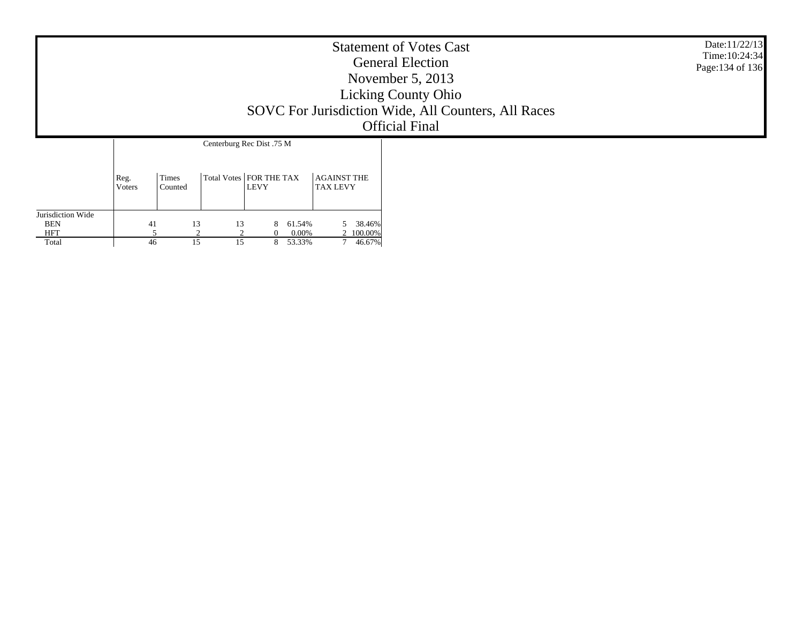| <b>Statement of Votes Cast</b><br><b>General Election</b><br>November $5, 2013$<br><b>Licking County Ohio</b><br>SOVC For Jurisdiction Wide, All Counters, All Races<br><b>Official Final</b> |  |  |  |  |  |  |  | Date:11/22/13<br>Time: 10:24:34<br>Page: 134 of 136 |
|-----------------------------------------------------------------------------------------------------------------------------------------------------------------------------------------------|--|--|--|--|--|--|--|-----------------------------------------------------|
|                                                                                                                                                                                               |  |  |  |  |  |  |  |                                                     |
| Jurisdiction Wide                                                                                                                                                                             |  |  |  |  |  |  |  |                                                     |

5 38.46%

2 100.00%

7 46.67%

 BEN HFT Total 41

5

46

13 13 8 61.54%

2 2 0 0.00%

15 15 8 53.33%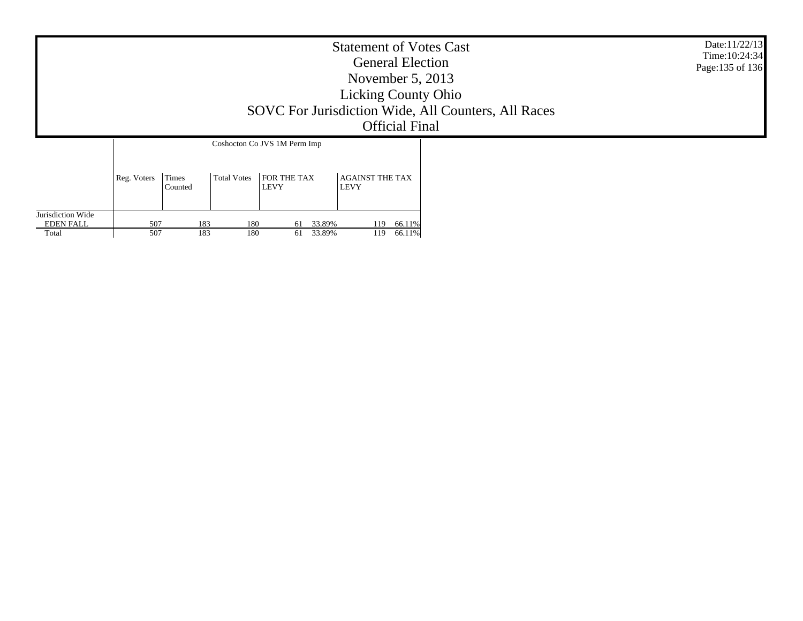|                                                | Date:11/22/13<br>Time: 10:24:34<br>Page: 135 of 136 |                  |                    |                                                            |                                |  |  |
|------------------------------------------------|-----------------------------------------------------|------------------|--------------------|------------------------------------------------------------|--------------------------------|--|--|
|                                                | Reg. Voters                                         | Times<br>Counted | <b>Total Votes</b> | Coshocton Co JVS 1M Perm Imp<br>FOR THE TAX<br><b>LEVY</b> |                                |  |  |
| Jurisdiction Wide<br><b>EDEN FALL</b><br>Total | 507<br>507                                          | 183<br>183       | 180<br>180         | 33.89%<br>61<br>33.89%<br>61                               | 66.11%<br>119<br>66.11%<br>119 |  |  |